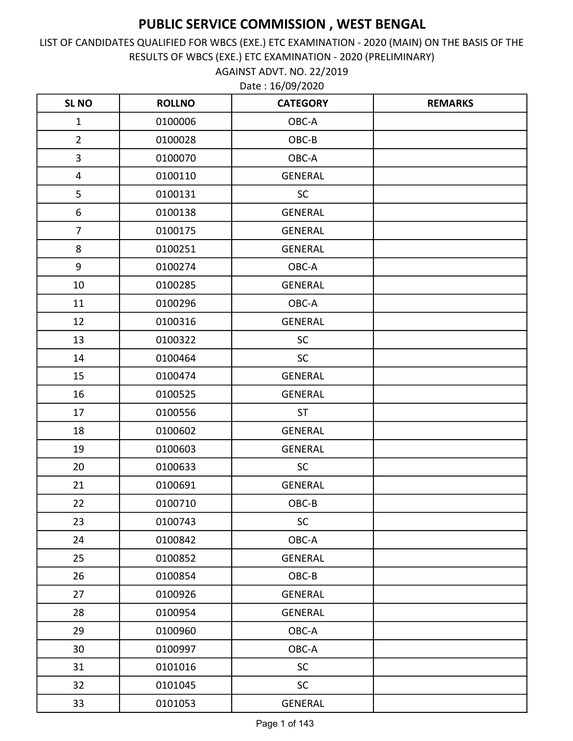AGAINST ADVT. NO. 22/2019 LIST OF CANDIDATES QUALIFIED FOR WBCS (EXE.) ETC EXAMINATION - 2020 (MAIN) ON THE BASIS OF THE RESULTS OF WBCS (EXE.) ETC EXAMINATION - 2020 (PRELIMINARY)

| <b>SL NO</b>            | <b>ROLLNO</b> | <b>CATEGORY</b> | <b>REMARKS</b> |
|-------------------------|---------------|-----------------|----------------|
| $\mathbf 1$             | 0100006       | OBC-A           |                |
| $\overline{2}$          | 0100028       | OBC-B           |                |
| 3                       | 0100070       | OBC-A           |                |
| $\overline{\mathbf{4}}$ | 0100110       | <b>GENERAL</b>  |                |
| 5                       | 0100131       | SC              |                |
| 6                       | 0100138       | <b>GENERAL</b>  |                |
| $\overline{7}$          | 0100175       | <b>GENERAL</b>  |                |
| 8                       | 0100251       | <b>GENERAL</b>  |                |
| 9                       | 0100274       | OBC-A           |                |
| 10                      | 0100285       | <b>GENERAL</b>  |                |
| 11                      | 0100296       | OBC-A           |                |
| 12                      | 0100316       | <b>GENERAL</b>  |                |
| 13                      | 0100322       | SC              |                |
| 14                      | 0100464       | SC              |                |
| 15                      | 0100474       | <b>GENERAL</b>  |                |
| 16                      | 0100525       | <b>GENERAL</b>  |                |
| 17                      | 0100556       | <b>ST</b>       |                |
| 18                      | 0100602       | <b>GENERAL</b>  |                |
| 19                      | 0100603       | <b>GENERAL</b>  |                |
| 20                      | 0100633       | SC              |                |
| 21                      | 0100691       | <b>GENERAL</b>  |                |
| 22                      | 0100710       | OBC-B           |                |
| 23                      | 0100743       | <b>SC</b>       |                |
| 24                      | 0100842       | OBC-A           |                |
| 25                      | 0100852       | <b>GENERAL</b>  |                |
| 26                      | 0100854       | OBC-B           |                |
| 27                      | 0100926       | <b>GENERAL</b>  |                |
| 28                      | 0100954       | <b>GENERAL</b>  |                |
| 29                      | 0100960       | OBC-A           |                |
| 30                      | 0100997       | OBC-A           |                |
| 31                      | 0101016       | <b>SC</b>       |                |
| 32                      | 0101045       | <b>SC</b>       |                |
| 33                      | 0101053       | <b>GENERAL</b>  |                |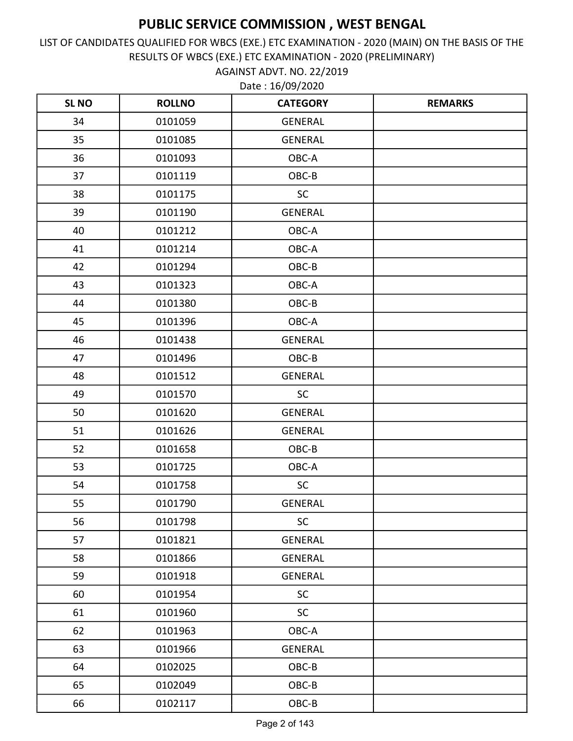AGAINST ADVT. NO. 22/2019 LIST OF CANDIDATES QUALIFIED FOR WBCS (EXE.) ETC EXAMINATION - 2020 (MAIN) ON THE BASIS OF THE RESULTS OF WBCS (EXE.) ETC EXAMINATION - 2020 (PRELIMINARY)

| <b>SLNO</b> | <b>ROLLNO</b> | <b>CATEGORY</b> | <b>REMARKS</b> |
|-------------|---------------|-----------------|----------------|
| 34          | 0101059       | <b>GENERAL</b>  |                |
| 35          | 0101085       | <b>GENERAL</b>  |                |
| 36          | 0101093       | OBC-A           |                |
| 37          | 0101119       | OBC-B           |                |
| 38          | 0101175       | <b>SC</b>       |                |
| 39          | 0101190       | <b>GENERAL</b>  |                |
| 40          | 0101212       | OBC-A           |                |
| 41          | 0101214       | OBC-A           |                |
| 42          | 0101294       | OBC-B           |                |
| 43          | 0101323       | OBC-A           |                |
| 44          | 0101380       | OBC-B           |                |
| 45          | 0101396       | OBC-A           |                |
| 46          | 0101438       | <b>GENERAL</b>  |                |
| 47          | 0101496       | OBC-B           |                |
| 48          | 0101512       | <b>GENERAL</b>  |                |
| 49          | 0101570       | <b>SC</b>       |                |
| 50          | 0101620       | <b>GENERAL</b>  |                |
| 51          | 0101626       | <b>GENERAL</b>  |                |
| 52          | 0101658       | OBC-B           |                |
| 53          | 0101725       | OBC-A           |                |
| 54          | 0101758       | SC              |                |
| 55          | 0101790       | <b>GENERAL</b>  |                |
| 56          | 0101798       | <b>SC</b>       |                |
| 57          | 0101821       | <b>GENERAL</b>  |                |
| 58          | 0101866       | <b>GENERAL</b>  |                |
| 59          | 0101918       | <b>GENERAL</b>  |                |
| 60          | 0101954       | <b>SC</b>       |                |
| 61          | 0101960       | <b>SC</b>       |                |
| 62          | 0101963       | OBC-A           |                |
| 63          | 0101966       | <b>GENERAL</b>  |                |
| 64          | 0102025       | OBC-B           |                |
| 65          | 0102049       | OBC-B           |                |
| 66          | 0102117       | OBC-B           |                |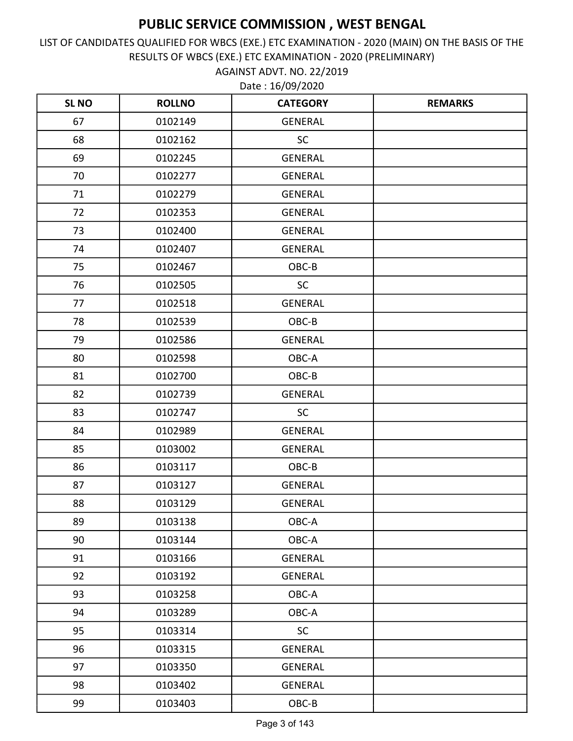AGAINST ADVT. NO. 22/2019 LIST OF CANDIDATES QUALIFIED FOR WBCS (EXE.) ETC EXAMINATION - 2020 (MAIN) ON THE BASIS OF THE RESULTS OF WBCS (EXE.) ETC EXAMINATION - 2020 (PRELIMINARY)

| <b>SL NO</b> | <b>ROLLNO</b> | <b>CATEGORY</b> | <b>REMARKS</b> |
|--------------|---------------|-----------------|----------------|
| 67           | 0102149       | <b>GENERAL</b>  |                |
| 68           | 0102162       | <b>SC</b>       |                |
| 69           | 0102245       | <b>GENERAL</b>  |                |
| 70           | 0102277       | <b>GENERAL</b>  |                |
| 71           | 0102279       | <b>GENERAL</b>  |                |
| 72           | 0102353       | <b>GENERAL</b>  |                |
| 73           | 0102400       | <b>GENERAL</b>  |                |
| 74           | 0102407       | <b>GENERAL</b>  |                |
| 75           | 0102467       | OBC-B           |                |
| 76           | 0102505       | <b>SC</b>       |                |
| 77           | 0102518       | <b>GENERAL</b>  |                |
| 78           | 0102539       | OBC-B           |                |
| 79           | 0102586       | <b>GENERAL</b>  |                |
| 80           | 0102598       | OBC-A           |                |
| 81           | 0102700       | OBC-B           |                |
| 82           | 0102739       | <b>GENERAL</b>  |                |
| 83           | 0102747       | <b>SC</b>       |                |
| 84           | 0102989       | <b>GENERAL</b>  |                |
| 85           | 0103002       | <b>GENERAL</b>  |                |
| 86           | 0103117       | OBC-B           |                |
| 87           | 0103127       | <b>GENERAL</b>  |                |
| 88           | 0103129       | <b>GENERAL</b>  |                |
| 89           | 0103138       | OBC-A           |                |
| 90           | 0103144       | OBC-A           |                |
| 91           | 0103166       | <b>GENERAL</b>  |                |
| 92           | 0103192       | <b>GENERAL</b>  |                |
| 93           | 0103258       | OBC-A           |                |
| 94           | 0103289       | OBC-A           |                |
| 95           | 0103314       | <b>SC</b>       |                |
| 96           | 0103315       | <b>GENERAL</b>  |                |
| 97           | 0103350       | <b>GENERAL</b>  |                |
| 98           | 0103402       | GENERAL         |                |
| 99           | 0103403       | OBC-B           |                |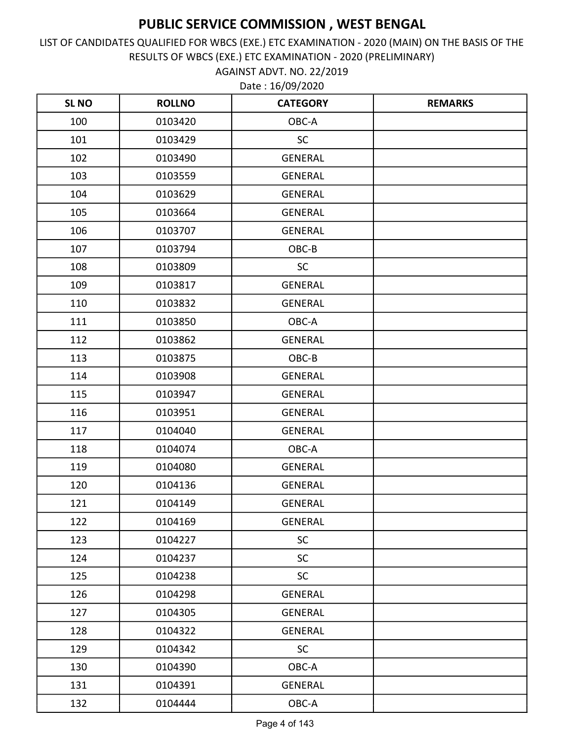AGAINST ADVT. NO. 22/2019 LIST OF CANDIDATES QUALIFIED FOR WBCS (EXE.) ETC EXAMINATION - 2020 (MAIN) ON THE BASIS OF THE RESULTS OF WBCS (EXE.) ETC EXAMINATION - 2020 (PRELIMINARY)

| <b>SLNO</b> | <b>ROLLNO</b> | <b>CATEGORY</b> | <b>REMARKS</b> |
|-------------|---------------|-----------------|----------------|
| 100         | 0103420       | OBC-A           |                |
| 101         | 0103429       | <b>SC</b>       |                |
| 102         | 0103490       | <b>GENERAL</b>  |                |
| 103         | 0103559       | <b>GENERAL</b>  |                |
| 104         | 0103629       | <b>GENERAL</b>  |                |
| 105         | 0103664       | <b>GENERAL</b>  |                |
| 106         | 0103707       | <b>GENERAL</b>  |                |
| 107         | 0103794       | OBC-B           |                |
| 108         | 0103809       | <b>SC</b>       |                |
| 109         | 0103817       | <b>GENERAL</b>  |                |
| 110         | 0103832       | <b>GENERAL</b>  |                |
| 111         | 0103850       | OBC-A           |                |
| 112         | 0103862       | <b>GENERAL</b>  |                |
| 113         | 0103875       | OBC-B           |                |
| 114         | 0103908       | <b>GENERAL</b>  |                |
| 115         | 0103947       | <b>GENERAL</b>  |                |
| 116         | 0103951       | <b>GENERAL</b>  |                |
| 117         | 0104040       | <b>GENERAL</b>  |                |
| 118         | 0104074       | OBC-A           |                |
| 119         | 0104080       | <b>GENERAL</b>  |                |
| 120         | 0104136       | <b>GENERAL</b>  |                |
| 121         | 0104149       | <b>GENERAL</b>  |                |
| 122         | 0104169       | <b>GENERAL</b>  |                |
| 123         | 0104227       | <b>SC</b>       |                |
| 124         | 0104237       | <b>SC</b>       |                |
| 125         | 0104238       | SC              |                |
| 126         | 0104298       | <b>GENERAL</b>  |                |
| 127         | 0104305       | <b>GENERAL</b>  |                |
| 128         | 0104322       | <b>GENERAL</b>  |                |
| 129         | 0104342       | <b>SC</b>       |                |
| 130         | 0104390       | OBC-A           |                |
| 131         | 0104391       | GENERAL         |                |
| 132         | 0104444       | OBC-A           |                |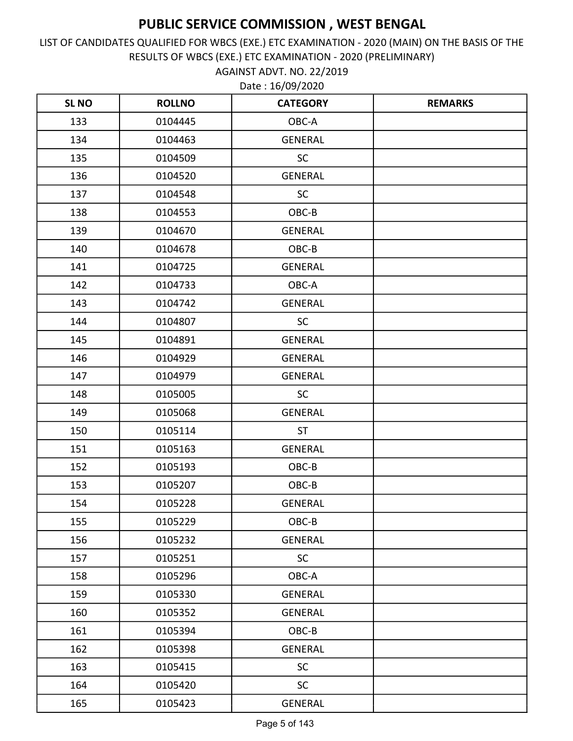AGAINST ADVT. NO. 22/2019 LIST OF CANDIDATES QUALIFIED FOR WBCS (EXE.) ETC EXAMINATION - 2020 (MAIN) ON THE BASIS OF THE RESULTS OF WBCS (EXE.) ETC EXAMINATION - 2020 (PRELIMINARY)

| <b>SLNO</b> | <b>ROLLNO</b> | <b>CATEGORY</b> | <b>REMARKS</b> |
|-------------|---------------|-----------------|----------------|
| 133         | 0104445       | OBC-A           |                |
| 134         | 0104463       | <b>GENERAL</b>  |                |
| 135         | 0104509       | <b>SC</b>       |                |
| 136         | 0104520       | <b>GENERAL</b>  |                |
| 137         | 0104548       | <b>SC</b>       |                |
| 138         | 0104553       | OBC-B           |                |
| 139         | 0104670       | <b>GENERAL</b>  |                |
| 140         | 0104678       | OBC-B           |                |
| 141         | 0104725       | <b>GENERAL</b>  |                |
| 142         | 0104733       | OBC-A           |                |
| 143         | 0104742       | <b>GENERAL</b>  |                |
| 144         | 0104807       | <b>SC</b>       |                |
| 145         | 0104891       | <b>GENERAL</b>  |                |
| 146         | 0104929       | <b>GENERAL</b>  |                |
| 147         | 0104979       | <b>GENERAL</b>  |                |
| 148         | 0105005       | <b>SC</b>       |                |
| 149         | 0105068       | <b>GENERAL</b>  |                |
| 150         | 0105114       | <b>ST</b>       |                |
| 151         | 0105163       | <b>GENERAL</b>  |                |
| 152         | 0105193       | OBC-B           |                |
| 153         | 0105207       | OBC-B           |                |
| 154         | 0105228       | <b>GENERAL</b>  |                |
| 155         | 0105229       | OBC-B           |                |
| 156         | 0105232       | <b>GENERAL</b>  |                |
| 157         | 0105251       | <b>SC</b>       |                |
| 158         | 0105296       | OBC-A           |                |
| 159         | 0105330       | <b>GENERAL</b>  |                |
| 160         | 0105352       | <b>GENERAL</b>  |                |
| 161         | 0105394       | OBC-B           |                |
| 162         | 0105398       | <b>GENERAL</b>  |                |
| 163         | 0105415       | <b>SC</b>       |                |
| 164         | 0105420       | <b>SC</b>       |                |
| 165         | 0105423       | <b>GENERAL</b>  |                |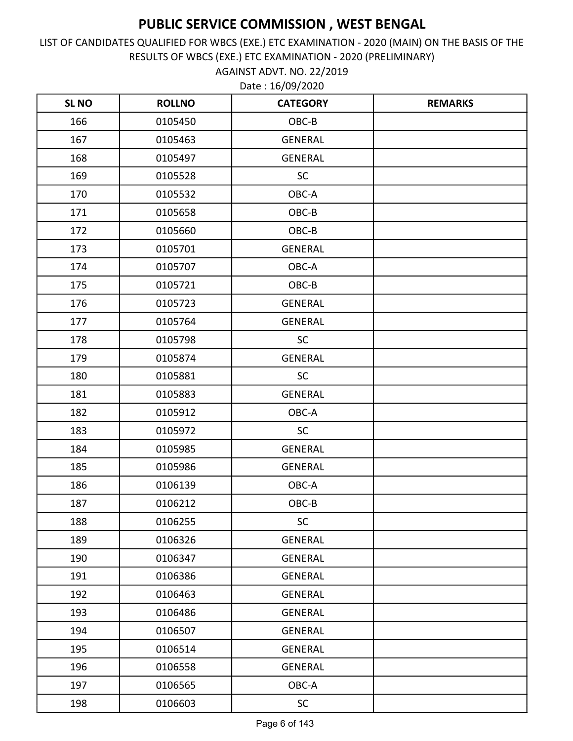AGAINST ADVT. NO. 22/2019 LIST OF CANDIDATES QUALIFIED FOR WBCS (EXE.) ETC EXAMINATION - 2020 (MAIN) ON THE BASIS OF THE RESULTS OF WBCS (EXE.) ETC EXAMINATION - 2020 (PRELIMINARY)

| <b>SL NO</b> | <b>ROLLNO</b> | <b>CATEGORY</b> | <b>REMARKS</b> |
|--------------|---------------|-----------------|----------------|
| 166          | 0105450       | OBC-B           |                |
| 167          | 0105463       | <b>GENERAL</b>  |                |
| 168          | 0105497       | <b>GENERAL</b>  |                |
| 169          | 0105528       | <b>SC</b>       |                |
| 170          | 0105532       | OBC-A           |                |
| 171          | 0105658       | OBC-B           |                |
| 172          | 0105660       | OBC-B           |                |
| 173          | 0105701       | <b>GENERAL</b>  |                |
| 174          | 0105707       | OBC-A           |                |
| 175          | 0105721       | OBC-B           |                |
| 176          | 0105723       | <b>GENERAL</b>  |                |
| 177          | 0105764       | <b>GENERAL</b>  |                |
| 178          | 0105798       | <b>SC</b>       |                |
| 179          | 0105874       | <b>GENERAL</b>  |                |
| 180          | 0105881       | <b>SC</b>       |                |
| 181          | 0105883       | <b>GENERAL</b>  |                |
| 182          | 0105912       | OBC-A           |                |
| 183          | 0105972       | <b>SC</b>       |                |
| 184          | 0105985       | <b>GENERAL</b>  |                |
| 185          | 0105986       | <b>GENERAL</b>  |                |
| 186          | 0106139       | OBC-A           |                |
| 187          | 0106212       | OBC-B           |                |
| 188          | 0106255       | <b>SC</b>       |                |
| 189          | 0106326       | <b>GENERAL</b>  |                |
| 190          | 0106347       | <b>GENERAL</b>  |                |
| 191          | 0106386       | <b>GENERAL</b>  |                |
| 192          | 0106463       | <b>GENERAL</b>  |                |
| 193          | 0106486       | <b>GENERAL</b>  |                |
| 194          | 0106507       | <b>GENERAL</b>  |                |
| 195          | 0106514       | <b>GENERAL</b>  |                |
| 196          | 0106558       | <b>GENERAL</b>  |                |
| 197          | 0106565       | OBC-A           |                |
| 198          | 0106603       | SC              |                |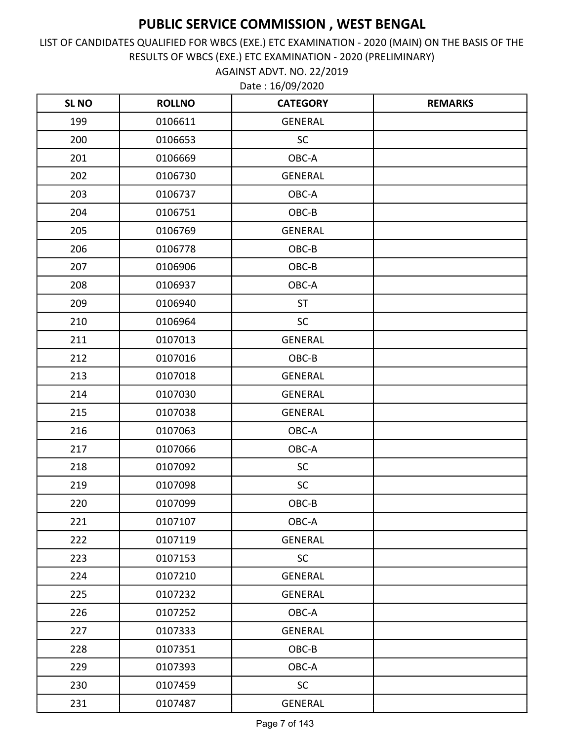AGAINST ADVT. NO. 22/2019 LIST OF CANDIDATES QUALIFIED FOR WBCS (EXE.) ETC EXAMINATION - 2020 (MAIN) ON THE BASIS OF THE RESULTS OF WBCS (EXE.) ETC EXAMINATION - 2020 (PRELIMINARY)

| <b>SL NO</b> | <b>ROLLNO</b> | <b>CATEGORY</b> | <b>REMARKS</b> |
|--------------|---------------|-----------------|----------------|
| 199          | 0106611       | <b>GENERAL</b>  |                |
| 200          | 0106653       | <b>SC</b>       |                |
| 201          | 0106669       | OBC-A           |                |
| 202          | 0106730       | <b>GENERAL</b>  |                |
| 203          | 0106737       | OBC-A           |                |
| 204          | 0106751       | OBC-B           |                |
| 205          | 0106769       | <b>GENERAL</b>  |                |
| 206          | 0106778       | OBC-B           |                |
| 207          | 0106906       | OBC-B           |                |
| 208          | 0106937       | OBC-A           |                |
| 209          | 0106940       | <b>ST</b>       |                |
| 210          | 0106964       | <b>SC</b>       |                |
| 211          | 0107013       | <b>GENERAL</b>  |                |
| 212          | 0107016       | OBC-B           |                |
| 213          | 0107018       | <b>GENERAL</b>  |                |
| 214          | 0107030       | <b>GENERAL</b>  |                |
| 215          | 0107038       | <b>GENERAL</b>  |                |
| 216          | 0107063       | OBC-A           |                |
| 217          | 0107066       | OBC-A           |                |
| 218          | 0107092       | SC              |                |
| 219          | 0107098       | <b>SC</b>       |                |
| 220          | 0107099       | OBC-B           |                |
| 221          | 0107107       | OBC-A           |                |
| 222          | 0107119       | <b>GENERAL</b>  |                |
| 223          | 0107153       | <b>SC</b>       |                |
| 224          | 0107210       | <b>GENERAL</b>  |                |
| 225          | 0107232       | <b>GENERAL</b>  |                |
| 226          | 0107252       | OBC-A           |                |
| 227          | 0107333       | <b>GENERAL</b>  |                |
| 228          | 0107351       | OBC-B           |                |
| 229          | 0107393       | OBC-A           |                |
| 230          | 0107459       | <b>SC</b>       |                |
| 231          | 0107487       | <b>GENERAL</b>  |                |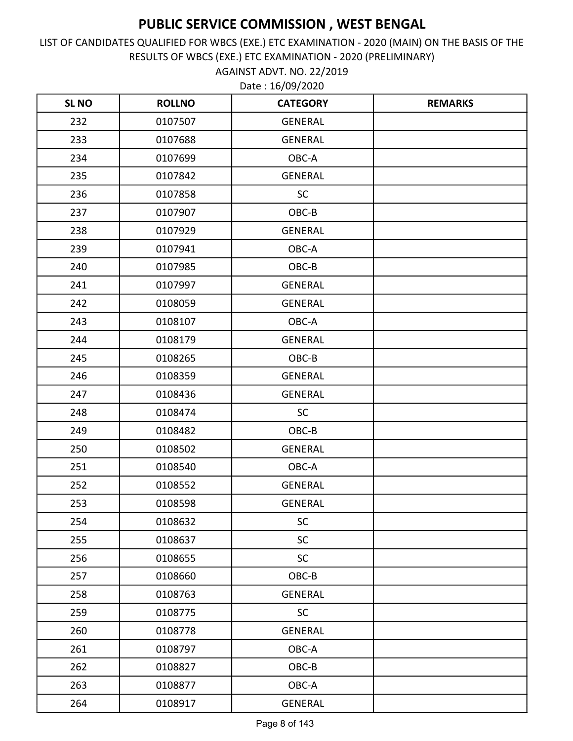AGAINST ADVT. NO. 22/2019 LIST OF CANDIDATES QUALIFIED FOR WBCS (EXE.) ETC EXAMINATION - 2020 (MAIN) ON THE BASIS OF THE RESULTS OF WBCS (EXE.) ETC EXAMINATION - 2020 (PRELIMINARY)

| <b>SL NO</b> | <b>ROLLNO</b> | <b>CATEGORY</b> | <b>REMARKS</b> |
|--------------|---------------|-----------------|----------------|
| 232          | 0107507       | <b>GENERAL</b>  |                |
| 233          | 0107688       | <b>GENERAL</b>  |                |
| 234          | 0107699       | OBC-A           |                |
| 235          | 0107842       | <b>GENERAL</b>  |                |
| 236          | 0107858       | <b>SC</b>       |                |
| 237          | 0107907       | OBC-B           |                |
| 238          | 0107929       | <b>GENERAL</b>  |                |
| 239          | 0107941       | OBC-A           |                |
| 240          | 0107985       | OBC-B           |                |
| 241          | 0107997       | <b>GENERAL</b>  |                |
| 242          | 0108059       | <b>GENERAL</b>  |                |
| 243          | 0108107       | OBC-A           |                |
| 244          | 0108179       | <b>GENERAL</b>  |                |
| 245          | 0108265       | OBC-B           |                |
| 246          | 0108359       | <b>GENERAL</b>  |                |
| 247          | 0108436       | <b>GENERAL</b>  |                |
| 248          | 0108474       | <b>SC</b>       |                |
| 249          | 0108482       | OBC-B           |                |
| 250          | 0108502       | <b>GENERAL</b>  |                |
| 251          | 0108540       | OBC-A           |                |
| 252          | 0108552       | <b>GENERAL</b>  |                |
| 253          | 0108598       | <b>GENERAL</b>  |                |
| 254          | 0108632       | <b>SC</b>       |                |
| 255          | 0108637       | <b>SC</b>       |                |
| 256          | 0108655       | <b>SC</b>       |                |
| 257          | 0108660       | OBC-B           |                |
| 258          | 0108763       | <b>GENERAL</b>  |                |
| 259          | 0108775       | <b>SC</b>       |                |
| 260          | 0108778       | <b>GENERAL</b>  |                |
| 261          | 0108797       | OBC-A           |                |
| 262          | 0108827       | OBC-B           |                |
| 263          | 0108877       | OBC-A           |                |
| 264          | 0108917       | <b>GENERAL</b>  |                |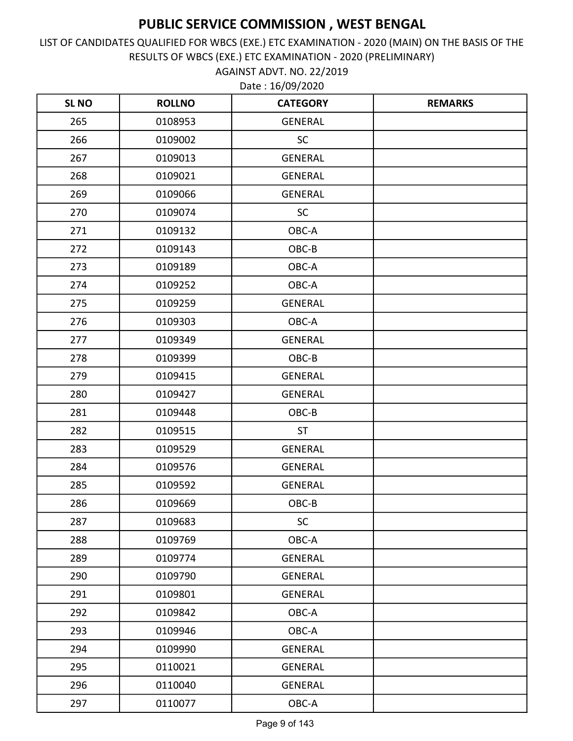AGAINST ADVT. NO. 22/2019 LIST OF CANDIDATES QUALIFIED FOR WBCS (EXE.) ETC EXAMINATION - 2020 (MAIN) ON THE BASIS OF THE RESULTS OF WBCS (EXE.) ETC EXAMINATION - 2020 (PRELIMINARY)

| <b>SLNO</b> | <b>ROLLNO</b> | <b>CATEGORY</b> | <b>REMARKS</b> |
|-------------|---------------|-----------------|----------------|
| 265         | 0108953       | <b>GENERAL</b>  |                |
| 266         | 0109002       | <b>SC</b>       |                |
| 267         | 0109013       | <b>GENERAL</b>  |                |
| 268         | 0109021       | <b>GENERAL</b>  |                |
| 269         | 0109066       | <b>GENERAL</b>  |                |
| 270         | 0109074       | <b>SC</b>       |                |
| 271         | 0109132       | OBC-A           |                |
| 272         | 0109143       | OBC-B           |                |
| 273         | 0109189       | OBC-A           |                |
| 274         | 0109252       | OBC-A           |                |
| 275         | 0109259       | <b>GENERAL</b>  |                |
| 276         | 0109303       | OBC-A           |                |
| 277         | 0109349       | <b>GENERAL</b>  |                |
| 278         | 0109399       | OBC-B           |                |
| 279         | 0109415       | <b>GENERAL</b>  |                |
| 280         | 0109427       | <b>GENERAL</b>  |                |
| 281         | 0109448       | OBC-B           |                |
| 282         | 0109515       | <b>ST</b>       |                |
| 283         | 0109529       | <b>GENERAL</b>  |                |
| 284         | 0109576       | <b>GENERAL</b>  |                |
| 285         | 0109592       | <b>GENERAL</b>  |                |
| 286         | 0109669       | OBC-B           |                |
| 287         | 0109683       | <b>SC</b>       |                |
| 288         | 0109769       | OBC-A           |                |
| 289         | 0109774       | <b>GENERAL</b>  |                |
| 290         | 0109790       | <b>GENERAL</b>  |                |
| 291         | 0109801       | GENERAL         |                |
| 292         | 0109842       | OBC-A           |                |
| 293         | 0109946       | OBC-A           |                |
| 294         | 0109990       | <b>GENERAL</b>  |                |
| 295         | 0110021       | GENERAL         |                |
| 296         | 0110040       | GENERAL         |                |
| 297         | 0110077       | OBC-A           |                |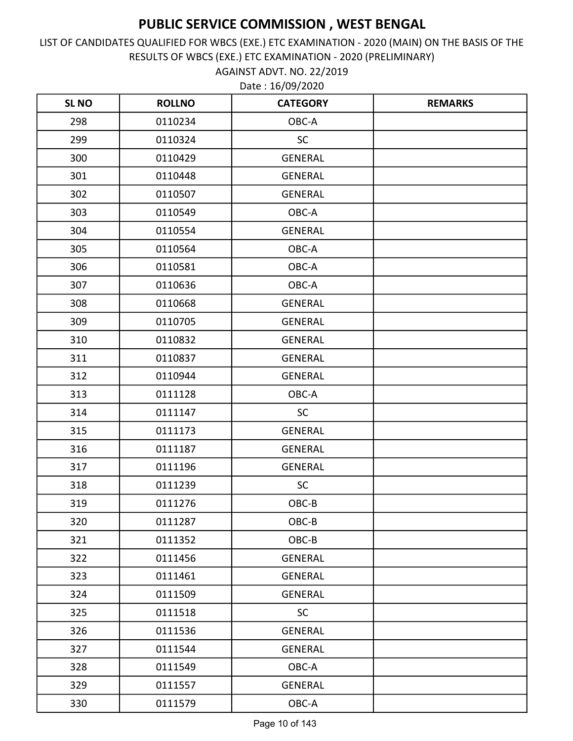AGAINST ADVT. NO. 22/2019 LIST OF CANDIDATES QUALIFIED FOR WBCS (EXE.) ETC EXAMINATION - 2020 (MAIN) ON THE BASIS OF THE RESULTS OF WBCS (EXE.) ETC EXAMINATION - 2020 (PRELIMINARY)

| <b>SLNO</b> | <b>ROLLNO</b> | <b>CATEGORY</b> | <b>REMARKS</b> |
|-------------|---------------|-----------------|----------------|
| 298         | 0110234       | OBC-A           |                |
| 299         | 0110324       | <b>SC</b>       |                |
| 300         | 0110429       | <b>GENERAL</b>  |                |
| 301         | 0110448       | <b>GENERAL</b>  |                |
| 302         | 0110507       | <b>GENERAL</b>  |                |
| 303         | 0110549       | OBC-A           |                |
| 304         | 0110554       | <b>GENERAL</b>  |                |
| 305         | 0110564       | OBC-A           |                |
| 306         | 0110581       | OBC-A           |                |
| 307         | 0110636       | OBC-A           |                |
| 308         | 0110668       | <b>GENERAL</b>  |                |
| 309         | 0110705       | <b>GENERAL</b>  |                |
| 310         | 0110832       | <b>GENERAL</b>  |                |
| 311         | 0110837       | <b>GENERAL</b>  |                |
| 312         | 0110944       | <b>GENERAL</b>  |                |
| 313         | 0111128       | OBC-A           |                |
| 314         | 0111147       | <b>SC</b>       |                |
| 315         | 0111173       | <b>GENERAL</b>  |                |
| 316         | 0111187       | <b>GENERAL</b>  |                |
| 317         | 0111196       | <b>GENERAL</b>  |                |
| 318         | 0111239       | <b>SC</b>       |                |
| 319         | 0111276       | OBC-B           |                |
| 320         | 0111287       | OBC-B           |                |
| 321         | 0111352       | OBC-B           |                |
| 322         | 0111456       | <b>GENERAL</b>  |                |
| 323         | 0111461       | <b>GENERAL</b>  |                |
| 324         | 0111509       | GENERAL         |                |
| 325         | 0111518       | <b>SC</b>       |                |
| 326         | 0111536       | <b>GENERAL</b>  |                |
| 327         | 0111544       | <b>GENERAL</b>  |                |
| 328         | 0111549       | OBC-A           |                |
| 329         | 0111557       | GENERAL         |                |
| 330         | 0111579       | OBC-A           |                |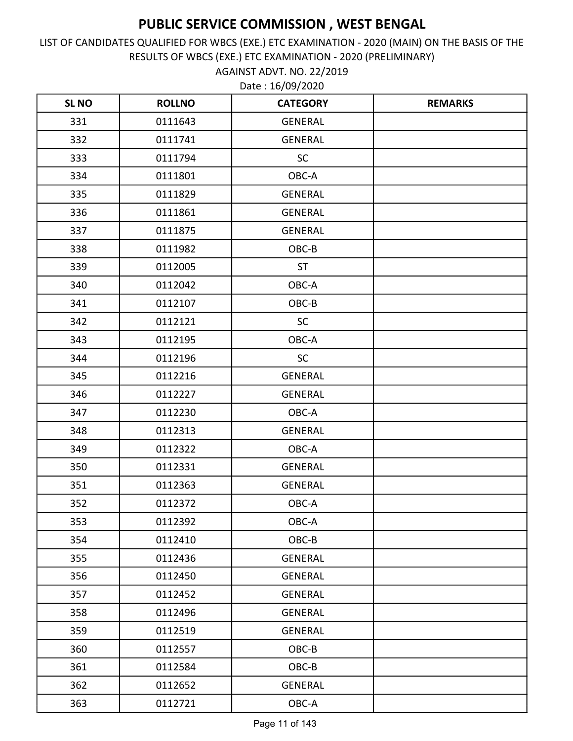AGAINST ADVT. NO. 22/2019 LIST OF CANDIDATES QUALIFIED FOR WBCS (EXE.) ETC EXAMINATION - 2020 (MAIN) ON THE BASIS OF THE RESULTS OF WBCS (EXE.) ETC EXAMINATION - 2020 (PRELIMINARY)

| <b>SLNO</b> | <b>ROLLNO</b> | <b>CATEGORY</b> | <b>REMARKS</b> |
|-------------|---------------|-----------------|----------------|
| 331         | 0111643       | <b>GENERAL</b>  |                |
| 332         | 0111741       | <b>GENERAL</b>  |                |
| 333         | 0111794       | <b>SC</b>       |                |
| 334         | 0111801       | OBC-A           |                |
| 335         | 0111829       | <b>GENERAL</b>  |                |
| 336         | 0111861       | <b>GENERAL</b>  |                |
| 337         | 0111875       | <b>GENERAL</b>  |                |
| 338         | 0111982       | OBC-B           |                |
| 339         | 0112005       | <b>ST</b>       |                |
| 340         | 0112042       | OBC-A           |                |
| 341         | 0112107       | OBC-B           |                |
| 342         | 0112121       | <b>SC</b>       |                |
| 343         | 0112195       | OBC-A           |                |
| 344         | 0112196       | <b>SC</b>       |                |
| 345         | 0112216       | <b>GENERAL</b>  |                |
| 346         | 0112227       | <b>GENERAL</b>  |                |
| 347         | 0112230       | OBC-A           |                |
| 348         | 0112313       | <b>GENERAL</b>  |                |
| 349         | 0112322       | OBC-A           |                |
| 350         | 0112331       | <b>GENERAL</b>  |                |
| 351         | 0112363       | <b>GENERAL</b>  |                |
| 352         | 0112372       | OBC-A           |                |
| 353         | 0112392       | OBC-A           |                |
| 354         | 0112410       | OBC-B           |                |
| 355         | 0112436       | <b>GENERAL</b>  |                |
| 356         | 0112450       | <b>GENERAL</b>  |                |
| 357         | 0112452       | GENERAL         |                |
| 358         | 0112496       | <b>GENERAL</b>  |                |
| 359         | 0112519       | <b>GENERAL</b>  |                |
| 360         | 0112557       | OBC-B           |                |
| 361         | 0112584       | OBC-B           |                |
| 362         | 0112652       | <b>GENERAL</b>  |                |
| 363         | 0112721       | OBC-A           |                |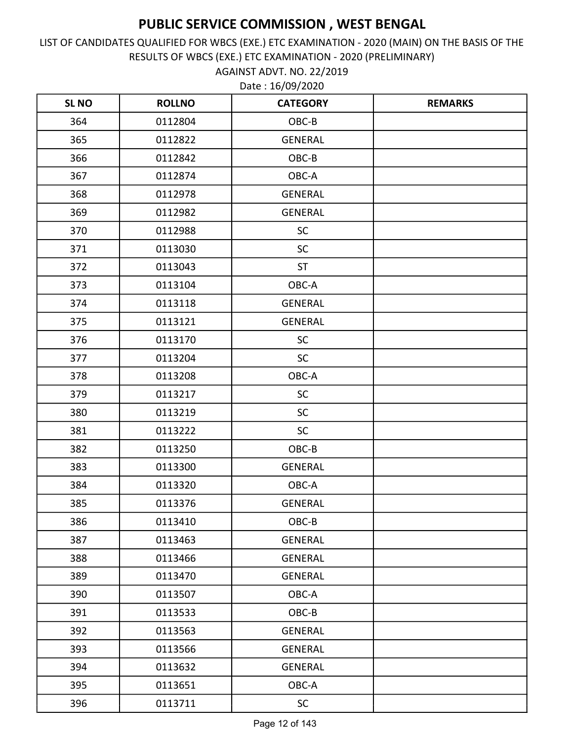AGAINST ADVT. NO. 22/2019 LIST OF CANDIDATES QUALIFIED FOR WBCS (EXE.) ETC EXAMINATION - 2020 (MAIN) ON THE BASIS OF THE RESULTS OF WBCS (EXE.) ETC EXAMINATION - 2020 (PRELIMINARY)

| <b>SL NO</b> | <b>ROLLNO</b> | <b>CATEGORY</b> | <b>REMARKS</b> |
|--------------|---------------|-----------------|----------------|
| 364          | 0112804       | OBC-B           |                |
| 365          | 0112822       | <b>GENERAL</b>  |                |
| 366          | 0112842       | OBC-B           |                |
| 367          | 0112874       | OBC-A           |                |
| 368          | 0112978       | <b>GENERAL</b>  |                |
| 369          | 0112982       | <b>GENERAL</b>  |                |
| 370          | 0112988       | <b>SC</b>       |                |
| 371          | 0113030       | <b>SC</b>       |                |
| 372          | 0113043       | <b>ST</b>       |                |
| 373          | 0113104       | OBC-A           |                |
| 374          | 0113118       | <b>GENERAL</b>  |                |
| 375          | 0113121       | <b>GENERAL</b>  |                |
| 376          | 0113170       | <b>SC</b>       |                |
| 377          | 0113204       | <b>SC</b>       |                |
| 378          | 0113208       | OBC-A           |                |
| 379          | 0113217       | <b>SC</b>       |                |
| 380          | 0113219       | <b>SC</b>       |                |
| 381          | 0113222       | <b>SC</b>       |                |
| 382          | 0113250       | OBC-B           |                |
| 383          | 0113300       | <b>GENERAL</b>  |                |
| 384          | 0113320       | OBC-A           |                |
| 385          | 0113376       | <b>GENERAL</b>  |                |
| 386          | 0113410       | OBC-B           |                |
| 387          | 0113463       | <b>GENERAL</b>  |                |
| 388          | 0113466       | <b>GENERAL</b>  |                |
| 389          | 0113470       | <b>GENERAL</b>  |                |
| 390          | 0113507       | OBC-A           |                |
| 391          | 0113533       | OBC-B           |                |
| 392          | 0113563       | <b>GENERAL</b>  |                |
| 393          | 0113566       | <b>GENERAL</b>  |                |
| 394          | 0113632       | <b>GENERAL</b>  |                |
| 395          | 0113651       | OBC-A           |                |
| 396          | 0113711       | SC              |                |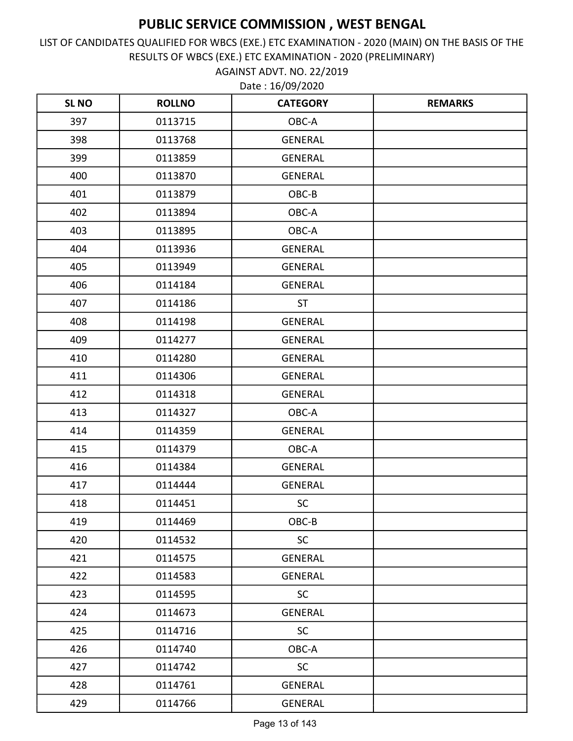AGAINST ADVT. NO. 22/2019 LIST OF CANDIDATES QUALIFIED FOR WBCS (EXE.) ETC EXAMINATION - 2020 (MAIN) ON THE BASIS OF THE RESULTS OF WBCS (EXE.) ETC EXAMINATION - 2020 (PRELIMINARY)

| <b>SLNO</b> | <b>ROLLNO</b> | <b>CATEGORY</b> | <b>REMARKS</b> |
|-------------|---------------|-----------------|----------------|
| 397         | 0113715       | OBC-A           |                |
| 398         | 0113768       | <b>GENERAL</b>  |                |
| 399         | 0113859       | <b>GENERAL</b>  |                |
| 400         | 0113870       | <b>GENERAL</b>  |                |
| 401         | 0113879       | OBC-B           |                |
| 402         | 0113894       | OBC-A           |                |
| 403         | 0113895       | OBC-A           |                |
| 404         | 0113936       | <b>GENERAL</b>  |                |
| 405         | 0113949       | <b>GENERAL</b>  |                |
| 406         | 0114184       | <b>GENERAL</b>  |                |
| 407         | 0114186       | <b>ST</b>       |                |
| 408         | 0114198       | <b>GENERAL</b>  |                |
| 409         | 0114277       | <b>GENERAL</b>  |                |
| 410         | 0114280       | <b>GENERAL</b>  |                |
| 411         | 0114306       | <b>GENERAL</b>  |                |
| 412         | 0114318       | <b>GENERAL</b>  |                |
| 413         | 0114327       | OBC-A           |                |
| 414         | 0114359       | <b>GENERAL</b>  |                |
| 415         | 0114379       | OBC-A           |                |
| 416         | 0114384       | <b>GENERAL</b>  |                |
| 417         | 0114444       | <b>GENERAL</b>  |                |
| 418         | 0114451       | <b>SC</b>       |                |
| 419         | 0114469       | OBC-B           |                |
| 420         | 0114532       | <b>SC</b>       |                |
| 421         | 0114575       | <b>GENERAL</b>  |                |
| 422         | 0114583       | <b>GENERAL</b>  |                |
| 423         | 0114595       | <b>SC</b>       |                |
| 424         | 0114673       | <b>GENERAL</b>  |                |
| 425         | 0114716       | <b>SC</b>       |                |
| 426         | 0114740       | OBC-A           |                |
| 427         | 0114742       | <b>SC</b>       |                |
| 428         | 0114761       | <b>GENERAL</b>  |                |
| 429         | 0114766       | GENERAL         |                |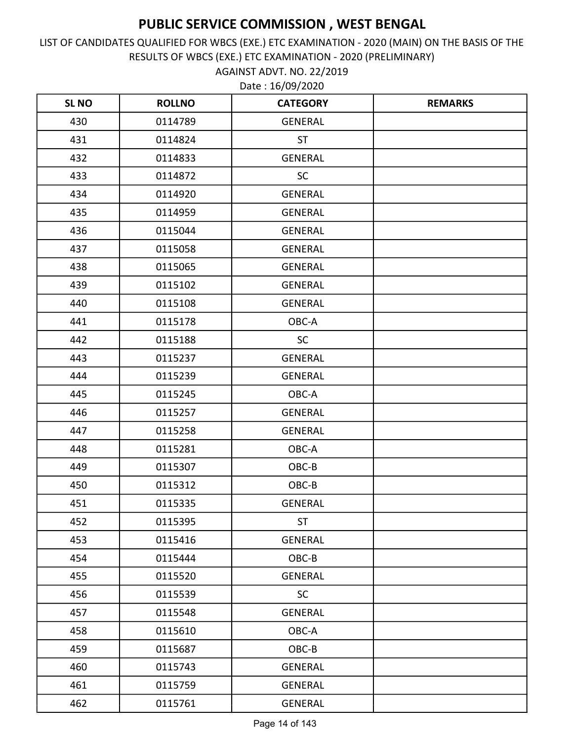AGAINST ADVT. NO. 22/2019 LIST OF CANDIDATES QUALIFIED FOR WBCS (EXE.) ETC EXAMINATION - 2020 (MAIN) ON THE BASIS OF THE RESULTS OF WBCS (EXE.) ETC EXAMINATION - 2020 (PRELIMINARY)

| <b>SLNO</b> | <b>ROLLNO</b> | <b>CATEGORY</b> | <b>REMARKS</b> |
|-------------|---------------|-----------------|----------------|
| 430         | 0114789       | <b>GENERAL</b>  |                |
| 431         | 0114824       | <b>ST</b>       |                |
| 432         | 0114833       | <b>GENERAL</b>  |                |
| 433         | 0114872       | <b>SC</b>       |                |
| 434         | 0114920       | <b>GENERAL</b>  |                |
| 435         | 0114959       | <b>GENERAL</b>  |                |
| 436         | 0115044       | <b>GENERAL</b>  |                |
| 437         | 0115058       | <b>GENERAL</b>  |                |
| 438         | 0115065       | <b>GENERAL</b>  |                |
| 439         | 0115102       | <b>GENERAL</b>  |                |
| 440         | 0115108       | <b>GENERAL</b>  |                |
| 441         | 0115178       | OBC-A           |                |
| 442         | 0115188       | <b>SC</b>       |                |
| 443         | 0115237       | <b>GENERAL</b>  |                |
| 444         | 0115239       | <b>GENERAL</b>  |                |
| 445         | 0115245       | OBC-A           |                |
| 446         | 0115257       | <b>GENERAL</b>  |                |
| 447         | 0115258       | <b>GENERAL</b>  |                |
| 448         | 0115281       | OBC-A           |                |
| 449         | 0115307       | OBC-B           |                |
| 450         | 0115312       | OBC-B           |                |
| 451         | 0115335       | <b>GENERAL</b>  |                |
| 452         | 0115395       | <b>ST</b>       |                |
| 453         | 0115416       | <b>GENERAL</b>  |                |
| 454         | 0115444       | OBC-B           |                |
| 455         | 0115520       | <b>GENERAL</b>  |                |
| 456         | 0115539       | <b>SC</b>       |                |
| 457         | 0115548       | <b>GENERAL</b>  |                |
| 458         | 0115610       | OBC-A           |                |
| 459         | 0115687       | OBC-B           |                |
| 460         | 0115743       | <b>GENERAL</b>  |                |
| 461         | 0115759       | <b>GENERAL</b>  |                |
| 462         | 0115761       | <b>GENERAL</b>  |                |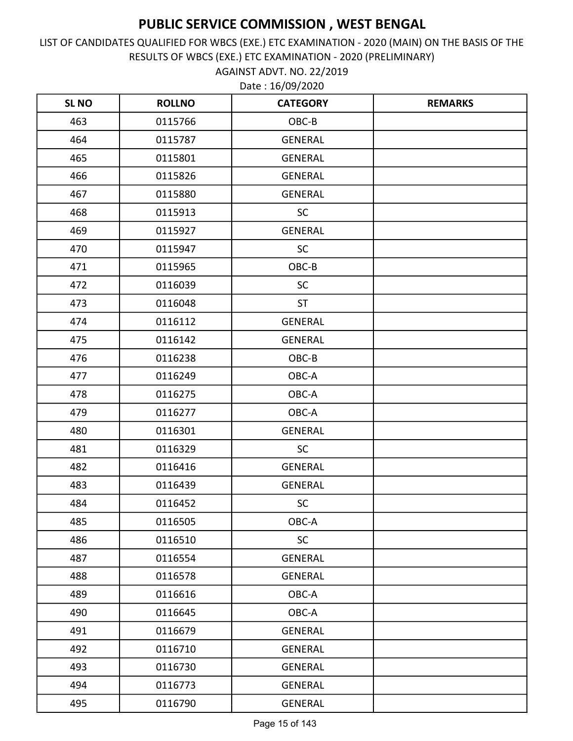AGAINST ADVT. NO. 22/2019 LIST OF CANDIDATES QUALIFIED FOR WBCS (EXE.) ETC EXAMINATION - 2020 (MAIN) ON THE BASIS OF THE RESULTS OF WBCS (EXE.) ETC EXAMINATION - 2020 (PRELIMINARY)

| <b>SLNO</b> | <b>ROLLNO</b> | <b>CATEGORY</b> | <b>REMARKS</b> |
|-------------|---------------|-----------------|----------------|
| 463         | 0115766       | OBC-B           |                |
| 464         | 0115787       | <b>GENERAL</b>  |                |
| 465         | 0115801       | <b>GENERAL</b>  |                |
| 466         | 0115826       | <b>GENERAL</b>  |                |
| 467         | 0115880       | <b>GENERAL</b>  |                |
| 468         | 0115913       | <b>SC</b>       |                |
| 469         | 0115927       | <b>GENERAL</b>  |                |
| 470         | 0115947       | SC              |                |
| 471         | 0115965       | OBC-B           |                |
| 472         | 0116039       | <b>SC</b>       |                |
| 473         | 0116048       | <b>ST</b>       |                |
| 474         | 0116112       | <b>GENERAL</b>  |                |
| 475         | 0116142       | <b>GENERAL</b>  |                |
| 476         | 0116238       | OBC-B           |                |
| 477         | 0116249       | OBC-A           |                |
| 478         | 0116275       | OBC-A           |                |
| 479         | 0116277       | OBC-A           |                |
| 480         | 0116301       | <b>GENERAL</b>  |                |
| 481         | 0116329       | <b>SC</b>       |                |
| 482         | 0116416       | <b>GENERAL</b>  |                |
| 483         | 0116439       | <b>GENERAL</b>  |                |
| 484         | 0116452       | SC              |                |
| 485         | 0116505       | OBC-A           |                |
| 486         | 0116510       | <b>SC</b>       |                |
| 487         | 0116554       | <b>GENERAL</b>  |                |
| 488         | 0116578       | <b>GENERAL</b>  |                |
| 489         | 0116616       | OBC-A           |                |
| 490         | 0116645       | OBC-A           |                |
| 491         | 0116679       | <b>GENERAL</b>  |                |
| 492         | 0116710       | <b>GENERAL</b>  |                |
| 493         | 0116730       | <b>GENERAL</b>  |                |
| 494         | 0116773       | GENERAL         |                |
| 495         | 0116790       | GENERAL         |                |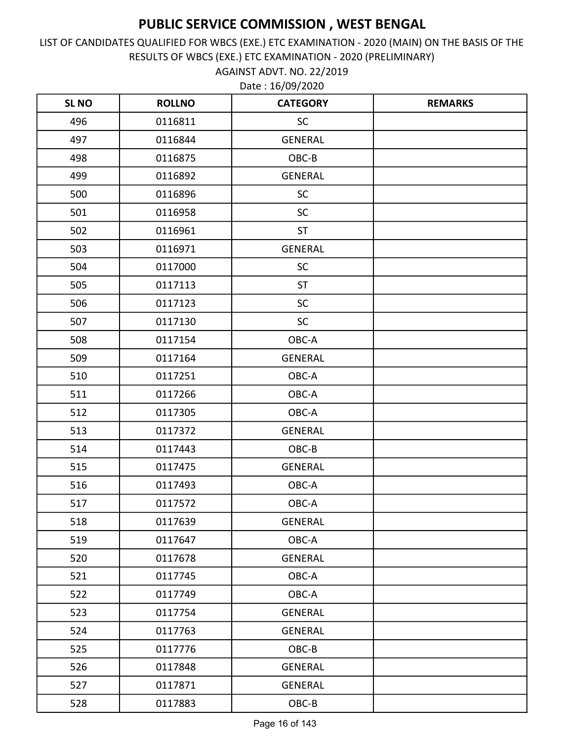AGAINST ADVT. NO. 22/2019 LIST OF CANDIDATES QUALIFIED FOR WBCS (EXE.) ETC EXAMINATION - 2020 (MAIN) ON THE BASIS OF THE RESULTS OF WBCS (EXE.) ETC EXAMINATION - 2020 (PRELIMINARY)

| <b>SL NO</b> | <b>ROLLNO</b> | <b>CATEGORY</b> | <b>REMARKS</b> |
|--------------|---------------|-----------------|----------------|
| 496          | 0116811       | <b>SC</b>       |                |
| 497          | 0116844       | <b>GENERAL</b>  |                |
| 498          | 0116875       | OBC-B           |                |
| 499          | 0116892       | <b>GENERAL</b>  |                |
| 500          | 0116896       | <b>SC</b>       |                |
| 501          | 0116958       | <b>SC</b>       |                |
| 502          | 0116961       | <b>ST</b>       |                |
| 503          | 0116971       | <b>GENERAL</b>  |                |
| 504          | 0117000       | SC              |                |
| 505          | 0117113       | <b>ST</b>       |                |
| 506          | 0117123       | <b>SC</b>       |                |
| 507          | 0117130       | <b>SC</b>       |                |
| 508          | 0117154       | OBC-A           |                |
| 509          | 0117164       | <b>GENERAL</b>  |                |
| 510          | 0117251       | OBC-A           |                |
| 511          | 0117266       | OBC-A           |                |
| 512          | 0117305       | OBC-A           |                |
| 513          | 0117372       | <b>GENERAL</b>  |                |
| 514          | 0117443       | OBC-B           |                |
| 515          | 0117475       | <b>GENERAL</b>  |                |
| 516          | 0117493       | OBC-A           |                |
| 517          | 0117572       | OBC-A           |                |
| 518          | 0117639       | <b>GENERAL</b>  |                |
| 519          | 0117647       | OBC-A           |                |
| 520          | 0117678       | <b>GENERAL</b>  |                |
| 521          | 0117745       | OBC-A           |                |
| 522          | 0117749       | OBC-A           |                |
| 523          | 0117754       | <b>GENERAL</b>  |                |
| 524          | 0117763       | <b>GENERAL</b>  |                |
| 525          | 0117776       | OBC-B           |                |
| 526          | 0117848       | <b>GENERAL</b>  |                |
| 527          | 0117871       | GENERAL         |                |
| 528          | 0117883       | OBC-B           |                |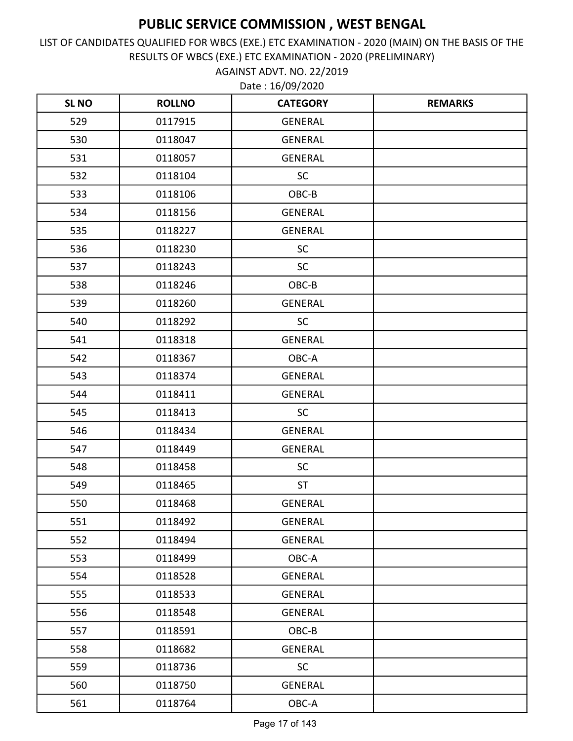AGAINST ADVT. NO. 22/2019 LIST OF CANDIDATES QUALIFIED FOR WBCS (EXE.) ETC EXAMINATION - 2020 (MAIN) ON THE BASIS OF THE RESULTS OF WBCS (EXE.) ETC EXAMINATION - 2020 (PRELIMINARY)

| <b>SLNO</b> | <b>ROLLNO</b> | <b>CATEGORY</b> | <b>REMARKS</b> |
|-------------|---------------|-----------------|----------------|
| 529         | 0117915       | <b>GENERAL</b>  |                |
| 530         | 0118047       | <b>GENERAL</b>  |                |
| 531         | 0118057       | <b>GENERAL</b>  |                |
| 532         | 0118104       | <b>SC</b>       |                |
| 533         | 0118106       | OBC-B           |                |
| 534         | 0118156       | <b>GENERAL</b>  |                |
| 535         | 0118227       | <b>GENERAL</b>  |                |
| 536         | 0118230       | <b>SC</b>       |                |
| 537         | 0118243       | <b>SC</b>       |                |
| 538         | 0118246       | OBC-B           |                |
| 539         | 0118260       | <b>GENERAL</b>  |                |
| 540         | 0118292       | <b>SC</b>       |                |
| 541         | 0118318       | <b>GENERAL</b>  |                |
| 542         | 0118367       | OBC-A           |                |
| 543         | 0118374       | <b>GENERAL</b>  |                |
| 544         | 0118411       | <b>GENERAL</b>  |                |
| 545         | 0118413       | <b>SC</b>       |                |
| 546         | 0118434       | <b>GENERAL</b>  |                |
| 547         | 0118449       | <b>GENERAL</b>  |                |
| 548         | 0118458       | <b>SC</b>       |                |
| 549         | 0118465       | <b>ST</b>       |                |
| 550         | 0118468       | <b>GENERAL</b>  |                |
| 551         | 0118492       | <b>GENERAL</b>  |                |
| 552         | 0118494       | <b>GENERAL</b>  |                |
| 553         | 0118499       | OBC-A           |                |
| 554         | 0118528       | <b>GENERAL</b>  |                |
| 555         | 0118533       | <b>GENERAL</b>  |                |
| 556         | 0118548       | GENERAL         |                |
| 557         | 0118591       | OBC-B           |                |
| 558         | 0118682       | <b>GENERAL</b>  |                |
| 559         | 0118736       | <b>SC</b>       |                |
| 560         | 0118750       | GENERAL         |                |
| 561         | 0118764       | OBC-A           |                |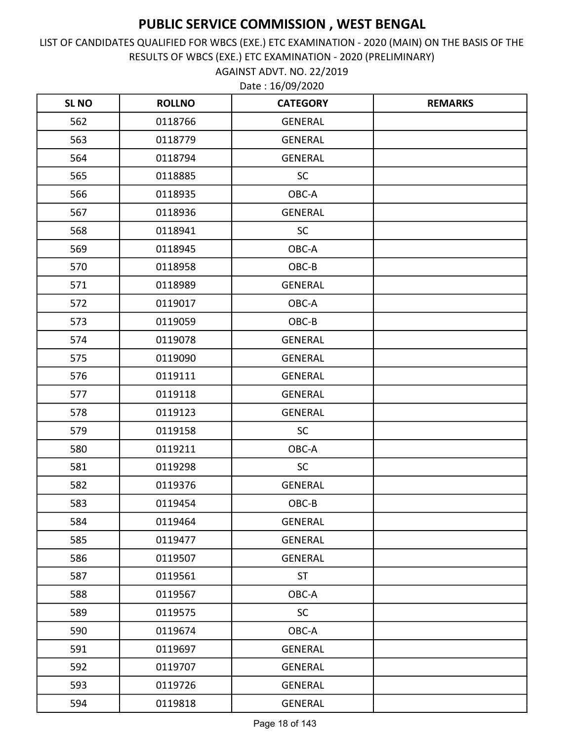AGAINST ADVT. NO. 22/2019 LIST OF CANDIDATES QUALIFIED FOR WBCS (EXE.) ETC EXAMINATION - 2020 (MAIN) ON THE BASIS OF THE RESULTS OF WBCS (EXE.) ETC EXAMINATION - 2020 (PRELIMINARY)

| <b>SLNO</b> | <b>ROLLNO</b> | <b>CATEGORY</b> | <b>REMARKS</b> |
|-------------|---------------|-----------------|----------------|
| 562         | 0118766       | <b>GENERAL</b>  |                |
| 563         | 0118779       | <b>GENERAL</b>  |                |
| 564         | 0118794       | <b>GENERAL</b>  |                |
| 565         | 0118885       | SC              |                |
| 566         | 0118935       | OBC-A           |                |
| 567         | 0118936       | <b>GENERAL</b>  |                |
| 568         | 0118941       | <b>SC</b>       |                |
| 569         | 0118945       | OBC-A           |                |
| 570         | 0118958       | OBC-B           |                |
| 571         | 0118989       | <b>GENERAL</b>  |                |
| 572         | 0119017       | OBC-A           |                |
| 573         | 0119059       | OBC-B           |                |
| 574         | 0119078       | <b>GENERAL</b>  |                |
| 575         | 0119090       | <b>GENERAL</b>  |                |
| 576         | 0119111       | <b>GENERAL</b>  |                |
| 577         | 0119118       | <b>GENERAL</b>  |                |
| 578         | 0119123       | <b>GENERAL</b>  |                |
| 579         | 0119158       | <b>SC</b>       |                |
| 580         | 0119211       | OBC-A           |                |
| 581         | 0119298       | <b>SC</b>       |                |
| 582         | 0119376       | <b>GENERAL</b>  |                |
| 583         | 0119454       | OBC-B           |                |
| 584         | 0119464       | <b>GENERAL</b>  |                |
| 585         | 0119477       | <b>GENERAL</b>  |                |
| 586         | 0119507       | <b>GENERAL</b>  |                |
| 587         | 0119561       | <b>ST</b>       |                |
| 588         | 0119567       | OBC-A           |                |
| 589         | 0119575       | <b>SC</b>       |                |
| 590         | 0119674       | OBC-A           |                |
| 591         | 0119697       | <b>GENERAL</b>  |                |
| 592         | 0119707       | <b>GENERAL</b>  |                |
| 593         | 0119726       | GENERAL         |                |
| 594         | 0119818       | GENERAL         |                |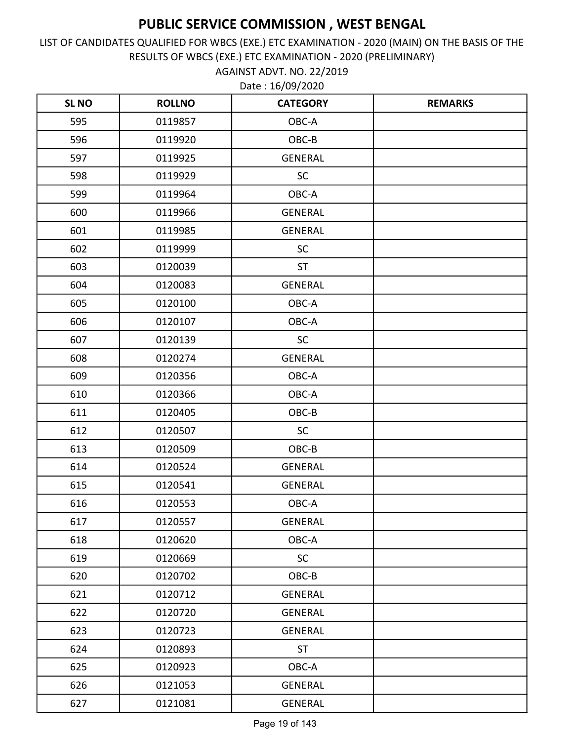AGAINST ADVT. NO. 22/2019 LIST OF CANDIDATES QUALIFIED FOR WBCS (EXE.) ETC EXAMINATION - 2020 (MAIN) ON THE BASIS OF THE RESULTS OF WBCS (EXE.) ETC EXAMINATION - 2020 (PRELIMINARY)

| <b>SLNO</b> | <b>ROLLNO</b> | <b>CATEGORY</b> | <b>REMARKS</b> |
|-------------|---------------|-----------------|----------------|
| 595         | 0119857       | OBC-A           |                |
| 596         | 0119920       | OBC-B           |                |
| 597         | 0119925       | <b>GENERAL</b>  |                |
| 598         | 0119929       | SC              |                |
| 599         | 0119964       | OBC-A           |                |
| 600         | 0119966       | <b>GENERAL</b>  |                |
| 601         | 0119985       | <b>GENERAL</b>  |                |
| 602         | 0119999       | <b>SC</b>       |                |
| 603         | 0120039       | <b>ST</b>       |                |
| 604         | 0120083       | <b>GENERAL</b>  |                |
| 605         | 0120100       | OBC-A           |                |
| 606         | 0120107       | OBC-A           |                |
| 607         | 0120139       | <b>SC</b>       |                |
| 608         | 0120274       | <b>GENERAL</b>  |                |
| 609         | 0120356       | OBC-A           |                |
| 610         | 0120366       | OBC-A           |                |
| 611         | 0120405       | OBC-B           |                |
| 612         | 0120507       | <b>SC</b>       |                |
| 613         | 0120509       | OBC-B           |                |
| 614         | 0120524       | <b>GENERAL</b>  |                |
| 615         | 0120541       | <b>GENERAL</b>  |                |
| 616         | 0120553       | OBC-A           |                |
| 617         | 0120557       | <b>GENERAL</b>  |                |
| 618         | 0120620       | OBC-A           |                |
| 619         | 0120669       | SC              |                |
| 620         | 0120702       | OBC-B           |                |
| 621         | 0120712       | <b>GENERAL</b>  |                |
| 622         | 0120720       | <b>GENERAL</b>  |                |
| 623         | 0120723       | <b>GENERAL</b>  |                |
| 624         | 0120893       | <b>ST</b>       |                |
| 625         | 0120923       | OBC-A           |                |
| 626         | 0121053       | <b>GENERAL</b>  |                |
| 627         | 0121081       | <b>GENERAL</b>  |                |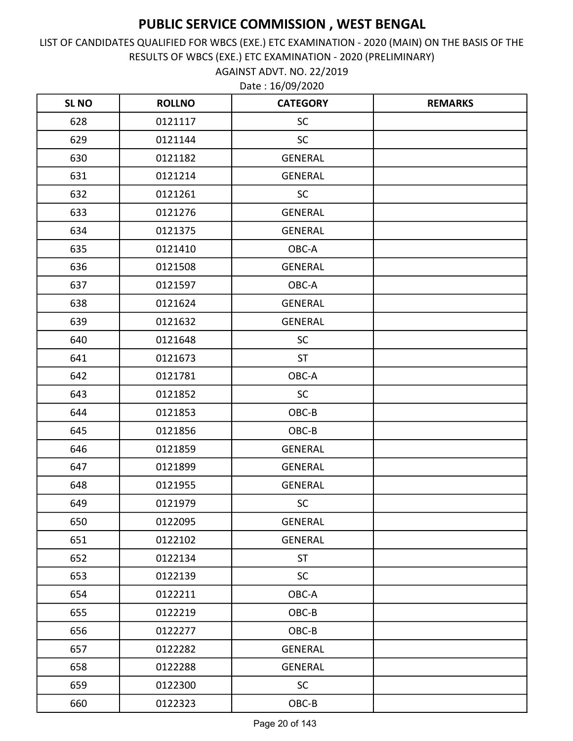LIST OF CANDIDATES QUALIFIED FOR WBCS (EXE.) ETC EXAMINATION - 2020 (MAIN) ON THE BASIS OF THE RESULTS OF WBCS (EXE.) ETC EXAMINATION - 2020 (PRELIMINARY)

Date : 16/09/2020 AGAINST ADVT. NO. 22/2019

| <b>SLNO</b> | <b>ROLLNO</b> | <b>CATEGORY</b> | <b>REMARKS</b> |
|-------------|---------------|-----------------|----------------|
| 628         | 0121117       | <b>SC</b>       |                |
| 629         | 0121144       | <b>SC</b>       |                |
| 630         | 0121182       | <b>GENERAL</b>  |                |
| 631         | 0121214       | <b>GENERAL</b>  |                |
| 632         | 0121261       | <b>SC</b>       |                |
| 633         | 0121276       | <b>GENERAL</b>  |                |
| 634         | 0121375       | <b>GENERAL</b>  |                |
| 635         | 0121410       | OBC-A           |                |
| 636         | 0121508       | <b>GENERAL</b>  |                |
| 637         | 0121597       | OBC-A           |                |
| 638         | 0121624       | <b>GENERAL</b>  |                |
| 639         | 0121632       | <b>GENERAL</b>  |                |
| 640         | 0121648       | <b>SC</b>       |                |
| 641         | 0121673       | <b>ST</b>       |                |
| 642         | 0121781       | OBC-A           |                |
| 643         | 0121852       | <b>SC</b>       |                |
| 644         | 0121853       | OBC-B           |                |
| 645         | 0121856       | OBC-B           |                |
| 646         | 0121859       | <b>GENERAL</b>  |                |
| 647         | 0121899       | <b>GENERAL</b>  |                |
| 648         | 0121955       | GENERAL         |                |
| 649         | 0121979       | <b>SC</b>       |                |
| 650         | 0122095       | <b>GENERAL</b>  |                |
| 651         | 0122102       | <b>GENERAL</b>  |                |
| 652         | 0122134       | <b>ST</b>       |                |
| 653         | 0122139       | <b>SC</b>       |                |
| 654         | 0122211       | OBC-A           |                |
| 655         | 0122219       | OBC-B           |                |
| 656         | 0122277       | OBC-B           |                |
| 657         | 0122282       | <b>GENERAL</b>  |                |
| 658         | 0122288       | <b>GENERAL</b>  |                |
| 659         | 0122300       | SC              |                |
| 660         | 0122323       | $OBC-B$         |                |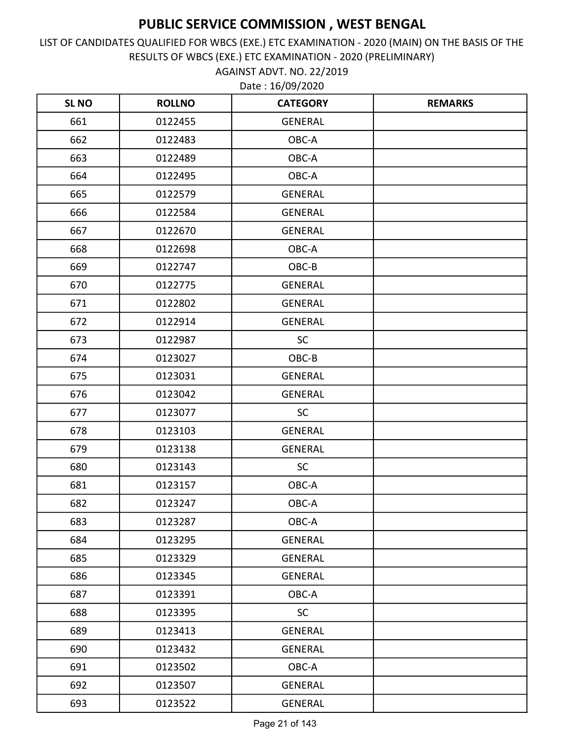AGAINST ADVT. NO. 22/2019 LIST OF CANDIDATES QUALIFIED FOR WBCS (EXE.) ETC EXAMINATION - 2020 (MAIN) ON THE BASIS OF THE RESULTS OF WBCS (EXE.) ETC EXAMINATION - 2020 (PRELIMINARY)

| <b>SLNO</b> | <b>ROLLNO</b> | <b>CATEGORY</b> | <b>REMARKS</b> |
|-------------|---------------|-----------------|----------------|
| 661         | 0122455       | <b>GENERAL</b>  |                |
| 662         | 0122483       | OBC-A           |                |
| 663         | 0122489       | OBC-A           |                |
| 664         | 0122495       | OBC-A           |                |
| 665         | 0122579       | <b>GENERAL</b>  |                |
| 666         | 0122584       | <b>GENERAL</b>  |                |
| 667         | 0122670       | <b>GENERAL</b>  |                |
| 668         | 0122698       | OBC-A           |                |
| 669         | 0122747       | OBC-B           |                |
| 670         | 0122775       | <b>GENERAL</b>  |                |
| 671         | 0122802       | <b>GENERAL</b>  |                |
| 672         | 0122914       | <b>GENERAL</b>  |                |
| 673         | 0122987       | <b>SC</b>       |                |
| 674         | 0123027       | OBC-B           |                |
| 675         | 0123031       | <b>GENERAL</b>  |                |
| 676         | 0123042       | <b>GENERAL</b>  |                |
| 677         | 0123077       | <b>SC</b>       |                |
| 678         | 0123103       | <b>GENERAL</b>  |                |
| 679         | 0123138       | <b>GENERAL</b>  |                |
| 680         | 0123143       | SC              |                |
| 681         | 0123157       | OBC-A           |                |
| 682         | 0123247       | OBC-A           |                |
| 683         | 0123287       | OBC-A           |                |
| 684         | 0123295       | <b>GENERAL</b>  |                |
| 685         | 0123329       | <b>GENERAL</b>  |                |
| 686         | 0123345       | <b>GENERAL</b>  |                |
| 687         | 0123391       | OBC-A           |                |
| 688         | 0123395       | <b>SC</b>       |                |
| 689         | 0123413       | <b>GENERAL</b>  |                |
| 690         | 0123432       | <b>GENERAL</b>  |                |
| 691         | 0123502       | OBC-A           |                |
| 692         | 0123507       | GENERAL         |                |
| 693         | 0123522       | <b>GENERAL</b>  |                |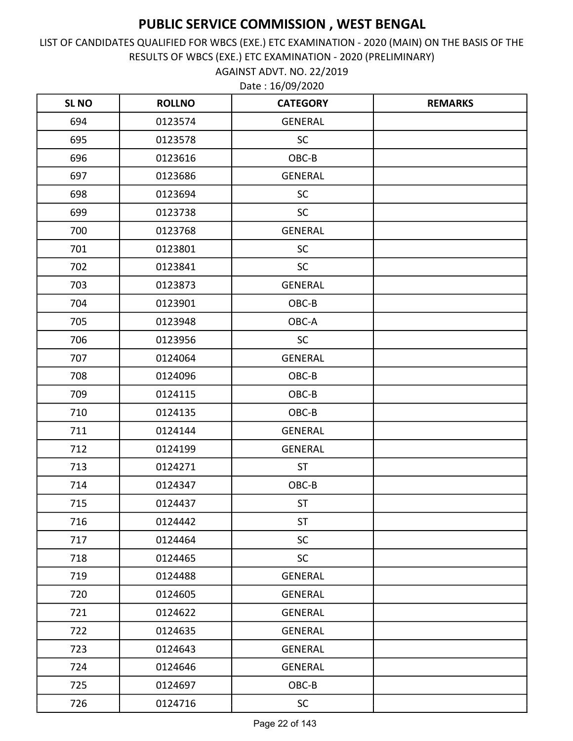AGAINST ADVT. NO. 22/2019 LIST OF CANDIDATES QUALIFIED FOR WBCS (EXE.) ETC EXAMINATION - 2020 (MAIN) ON THE BASIS OF THE RESULTS OF WBCS (EXE.) ETC EXAMINATION - 2020 (PRELIMINARY)

| <b>SLNO</b> | <b>ROLLNO</b> | <b>CATEGORY</b> | <b>REMARKS</b> |
|-------------|---------------|-----------------|----------------|
| 694         | 0123574       | <b>GENERAL</b>  |                |
| 695         | 0123578       | SC              |                |
| 696         | 0123616       | OBC-B           |                |
| 697         | 0123686       | <b>GENERAL</b>  |                |
| 698         | 0123694       | <b>SC</b>       |                |
| 699         | 0123738       | <b>SC</b>       |                |
| 700         | 0123768       | <b>GENERAL</b>  |                |
| 701         | 0123801       | <b>SC</b>       |                |
| 702         | 0123841       | <b>SC</b>       |                |
| 703         | 0123873       | <b>GENERAL</b>  |                |
| 704         | 0123901       | OBC-B           |                |
| 705         | 0123948       | OBC-A           |                |
| 706         | 0123956       | <b>SC</b>       |                |
| 707         | 0124064       | <b>GENERAL</b>  |                |
| 708         | 0124096       | OBC-B           |                |
| 709         | 0124115       | OBC-B           |                |
| 710         | 0124135       | OBC-B           |                |
| 711         | 0124144       | <b>GENERAL</b>  |                |
| 712         | 0124199       | <b>GENERAL</b>  |                |
| 713         | 0124271       | <b>ST</b>       |                |
| 714         | 0124347       | OBC-B           |                |
| 715         | 0124437       | ST              |                |
| 716         | 0124442       | <b>ST</b>       |                |
| 717         | 0124464       | <b>SC</b>       |                |
| 718         | 0124465       | SC              |                |
| 719         | 0124488       | <b>GENERAL</b>  |                |
| 720         | 0124605       | GENERAL         |                |
| 721         | 0124622       | <b>GENERAL</b>  |                |
| 722         | 0124635       | <b>GENERAL</b>  |                |
| 723         | 0124643       | <b>GENERAL</b>  |                |
| 724         | 0124646       | GENERAL         |                |
| 725         | 0124697       | OBC-B           |                |
| 726         | 0124716       | ${\sf SC}$      |                |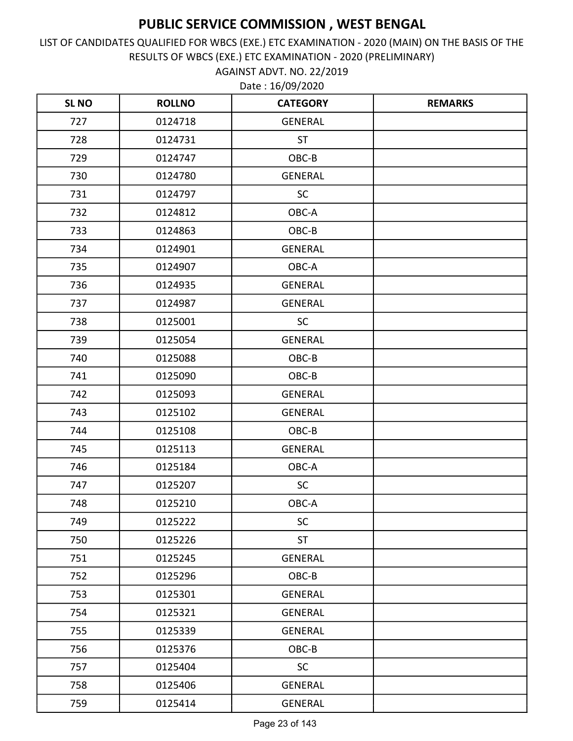AGAINST ADVT. NO. 22/2019 LIST OF CANDIDATES QUALIFIED FOR WBCS (EXE.) ETC EXAMINATION - 2020 (MAIN) ON THE BASIS OF THE RESULTS OF WBCS (EXE.) ETC EXAMINATION - 2020 (PRELIMINARY)

| <b>SLNO</b> | <b>ROLLNO</b> | <b>CATEGORY</b> | <b>REMARKS</b> |
|-------------|---------------|-----------------|----------------|
| 727         | 0124718       | <b>GENERAL</b>  |                |
| 728         | 0124731       | <b>ST</b>       |                |
| 729         | 0124747       | OBC-B           |                |
| 730         | 0124780       | <b>GENERAL</b>  |                |
| 731         | 0124797       | <b>SC</b>       |                |
| 732         | 0124812       | OBC-A           |                |
| 733         | 0124863       | OBC-B           |                |
| 734         | 0124901       | <b>GENERAL</b>  |                |
| 735         | 0124907       | OBC-A           |                |
| 736         | 0124935       | <b>GENERAL</b>  |                |
| 737         | 0124987       | <b>GENERAL</b>  |                |
| 738         | 0125001       | <b>SC</b>       |                |
| 739         | 0125054       | <b>GENERAL</b>  |                |
| 740         | 0125088       | OBC-B           |                |
| 741         | 0125090       | OBC-B           |                |
| 742         | 0125093       | <b>GENERAL</b>  |                |
| 743         | 0125102       | <b>GENERAL</b>  |                |
| 744         | 0125108       | OBC-B           |                |
| 745         | 0125113       | <b>GENERAL</b>  |                |
| 746         | 0125184       | OBC-A           |                |
| 747         | 0125207       | SC              |                |
| 748         | 0125210       | OBC-A           |                |
| 749         | 0125222       | SC              |                |
| 750         | 0125226       | <b>ST</b>       |                |
| 751         | 0125245       | <b>GENERAL</b>  |                |
| 752         | 0125296       | OBC-B           |                |
| 753         | 0125301       | <b>GENERAL</b>  |                |
| 754         | 0125321       | <b>GENERAL</b>  |                |
| 755         | 0125339       | <b>GENERAL</b>  |                |
| 756         | 0125376       | OBC-B           |                |
| 757         | 0125404       | <b>SC</b>       |                |
| 758         | 0125406       | <b>GENERAL</b>  |                |
| 759         | 0125414       | <b>GENERAL</b>  |                |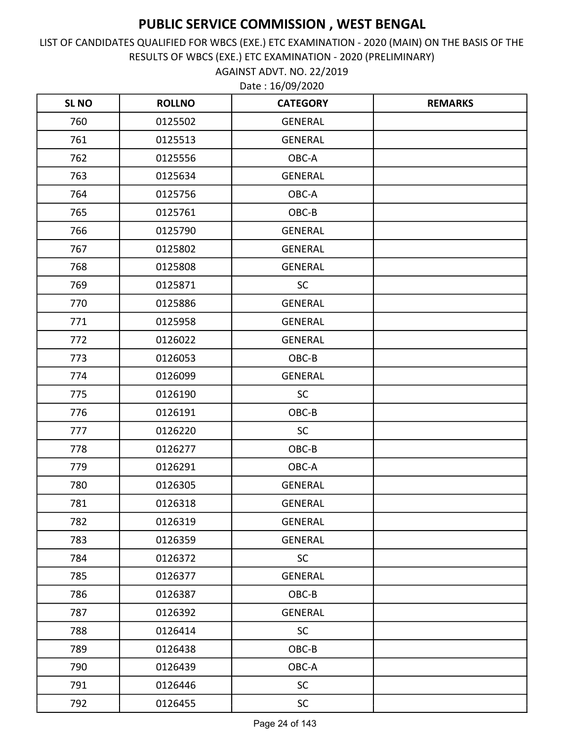AGAINST ADVT. NO. 22/2019 LIST OF CANDIDATES QUALIFIED FOR WBCS (EXE.) ETC EXAMINATION - 2020 (MAIN) ON THE BASIS OF THE RESULTS OF WBCS (EXE.) ETC EXAMINATION - 2020 (PRELIMINARY)

| <b>SLNO</b> | <b>ROLLNO</b> | <b>CATEGORY</b> | <b>REMARKS</b> |
|-------------|---------------|-----------------|----------------|
| 760         | 0125502       | <b>GENERAL</b>  |                |
| 761         | 0125513       | <b>GENERAL</b>  |                |
| 762         | 0125556       | OBC-A           |                |
| 763         | 0125634       | <b>GENERAL</b>  |                |
| 764         | 0125756       | OBC-A           |                |
| 765         | 0125761       | OBC-B           |                |
| 766         | 0125790       | <b>GENERAL</b>  |                |
| 767         | 0125802       | <b>GENERAL</b>  |                |
| 768         | 0125808       | <b>GENERAL</b>  |                |
| 769         | 0125871       | <b>SC</b>       |                |
| 770         | 0125886       | <b>GENERAL</b>  |                |
| 771         | 0125958       | <b>GENERAL</b>  |                |
| 772         | 0126022       | <b>GENERAL</b>  |                |
| 773         | 0126053       | OBC-B           |                |
| 774         | 0126099       | <b>GENERAL</b>  |                |
| 775         | 0126190       | <b>SC</b>       |                |
| 776         | 0126191       | OBC-B           |                |
| 777         | 0126220       | SC              |                |
| 778         | 0126277       | OBC-B           |                |
| 779         | 0126291       | OBC-A           |                |
| 780         | 0126305       | <b>GENERAL</b>  |                |
| 781         | 0126318       | <b>GENERAL</b>  |                |
| 782         | 0126319       | <b>GENERAL</b>  |                |
| 783         | 0126359       | <b>GENERAL</b>  |                |
| 784         | 0126372       | <b>SC</b>       |                |
| 785         | 0126377       | <b>GENERAL</b>  |                |
| 786         | 0126387       | OBC-B           |                |
| 787         | 0126392       | <b>GENERAL</b>  |                |
| 788         | 0126414       | SC              |                |
| 789         | 0126438       | OBC-B           |                |
| 790         | 0126439       | OBC-A           |                |
| 791         | 0126446       | <b>SC</b>       |                |
| 792         | 0126455       | <b>SC</b>       |                |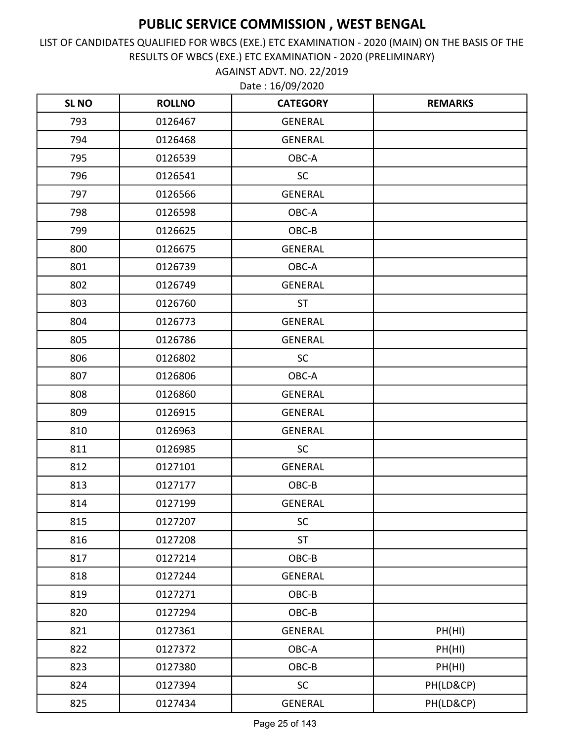AGAINST ADVT. NO. 22/2019 LIST OF CANDIDATES QUALIFIED FOR WBCS (EXE.) ETC EXAMINATION - 2020 (MAIN) ON THE BASIS OF THE RESULTS OF WBCS (EXE.) ETC EXAMINATION - 2020 (PRELIMINARY)

| <b>SLNO</b> | <b>ROLLNO</b> | <b>CATEGORY</b> | <b>REMARKS</b> |
|-------------|---------------|-----------------|----------------|
| 793         | 0126467       | <b>GENERAL</b>  |                |
| 794         | 0126468       | <b>GENERAL</b>  |                |
| 795         | 0126539       | OBC-A           |                |
| 796         | 0126541       | <b>SC</b>       |                |
| 797         | 0126566       | <b>GENERAL</b>  |                |
| 798         | 0126598       | OBC-A           |                |
| 799         | 0126625       | OBC-B           |                |
| 800         | 0126675       | <b>GENERAL</b>  |                |
| 801         | 0126739       | OBC-A           |                |
| 802         | 0126749       | <b>GENERAL</b>  |                |
| 803         | 0126760       | <b>ST</b>       |                |
| 804         | 0126773       | <b>GENERAL</b>  |                |
| 805         | 0126786       | <b>GENERAL</b>  |                |
| 806         | 0126802       | <b>SC</b>       |                |
| 807         | 0126806       | OBC-A           |                |
| 808         | 0126860       | <b>GENERAL</b>  |                |
| 809         | 0126915       | <b>GENERAL</b>  |                |
| 810         | 0126963       | <b>GENERAL</b>  |                |
| 811         | 0126985       | <b>SC</b>       |                |
| 812         | 0127101       | <b>GENERAL</b>  |                |
| 813         | 0127177       | OBC-B           |                |
| 814         | 0127199       | <b>GENERAL</b>  |                |
| 815         | 0127207       | <b>SC</b>       |                |
| 816         | 0127208       | <b>ST</b>       |                |
| 817         | 0127214       | OBC-B           |                |
| 818         | 0127244       | <b>GENERAL</b>  |                |
| 819         | 0127271       | OBC-B           |                |
| 820         | 0127294       | OBC-B           |                |
| 821         | 0127361       | <b>GENERAL</b>  | PH(HI)         |
| 822         | 0127372       | OBC-A           | PH(HI)         |
| 823         | 0127380       | OBC-B           | PH(HI)         |
| 824         | 0127394       | <b>SC</b>       | PH(LD&CP)      |
| 825         | 0127434       | <b>GENERAL</b>  | PH(LD&CP)      |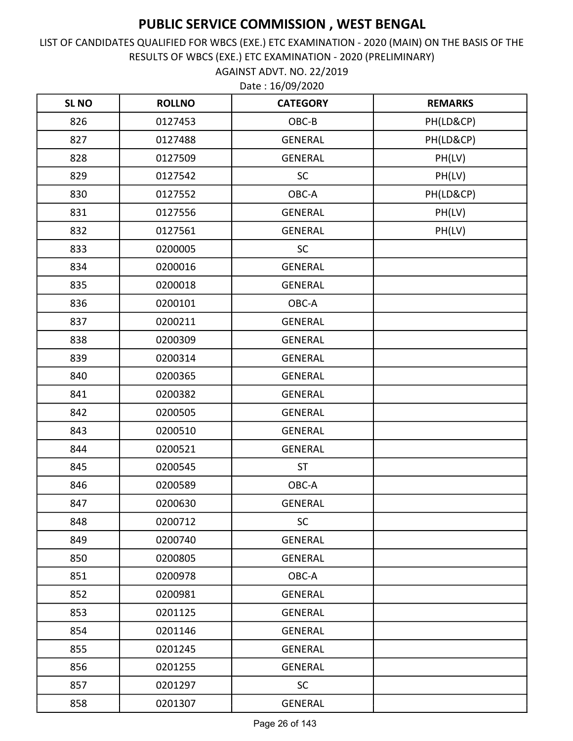AGAINST ADVT. NO. 22/2019 LIST OF CANDIDATES QUALIFIED FOR WBCS (EXE.) ETC EXAMINATION - 2020 (MAIN) ON THE BASIS OF THE RESULTS OF WBCS (EXE.) ETC EXAMINATION - 2020 (PRELIMINARY)

| <b>SLNO</b> | <b>ROLLNO</b> | <b>CATEGORY</b> | <b>REMARKS</b> |
|-------------|---------------|-----------------|----------------|
| 826         | 0127453       | OBC-B           | PH(LD&CP)      |
| 827         | 0127488       | <b>GENERAL</b>  | PH(LD&CP)      |
| 828         | 0127509       | <b>GENERAL</b>  | PH(LV)         |
| 829         | 0127542       | SC              | PH(LV)         |
| 830         | 0127552       | OBC-A           | PH(LD&CP)      |
| 831         | 0127556       | <b>GENERAL</b>  | PH(LV)         |
| 832         | 0127561       | <b>GENERAL</b>  | PH(LV)         |
| 833         | 0200005       | <b>SC</b>       |                |
| 834         | 0200016       | <b>GENERAL</b>  |                |
| 835         | 0200018       | <b>GENERAL</b>  |                |
| 836         | 0200101       | OBC-A           |                |
| 837         | 0200211       | <b>GENERAL</b>  |                |
| 838         | 0200309       | <b>GENERAL</b>  |                |
| 839         | 0200314       | GENERAL         |                |
| 840         | 0200365       | <b>GENERAL</b>  |                |
| 841         | 0200382       | <b>GENERAL</b>  |                |
| 842         | 0200505       | <b>GENERAL</b>  |                |
| 843         | 0200510       | <b>GENERAL</b>  |                |
| 844         | 0200521       | <b>GENERAL</b>  |                |
| 845         | 0200545       | <b>ST</b>       |                |
| 846         | 0200589       | OBC-A           |                |
| 847         | 0200630       | <b>GENERAL</b>  |                |
| 848         | 0200712       | <b>SC</b>       |                |
| 849         | 0200740       | <b>GENERAL</b>  |                |
| 850         | 0200805       | <b>GENERAL</b>  |                |
| 851         | 0200978       | OBC-A           |                |
| 852         | 0200981       | <b>GENERAL</b>  |                |
| 853         | 0201125       | <b>GENERAL</b>  |                |
| 854         | 0201146       | <b>GENERAL</b>  |                |
| 855         | 0201245       | <b>GENERAL</b>  |                |
| 856         | 0201255       | <b>GENERAL</b>  |                |
| 857         | 0201297       | <b>SC</b>       |                |
| 858         | 0201307       | <b>GENERAL</b>  |                |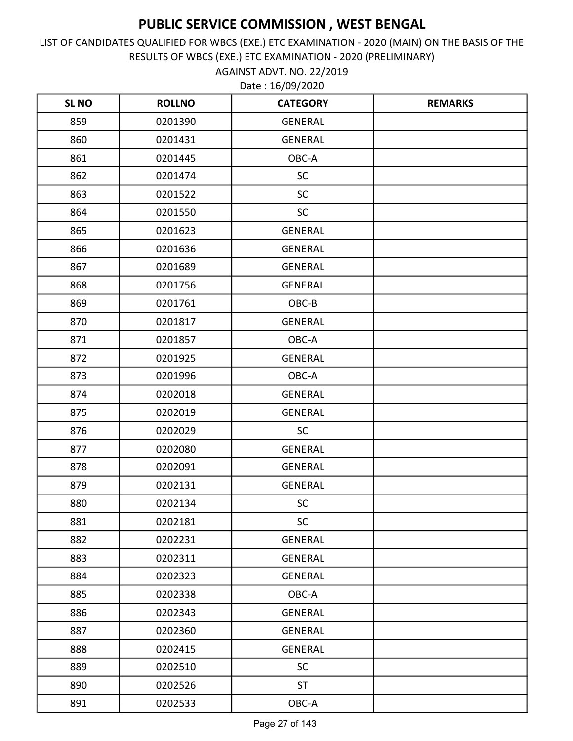AGAINST ADVT. NO. 22/2019 LIST OF CANDIDATES QUALIFIED FOR WBCS (EXE.) ETC EXAMINATION - 2020 (MAIN) ON THE BASIS OF THE RESULTS OF WBCS (EXE.) ETC EXAMINATION - 2020 (PRELIMINARY)

| <b>SLNO</b> | <b>ROLLNO</b> | <b>CATEGORY</b> | <b>REMARKS</b> |
|-------------|---------------|-----------------|----------------|
| 859         | 0201390       | <b>GENERAL</b>  |                |
| 860         | 0201431       | <b>GENERAL</b>  |                |
| 861         | 0201445       | OBC-A           |                |
| 862         | 0201474       | SC              |                |
| 863         | 0201522       | <b>SC</b>       |                |
| 864         | 0201550       | <b>SC</b>       |                |
| 865         | 0201623       | <b>GENERAL</b>  |                |
| 866         | 0201636       | <b>GENERAL</b>  |                |
| 867         | 0201689       | <b>GENERAL</b>  |                |
| 868         | 0201756       | <b>GENERAL</b>  |                |
| 869         | 0201761       | OBC-B           |                |
| 870         | 0201817       | <b>GENERAL</b>  |                |
| 871         | 0201857       | OBC-A           |                |
| 872         | 0201925       | <b>GENERAL</b>  |                |
| 873         | 0201996       | OBC-A           |                |
| 874         | 0202018       | <b>GENERAL</b>  |                |
| 875         | 0202019       | <b>GENERAL</b>  |                |
| 876         | 0202029       | <b>SC</b>       |                |
| 877         | 0202080       | <b>GENERAL</b>  |                |
| 878         | 0202091       | <b>GENERAL</b>  |                |
| 879         | 0202131       | <b>GENERAL</b>  |                |
| 880         | 0202134       | SC              |                |
| 881         | 0202181       | <b>SC</b>       |                |
| 882         | 0202231       | <b>GENERAL</b>  |                |
| 883         | 0202311       | <b>GENERAL</b>  |                |
| 884         | 0202323       | <b>GENERAL</b>  |                |
| 885         | 0202338       | OBC-A           |                |
| 886         | 0202343       | <b>GENERAL</b>  |                |
| 887         | 0202360       | <b>GENERAL</b>  |                |
| 888         | 0202415       | <b>GENERAL</b>  |                |
| 889         | 0202510       | <b>SC</b>       |                |
| 890         | 0202526       | <b>ST</b>       |                |
| 891         | 0202533       | OBC-A           |                |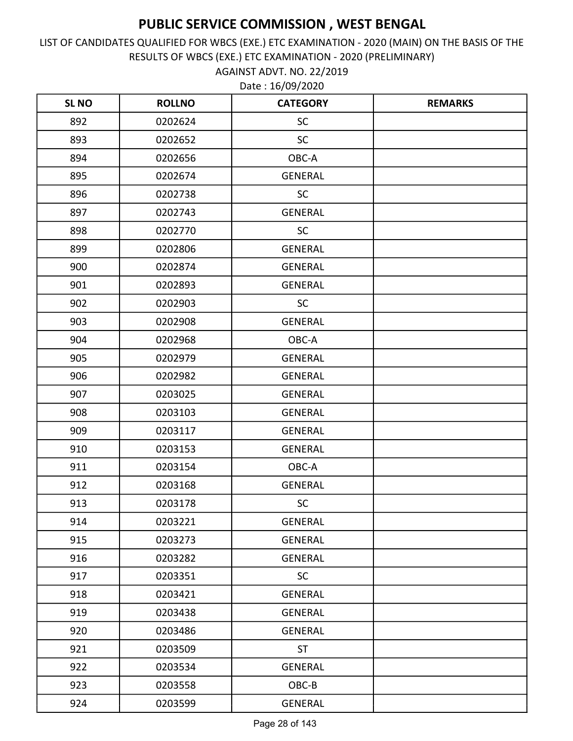AGAINST ADVT. NO. 22/2019 LIST OF CANDIDATES QUALIFIED FOR WBCS (EXE.) ETC EXAMINATION - 2020 (MAIN) ON THE BASIS OF THE RESULTS OF WBCS (EXE.) ETC EXAMINATION - 2020 (PRELIMINARY)

| <b>SLNO</b> | <b>ROLLNO</b> | <b>CATEGORY</b> | <b>REMARKS</b> |
|-------------|---------------|-----------------|----------------|
| 892         | 0202624       | <b>SC</b>       |                |
| 893         | 0202652       | <b>SC</b>       |                |
| 894         | 0202656       | OBC-A           |                |
| 895         | 0202674       | <b>GENERAL</b>  |                |
| 896         | 0202738       | <b>SC</b>       |                |
| 897         | 0202743       | <b>GENERAL</b>  |                |
| 898         | 0202770       | <b>SC</b>       |                |
| 899         | 0202806       | <b>GENERAL</b>  |                |
| 900         | 0202874       | <b>GENERAL</b>  |                |
| 901         | 0202893       | <b>GENERAL</b>  |                |
| 902         | 0202903       | <b>SC</b>       |                |
| 903         | 0202908       | <b>GENERAL</b>  |                |
| 904         | 0202968       | OBC-A           |                |
| 905         | 0202979       | <b>GENERAL</b>  |                |
| 906         | 0202982       | <b>GENERAL</b>  |                |
| 907         | 0203025       | <b>GENERAL</b>  |                |
| 908         | 0203103       | <b>GENERAL</b>  |                |
| 909         | 0203117       | <b>GENERAL</b>  |                |
| 910         | 0203153       | <b>GENERAL</b>  |                |
| 911         | 0203154       | OBC-A           |                |
| 912         | 0203168       | <b>GENERAL</b>  |                |
| 913         | 0203178       | SC              |                |
| 914         | 0203221       | <b>GENERAL</b>  |                |
| 915         | 0203273       | <b>GENERAL</b>  |                |
| 916         | 0203282       | <b>GENERAL</b>  |                |
| 917         | 0203351       | <b>SC</b>       |                |
| 918         | 0203421       | <b>GENERAL</b>  |                |
| 919         | 0203438       | <b>GENERAL</b>  |                |
| 920         | 0203486       | GENERAL         |                |
| 921         | 0203509       | <b>ST</b>       |                |
| 922         | 0203534       | <b>GENERAL</b>  |                |
| 923         | 0203558       | OBC-B           |                |
| 924         | 0203599       | <b>GENERAL</b>  |                |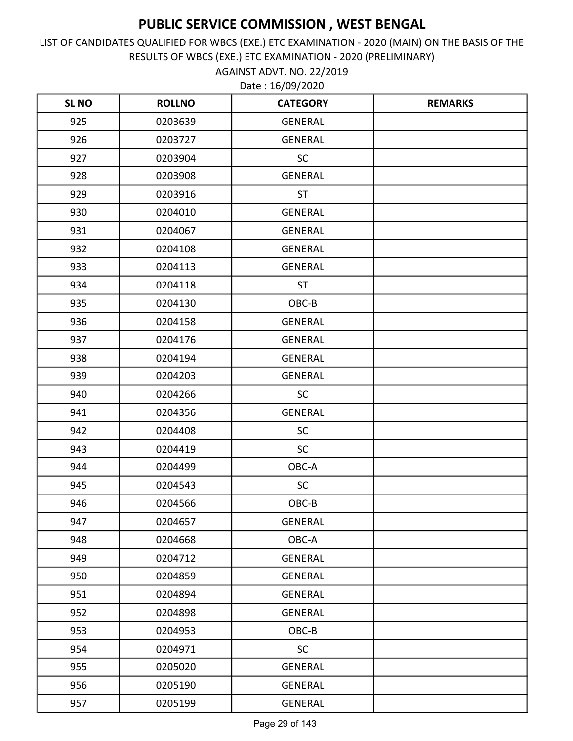AGAINST ADVT. NO. 22/2019 LIST OF CANDIDATES QUALIFIED FOR WBCS (EXE.) ETC EXAMINATION - 2020 (MAIN) ON THE BASIS OF THE RESULTS OF WBCS (EXE.) ETC EXAMINATION - 2020 (PRELIMINARY)

| <b>SLNO</b> | <b>ROLLNO</b> | <b>CATEGORY</b> | <b>REMARKS</b> |
|-------------|---------------|-----------------|----------------|
| 925         | 0203639       | <b>GENERAL</b>  |                |
| 926         | 0203727       | <b>GENERAL</b>  |                |
| 927         | 0203904       | <b>SC</b>       |                |
| 928         | 0203908       | <b>GENERAL</b>  |                |
| 929         | 0203916       | <b>ST</b>       |                |
| 930         | 0204010       | <b>GENERAL</b>  |                |
| 931         | 0204067       | <b>GENERAL</b>  |                |
| 932         | 0204108       | <b>GENERAL</b>  |                |
| 933         | 0204113       | <b>GENERAL</b>  |                |
| 934         | 0204118       | <b>ST</b>       |                |
| 935         | 0204130       | OBC-B           |                |
| 936         | 0204158       | <b>GENERAL</b>  |                |
| 937         | 0204176       | <b>GENERAL</b>  |                |
| 938         | 0204194       | <b>GENERAL</b>  |                |
| 939         | 0204203       | <b>GENERAL</b>  |                |
| 940         | 0204266       | <b>SC</b>       |                |
| 941         | 0204356       | <b>GENERAL</b>  |                |
| 942         | 0204408       | <b>SC</b>       |                |
| 943         | 0204419       | <b>SC</b>       |                |
| 944         | 0204499       | OBC-A           |                |
| 945         | 0204543       | <b>SC</b>       |                |
| 946         | 0204566       | OBC-B           |                |
| 947         | 0204657       | <b>GENERAL</b>  |                |
| 948         | 0204668       | OBC-A           |                |
| 949         | 0204712       | <b>GENERAL</b>  |                |
| 950         | 0204859       | <b>GENERAL</b>  |                |
| 951         | 0204894       | <b>GENERAL</b>  |                |
| 952         | 0204898       | <b>GENERAL</b>  |                |
| 953         | 0204953       | OBC-B           |                |
| 954         | 0204971       | SC              |                |
| 955         | 0205020       | <b>GENERAL</b>  |                |
| 956         | 0205190       | GENERAL         |                |
| 957         | 0205199       | <b>GENERAL</b>  |                |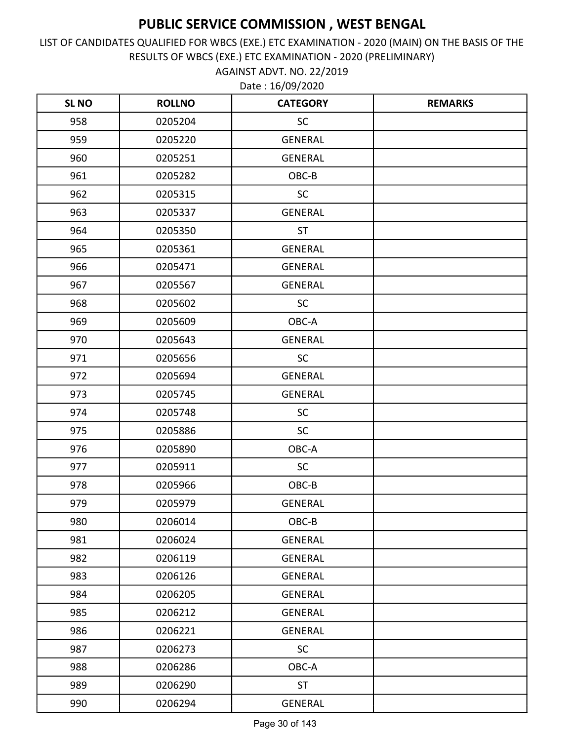AGAINST ADVT. NO. 22/2019 LIST OF CANDIDATES QUALIFIED FOR WBCS (EXE.) ETC EXAMINATION - 2020 (MAIN) ON THE BASIS OF THE RESULTS OF WBCS (EXE.) ETC EXAMINATION - 2020 (PRELIMINARY)

| <b>SLNO</b> | <b>ROLLNO</b> | <b>CATEGORY</b> | <b>REMARKS</b> |
|-------------|---------------|-----------------|----------------|
| 958         | 0205204       | <b>SC</b>       |                |
| 959         | 0205220       | <b>GENERAL</b>  |                |
| 960         | 0205251       | <b>GENERAL</b>  |                |
| 961         | 0205282       | OBC-B           |                |
| 962         | 0205315       | <b>SC</b>       |                |
| 963         | 0205337       | <b>GENERAL</b>  |                |
| 964         | 0205350       | <b>ST</b>       |                |
| 965         | 0205361       | <b>GENERAL</b>  |                |
| 966         | 0205471       | <b>GENERAL</b>  |                |
| 967         | 0205567       | <b>GENERAL</b>  |                |
| 968         | 0205602       | <b>SC</b>       |                |
| 969         | 0205609       | OBC-A           |                |
| 970         | 0205643       | <b>GENERAL</b>  |                |
| 971         | 0205656       | <b>SC</b>       |                |
| 972         | 0205694       | <b>GENERAL</b>  |                |
| 973         | 0205745       | <b>GENERAL</b>  |                |
| 974         | 0205748       | <b>SC</b>       |                |
| 975         | 0205886       | <b>SC</b>       |                |
| 976         | 0205890       | OBC-A           |                |
| 977         | 0205911       | SC              |                |
| 978         | 0205966       | OBC-B           |                |
| 979         | 0205979       | <b>GENERAL</b>  |                |
| 980         | 0206014       | OBC-B           |                |
| 981         | 0206024       | <b>GENERAL</b>  |                |
| 982         | 0206119       | <b>GENERAL</b>  |                |
| 983         | 0206126       | <b>GENERAL</b>  |                |
| 984         | 0206205       | <b>GENERAL</b>  |                |
| 985         | 0206212       | <b>GENERAL</b>  |                |
| 986         | 0206221       | <b>GENERAL</b>  |                |
| 987         | 0206273       | <b>SC</b>       |                |
| 988         | 0206286       | OBC-A           |                |
| 989         | 0206290       | <b>ST</b>       |                |
| 990         | 0206294       | <b>GENERAL</b>  |                |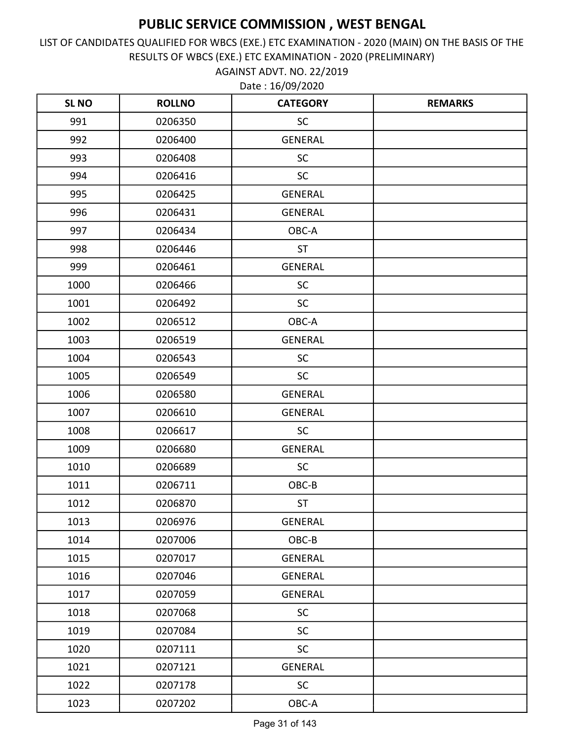AGAINST ADVT. NO. 22/2019 LIST OF CANDIDATES QUALIFIED FOR WBCS (EXE.) ETC EXAMINATION - 2020 (MAIN) ON THE BASIS OF THE RESULTS OF WBCS (EXE.) ETC EXAMINATION - 2020 (PRELIMINARY)

| <b>SLNO</b> | <b>ROLLNO</b> | <b>CATEGORY</b> | <b>REMARKS</b> |
|-------------|---------------|-----------------|----------------|
| 991         | 0206350       | <b>SC</b>       |                |
| 992         | 0206400       | <b>GENERAL</b>  |                |
| 993         | 0206408       | <b>SC</b>       |                |
| 994         | 0206416       | <b>SC</b>       |                |
| 995         | 0206425       | <b>GENERAL</b>  |                |
| 996         | 0206431       | <b>GENERAL</b>  |                |
| 997         | 0206434       | OBC-A           |                |
| 998         | 0206446       | <b>ST</b>       |                |
| 999         | 0206461       | <b>GENERAL</b>  |                |
| 1000        | 0206466       | <b>SC</b>       |                |
| 1001        | 0206492       | <b>SC</b>       |                |
| 1002        | 0206512       | OBC-A           |                |
| 1003        | 0206519       | <b>GENERAL</b>  |                |
| 1004        | 0206543       | <b>SC</b>       |                |
| 1005        | 0206549       | <b>SC</b>       |                |
| 1006        | 0206580       | <b>GENERAL</b>  |                |
| 1007        | 0206610       | <b>GENERAL</b>  |                |
| 1008        | 0206617       | <b>SC</b>       |                |
| 1009        | 0206680       | <b>GENERAL</b>  |                |
| 1010        | 0206689       | SC              |                |
| 1011        | 0206711       | OBC-B           |                |
| 1012        | 0206870       | <b>ST</b>       |                |
| 1013        | 0206976       | <b>GENERAL</b>  |                |
| 1014        | 0207006       | OBC-B           |                |
| 1015        | 0207017       | <b>GENERAL</b>  |                |
| 1016        | 0207046       | <b>GENERAL</b>  |                |
| 1017        | 0207059       | GENERAL         |                |
| 1018        | 0207068       | <b>SC</b>       |                |
| 1019        | 0207084       | <b>SC</b>       |                |
| 1020        | 0207111       | SC              |                |
| 1021        | 0207121       | <b>GENERAL</b>  |                |
| 1022        | 0207178       | SC              |                |
| 1023        | 0207202       | OBC-A           |                |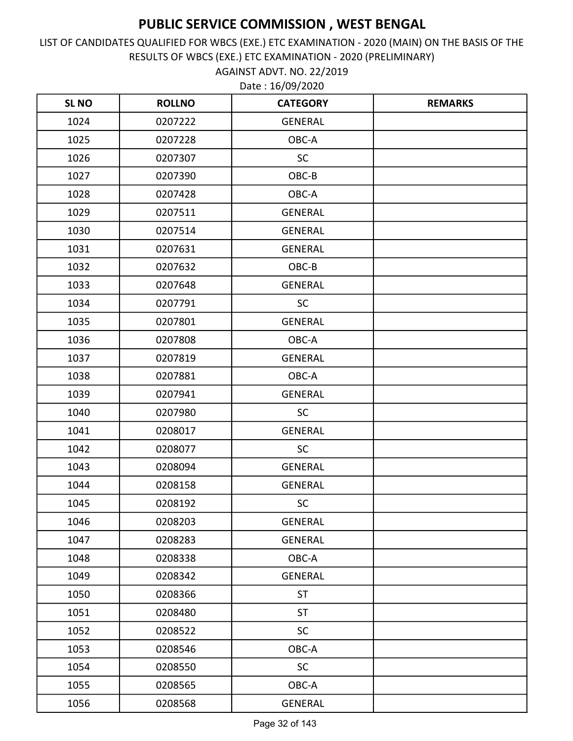AGAINST ADVT. NO. 22/2019 LIST OF CANDIDATES QUALIFIED FOR WBCS (EXE.) ETC EXAMINATION - 2020 (MAIN) ON THE BASIS OF THE RESULTS OF WBCS (EXE.) ETC EXAMINATION - 2020 (PRELIMINARY)

| <b>SLNO</b> | <b>ROLLNO</b> | <b>CATEGORY</b> | <b>REMARKS</b> |
|-------------|---------------|-----------------|----------------|
| 1024        | 0207222       | <b>GENERAL</b>  |                |
| 1025        | 0207228       | OBC-A           |                |
| 1026        | 0207307       | <b>SC</b>       |                |
| 1027        | 0207390       | OBC-B           |                |
| 1028        | 0207428       | OBC-A           |                |
| 1029        | 0207511       | <b>GENERAL</b>  |                |
| 1030        | 0207514       | <b>GENERAL</b>  |                |
| 1031        | 0207631       | <b>GENERAL</b>  |                |
| 1032        | 0207632       | OBC-B           |                |
| 1033        | 0207648       | <b>GENERAL</b>  |                |
| 1034        | 0207791       | <b>SC</b>       |                |
| 1035        | 0207801       | <b>GENERAL</b>  |                |
| 1036        | 0207808       | OBC-A           |                |
| 1037        | 0207819       | <b>GENERAL</b>  |                |
| 1038        | 0207881       | OBC-A           |                |
| 1039        | 0207941       | <b>GENERAL</b>  |                |
| 1040        | 0207980       | <b>SC</b>       |                |
| 1041        | 0208017       | <b>GENERAL</b>  |                |
| 1042        | 0208077       | <b>SC</b>       |                |
| 1043        | 0208094       | <b>GENERAL</b>  |                |
| 1044        | 0208158       | <b>GENERAL</b>  |                |
| 1045        | 0208192       | SC              |                |
| 1046        | 0208203       | <b>GENERAL</b>  |                |
| 1047        | 0208283       | <b>GENERAL</b>  |                |
| 1048        | 0208338       | OBC-A           |                |
| 1049        | 0208342       | <b>GENERAL</b>  |                |
| 1050        | 0208366       | <b>ST</b>       |                |
| 1051        | 0208480       | <b>ST</b>       |                |
| 1052        | 0208522       | <b>SC</b>       |                |
| 1053        | 0208546       | OBC-A           |                |
| 1054        | 0208550       | <b>SC</b>       |                |
| 1055        | 0208565       | OBC-A           |                |
| 1056        | 0208568       | <b>GENERAL</b>  |                |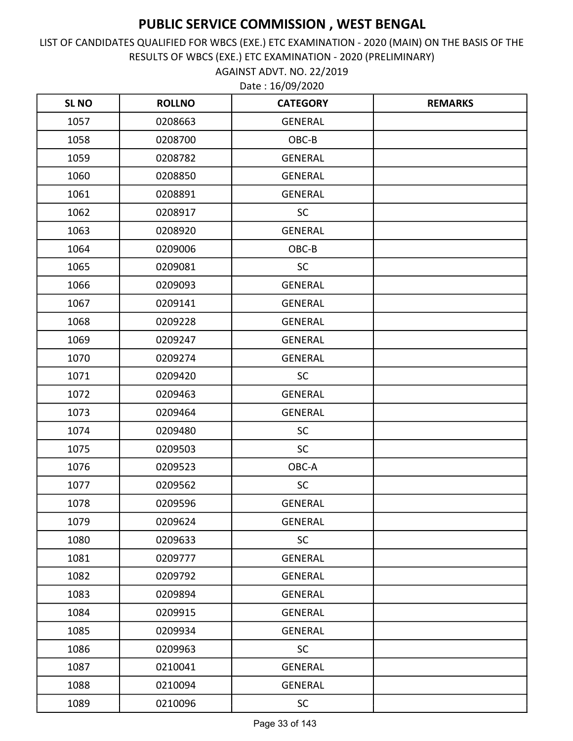AGAINST ADVT. NO. 22/2019 LIST OF CANDIDATES QUALIFIED FOR WBCS (EXE.) ETC EXAMINATION - 2020 (MAIN) ON THE BASIS OF THE RESULTS OF WBCS (EXE.) ETC EXAMINATION - 2020 (PRELIMINARY)

| <b>SLNO</b> | <b>ROLLNO</b> | <b>CATEGORY</b> | <b>REMARKS</b> |
|-------------|---------------|-----------------|----------------|
| 1057        | 0208663       | <b>GENERAL</b>  |                |
| 1058        | 0208700       | OBC-B           |                |
| 1059        | 0208782       | <b>GENERAL</b>  |                |
| 1060        | 0208850       | <b>GENERAL</b>  |                |
| 1061        | 0208891       | <b>GENERAL</b>  |                |
| 1062        | 0208917       | <b>SC</b>       |                |
| 1063        | 0208920       | <b>GENERAL</b>  |                |
| 1064        | 0209006       | OBC-B           |                |
| 1065        | 0209081       | SC              |                |
| 1066        | 0209093       | <b>GENERAL</b>  |                |
| 1067        | 0209141       | <b>GENERAL</b>  |                |
| 1068        | 0209228       | <b>GENERAL</b>  |                |
| 1069        | 0209247       | <b>GENERAL</b>  |                |
| 1070        | 0209274       | <b>GENERAL</b>  |                |
| 1071        | 0209420       | <b>SC</b>       |                |
| 1072        | 0209463       | <b>GENERAL</b>  |                |
| 1073        | 0209464       | <b>GENERAL</b>  |                |
| 1074        | 0209480       | SC              |                |
| 1075        | 0209503       | <b>SC</b>       |                |
| 1076        | 0209523       | OBC-A           |                |
| 1077        | 0209562       | SC              |                |
| 1078        | 0209596       | <b>GENERAL</b>  |                |
| 1079        | 0209624       | GENERAL         |                |
| 1080        | 0209633       | <b>SC</b>       |                |
| 1081        | 0209777       | <b>GENERAL</b>  |                |
| 1082        | 0209792       | <b>GENERAL</b>  |                |
| 1083        | 0209894       | <b>GENERAL</b>  |                |
| 1084        | 0209915       | <b>GENERAL</b>  |                |
| 1085        | 0209934       | <b>GENERAL</b>  |                |
| 1086        | 0209963       | SC              |                |
| 1087        | 0210041       | <b>GENERAL</b>  |                |
| 1088        | 0210094       | GENERAL         |                |
| 1089        | 0210096       | SC              |                |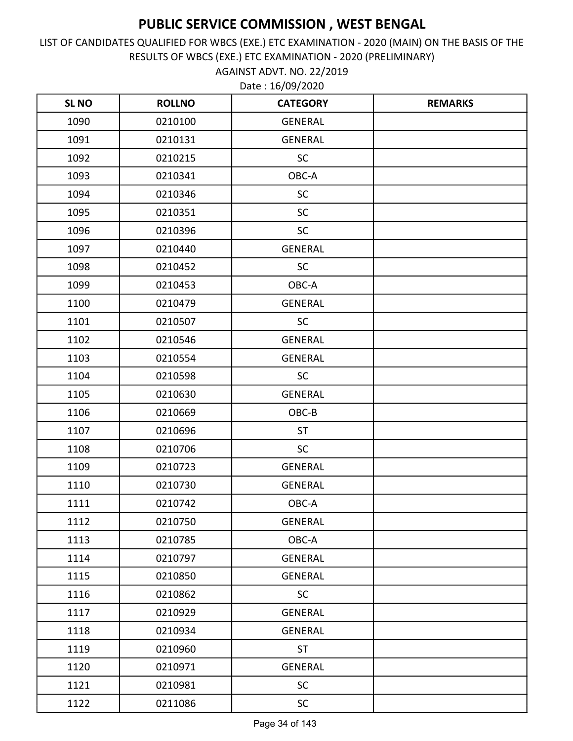AGAINST ADVT. NO. 22/2019 LIST OF CANDIDATES QUALIFIED FOR WBCS (EXE.) ETC EXAMINATION - 2020 (MAIN) ON THE BASIS OF THE RESULTS OF WBCS (EXE.) ETC EXAMINATION - 2020 (PRELIMINARY)

| <b>SL NO</b> | <b>ROLLNO</b> | <b>CATEGORY</b> | <b>REMARKS</b> |
|--------------|---------------|-----------------|----------------|
| 1090         | 0210100       | <b>GENERAL</b>  |                |
| 1091         | 0210131       | <b>GENERAL</b>  |                |
| 1092         | 0210215       | <b>SC</b>       |                |
| 1093         | 0210341       | OBC-A           |                |
| 1094         | 0210346       | SC              |                |
| 1095         | 0210351       | SC              |                |
| 1096         | 0210396       | <b>SC</b>       |                |
| 1097         | 0210440       | <b>GENERAL</b>  |                |
| 1098         | 0210452       | SC              |                |
| 1099         | 0210453       | OBC-A           |                |
| 1100         | 0210479       | <b>GENERAL</b>  |                |
| 1101         | 0210507       | SC              |                |
| 1102         | 0210546       | <b>GENERAL</b>  |                |
| 1103         | 0210554       | <b>GENERAL</b>  |                |
| 1104         | 0210598       | <b>SC</b>       |                |
| 1105         | 0210630       | <b>GENERAL</b>  |                |
| 1106         | 0210669       | OBC-B           |                |
| 1107         | 0210696       | <b>ST</b>       |                |
| 1108         | 0210706       | <b>SC</b>       |                |
| 1109         | 0210723       | <b>GENERAL</b>  |                |
| 1110         | 0210730       | <b>GENERAL</b>  |                |
| 1111         | 0210742       | OBC-A           |                |
| 1112         | 0210750       | <b>GENERAL</b>  |                |
| 1113         | 0210785       | OBC-A           |                |
| 1114         | 0210797       | <b>GENERAL</b>  |                |
| 1115         | 0210850       | <b>GENERAL</b>  |                |
| 1116         | 0210862       | <b>SC</b>       |                |
| 1117         | 0210929       | <b>GENERAL</b>  |                |
| 1118         | 0210934       | <b>GENERAL</b>  |                |
| 1119         | 0210960       | <b>ST</b>       |                |
| 1120         | 0210971       | GENERAL         |                |
| 1121         | 0210981       | <b>SC</b>       |                |
| 1122         | 0211086       | <b>SC</b>       |                |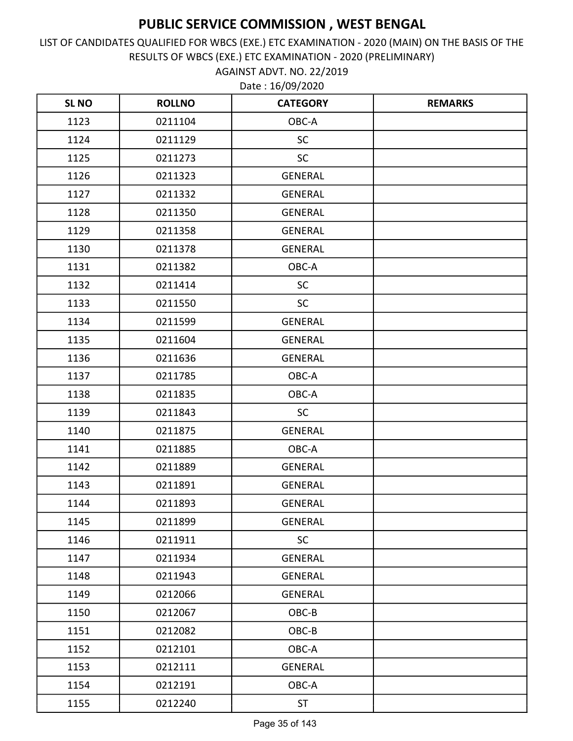AGAINST ADVT. NO. 22/2019 LIST OF CANDIDATES QUALIFIED FOR WBCS (EXE.) ETC EXAMINATION - 2020 (MAIN) ON THE BASIS OF THE RESULTS OF WBCS (EXE.) ETC EXAMINATION - 2020 (PRELIMINARY)

| <b>SLNO</b> | <b>ROLLNO</b> | <b>CATEGORY</b> | <b>REMARKS</b> |
|-------------|---------------|-----------------|----------------|
| 1123        | 0211104       | OBC-A           |                |
| 1124        | 0211129       | <b>SC</b>       |                |
| 1125        | 0211273       | <b>SC</b>       |                |
| 1126        | 0211323       | <b>GENERAL</b>  |                |
| 1127        | 0211332       | <b>GENERAL</b>  |                |
| 1128        | 0211350       | <b>GENERAL</b>  |                |
| 1129        | 0211358       | <b>GENERAL</b>  |                |
| 1130        | 0211378       | <b>GENERAL</b>  |                |
| 1131        | 0211382       | OBC-A           |                |
| 1132        | 0211414       | <b>SC</b>       |                |
| 1133        | 0211550       | <b>SC</b>       |                |
| 1134        | 0211599       | <b>GENERAL</b>  |                |
| 1135        | 0211604       | <b>GENERAL</b>  |                |
| 1136        | 0211636       | <b>GENERAL</b>  |                |
| 1137        | 0211785       | OBC-A           |                |
| 1138        | 0211835       | OBC-A           |                |
| 1139        | 0211843       | <b>SC</b>       |                |
| 1140        | 0211875       | <b>GENERAL</b>  |                |
| 1141        | 0211885       | OBC-A           |                |
| 1142        | 0211889       | <b>GENERAL</b>  |                |
| 1143        | 0211891       | <b>GENERAL</b>  |                |
| 1144        | 0211893       | <b>GENERAL</b>  |                |
| 1145        | 0211899       | <b>GENERAL</b>  |                |
| 1146        | 0211911       | SC              |                |
| 1147        | 0211934       | <b>GENERAL</b>  |                |
| 1148        | 0211943       | GENERAL         |                |
| 1149        | 0212066       | GENERAL         |                |
| 1150        | 0212067       | OBC-B           |                |
| 1151        | 0212082       | OBC-B           |                |
| 1152        | 0212101       | OBC-A           |                |
| 1153        | 0212111       | <b>GENERAL</b>  |                |
| 1154        | 0212191       | OBC-A           |                |
| 1155        | 0212240       | <b>ST</b>       |                |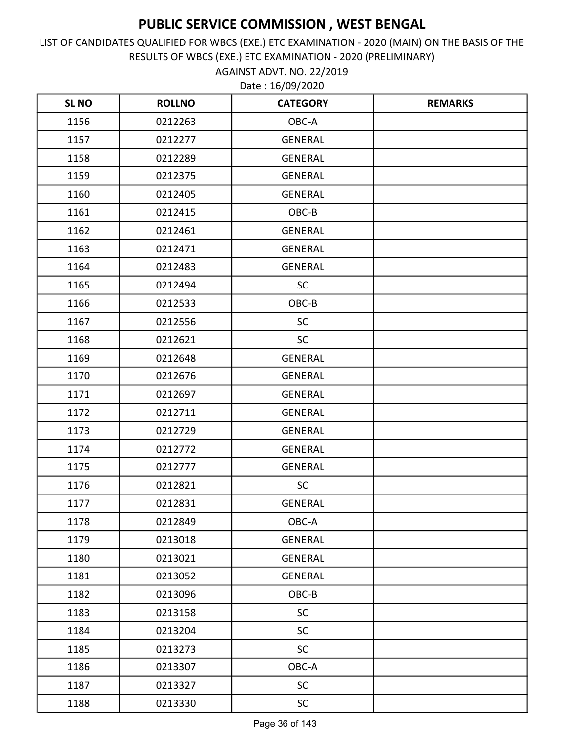AGAINST ADVT. NO. 22/2019 LIST OF CANDIDATES QUALIFIED FOR WBCS (EXE.) ETC EXAMINATION - 2020 (MAIN) ON THE BASIS OF THE RESULTS OF WBCS (EXE.) ETC EXAMINATION - 2020 (PRELIMINARY)

| <b>SLNO</b> | <b>ROLLNO</b> | <b>CATEGORY</b> | <b>REMARKS</b> |
|-------------|---------------|-----------------|----------------|
| 1156        | 0212263       | OBC-A           |                |
| 1157        | 0212277       | <b>GENERAL</b>  |                |
| 1158        | 0212289       | <b>GENERAL</b>  |                |
| 1159        | 0212375       | <b>GENERAL</b>  |                |
| 1160        | 0212405       | <b>GENERAL</b>  |                |
| 1161        | 0212415       | OBC-B           |                |
| 1162        | 0212461       | <b>GENERAL</b>  |                |
| 1163        | 0212471       | <b>GENERAL</b>  |                |
| 1164        | 0212483       | <b>GENERAL</b>  |                |
| 1165        | 0212494       | <b>SC</b>       |                |
| 1166        | 0212533       | OBC-B           |                |
| 1167        | 0212556       | SC              |                |
| 1168        | 0212621       | SC              |                |
| 1169        | 0212648       | <b>GENERAL</b>  |                |
| 1170        | 0212676       | <b>GENERAL</b>  |                |
| 1171        | 0212697       | <b>GENERAL</b>  |                |
| 1172        | 0212711       | <b>GENERAL</b>  |                |
| 1173        | 0212729       | <b>GENERAL</b>  |                |
| 1174        | 0212772       | <b>GENERAL</b>  |                |
| 1175        | 0212777       | <b>GENERAL</b>  |                |
| 1176        | 0212821       | <b>SC</b>       |                |
| 1177        | 0212831       | <b>GENERAL</b>  |                |
| 1178        | 0212849       | OBC-A           |                |
| 1179        | 0213018       | <b>GENERAL</b>  |                |
| 1180        | 0213021       | <b>GENERAL</b>  |                |
| 1181        | 0213052       | GENERAL         |                |
| 1182        | 0213096       | OBC-B           |                |
| 1183        | 0213158       | <b>SC</b>       |                |
| 1184        | 0213204       | <b>SC</b>       |                |
| 1185        | 0213273       | <b>SC</b>       |                |
| 1186        | 0213307       | OBC-A           |                |
| 1187        | 0213327       | SC              |                |
| 1188        | 0213330       | <b>SC</b>       |                |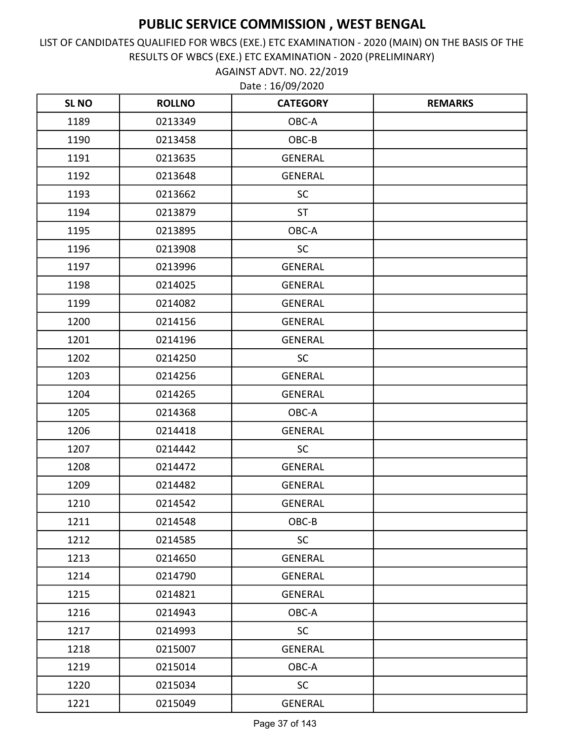AGAINST ADVT. NO. 22/2019 LIST OF CANDIDATES QUALIFIED FOR WBCS (EXE.) ETC EXAMINATION - 2020 (MAIN) ON THE BASIS OF THE RESULTS OF WBCS (EXE.) ETC EXAMINATION - 2020 (PRELIMINARY)

| <b>SLNO</b> | <b>ROLLNO</b> | <b>CATEGORY</b> | <b>REMARKS</b> |
|-------------|---------------|-----------------|----------------|
| 1189        | 0213349       | OBC-A           |                |
| 1190        | 0213458       | OBC-B           |                |
| 1191        | 0213635       | <b>GENERAL</b>  |                |
| 1192        | 0213648       | <b>GENERAL</b>  |                |
| 1193        | 0213662       | <b>SC</b>       |                |
| 1194        | 0213879       | <b>ST</b>       |                |
| 1195        | 0213895       | OBC-A           |                |
| 1196        | 0213908       | <b>SC</b>       |                |
| 1197        | 0213996       | <b>GENERAL</b>  |                |
| 1198        | 0214025       | <b>GENERAL</b>  |                |
| 1199        | 0214082       | <b>GENERAL</b>  |                |
| 1200        | 0214156       | <b>GENERAL</b>  |                |
| 1201        | 0214196       | <b>GENERAL</b>  |                |
| 1202        | 0214250       | <b>SC</b>       |                |
| 1203        | 0214256       | <b>GENERAL</b>  |                |
| 1204        | 0214265       | <b>GENERAL</b>  |                |
| 1205        | 0214368       | OBC-A           |                |
| 1206        | 0214418       | <b>GENERAL</b>  |                |
| 1207        | 0214442       | <b>SC</b>       |                |
| 1208        | 0214472       | <b>GENERAL</b>  |                |
| 1209        | 0214482       | <b>GENERAL</b>  |                |
| 1210        | 0214542       | <b>GENERAL</b>  |                |
| 1211        | 0214548       | OBC-B           |                |
| 1212        | 0214585       | <b>SC</b>       |                |
| 1213        | 0214650       | <b>GENERAL</b>  |                |
| 1214        | 0214790       | <b>GENERAL</b>  |                |
| 1215        | 0214821       | GENERAL         |                |
| 1216        | 0214943       | OBC-A           |                |
| 1217        | 0214993       | <b>SC</b>       |                |
| 1218        | 0215007       | <b>GENERAL</b>  |                |
| 1219        | 0215014       | OBC-A           |                |
| 1220        | 0215034       | <b>SC</b>       |                |
| 1221        | 0215049       | <b>GENERAL</b>  |                |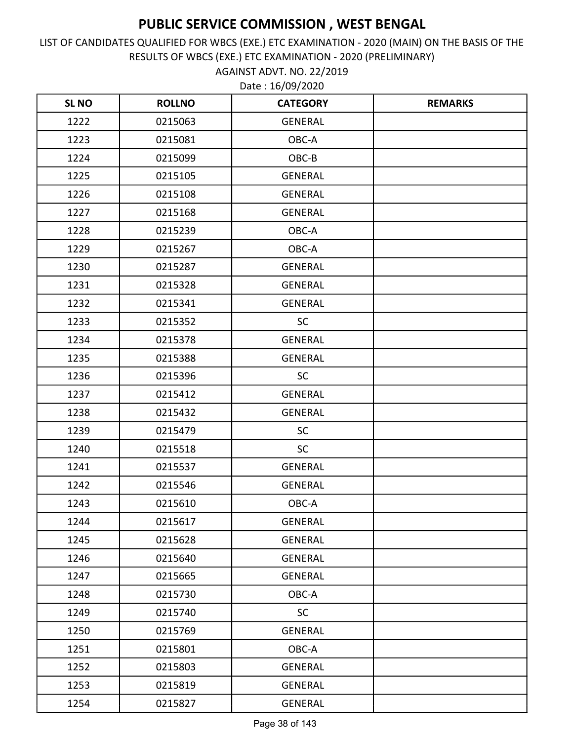AGAINST ADVT. NO. 22/2019 LIST OF CANDIDATES QUALIFIED FOR WBCS (EXE.) ETC EXAMINATION - 2020 (MAIN) ON THE BASIS OF THE RESULTS OF WBCS (EXE.) ETC EXAMINATION - 2020 (PRELIMINARY)

| <b>SLNO</b> | <b>ROLLNO</b> | <b>CATEGORY</b> | <b>REMARKS</b> |
|-------------|---------------|-----------------|----------------|
| 1222        | 0215063       | <b>GENERAL</b>  |                |
| 1223        | 0215081       | OBC-A           |                |
| 1224        | 0215099       | OBC-B           |                |
| 1225        | 0215105       | <b>GENERAL</b>  |                |
| 1226        | 0215108       | <b>GENERAL</b>  |                |
| 1227        | 0215168       | <b>GENERAL</b>  |                |
| 1228        | 0215239       | OBC-A           |                |
| 1229        | 0215267       | OBC-A           |                |
| 1230        | 0215287       | <b>GENERAL</b>  |                |
| 1231        | 0215328       | <b>GENERAL</b>  |                |
| 1232        | 0215341       | <b>GENERAL</b>  |                |
| 1233        | 0215352       | <b>SC</b>       |                |
| 1234        | 0215378       | <b>GENERAL</b>  |                |
| 1235        | 0215388       | <b>GENERAL</b>  |                |
| 1236        | 0215396       | <b>SC</b>       |                |
| 1237        | 0215412       | <b>GENERAL</b>  |                |
| 1238        | 0215432       | <b>GENERAL</b>  |                |
| 1239        | 0215479       | SC              |                |
| 1240        | 0215518       | <b>SC</b>       |                |
| 1241        | 0215537       | <b>GENERAL</b>  |                |
| 1242        | 0215546       | <b>GENERAL</b>  |                |
| 1243        | 0215610       | OBC-A           |                |
| 1244        | 0215617       | <b>GENERAL</b>  |                |
| 1245        | 0215628       | GENERAL         |                |
| 1246        | 0215640       | <b>GENERAL</b>  |                |
| 1247        | 0215665       | <b>GENERAL</b>  |                |
| 1248        | 0215730       | OBC-A           |                |
| 1249        | 0215740       | <b>SC</b>       |                |
| 1250        | 0215769       | <b>GENERAL</b>  |                |
| 1251        | 0215801       | OBC-A           |                |
| 1252        | 0215803       | <b>GENERAL</b>  |                |
| 1253        | 0215819       | <b>GENERAL</b>  |                |
| 1254        | 0215827       | GENERAL         |                |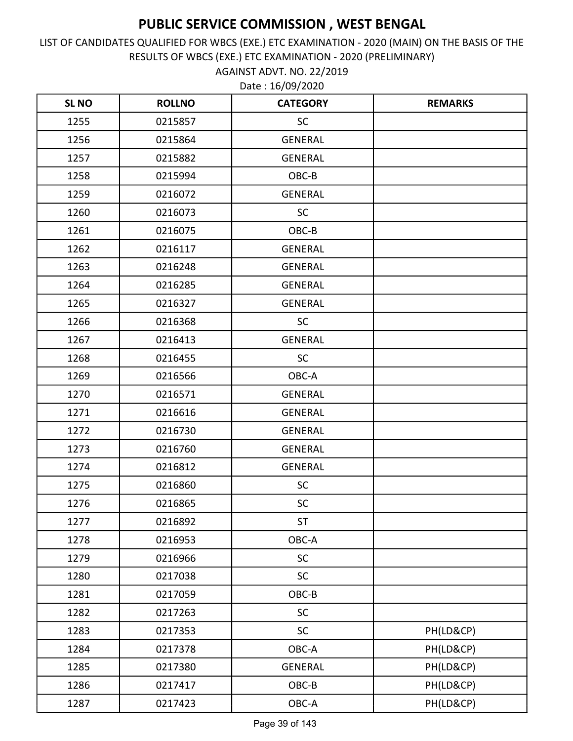AGAINST ADVT. NO. 22/2019 LIST OF CANDIDATES QUALIFIED FOR WBCS (EXE.) ETC EXAMINATION - 2020 (MAIN) ON THE BASIS OF THE RESULTS OF WBCS (EXE.) ETC EXAMINATION - 2020 (PRELIMINARY)

| <b>SLNO</b> | <b>ROLLNO</b> | <b>CATEGORY</b> | <b>REMARKS</b> |
|-------------|---------------|-----------------|----------------|
| 1255        | 0215857       | <b>SC</b>       |                |
| 1256        | 0215864       | <b>GENERAL</b>  |                |
| 1257        | 0215882       | <b>GENERAL</b>  |                |
| 1258        | 0215994       | OBC-B           |                |
| 1259        | 0216072       | <b>GENERAL</b>  |                |
| 1260        | 0216073       | <b>SC</b>       |                |
| 1261        | 0216075       | OBC-B           |                |
| 1262        | 0216117       | <b>GENERAL</b>  |                |
| 1263        | 0216248       | <b>GENERAL</b>  |                |
| 1264        | 0216285       | <b>GENERAL</b>  |                |
| 1265        | 0216327       | <b>GENERAL</b>  |                |
| 1266        | 0216368       | <b>SC</b>       |                |
| 1267        | 0216413       | <b>GENERAL</b>  |                |
| 1268        | 0216455       | <b>SC</b>       |                |
| 1269        | 0216566       | OBC-A           |                |
| 1270        | 0216571       | <b>GENERAL</b>  |                |
| 1271        | 0216616       | GENERAL         |                |
| 1272        | 0216730       | <b>GENERAL</b>  |                |
| 1273        | 0216760       | GENERAL         |                |
| 1274        | 0216812       | <b>GENERAL</b>  |                |
| 1275        | 0216860       | SC              |                |
| 1276        | 0216865       | SC              |                |
| 1277        | 0216892       | <b>ST</b>       |                |
| 1278        | 0216953       | OBC-A           |                |
| 1279        | 0216966       | <b>SC</b>       |                |
| 1280        | 0217038       | SC              |                |
| 1281        | 0217059       | OBC-B           |                |
| 1282        | 0217263       | <b>SC</b>       |                |
| 1283        | 0217353       | <b>SC</b>       | PH(LD&CP)      |
| 1284        | 0217378       | OBC-A           | PH(LD&CP)      |
| 1285        | 0217380       | <b>GENERAL</b>  | PH(LD&CP)      |
| 1286        | 0217417       | OBC-B           | PH(LD&CP)      |
| 1287        | 0217423       | $OBC-A$         | PH(LD&CP)      |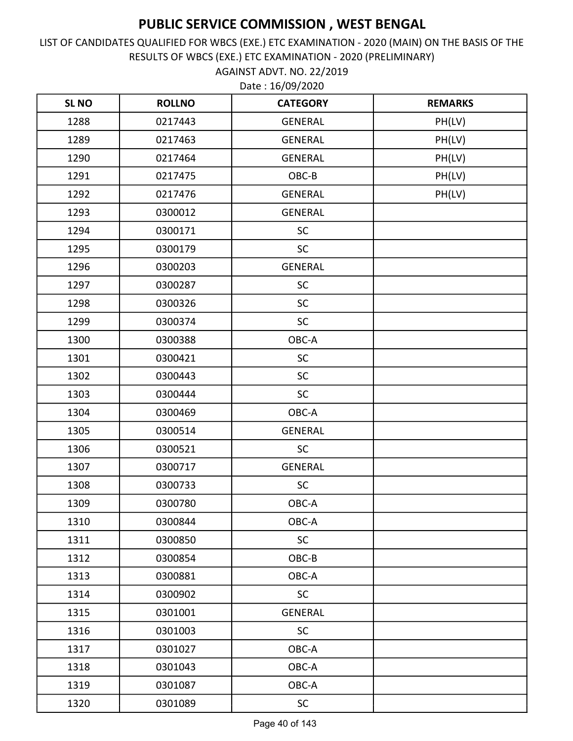AGAINST ADVT. NO. 22/2019 LIST OF CANDIDATES QUALIFIED FOR WBCS (EXE.) ETC EXAMINATION - 2020 (MAIN) ON THE BASIS OF THE RESULTS OF WBCS (EXE.) ETC EXAMINATION - 2020 (PRELIMINARY)

| <b>SL NO</b> | <b>ROLLNO</b> | <b>CATEGORY</b> | <b>REMARKS</b> |
|--------------|---------------|-----------------|----------------|
| 1288         | 0217443       | <b>GENERAL</b>  | PH(LV)         |
| 1289         | 0217463       | <b>GENERAL</b>  | PH(LV)         |
| 1290         | 0217464       | <b>GENERAL</b>  | PH(LV)         |
| 1291         | 0217475       | OBC-B           | PH(LV)         |
| 1292         | 0217476       | <b>GENERAL</b>  | PH(LV)         |
| 1293         | 0300012       | GENERAL         |                |
| 1294         | 0300171       | SC              |                |
| 1295         | 0300179       | <b>SC</b>       |                |
| 1296         | 0300203       | <b>GENERAL</b>  |                |
| 1297         | 0300287       | SC              |                |
| 1298         | 0300326       | SC              |                |
| 1299         | 0300374       | <b>SC</b>       |                |
| 1300         | 0300388       | OBC-A           |                |
| 1301         | 0300421       | SC              |                |
| 1302         | 0300443       | SC              |                |
| 1303         | 0300444       | <b>SC</b>       |                |
| 1304         | 0300469       | OBC-A           |                |
| 1305         | 0300514       | <b>GENERAL</b>  |                |
| 1306         | 0300521       | <b>SC</b>       |                |
| 1307         | 0300717       | <b>GENERAL</b>  |                |
| 1308         | 0300733       | <b>SC</b>       |                |
| 1309         | 0300780       | OBC-A           |                |
| 1310         | 0300844       | OBC-A           |                |
| 1311         | 0300850       | <b>SC</b>       |                |
| 1312         | 0300854       | OBC-B           |                |
| 1313         | 0300881       | OBC-A           |                |
| 1314         | 0300902       | <b>SC</b>       |                |
| 1315         | 0301001       | <b>GENERAL</b>  |                |
| 1316         | 0301003       | <b>SC</b>       |                |
| 1317         | 0301027       | OBC-A           |                |
| 1318         | 0301043       | OBC-A           |                |
| 1319         | 0301087       | OBC-A           |                |
| 1320         | 0301089       | <b>SC</b>       |                |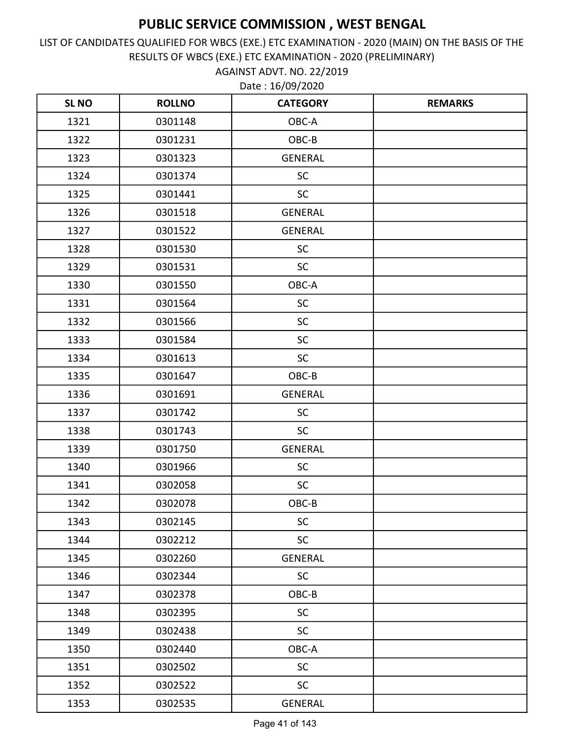AGAINST ADVT. NO. 22/2019 LIST OF CANDIDATES QUALIFIED FOR WBCS (EXE.) ETC EXAMINATION - 2020 (MAIN) ON THE BASIS OF THE RESULTS OF WBCS (EXE.) ETC EXAMINATION - 2020 (PRELIMINARY)

| <b>SL NO</b> | <b>ROLLNO</b> | <b>CATEGORY</b> | <b>REMARKS</b> |
|--------------|---------------|-----------------|----------------|
| 1321         | 0301148       | OBC-A           |                |
| 1322         | 0301231       | OBC-B           |                |
| 1323         | 0301323       | <b>GENERAL</b>  |                |
| 1324         | 0301374       | SC              |                |
| 1325         | 0301441       | <b>SC</b>       |                |
| 1326         | 0301518       | GENERAL         |                |
| 1327         | 0301522       | <b>GENERAL</b>  |                |
| 1328         | 0301530       | <b>SC</b>       |                |
| 1329         | 0301531       | SC              |                |
| 1330         | 0301550       | OBC-A           |                |
| 1331         | 0301564       | SC              |                |
| 1332         | 0301566       | SC              |                |
| 1333         | 0301584       | SC              |                |
| 1334         | 0301613       | <b>SC</b>       |                |
| 1335         | 0301647       | OBC-B           |                |
| 1336         | 0301691       | <b>GENERAL</b>  |                |
| 1337         | 0301742       | SC              |                |
| 1338         | 0301743       | <b>SC</b>       |                |
| 1339         | 0301750       | <b>GENERAL</b>  |                |
| 1340         | 0301966       | SC              |                |
| 1341         | 0302058       | <b>SC</b>       |                |
| 1342         | 0302078       | OBC-B           |                |
| 1343         | 0302145       | SC              |                |
| 1344         | 0302212       | <b>SC</b>       |                |
| 1345         | 0302260       | <b>GENERAL</b>  |                |
| 1346         | 0302344       | <b>SC</b>       |                |
| 1347         | 0302378       | OBC-B           |                |
| 1348         | 0302395       | SC              |                |
| 1349         | 0302438       | SC              |                |
| 1350         | 0302440       | OBC-A           |                |
| 1351         | 0302502       | <b>SC</b>       |                |
| 1352         | 0302522       | <b>SC</b>       |                |
| 1353         | 0302535       | <b>GENERAL</b>  |                |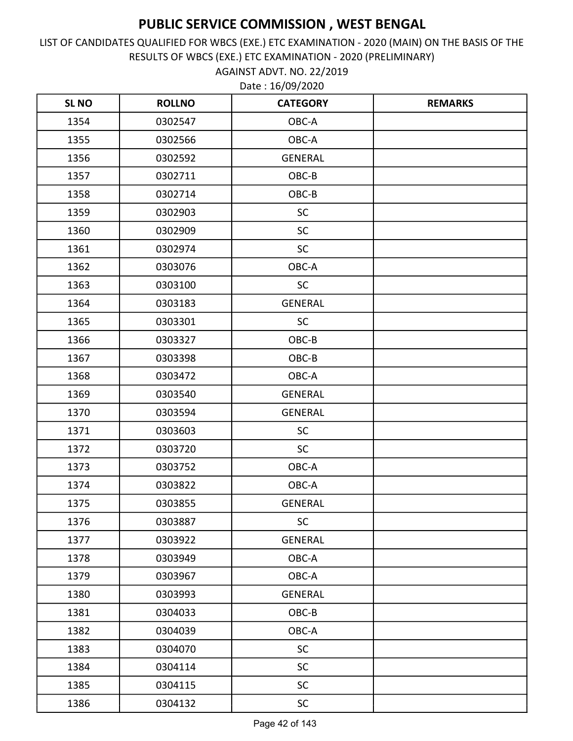AGAINST ADVT. NO. 22/2019 LIST OF CANDIDATES QUALIFIED FOR WBCS (EXE.) ETC EXAMINATION - 2020 (MAIN) ON THE BASIS OF THE RESULTS OF WBCS (EXE.) ETC EXAMINATION - 2020 (PRELIMINARY)

| <b>SL NO</b> | <b>ROLLNO</b> | <b>CATEGORY</b> | <b>REMARKS</b> |
|--------------|---------------|-----------------|----------------|
| 1354         | 0302547       | OBC-A           |                |
| 1355         | 0302566       | OBC-A           |                |
| 1356         | 0302592       | <b>GENERAL</b>  |                |
| 1357         | 0302711       | OBC-B           |                |
| 1358         | 0302714       | OBC-B           |                |
| 1359         | 0302903       | <b>SC</b>       |                |
| 1360         | 0302909       | <b>SC</b>       |                |
| 1361         | 0302974       | <b>SC</b>       |                |
| 1362         | 0303076       | OBC-A           |                |
| 1363         | 0303100       | <b>SC</b>       |                |
| 1364         | 0303183       | <b>GENERAL</b>  |                |
| 1365         | 0303301       | SC              |                |
| 1366         | 0303327       | OBC-B           |                |
| 1367         | 0303398       | OBC-B           |                |
| 1368         | 0303472       | OBC-A           |                |
| 1369         | 0303540       | <b>GENERAL</b>  |                |
| 1370         | 0303594       | <b>GENERAL</b>  |                |
| 1371         | 0303603       | <b>SC</b>       |                |
| 1372         | 0303720       | <b>SC</b>       |                |
| 1373         | 0303752       | OBC-A           |                |
| 1374         | 0303822       | OBC-A           |                |
| 1375         | 0303855       | <b>GENERAL</b>  |                |
| 1376         | 0303887       | SC              |                |
| 1377         | 0303922       | <b>GENERAL</b>  |                |
| 1378         | 0303949       | OBC-A           |                |
| 1379         | 0303967       | OBC-A           |                |
| 1380         | 0303993       | <b>GENERAL</b>  |                |
| 1381         | 0304033       | OBC-B           |                |
| 1382         | 0304039       | OBC-A           |                |
| 1383         | 0304070       | SC              |                |
| 1384         | 0304114       | <b>SC</b>       |                |
| 1385         | 0304115       | SC              |                |
| 1386         | 0304132       | <b>SC</b>       |                |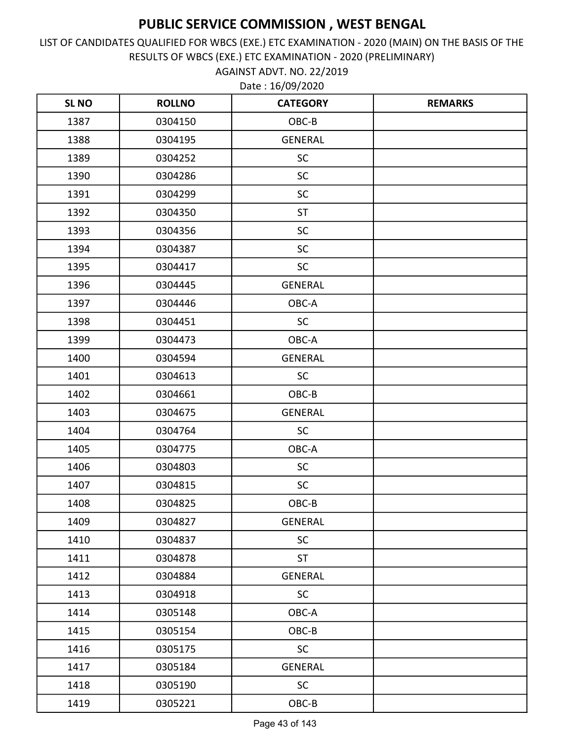AGAINST ADVT. NO. 22/2019 LIST OF CANDIDATES QUALIFIED FOR WBCS (EXE.) ETC EXAMINATION - 2020 (MAIN) ON THE BASIS OF THE RESULTS OF WBCS (EXE.) ETC EXAMINATION - 2020 (PRELIMINARY)

| <b>SL NO</b> | <b>ROLLNO</b> | <b>CATEGORY</b> | <b>REMARKS</b> |
|--------------|---------------|-----------------|----------------|
| 1387         | 0304150       | OBC-B           |                |
| 1388         | 0304195       | <b>GENERAL</b>  |                |
| 1389         | 0304252       | SC              |                |
| 1390         | 0304286       | SC              |                |
| 1391         | 0304299       | SC              |                |
| 1392         | 0304350       | <b>ST</b>       |                |
| 1393         | 0304356       | <b>SC</b>       |                |
| 1394         | 0304387       | SC              |                |
| 1395         | 0304417       | SC              |                |
| 1396         | 0304445       | <b>GENERAL</b>  |                |
| 1397         | 0304446       | OBC-A           |                |
| 1398         | 0304451       | SC              |                |
| 1399         | 0304473       | OBC-A           |                |
| 1400         | 0304594       | <b>GENERAL</b>  |                |
| 1401         | 0304613       | <b>SC</b>       |                |
| 1402         | 0304661       | OBC-B           |                |
| 1403         | 0304675       | <b>GENERAL</b>  |                |
| 1404         | 0304764       | <b>SC</b>       |                |
| 1405         | 0304775       | OBC-A           |                |
| 1406         | 0304803       | SC              |                |
| 1407         | 0304815       | SC              |                |
| 1408         | 0304825       | OBC-B           |                |
| 1409         | 0304827       | GENERAL         |                |
| 1410         | 0304837       | SC              |                |
| 1411         | 0304878       | <b>ST</b>       |                |
| 1412         | 0304884       | <b>GENERAL</b>  |                |
| 1413         | 0304918       | <b>SC</b>       |                |
| 1414         | 0305148       | OBC-A           |                |
| 1415         | 0305154       | OBC-B           |                |
| 1416         | 0305175       | <b>SC</b>       |                |
| 1417         | 0305184       | <b>GENERAL</b>  |                |
| 1418         | 0305190       | <b>SC</b>       |                |
| 1419         | 0305221       | $OBC-B$         |                |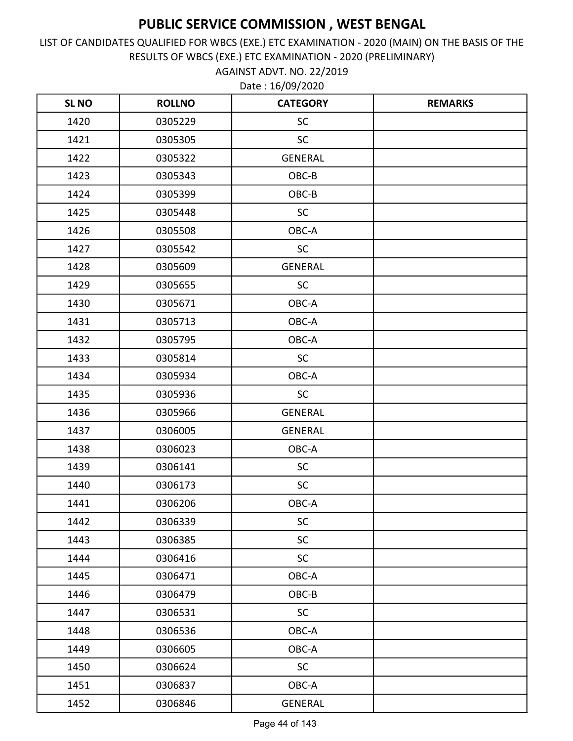AGAINST ADVT. NO. 22/2019 LIST OF CANDIDATES QUALIFIED FOR WBCS (EXE.) ETC EXAMINATION - 2020 (MAIN) ON THE BASIS OF THE RESULTS OF WBCS (EXE.) ETC EXAMINATION - 2020 (PRELIMINARY)

| <b>SLNO</b> | <b>ROLLNO</b> | <b>CATEGORY</b> | <b>REMARKS</b> |
|-------------|---------------|-----------------|----------------|
| 1420        | 0305229       | <b>SC</b>       |                |
| 1421        | 0305305       | <b>SC</b>       |                |
| 1422        | 0305322       | <b>GENERAL</b>  |                |
| 1423        | 0305343       | OBC-B           |                |
| 1424        | 0305399       | OBC-B           |                |
| 1425        | 0305448       | <b>SC</b>       |                |
| 1426        | 0305508       | OBC-A           |                |
| 1427        | 0305542       | SC              |                |
| 1428        | 0305609       | <b>GENERAL</b>  |                |
| 1429        | 0305655       | <b>SC</b>       |                |
| 1430        | 0305671       | OBC-A           |                |
| 1431        | 0305713       | OBC-A           |                |
| 1432        | 0305795       | OBC-A           |                |
| 1433        | 0305814       | <b>SC</b>       |                |
| 1434        | 0305934       | OBC-A           |                |
| 1435        | 0305936       | <b>SC</b>       |                |
| 1436        | 0305966       | <b>GENERAL</b>  |                |
| 1437        | 0306005       | <b>GENERAL</b>  |                |
| 1438        | 0306023       | OBC-A           |                |
| 1439        | 0306141       | SC              |                |
| 1440        | 0306173       | <b>SC</b>       |                |
| 1441        | 0306206       | OBC-A           |                |
| 1442        | 0306339       | SC              |                |
| 1443        | 0306385       | SC              |                |
| 1444        | 0306416       | SC              |                |
| 1445        | 0306471       | OBC-A           |                |
| 1446        | 0306479       | OBC-B           |                |
| 1447        | 0306531       | SC              |                |
| 1448        | 0306536       | OBC-A           |                |
| 1449        | 0306605       | OBC-A           |                |
| 1450        | 0306624       | <b>SC</b>       |                |
| 1451        | 0306837       | OBC-A           |                |
| 1452        | 0306846       | <b>GENERAL</b>  |                |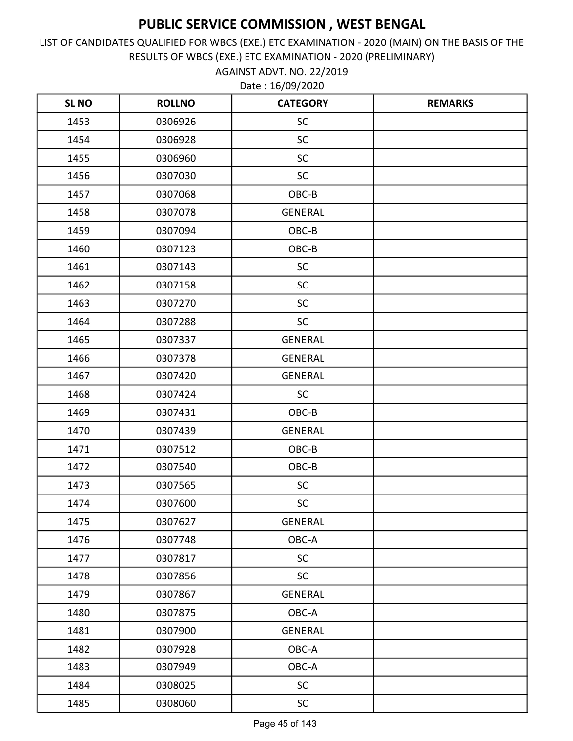LIST OF CANDIDATES QUALIFIED FOR WBCS (EXE.) ETC EXAMINATION - 2020 (MAIN) ON THE BASIS OF THE RESULTS OF WBCS (EXE.) ETC EXAMINATION - 2020 (PRELIMINARY)

Date : 16/09/2020 AGAINST ADVT. NO. 22/2019

| <b>SLNO</b> | <b>ROLLNO</b> | <b>CATEGORY</b> | <b>REMARKS</b> |
|-------------|---------------|-----------------|----------------|
| 1453        | 0306926       | <b>SC</b>       |                |
| 1454        | 0306928       | SC              |                |
| 1455        | 0306960       | SC              |                |
| 1456        | 0307030       | <b>SC</b>       |                |
| 1457        | 0307068       | OBC-B           |                |
| 1458        | 0307078       | <b>GENERAL</b>  |                |
| 1459        | 0307094       | OBC-B           |                |
| 1460        | 0307123       | OBC-B           |                |
| 1461        | 0307143       | <b>SC</b>       |                |
| 1462        | 0307158       | SC              |                |
| 1463        | 0307270       | <b>SC</b>       |                |
| 1464        | 0307288       | SC              |                |
| 1465        | 0307337       | <b>GENERAL</b>  |                |
| 1466        | 0307378       | <b>GENERAL</b>  |                |
| 1467        | 0307420       | <b>GENERAL</b>  |                |
| 1468        | 0307424       | <b>SC</b>       |                |
| 1469        | 0307431       | OBC-B           |                |
| 1470        | 0307439       | <b>GENERAL</b>  |                |
| 1471        | 0307512       | OBC-B           |                |
| 1472        | 0307540       | OBC-B           |                |
| 1473        | 0307565       | <b>SC</b>       |                |
| 1474        | 0307600       | SC              |                |
| 1475        | 0307627       | <b>GENERAL</b>  |                |
| 1476        | 0307748       | OBC-A           |                |
| 1477        | 0307817       | <b>SC</b>       |                |
| 1478        | 0307856       | <b>SC</b>       |                |
| 1479        | 0307867       | <b>GENERAL</b>  |                |
| 1480        | 0307875       | OBC-A           |                |
| 1481        | 0307900       | <b>GENERAL</b>  |                |
| 1482        | 0307928       | OBC-A           |                |
| 1483        | 0307949       | OBC-A           |                |
| 1484        | 0308025       | SC              |                |
| 1485        | 0308060       | <b>SC</b>       |                |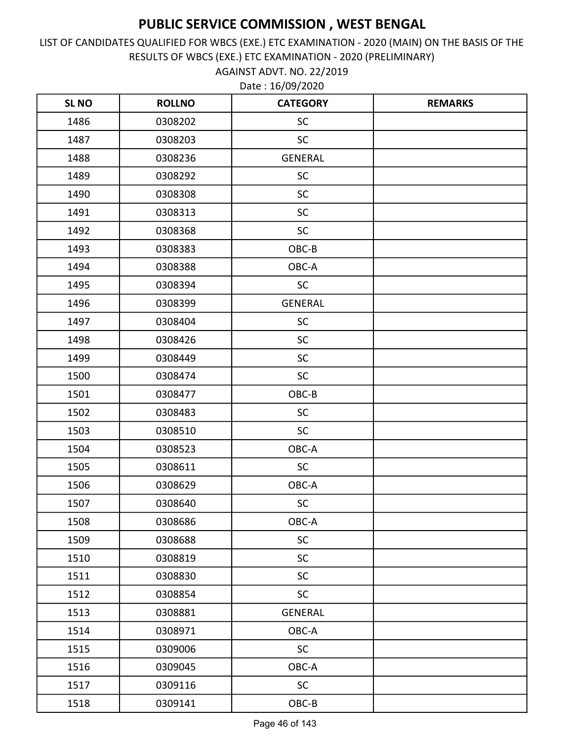AGAINST ADVT. NO. 22/2019 LIST OF CANDIDATES QUALIFIED FOR WBCS (EXE.) ETC EXAMINATION - 2020 (MAIN) ON THE BASIS OF THE RESULTS OF WBCS (EXE.) ETC EXAMINATION - 2020 (PRELIMINARY)

| <b>SLNO</b> | <b>ROLLNO</b> | <b>CATEGORY</b> | <b>REMARKS</b> |
|-------------|---------------|-----------------|----------------|
| 1486        | 0308202       | <b>SC</b>       |                |
| 1487        | 0308203       | <b>SC</b>       |                |
| 1488        | 0308236       | <b>GENERAL</b>  |                |
| 1489        | 0308292       | <b>SC</b>       |                |
| 1490        | 0308308       | <b>SC</b>       |                |
| 1491        | 0308313       | <b>SC</b>       |                |
| 1492        | 0308368       | SC              |                |
| 1493        | 0308383       | OBC-B           |                |
| 1494        | 0308388       | OBC-A           |                |
| 1495        | 0308394       | <b>SC</b>       |                |
| 1496        | 0308399       | <b>GENERAL</b>  |                |
| 1497        | 0308404       | <b>SC</b>       |                |
| 1498        | 0308426       | <b>SC</b>       |                |
| 1499        | 0308449       | <b>SC</b>       |                |
| 1500        | 0308474       | SC              |                |
| 1501        | 0308477       | OBC-B           |                |
| 1502        | 0308483       | <b>SC</b>       |                |
| 1503        | 0308510       | <b>SC</b>       |                |
| 1504        | 0308523       | OBC-A           |                |
| 1505        | 0308611       | SC              |                |
| 1506        | 0308629       | OBC-A           |                |
| 1507        | 0308640       | SC              |                |
| 1508        | 0308686       | OBC-A           |                |
| 1509        | 0308688       | SC              |                |
| 1510        | 0308819       | <b>SC</b>       |                |
| 1511        | 0308830       | <b>SC</b>       |                |
| 1512        | 0308854       | <b>SC</b>       |                |
| 1513        | 0308881       | <b>GENERAL</b>  |                |
| 1514        | 0308971       | OBC-A           |                |
| 1515        | 0309006       | <b>SC</b>       |                |
| 1516        | 0309045       | OBC-A           |                |
| 1517        | 0309116       | $\mathsf{SC}$   |                |
| 1518        | 0309141       | $OBC-B$         |                |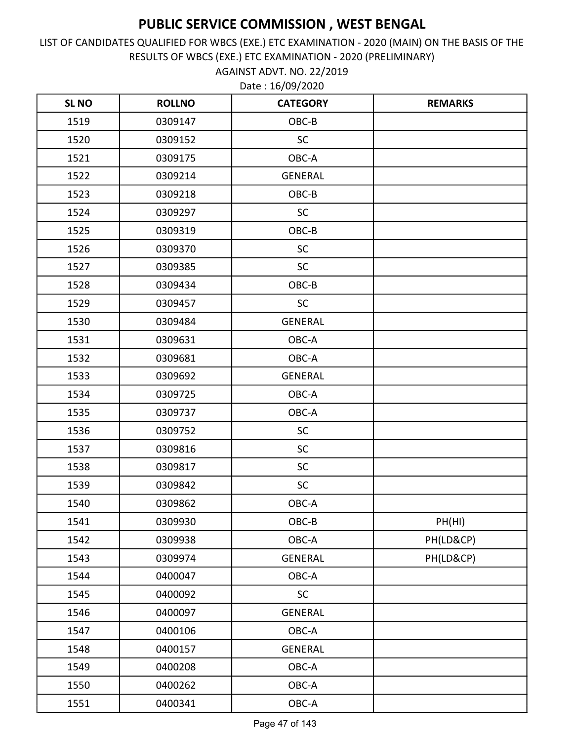AGAINST ADVT. NO. 22/2019 LIST OF CANDIDATES QUALIFIED FOR WBCS (EXE.) ETC EXAMINATION - 2020 (MAIN) ON THE BASIS OF THE RESULTS OF WBCS (EXE.) ETC EXAMINATION - 2020 (PRELIMINARY)

| <b>SLNO</b> | <b>ROLLNO</b> | <b>CATEGORY</b> | <b>REMARKS</b> |
|-------------|---------------|-----------------|----------------|
| 1519        | 0309147       | OBC-B           |                |
| 1520        | 0309152       | <b>SC</b>       |                |
| 1521        | 0309175       | OBC-A           |                |
| 1522        | 0309214       | <b>GENERAL</b>  |                |
| 1523        | 0309218       | OBC-B           |                |
| 1524        | 0309297       | <b>SC</b>       |                |
| 1525        | 0309319       | OBC-B           |                |
| 1526        | 0309370       | <b>SC</b>       |                |
| 1527        | 0309385       | <b>SC</b>       |                |
| 1528        | 0309434       | OBC-B           |                |
| 1529        | 0309457       | <b>SC</b>       |                |
| 1530        | 0309484       | <b>GENERAL</b>  |                |
| 1531        | 0309631       | OBC-A           |                |
| 1532        | 0309681       | OBC-A           |                |
| 1533        | 0309692       | <b>GENERAL</b>  |                |
| 1534        | 0309725       | OBC-A           |                |
| 1535        | 0309737       | OBC-A           |                |
| 1536        | 0309752       | <b>SC</b>       |                |
| 1537        | 0309816       | <b>SC</b>       |                |
| 1538        | 0309817       | <b>SC</b>       |                |
| 1539        | 0309842       | SC              |                |
| 1540        | 0309862       | OBC-A           |                |
| 1541        | 0309930       | OBC-B           | PH(HI)         |
| 1542        | 0309938       | OBC-A           | PH(LD&CP)      |
| 1543        | 0309974       | <b>GENERAL</b>  | PH(LD&CP)      |
| 1544        | 0400047       | OBC-A           |                |
| 1545        | 0400092       | <b>SC</b>       |                |
| 1546        | 0400097       | <b>GENERAL</b>  |                |
| 1547        | 0400106       | OBC-A           |                |
| 1548        | 0400157       | <b>GENERAL</b>  |                |
| 1549        | 0400208       | OBC-A           |                |
| 1550        | 0400262       | OBC-A           |                |
| 1551        | 0400341       | OBC-A           |                |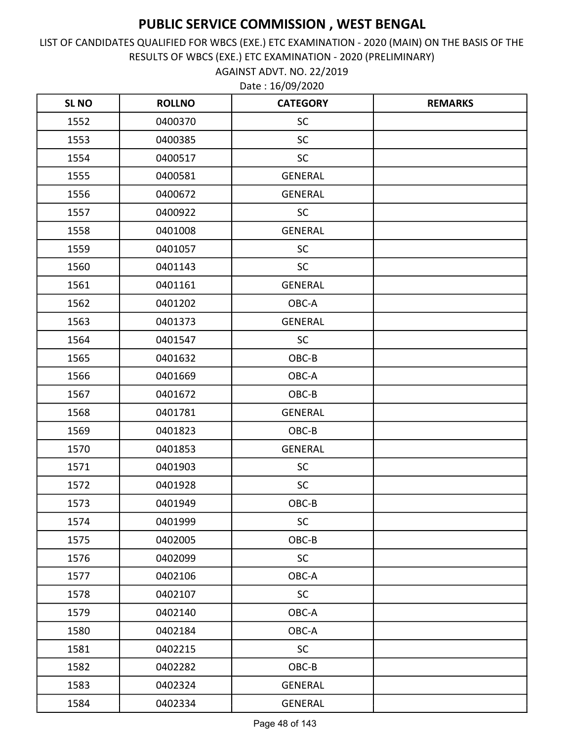AGAINST ADVT. NO. 22/2019 LIST OF CANDIDATES QUALIFIED FOR WBCS (EXE.) ETC EXAMINATION - 2020 (MAIN) ON THE BASIS OF THE RESULTS OF WBCS (EXE.) ETC EXAMINATION - 2020 (PRELIMINARY)

| <b>SL NO</b> | <b>ROLLNO</b> | <b>CATEGORY</b> | <b>REMARKS</b> |
|--------------|---------------|-----------------|----------------|
| 1552         | 0400370       | <b>SC</b>       |                |
| 1553         | 0400385       | SC              |                |
| 1554         | 0400517       | <b>SC</b>       |                |
| 1555         | 0400581       | <b>GENERAL</b>  |                |
| 1556         | 0400672       | <b>GENERAL</b>  |                |
| 1557         | 0400922       | <b>SC</b>       |                |
| 1558         | 0401008       | <b>GENERAL</b>  |                |
| 1559         | 0401057       | SC              |                |
| 1560         | 0401143       | SC              |                |
| 1561         | 0401161       | <b>GENERAL</b>  |                |
| 1562         | 0401202       | OBC-A           |                |
| 1563         | 0401373       | <b>GENERAL</b>  |                |
| 1564         | 0401547       | <b>SC</b>       |                |
| 1565         | 0401632       | OBC-B           |                |
| 1566         | 0401669       | OBC-A           |                |
| 1567         | 0401672       | OBC-B           |                |
| 1568         | 0401781       | <b>GENERAL</b>  |                |
| 1569         | 0401823       | OBC-B           |                |
| 1570         | 0401853       | <b>GENERAL</b>  |                |
| 1571         | 0401903       | SC              |                |
| 1572         | 0401928       | SC              |                |
| 1573         | 0401949       | OBC-B           |                |
| 1574         | 0401999       | SC              |                |
| 1575         | 0402005       | OBC-B           |                |
| 1576         | 0402099       | SC              |                |
| 1577         | 0402106       | OBC-A           |                |
| 1578         | 0402107       | <b>SC</b>       |                |
| 1579         | 0402140       | OBC-A           |                |
| 1580         | 0402184       | OBC-A           |                |
| 1581         | 0402215       | <b>SC</b>       |                |
| 1582         | 0402282       | OBC-B           |                |
| 1583         | 0402324       | <b>GENERAL</b>  |                |
| 1584         | 0402334       | <b>GENERAL</b>  |                |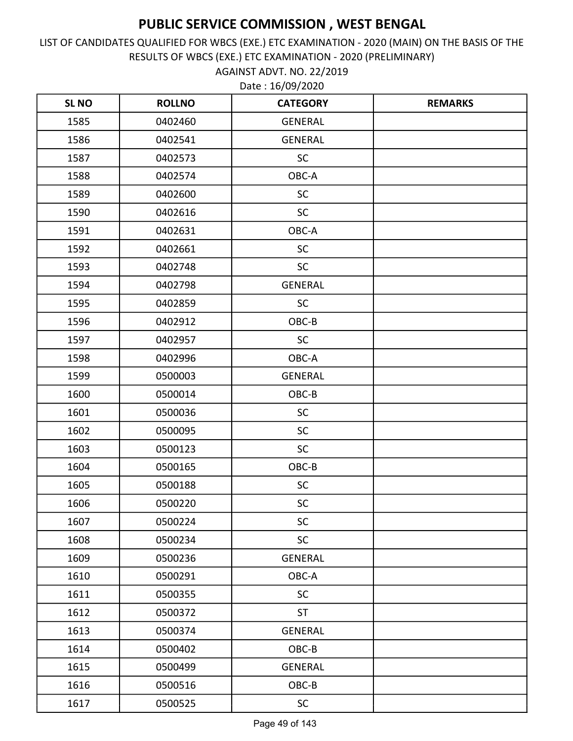AGAINST ADVT. NO. 22/2019 LIST OF CANDIDATES QUALIFIED FOR WBCS (EXE.) ETC EXAMINATION - 2020 (MAIN) ON THE BASIS OF THE RESULTS OF WBCS (EXE.) ETC EXAMINATION - 2020 (PRELIMINARY)

| <b>SL NO</b> | <b>ROLLNO</b> | <b>CATEGORY</b> | <b>REMARKS</b> |
|--------------|---------------|-----------------|----------------|
| 1585         | 0402460       | <b>GENERAL</b>  |                |
| 1586         | 0402541       | <b>GENERAL</b>  |                |
| 1587         | 0402573       | <b>SC</b>       |                |
| 1588         | 0402574       | OBC-A           |                |
| 1589         | 0402600       | SC              |                |
| 1590         | 0402616       | <b>SC</b>       |                |
| 1591         | 0402631       | OBC-A           |                |
| 1592         | 0402661       | SC              |                |
| 1593         | 0402748       | SC              |                |
| 1594         | 0402798       | <b>GENERAL</b>  |                |
| 1595         | 0402859       | <b>SC</b>       |                |
| 1596         | 0402912       | OBC-B           |                |
| 1597         | 0402957       | SC              |                |
| 1598         | 0402996       | OBC-A           |                |
| 1599         | 0500003       | <b>GENERAL</b>  |                |
| 1600         | 0500014       | OBC-B           |                |
| 1601         | 0500036       | SC              |                |
| 1602         | 0500095       | SC              |                |
| 1603         | 0500123       | <b>SC</b>       |                |
| 1604         | 0500165       | OBC-B           |                |
| 1605         | 0500188       | SC              |                |
| 1606         | 0500220       | SC              |                |
| 1607         | 0500224       | SC              |                |
| 1608         | 0500234       | <b>SC</b>       |                |
| 1609         | 0500236       | <b>GENERAL</b>  |                |
| 1610         | 0500291       | OBC-A           |                |
| 1611         | 0500355       | <b>SC</b>       |                |
| 1612         | 0500372       | <b>ST</b>       |                |
| 1613         | 0500374       | <b>GENERAL</b>  |                |
| 1614         | 0500402       | OBC-B           |                |
| 1615         | 0500499       | <b>GENERAL</b>  |                |
| 1616         | 0500516       | OBC-B           |                |
| 1617         | 0500525       | SC              |                |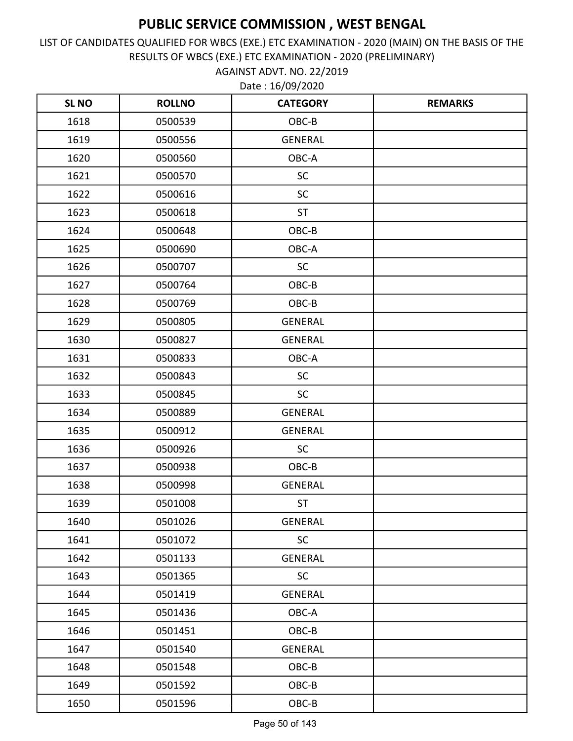AGAINST ADVT. NO. 22/2019 LIST OF CANDIDATES QUALIFIED FOR WBCS (EXE.) ETC EXAMINATION - 2020 (MAIN) ON THE BASIS OF THE RESULTS OF WBCS (EXE.) ETC EXAMINATION - 2020 (PRELIMINARY)

| <b>SL NO</b> | <b>ROLLNO</b> | <b>CATEGORY</b> | <b>REMARKS</b> |
|--------------|---------------|-----------------|----------------|
| 1618         | 0500539       | OBC-B           |                |
| 1619         | 0500556       | <b>GENERAL</b>  |                |
| 1620         | 0500560       | OBC-A           |                |
| 1621         | 0500570       | SC              |                |
| 1622         | 0500616       | SC              |                |
| 1623         | 0500618       | <b>ST</b>       |                |
| 1624         | 0500648       | OBC-B           |                |
| 1625         | 0500690       | OBC-A           |                |
| 1626         | 0500707       | SC              |                |
| 1627         | 0500764       | OBC-B           |                |
| 1628         | 0500769       | OBC-B           |                |
| 1629         | 0500805       | <b>GENERAL</b>  |                |
| 1630         | 0500827       | <b>GENERAL</b>  |                |
| 1631         | 0500833       | OBC-A           |                |
| 1632         | 0500843       | <b>SC</b>       |                |
| 1633         | 0500845       | <b>SC</b>       |                |
| 1634         | 0500889       | <b>GENERAL</b>  |                |
| 1635         | 0500912       | <b>GENERAL</b>  |                |
| 1636         | 0500926       | <b>SC</b>       |                |
| 1637         | 0500938       | OBC-B           |                |
| 1638         | 0500998       | <b>GENERAL</b>  |                |
| 1639         | 0501008       | <b>ST</b>       |                |
| 1640         | 0501026       | GENERAL         |                |
| 1641         | 0501072       | <b>SC</b>       |                |
| 1642         | 0501133       | <b>GENERAL</b>  |                |
| 1643         | 0501365       | SC              |                |
| 1644         | 0501419       | <b>GENERAL</b>  |                |
| 1645         | 0501436       | OBC-A           |                |
| 1646         | 0501451       | OBC-B           |                |
| 1647         | 0501540       | <b>GENERAL</b>  |                |
| 1648         | 0501548       | OBC-B           |                |
| 1649         | 0501592       | OBC-B           |                |
| 1650         | 0501596       | OBC-B           |                |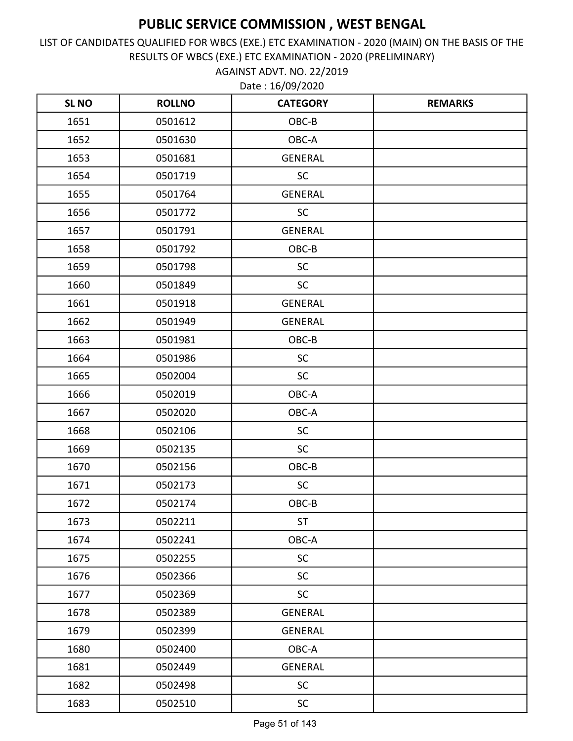AGAINST ADVT. NO. 22/2019 LIST OF CANDIDATES QUALIFIED FOR WBCS (EXE.) ETC EXAMINATION - 2020 (MAIN) ON THE BASIS OF THE RESULTS OF WBCS (EXE.) ETC EXAMINATION - 2020 (PRELIMINARY)

| <b>SL NO</b> | <b>ROLLNO</b> | <b>CATEGORY</b> | <b>REMARKS</b> |
|--------------|---------------|-----------------|----------------|
| 1651         | 0501612       | OBC-B           |                |
| 1652         | 0501630       | OBC-A           |                |
| 1653         | 0501681       | <b>GENERAL</b>  |                |
| 1654         | 0501719       | <b>SC</b>       |                |
| 1655         | 0501764       | <b>GENERAL</b>  |                |
| 1656         | 0501772       | <b>SC</b>       |                |
| 1657         | 0501791       | <b>GENERAL</b>  |                |
| 1658         | 0501792       | OBC-B           |                |
| 1659         | 0501798       | SC              |                |
| 1660         | 0501849       | <b>SC</b>       |                |
| 1661         | 0501918       | <b>GENERAL</b>  |                |
| 1662         | 0501949       | <b>GENERAL</b>  |                |
| 1663         | 0501981       | OBC-B           |                |
| 1664         | 0501986       | <b>SC</b>       |                |
| 1665         | 0502004       | <b>SC</b>       |                |
| 1666         | 0502019       | OBC-A           |                |
| 1667         | 0502020       | OBC-A           |                |
| 1668         | 0502106       | <b>SC</b>       |                |
| 1669         | 0502135       | <b>SC</b>       |                |
| 1670         | 0502156       | OBC-B           |                |
| 1671         | 0502173       | SC              |                |
| 1672         | 0502174       | OBC-B           |                |
| 1673         | 0502211       | <b>ST</b>       |                |
| 1674         | 0502241       | OBC-A           |                |
| 1675         | 0502255       | SC              |                |
| 1676         | 0502366       | SC              |                |
| 1677         | 0502369       | <b>SC</b>       |                |
| 1678         | 0502389       | <b>GENERAL</b>  |                |
| 1679         | 0502399       | <b>GENERAL</b>  |                |
| 1680         | 0502400       | OBC-A           |                |
| 1681         | 0502449       | <b>GENERAL</b>  |                |
| 1682         | 0502498       | <b>SC</b>       |                |
| 1683         | 0502510       | <b>SC</b>       |                |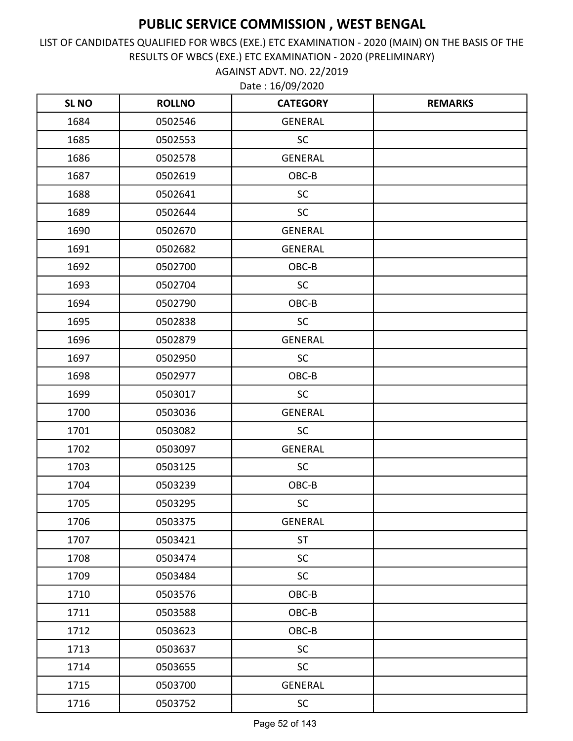AGAINST ADVT. NO. 22/2019 LIST OF CANDIDATES QUALIFIED FOR WBCS (EXE.) ETC EXAMINATION - 2020 (MAIN) ON THE BASIS OF THE RESULTS OF WBCS (EXE.) ETC EXAMINATION - 2020 (PRELIMINARY)

| <b>SL NO</b> | <b>ROLLNO</b> | <b>CATEGORY</b> | <b>REMARKS</b> |
|--------------|---------------|-----------------|----------------|
| 1684         | 0502546       | <b>GENERAL</b>  |                |
| 1685         | 0502553       | <b>SC</b>       |                |
| 1686         | 0502578       | <b>GENERAL</b>  |                |
| 1687         | 0502619       | OBC-B           |                |
| 1688         | 0502641       | <b>SC</b>       |                |
| 1689         | 0502644       | <b>SC</b>       |                |
| 1690         | 0502670       | <b>GENERAL</b>  |                |
| 1691         | 0502682       | <b>GENERAL</b>  |                |
| 1692         | 0502700       | OBC-B           |                |
| 1693         | 0502704       | <b>SC</b>       |                |
| 1694         | 0502790       | OBC-B           |                |
| 1695         | 0502838       | <b>SC</b>       |                |
| 1696         | 0502879       | <b>GENERAL</b>  |                |
| 1697         | 0502950       | <b>SC</b>       |                |
| 1698         | 0502977       | OBC-B           |                |
| 1699         | 0503017       | SC              |                |
| 1700         | 0503036       | <b>GENERAL</b>  |                |
| 1701         | 0503082       | <b>SC</b>       |                |
| 1702         | 0503097       | <b>GENERAL</b>  |                |
| 1703         | 0503125       | SC              |                |
| 1704         | 0503239       | OBC-B           |                |
| 1705         | 0503295       | SC              |                |
| 1706         | 0503375       | <b>GENERAL</b>  |                |
| 1707         | 0503421       | <b>ST</b>       |                |
| 1708         | 0503474       | SC              |                |
| 1709         | 0503484       | SC              |                |
| 1710         | 0503576       | OBC-B           |                |
| 1711         | 0503588       | OBC-B           |                |
| 1712         | 0503623       | OBC-B           |                |
| 1713         | 0503637       | SC              |                |
| 1714         | 0503655       | <b>SC</b>       |                |
| 1715         | 0503700       | <b>GENERAL</b>  |                |
| 1716         | 0503752       | $\sf SC$        |                |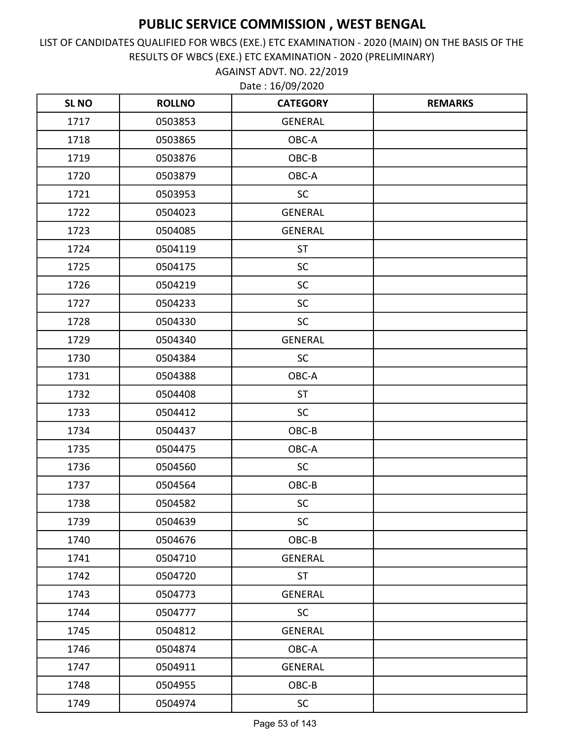AGAINST ADVT. NO. 22/2019 LIST OF CANDIDATES QUALIFIED FOR WBCS (EXE.) ETC EXAMINATION - 2020 (MAIN) ON THE BASIS OF THE RESULTS OF WBCS (EXE.) ETC EXAMINATION - 2020 (PRELIMINARY)

| <b>SL NO</b> | <b>ROLLNO</b> | <b>CATEGORY</b> | <b>REMARKS</b> |
|--------------|---------------|-----------------|----------------|
| 1717         | 0503853       | <b>GENERAL</b>  |                |
| 1718         | 0503865       | OBC-A           |                |
| 1719         | 0503876       | OBC-B           |                |
| 1720         | 0503879       | OBC-A           |                |
| 1721         | 0503953       | SC              |                |
| 1722         | 0504023       | <b>GENERAL</b>  |                |
| 1723         | 0504085       | <b>GENERAL</b>  |                |
| 1724         | 0504119       | <b>ST</b>       |                |
| 1725         | 0504175       | SC              |                |
| 1726         | 0504219       | SC              |                |
| 1727         | 0504233       | <b>SC</b>       |                |
| 1728         | 0504330       | SC              |                |
| 1729         | 0504340       | <b>GENERAL</b>  |                |
| 1730         | 0504384       | <b>SC</b>       |                |
| 1731         | 0504388       | OBC-A           |                |
| 1732         | 0504408       | <b>ST</b>       |                |
| 1733         | 0504412       | SC              |                |
| 1734         | 0504437       | OBC-B           |                |
| 1735         | 0504475       | OBC-A           |                |
| 1736         | 0504560       | SC              |                |
| 1737         | 0504564       | OBC-B           |                |
| 1738         | 0504582       | SC              |                |
| 1739         | 0504639       | SC              |                |
| 1740         | 0504676       | OBC-B           |                |
| 1741         | 0504710       | <b>GENERAL</b>  |                |
| 1742         | 0504720       | <b>ST</b>       |                |
| 1743         | 0504773       | <b>GENERAL</b>  |                |
| 1744         | 0504777       | <b>SC</b>       |                |
| 1745         | 0504812       | <b>GENERAL</b>  |                |
| 1746         | 0504874       | OBC-A           |                |
| 1747         | 0504911       | <b>GENERAL</b>  |                |
| 1748         | 0504955       | OBC-B           |                |
| 1749         | 0504974       | SC              |                |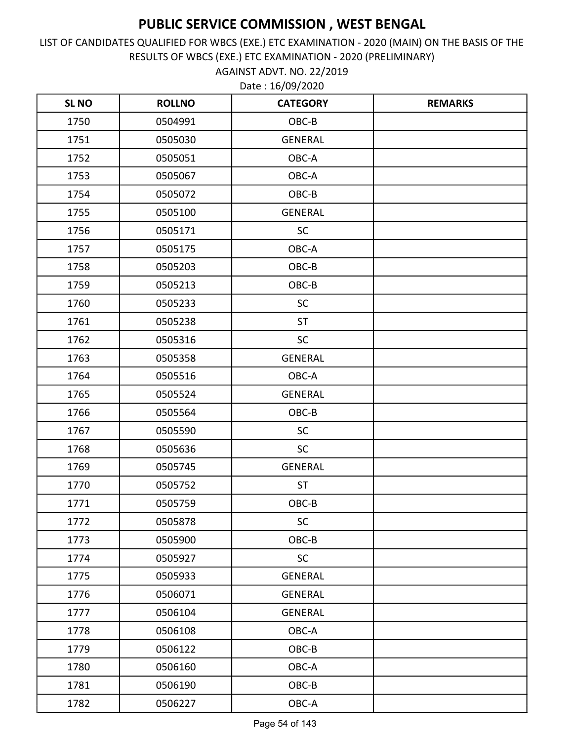AGAINST ADVT. NO. 22/2019 LIST OF CANDIDATES QUALIFIED FOR WBCS (EXE.) ETC EXAMINATION - 2020 (MAIN) ON THE BASIS OF THE RESULTS OF WBCS (EXE.) ETC EXAMINATION - 2020 (PRELIMINARY)

| <b>SL NO</b> | <b>ROLLNO</b> | <b>CATEGORY</b> | <b>REMARKS</b> |
|--------------|---------------|-----------------|----------------|
| 1750         | 0504991       | OBC-B           |                |
| 1751         | 0505030       | <b>GENERAL</b>  |                |
| 1752         | 0505051       | OBC-A           |                |
| 1753         | 0505067       | OBC-A           |                |
| 1754         | 0505072       | OBC-B           |                |
| 1755         | 0505100       | <b>GENERAL</b>  |                |
| 1756         | 0505171       | <b>SC</b>       |                |
| 1757         | 0505175       | OBC-A           |                |
| 1758         | 0505203       | OBC-B           |                |
| 1759         | 0505213       | OBC-B           |                |
| 1760         | 0505233       | SC              |                |
| 1761         | 0505238       | <b>ST</b>       |                |
| 1762         | 0505316       | <b>SC</b>       |                |
| 1763         | 0505358       | <b>GENERAL</b>  |                |
| 1764         | 0505516       | OBC-A           |                |
| 1765         | 0505524       | <b>GENERAL</b>  |                |
| 1766         | 0505564       | OBC-B           |                |
| 1767         | 0505590       | SC              |                |
| 1768         | 0505636       | <b>SC</b>       |                |
| 1769         | 0505745       | <b>GENERAL</b>  |                |
| 1770         | 0505752       | <b>ST</b>       |                |
| 1771         | 0505759       | OBC-B           |                |
| 1772         | 0505878       | SC              |                |
| 1773         | 0505900       | OBC-B           |                |
| 1774         | 0505927       | SC              |                |
| 1775         | 0505933       | <b>GENERAL</b>  |                |
| 1776         | 0506071       | <b>GENERAL</b>  |                |
| 1777         | 0506104       | GENERAL         |                |
| 1778         | 0506108       | OBC-A           |                |
| 1779         | 0506122       | OBC-B           |                |
| 1780         | 0506160       | OBC-A           |                |
| 1781         | 0506190       | OBC-B           |                |
| 1782         | 0506227       | OBC-A           |                |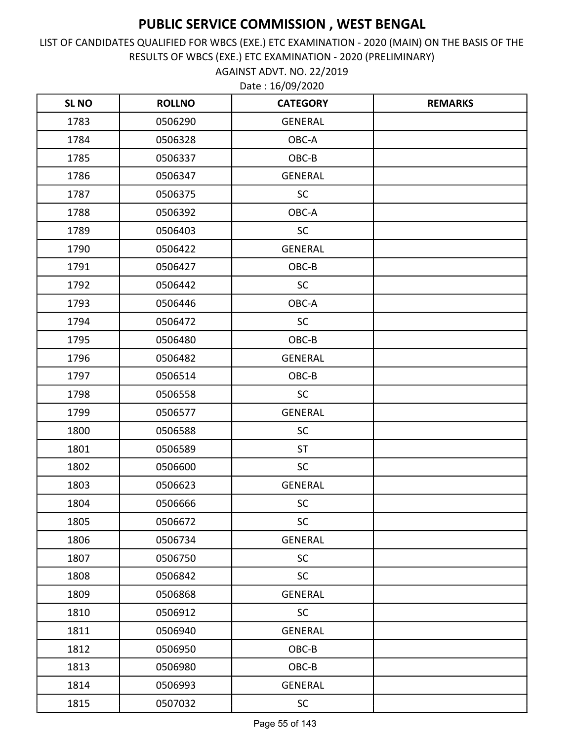AGAINST ADVT. NO. 22/2019 LIST OF CANDIDATES QUALIFIED FOR WBCS (EXE.) ETC EXAMINATION - 2020 (MAIN) ON THE BASIS OF THE RESULTS OF WBCS (EXE.) ETC EXAMINATION - 2020 (PRELIMINARY)

| <b>SL NO</b> | <b>ROLLNO</b> | <b>CATEGORY</b> | <b>REMARKS</b> |
|--------------|---------------|-----------------|----------------|
| 1783         | 0506290       | <b>GENERAL</b>  |                |
| 1784         | 0506328       | OBC-A           |                |
| 1785         | 0506337       | OBC-B           |                |
| 1786         | 0506347       | <b>GENERAL</b>  |                |
| 1787         | 0506375       | SC              |                |
| 1788         | 0506392       | OBC-A           |                |
| 1789         | 0506403       | <b>SC</b>       |                |
| 1790         | 0506422       | <b>GENERAL</b>  |                |
| 1791         | 0506427       | OBC-B           |                |
| 1792         | 0506442       | <b>SC</b>       |                |
| 1793         | 0506446       | OBC-A           |                |
| 1794         | 0506472       | SC              |                |
| 1795         | 0506480       | OBC-B           |                |
| 1796         | 0506482       | <b>GENERAL</b>  |                |
| 1797         | 0506514       | OBC-B           |                |
| 1798         | 0506558       | <b>SC</b>       |                |
| 1799         | 0506577       | <b>GENERAL</b>  |                |
| 1800         | 0506588       | SC              |                |
| 1801         | 0506589       | <b>ST</b>       |                |
| 1802         | 0506600       | SC              |                |
| 1803         | 0506623       | <b>GENERAL</b>  |                |
| 1804         | 0506666       | SC              |                |
| 1805         | 0506672       | <b>SC</b>       |                |
| 1806         | 0506734       | <b>GENERAL</b>  |                |
| 1807         | 0506750       | SC              |                |
| 1808         | 0506842       | SC              |                |
| 1809         | 0506868       | <b>GENERAL</b>  |                |
| 1810         | 0506912       | <b>SC</b>       |                |
| 1811         | 0506940       | <b>GENERAL</b>  |                |
| 1812         | 0506950       | OBC-B           |                |
| 1813         | 0506980       | OBC-B           |                |
| 1814         | 0506993       | GENERAL         |                |
| 1815         | 0507032       | SC              |                |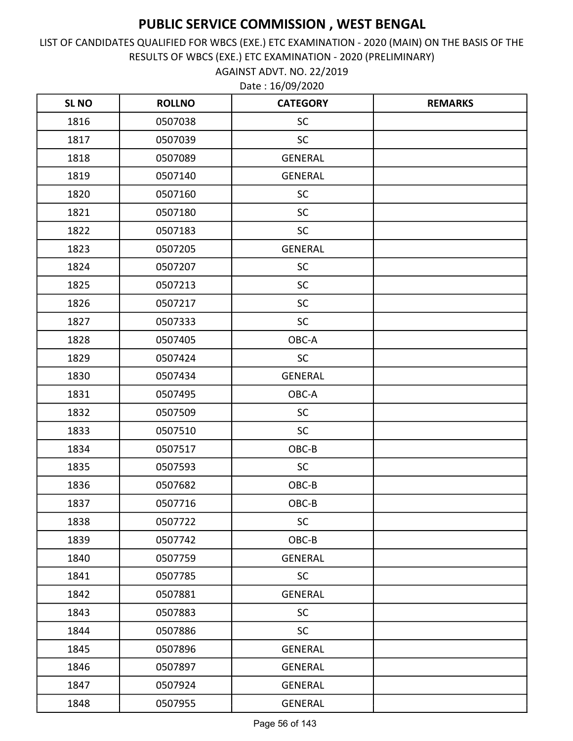AGAINST ADVT. NO. 22/2019 LIST OF CANDIDATES QUALIFIED FOR WBCS (EXE.) ETC EXAMINATION - 2020 (MAIN) ON THE BASIS OF THE RESULTS OF WBCS (EXE.) ETC EXAMINATION - 2020 (PRELIMINARY)

| <b>SL NO</b> | <b>ROLLNO</b> | <b>CATEGORY</b> | <b>REMARKS</b> |
|--------------|---------------|-----------------|----------------|
| 1816         | 0507038       | <b>SC</b>       |                |
| 1817         | 0507039       | <b>SC</b>       |                |
| 1818         | 0507089       | <b>GENERAL</b>  |                |
| 1819         | 0507140       | <b>GENERAL</b>  |                |
| 1820         | 0507160       | <b>SC</b>       |                |
| 1821         | 0507180       | <b>SC</b>       |                |
| 1822         | 0507183       | SC              |                |
| 1823         | 0507205       | <b>GENERAL</b>  |                |
| 1824         | 0507207       | <b>SC</b>       |                |
| 1825         | 0507213       | <b>SC</b>       |                |
| 1826         | 0507217       | <b>SC</b>       |                |
| 1827         | 0507333       | SC              |                |
| 1828         | 0507405       | OBC-A           |                |
| 1829         | 0507424       | <b>SC</b>       |                |
| 1830         | 0507434       | <b>GENERAL</b>  |                |
| 1831         | 0507495       | OBC-A           |                |
| 1832         | 0507509       | <b>SC</b>       |                |
| 1833         | 0507510       | <b>SC</b>       |                |
| 1834         | 0507517       | OBC-B           |                |
| 1835         | 0507593       | SC              |                |
| 1836         | 0507682       | OBC-B           |                |
| 1837         | 0507716       | OBC-B           |                |
| 1838         | 0507722       | SC              |                |
| 1839         | 0507742       | OBC-B           |                |
| 1840         | 0507759       | <b>GENERAL</b>  |                |
| 1841         | 0507785       | <b>SC</b>       |                |
| 1842         | 0507881       | <b>GENERAL</b>  |                |
| 1843         | 0507883       | <b>SC</b>       |                |
| 1844         | 0507886       | <b>SC</b>       |                |
| 1845         | 0507896       | <b>GENERAL</b>  |                |
| 1846         | 0507897       | <b>GENERAL</b>  |                |
| 1847         | 0507924       | <b>GENERAL</b>  |                |
| 1848         | 0507955       | <b>GENERAL</b>  |                |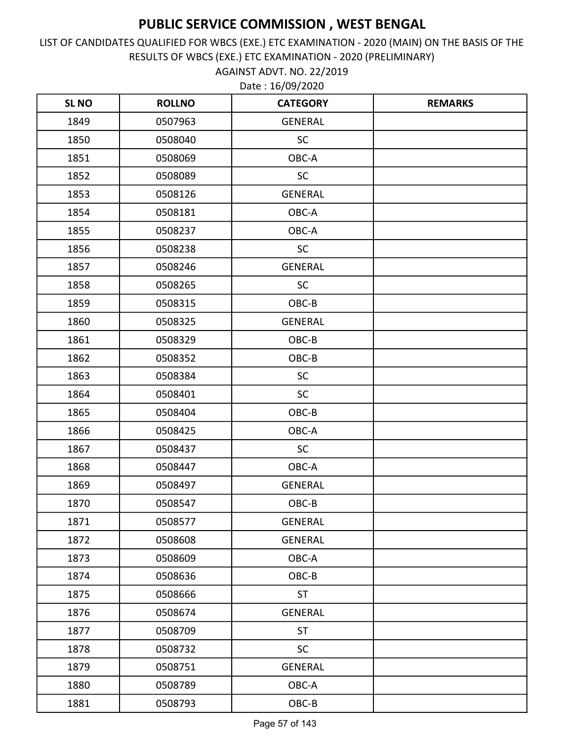AGAINST ADVT. NO. 22/2019 LIST OF CANDIDATES QUALIFIED FOR WBCS (EXE.) ETC EXAMINATION - 2020 (MAIN) ON THE BASIS OF THE RESULTS OF WBCS (EXE.) ETC EXAMINATION - 2020 (PRELIMINARY)

| <b>SLNO</b> | <b>ROLLNO</b> | <b>CATEGORY</b> | <b>REMARKS</b> |
|-------------|---------------|-----------------|----------------|
| 1849        | 0507963       | <b>GENERAL</b>  |                |
| 1850        | 0508040       | <b>SC</b>       |                |
| 1851        | 0508069       | OBC-A           |                |
| 1852        | 0508089       | SC              |                |
| 1853        | 0508126       | <b>GENERAL</b>  |                |
| 1854        | 0508181       | OBC-A           |                |
| 1855        | 0508237       | OBC-A           |                |
| 1856        | 0508238       | SC              |                |
| 1857        | 0508246       | <b>GENERAL</b>  |                |
| 1858        | 0508265       | <b>SC</b>       |                |
| 1859        | 0508315       | OBC-B           |                |
| 1860        | 0508325       | <b>GENERAL</b>  |                |
| 1861        | 0508329       | OBC-B           |                |
| 1862        | 0508352       | OBC-B           |                |
| 1863        | 0508384       | <b>SC</b>       |                |
| 1864        | 0508401       | SC              |                |
| 1865        | 0508404       | OBC-B           |                |
| 1866        | 0508425       | OBC-A           |                |
| 1867        | 0508437       | <b>SC</b>       |                |
| 1868        | 0508447       | OBC-A           |                |
| 1869        | 0508497       | <b>GENERAL</b>  |                |
| 1870        | 0508547       | OBC-B           |                |
| 1871        | 0508577       | <b>GENERAL</b>  |                |
| 1872        | 0508608       | <b>GENERAL</b>  |                |
| 1873        | 0508609       | OBC-A           |                |
| 1874        | 0508636       | OBC-B           |                |
| 1875        | 0508666       | <b>ST</b>       |                |
| 1876        | 0508674       | <b>GENERAL</b>  |                |
| 1877        | 0508709       | <b>ST</b>       |                |
| 1878        | 0508732       | SC              |                |
| 1879        | 0508751       | <b>GENERAL</b>  |                |
| 1880        | 0508789       | OBC-A           |                |
| 1881        | 0508793       | OBC-B           |                |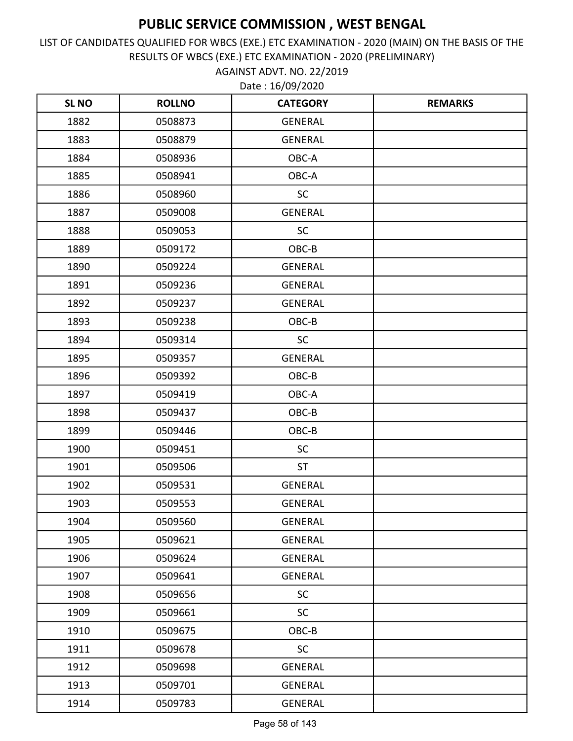AGAINST ADVT. NO. 22/2019 LIST OF CANDIDATES QUALIFIED FOR WBCS (EXE.) ETC EXAMINATION - 2020 (MAIN) ON THE BASIS OF THE RESULTS OF WBCS (EXE.) ETC EXAMINATION - 2020 (PRELIMINARY)

| <b>SLNO</b> | <b>ROLLNO</b> | <b>CATEGORY</b> | <b>REMARKS</b> |
|-------------|---------------|-----------------|----------------|
| 1882        | 0508873       | <b>GENERAL</b>  |                |
| 1883        | 0508879       | <b>GENERAL</b>  |                |
| 1884        | 0508936       | OBC-A           |                |
| 1885        | 0508941       | OBC-A           |                |
| 1886        | 0508960       | <b>SC</b>       |                |
| 1887        | 0509008       | <b>GENERAL</b>  |                |
| 1888        | 0509053       | <b>SC</b>       |                |
| 1889        | 0509172       | OBC-B           |                |
| 1890        | 0509224       | <b>GENERAL</b>  |                |
| 1891        | 0509236       | <b>GENERAL</b>  |                |
| 1892        | 0509237       | <b>GENERAL</b>  |                |
| 1893        | 0509238       | OBC-B           |                |
| 1894        | 0509314       | SC              |                |
| 1895        | 0509357       | <b>GENERAL</b>  |                |
| 1896        | 0509392       | OBC-B           |                |
| 1897        | 0509419       | OBC-A           |                |
| 1898        | 0509437       | OBC-B           |                |
| 1899        | 0509446       | OBC-B           |                |
| 1900        | 0509451       | <b>SC</b>       |                |
| 1901        | 0509506       | <b>ST</b>       |                |
| 1902        | 0509531       | <b>GENERAL</b>  |                |
| 1903        | 0509553       | <b>GENERAL</b>  |                |
| 1904        | 0509560       | <b>GENERAL</b>  |                |
| 1905        | 0509621       | <b>GENERAL</b>  |                |
| 1906        | 0509624       | <b>GENERAL</b>  |                |
| 1907        | 0509641       | <b>GENERAL</b>  |                |
| 1908        | 0509656       | <b>SC</b>       |                |
| 1909        | 0509661       | <b>SC</b>       |                |
| 1910        | 0509675       | OBC-B           |                |
| 1911        | 0509678       | <b>SC</b>       |                |
| 1912        | 0509698       | <b>GENERAL</b>  |                |
| 1913        | 0509701       | <b>GENERAL</b>  |                |
| 1914        | 0509783       | GENERAL         |                |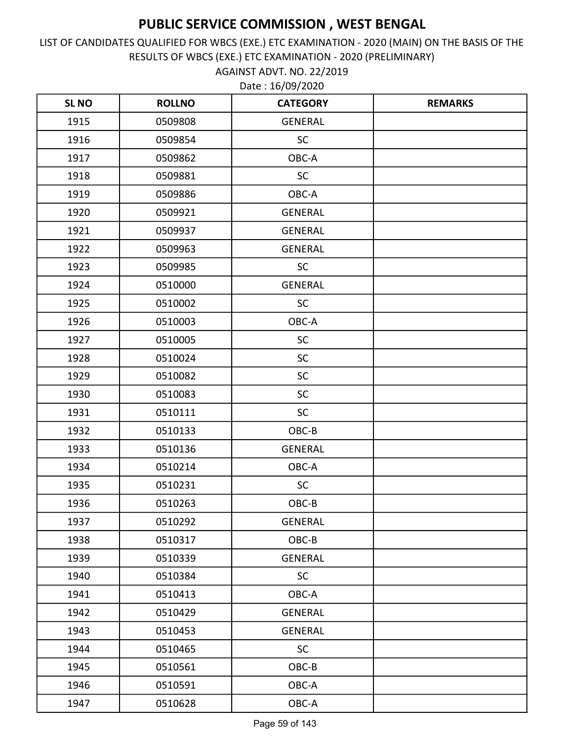AGAINST ADVT. NO. 22/2019 LIST OF CANDIDATES QUALIFIED FOR WBCS (EXE.) ETC EXAMINATION - 2020 (MAIN) ON THE BASIS OF THE RESULTS OF WBCS (EXE.) ETC EXAMINATION - 2020 (PRELIMINARY)

| <b>SLNO</b> | <b>ROLLNO</b> | <b>CATEGORY</b> | <b>REMARKS</b> |
|-------------|---------------|-----------------|----------------|
| 1915        | 0509808       | <b>GENERAL</b>  |                |
| 1916        | 0509854       | <b>SC</b>       |                |
| 1917        | 0509862       | OBC-A           |                |
| 1918        | 0509881       | SC              |                |
| 1919        | 0509886       | OBC-A           |                |
| 1920        | 0509921       | <b>GENERAL</b>  |                |
| 1921        | 0509937       | <b>GENERAL</b>  |                |
| 1922        | 0509963       | <b>GENERAL</b>  |                |
| 1923        | 0509985       | SC              |                |
| 1924        | 0510000       | <b>GENERAL</b>  |                |
| 1925        | 0510002       | <b>SC</b>       |                |
| 1926        | 0510003       | OBC-A           |                |
| 1927        | 0510005       | SC              |                |
| 1928        | 0510024       | SC              |                |
| 1929        | 0510082       | <b>SC</b>       |                |
| 1930        | 0510083       | SC              |                |
| 1931        | 0510111       | SC              |                |
| 1932        | 0510133       | OBC-B           |                |
| 1933        | 0510136       | <b>GENERAL</b>  |                |
| 1934        | 0510214       | OBC-A           |                |
| 1935        | 0510231       | SC              |                |
| 1936        | 0510263       | OBC-B           |                |
| 1937        | 0510292       | GENERAL         |                |
| 1938        | 0510317       | OBC-B           |                |
| 1939        | 0510339       | <b>GENERAL</b>  |                |
| 1940        | 0510384       | SC              |                |
| 1941        | 0510413       | OBC-A           |                |
| 1942        | 0510429       | GENERAL         |                |
| 1943        | 0510453       | <b>GENERAL</b>  |                |
| 1944        | 0510465       | SC              |                |
| 1945        | 0510561       | OBC-B           |                |
| 1946        | 0510591       | OBC-A           |                |
| 1947        | 0510628       | OBC-A           |                |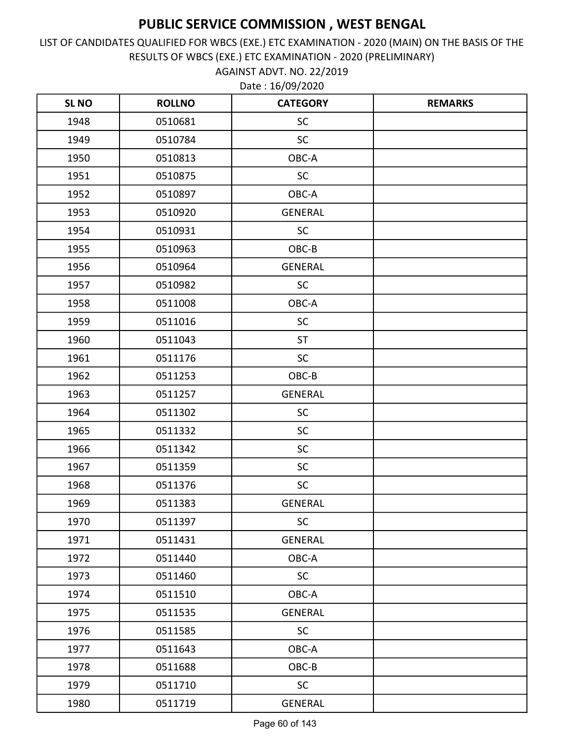AGAINST ADVT. NO. 22/2019 LIST OF CANDIDATES QUALIFIED FOR WBCS (EXE.) ETC EXAMINATION - 2020 (MAIN) ON THE BASIS OF THE RESULTS OF WBCS (EXE.) ETC EXAMINATION - 2020 (PRELIMINARY)

| <b>SLNO</b> | <b>ROLLNO</b> | <b>CATEGORY</b> | <b>REMARKS</b> |
|-------------|---------------|-----------------|----------------|
| 1948        | 0510681       | <b>SC</b>       |                |
| 1949        | 0510784       | <b>SC</b>       |                |
| 1950        | 0510813       | OBC-A           |                |
| 1951        | 0510875       | SC              |                |
| 1952        | 0510897       | OBC-A           |                |
| 1953        | 0510920       | <b>GENERAL</b>  |                |
| 1954        | 0510931       | SC              |                |
| 1955        | 0510963       | OBC-B           |                |
| 1956        | 0510964       | <b>GENERAL</b>  |                |
| 1957        | 0510982       | <b>SC</b>       |                |
| 1958        | 0511008       | OBC-A           |                |
| 1959        | 0511016       | SC              |                |
| 1960        | 0511043       | <b>ST</b>       |                |
| 1961        | 0511176       | <b>SC</b>       |                |
| 1962        | 0511253       | OBC-B           |                |
| 1963        | 0511257       | <b>GENERAL</b>  |                |
| 1964        | 0511302       | SC              |                |
| 1965        | 0511332       | <b>SC</b>       |                |
| 1966        | 0511342       | SC              |                |
| 1967        | 0511359       | SC              |                |
| 1968        | 0511376       | SC              |                |
| 1969        | 0511383       | <b>GENERAL</b>  |                |
| 1970        | 0511397       | SC              |                |
| 1971        | 0511431       | <b>GENERAL</b>  |                |
| 1972        | 0511440       | OBC-A           |                |
| 1973        | 0511460       | <b>SC</b>       |                |
| 1974        | 0511510       | OBC-A           |                |
| 1975        | 0511535       | <b>GENERAL</b>  |                |
| 1976        | 0511585       | SC              |                |
| 1977        | 0511643       | OBC-A           |                |
| 1978        | 0511688       | OBC-B           |                |
| 1979        | 0511710       | SC              |                |
| 1980        | 0511719       | <b>GENERAL</b>  |                |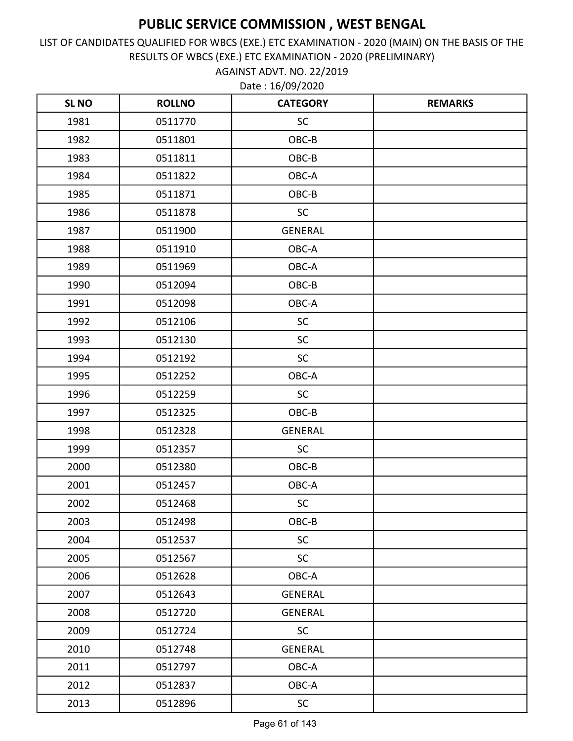AGAINST ADVT. NO. 22/2019 LIST OF CANDIDATES QUALIFIED FOR WBCS (EXE.) ETC EXAMINATION - 2020 (MAIN) ON THE BASIS OF THE RESULTS OF WBCS (EXE.) ETC EXAMINATION - 2020 (PRELIMINARY)

| <b>SLNO</b> | <b>ROLLNO</b> | <b>CATEGORY</b> | <b>REMARKS</b> |
|-------------|---------------|-----------------|----------------|
| 1981        | 0511770       | <b>SC</b>       |                |
| 1982        | 0511801       | OBC-B           |                |
| 1983        | 0511811       | OBC-B           |                |
| 1984        | 0511822       | OBC-A           |                |
| 1985        | 0511871       | OBC-B           |                |
| 1986        | 0511878       | <b>SC</b>       |                |
| 1987        | 0511900       | <b>GENERAL</b>  |                |
| 1988        | 0511910       | OBC-A           |                |
| 1989        | 0511969       | OBC-A           |                |
| 1990        | 0512094       | OBC-B           |                |
| 1991        | 0512098       | OBC-A           |                |
| 1992        | 0512106       | SC              |                |
| 1993        | 0512130       | SC              |                |
| 1994        | 0512192       | <b>SC</b>       |                |
| 1995        | 0512252       | OBC-A           |                |
| 1996        | 0512259       | <b>SC</b>       |                |
| 1997        | 0512325       | OBC-B           |                |
| 1998        | 0512328       | <b>GENERAL</b>  |                |
| 1999        | 0512357       | <b>SC</b>       |                |
| 2000        | 0512380       | OBC-B           |                |
| 2001        | 0512457       | OBC-A           |                |
| 2002        | 0512468       | SC              |                |
| 2003        | 0512498       | OBC-B           |                |
| 2004        | 0512537       | SC              |                |
| 2005        | 0512567       | <b>SC</b>       |                |
| 2006        | 0512628       | OBC-A           |                |
| 2007        | 0512643       | <b>GENERAL</b>  |                |
| 2008        | 0512720       | <b>GENERAL</b>  |                |
| 2009        | 0512724       | <b>SC</b>       |                |
| 2010        | 0512748       | <b>GENERAL</b>  |                |
| 2011        | 0512797       | OBC-A           |                |
| 2012        | 0512837       | OBC-A           |                |
| 2013        | 0512896       | $\sf SC$        |                |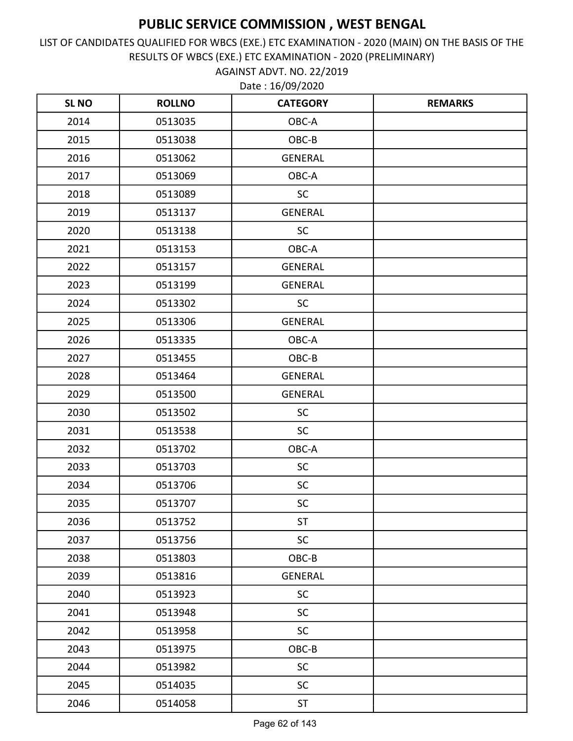AGAINST ADVT. NO. 22/2019 LIST OF CANDIDATES QUALIFIED FOR WBCS (EXE.) ETC EXAMINATION - 2020 (MAIN) ON THE BASIS OF THE RESULTS OF WBCS (EXE.) ETC EXAMINATION - 2020 (PRELIMINARY)

| <b>SL NO</b> | <b>ROLLNO</b> | <b>CATEGORY</b> | <b>REMARKS</b> |
|--------------|---------------|-----------------|----------------|
| 2014         | 0513035       | OBC-A           |                |
| 2015         | 0513038       | OBC-B           |                |
| 2016         | 0513062       | <b>GENERAL</b>  |                |
| 2017         | 0513069       | OBC-A           |                |
| 2018         | 0513089       | <b>SC</b>       |                |
| 2019         | 0513137       | GENERAL         |                |
| 2020         | 0513138       | <b>SC</b>       |                |
| 2021         | 0513153       | OBC-A           |                |
| 2022         | 0513157       | <b>GENERAL</b>  |                |
| 2023         | 0513199       | <b>GENERAL</b>  |                |
| 2024         | 0513302       | <b>SC</b>       |                |
| 2025         | 0513306       | <b>GENERAL</b>  |                |
| 2026         | 0513335       | OBC-A           |                |
| 2027         | 0513455       | OBC-B           |                |
| 2028         | 0513464       | <b>GENERAL</b>  |                |
| 2029         | 0513500       | <b>GENERAL</b>  |                |
| 2030         | 0513502       | <b>SC</b>       |                |
| 2031         | 0513538       | <b>SC</b>       |                |
| 2032         | 0513702       | OBC-A           |                |
| 2033         | 0513703       | SC              |                |
| 2034         | 0513706       | <b>SC</b>       |                |
| 2035         | 0513707       | SC              |                |
| 2036         | 0513752       | <b>ST</b>       |                |
| 2037         | 0513756       | <b>SC</b>       |                |
| 2038         | 0513803       | OBC-B           |                |
| 2039         | 0513816       | <b>GENERAL</b>  |                |
| 2040         | 0513923       | <b>SC</b>       |                |
| 2041         | 0513948       | <b>SC</b>       |                |
| 2042         | 0513958       | <b>SC</b>       |                |
| 2043         | 0513975       | OBC-B           |                |
| 2044         | 0513982       | <b>SC</b>       |                |
| 2045         | 0514035       | <b>SC</b>       |                |
| 2046         | 0514058       | <b>ST</b>       |                |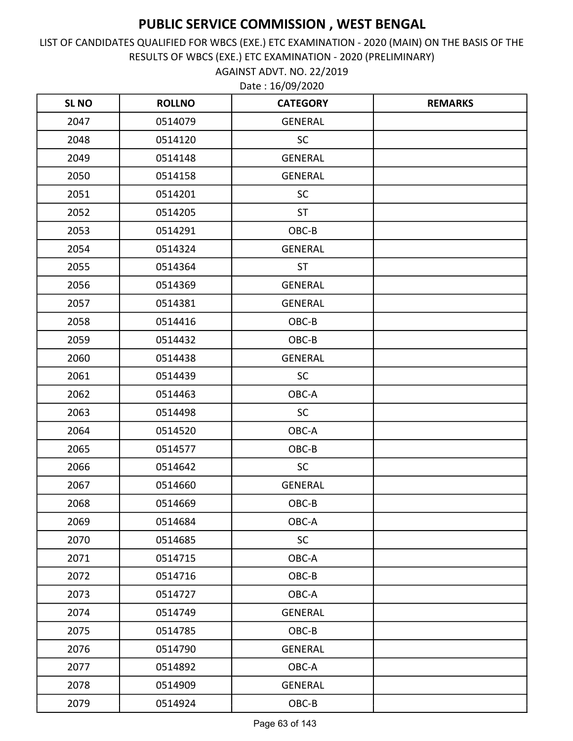AGAINST ADVT. NO. 22/2019 LIST OF CANDIDATES QUALIFIED FOR WBCS (EXE.) ETC EXAMINATION - 2020 (MAIN) ON THE BASIS OF THE RESULTS OF WBCS (EXE.) ETC EXAMINATION - 2020 (PRELIMINARY)

| <b>SLNO</b> | <b>ROLLNO</b> | <b>CATEGORY</b> | <b>REMARKS</b> |
|-------------|---------------|-----------------|----------------|
| 2047        | 0514079       | <b>GENERAL</b>  |                |
| 2048        | 0514120       | <b>SC</b>       |                |
| 2049        | 0514148       | <b>GENERAL</b>  |                |
| 2050        | 0514158       | <b>GENERAL</b>  |                |
| 2051        | 0514201       | <b>SC</b>       |                |
| 2052        | 0514205       | <b>ST</b>       |                |
| 2053        | 0514291       | OBC-B           |                |
| 2054        | 0514324       | <b>GENERAL</b>  |                |
| 2055        | 0514364       | <b>ST</b>       |                |
| 2056        | 0514369       | <b>GENERAL</b>  |                |
| 2057        | 0514381       | <b>GENERAL</b>  |                |
| 2058        | 0514416       | OBC-B           |                |
| 2059        | 0514432       | OBC-B           |                |
| 2060        | 0514438       | <b>GENERAL</b>  |                |
| 2061        | 0514439       | <b>SC</b>       |                |
| 2062        | 0514463       | OBC-A           |                |
| 2063        | 0514498       | SC              |                |
| 2064        | 0514520       | OBC-A           |                |
| 2065        | 0514577       | OBC-B           |                |
| 2066        | 0514642       | SC              |                |
| 2067        | 0514660       | <b>GENERAL</b>  |                |
| 2068        | 0514669       | OBC-B           |                |
| 2069        | 0514684       | OBC-A           |                |
| 2070        | 0514685       | SC              |                |
| 2071        | 0514715       | OBC-A           |                |
| 2072        | 0514716       | OBC-B           |                |
| 2073        | 0514727       | OBC-A           |                |
| 2074        | 0514749       | <b>GENERAL</b>  |                |
| 2075        | 0514785       | OBC-B           |                |
| 2076        | 0514790       | <b>GENERAL</b>  |                |
| 2077        | 0514892       | OBC-A           |                |
| 2078        | 0514909       | GENERAL         |                |
| 2079        | 0514924       | $OBC-B$         |                |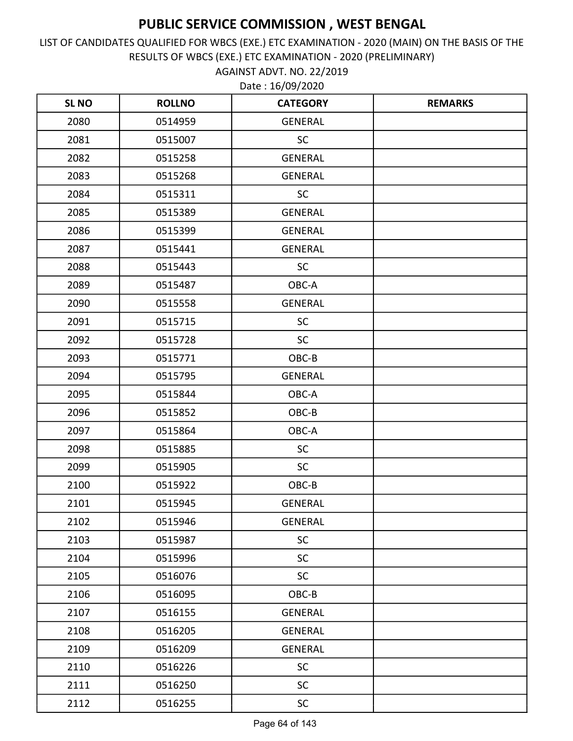AGAINST ADVT. NO. 22/2019 LIST OF CANDIDATES QUALIFIED FOR WBCS (EXE.) ETC EXAMINATION - 2020 (MAIN) ON THE BASIS OF THE RESULTS OF WBCS (EXE.) ETC EXAMINATION - 2020 (PRELIMINARY)

| <b>SL NO</b> | <b>ROLLNO</b> | <b>CATEGORY</b> | <b>REMARKS</b> |
|--------------|---------------|-----------------|----------------|
| 2080         | 0514959       | <b>GENERAL</b>  |                |
| 2081         | 0515007       | <b>SC</b>       |                |
| 2082         | 0515258       | <b>GENERAL</b>  |                |
| 2083         | 0515268       | <b>GENERAL</b>  |                |
| 2084         | 0515311       | <b>SC</b>       |                |
| 2085         | 0515389       | <b>GENERAL</b>  |                |
| 2086         | 0515399       | <b>GENERAL</b>  |                |
| 2087         | 0515441       | <b>GENERAL</b>  |                |
| 2088         | 0515443       | <b>SC</b>       |                |
| 2089         | 0515487       | OBC-A           |                |
| 2090         | 0515558       | <b>GENERAL</b>  |                |
| 2091         | 0515715       | <b>SC</b>       |                |
| 2092         | 0515728       | <b>SC</b>       |                |
| 2093         | 0515771       | OBC-B           |                |
| 2094         | 0515795       | <b>GENERAL</b>  |                |
| 2095         | 0515844       | OBC-A           |                |
| 2096         | 0515852       | OBC-B           |                |
| 2097         | 0515864       | OBC-A           |                |
| 2098         | 0515885       | <b>SC</b>       |                |
| 2099         | 0515905       | <b>SC</b>       |                |
| 2100         | 0515922       | OBC-B           |                |
| 2101         | 0515945       | <b>GENERAL</b>  |                |
| 2102         | 0515946       | <b>GENERAL</b>  |                |
| 2103         | 0515987       | SC              |                |
| 2104         | 0515996       | <b>SC</b>       |                |
| 2105         | 0516076       | <b>SC</b>       |                |
| 2106         | 0516095       | OBC-B           |                |
| 2107         | 0516155       | <b>GENERAL</b>  |                |
| 2108         | 0516205       | GENERAL         |                |
| 2109         | 0516209       | <b>GENERAL</b>  |                |
| 2110         | 0516226       | <b>SC</b>       |                |
| 2111         | 0516250       | <b>SC</b>       |                |
| 2112         | 0516255       | <b>SC</b>       |                |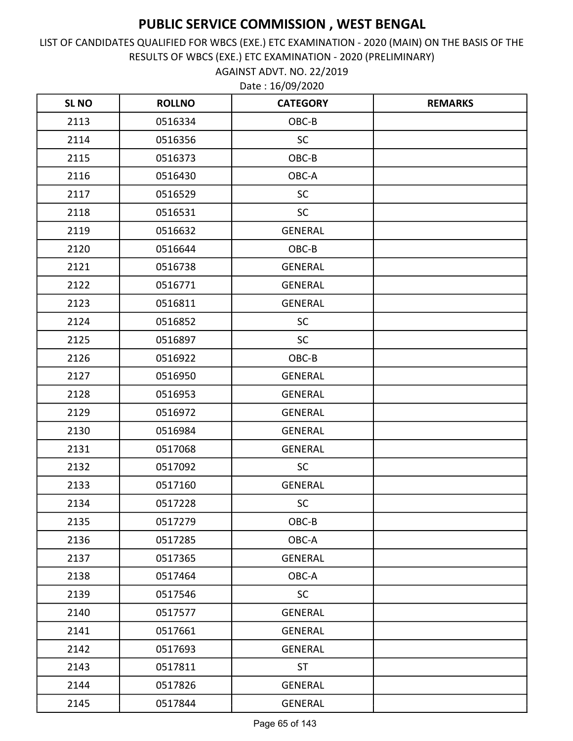AGAINST ADVT. NO. 22/2019 LIST OF CANDIDATES QUALIFIED FOR WBCS (EXE.) ETC EXAMINATION - 2020 (MAIN) ON THE BASIS OF THE RESULTS OF WBCS (EXE.) ETC EXAMINATION - 2020 (PRELIMINARY)

| <b>SLNO</b> | <b>ROLLNO</b> | <b>CATEGORY</b> | <b>REMARKS</b> |
|-------------|---------------|-----------------|----------------|
| 2113        | 0516334       | OBC-B           |                |
| 2114        | 0516356       | SC              |                |
| 2115        | 0516373       | OBC-B           |                |
| 2116        | 0516430       | OBC-A           |                |
| 2117        | 0516529       | <b>SC</b>       |                |
| 2118        | 0516531       | <b>SC</b>       |                |
| 2119        | 0516632       | <b>GENERAL</b>  |                |
| 2120        | 0516644       | OBC-B           |                |
| 2121        | 0516738       | <b>GENERAL</b>  |                |
| 2122        | 0516771       | <b>GENERAL</b>  |                |
| 2123        | 0516811       | <b>GENERAL</b>  |                |
| 2124        | 0516852       | <b>SC</b>       |                |
| 2125        | 0516897       | <b>SC</b>       |                |
| 2126        | 0516922       | OBC-B           |                |
| 2127        | 0516950       | <b>GENERAL</b>  |                |
| 2128        | 0516953       | <b>GENERAL</b>  |                |
| 2129        | 0516972       | <b>GENERAL</b>  |                |
| 2130        | 0516984       | <b>GENERAL</b>  |                |
| 2131        | 0517068       | <b>GENERAL</b>  |                |
| 2132        | 0517092       | SC              |                |
| 2133        | 0517160       | <b>GENERAL</b>  |                |
| 2134        | 0517228       | <b>SC</b>       |                |
| 2135        | 0517279       | OBC-B           |                |
| 2136        | 0517285       | OBC-A           |                |
| 2137        | 0517365       | <b>GENERAL</b>  |                |
| 2138        | 0517464       | OBC-A           |                |
| 2139        | 0517546       | <b>SC</b>       |                |
| 2140        | 0517577       | <b>GENERAL</b>  |                |
| 2141        | 0517661       | GENERAL         |                |
| 2142        | 0517693       | <b>GENERAL</b>  |                |
| 2143        | 0517811       | <b>ST</b>       |                |
| 2144        | 0517826       | <b>GENERAL</b>  |                |
| 2145        | 0517844       | <b>GENERAL</b>  |                |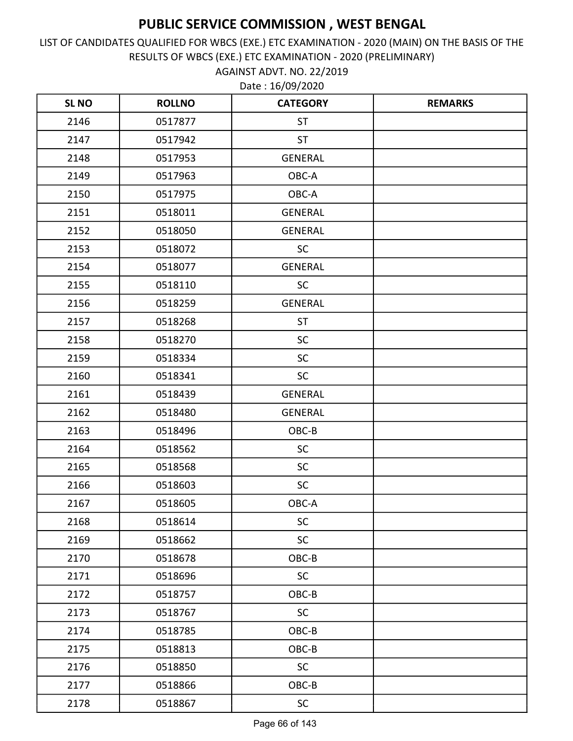LIST OF CANDIDATES QUALIFIED FOR WBCS (EXE.) ETC EXAMINATION - 2020 (MAIN) ON THE BASIS OF THE RESULTS OF WBCS (EXE.) ETC EXAMINATION - 2020 (PRELIMINARY)

Date : 16/09/2020 AGAINST ADVT. NO. 22/2019

| <b>SLNO</b> | <b>ROLLNO</b> | <b>CATEGORY</b> | <b>REMARKS</b> |
|-------------|---------------|-----------------|----------------|
| 2146        | 0517877       | <b>ST</b>       |                |
| 2147        | 0517942       | <b>ST</b>       |                |
| 2148        | 0517953       | <b>GENERAL</b>  |                |
| 2149        | 0517963       | OBC-A           |                |
| 2150        | 0517975       | OBC-A           |                |
| 2151        | 0518011       | <b>GENERAL</b>  |                |
| 2152        | 0518050       | GENERAL         |                |
| 2153        | 0518072       | <b>SC</b>       |                |
| 2154        | 0518077       | <b>GENERAL</b>  |                |
| 2155        | 0518110       | <b>SC</b>       |                |
| 2156        | 0518259       | <b>GENERAL</b>  |                |
| 2157        | 0518268       | <b>ST</b>       |                |
| 2158        | 0518270       | <b>SC</b>       |                |
| 2159        | 0518334       | <b>SC</b>       |                |
| 2160        | 0518341       | SC              |                |
| 2161        | 0518439       | <b>GENERAL</b>  |                |
| 2162        | 0518480       | <b>GENERAL</b>  |                |
| 2163        | 0518496       | OBC-B           |                |
| 2164        | 0518562       | SC              |                |
| 2165        | 0518568       | SC              |                |
| 2166        | 0518603       | <b>SC</b>       |                |
| 2167        | 0518605       | OBC-A           |                |
| 2168        | 0518614       | SC              |                |
| 2169        | 0518662       | <b>SC</b>       |                |
| 2170        | 0518678       | OBC-B           |                |
| 2171        | 0518696       | <b>SC</b>       |                |
| 2172        | 0518757       | OBC-B           |                |
| 2173        | 0518767       | <b>SC</b>       |                |
| 2174        | 0518785       | OBC-B           |                |
| 2175        | 0518813       | OBC-B           |                |
| 2176        | 0518850       | SC              |                |
| 2177        | 0518866       | OBC-B           |                |
| 2178        | 0518867       | $\sf SC$        |                |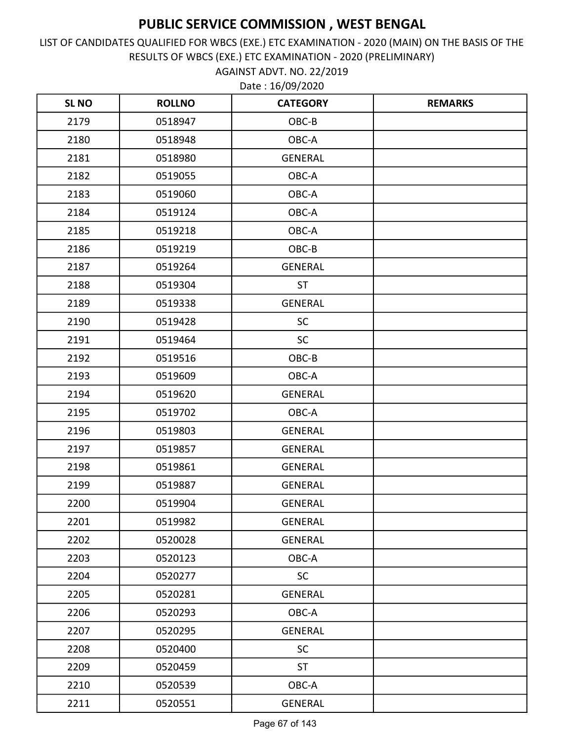AGAINST ADVT. NO. 22/2019 LIST OF CANDIDATES QUALIFIED FOR WBCS (EXE.) ETC EXAMINATION - 2020 (MAIN) ON THE BASIS OF THE RESULTS OF WBCS (EXE.) ETC EXAMINATION - 2020 (PRELIMINARY)

| SL <sub>NO</sub> | <b>ROLLNO</b> | <b>CATEGORY</b> | <b>REMARKS</b> |
|------------------|---------------|-----------------|----------------|
| 2179             | 0518947       | OBC-B           |                |
| 2180             | 0518948       | OBC-A           |                |
| 2181             | 0518980       | <b>GENERAL</b>  |                |
| 2182             | 0519055       | OBC-A           |                |
| 2183             | 0519060       | OBC-A           |                |
| 2184             | 0519124       | OBC-A           |                |
| 2185             | 0519218       | OBC-A           |                |
| 2186             | 0519219       | OBC-B           |                |
| 2187             | 0519264       | <b>GENERAL</b>  |                |
| 2188             | 0519304       | <b>ST</b>       |                |
| 2189             | 0519338       | <b>GENERAL</b>  |                |
| 2190             | 0519428       | <b>SC</b>       |                |
| 2191             | 0519464       | SC              |                |
| 2192             | 0519516       | OBC-B           |                |
| 2193             | 0519609       | OBC-A           |                |
| 2194             | 0519620       | <b>GENERAL</b>  |                |
| 2195             | 0519702       | OBC-A           |                |
| 2196             | 0519803       | <b>GENERAL</b>  |                |
| 2197             | 0519857       | <b>GENERAL</b>  |                |
| 2198             | 0519861       | <b>GENERAL</b>  |                |
| 2199             | 0519887       | <b>GENERAL</b>  |                |
| 2200             | 0519904       | <b>GENERAL</b>  |                |
| 2201             | 0519982       | GENERAL         |                |
| 2202             | 0520028       | <b>GENERAL</b>  |                |
| 2203             | 0520123       | OBC-A           |                |
| 2204             | 0520277       | <b>SC</b>       |                |
| 2205             | 0520281       | <b>GENERAL</b>  |                |
| 2206             | 0520293       | OBC-A           |                |
| 2207             | 0520295       | <b>GENERAL</b>  |                |
| 2208             | 0520400       | <b>SC</b>       |                |
| 2209             | 0520459       | <b>ST</b>       |                |
| 2210             | 0520539       | OBC-A           |                |
| 2211             | 0520551       | <b>GENERAL</b>  |                |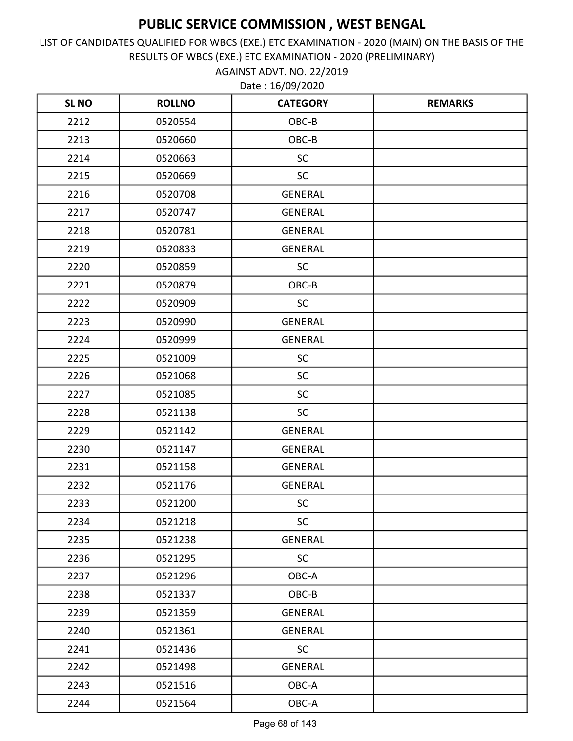AGAINST ADVT. NO. 22/2019 LIST OF CANDIDATES QUALIFIED FOR WBCS (EXE.) ETC EXAMINATION - 2020 (MAIN) ON THE BASIS OF THE RESULTS OF WBCS (EXE.) ETC EXAMINATION - 2020 (PRELIMINARY)

| <b>SLNO</b> | <b>ROLLNO</b> | <b>CATEGORY</b> | <b>REMARKS</b> |
|-------------|---------------|-----------------|----------------|
| 2212        | 0520554       | OBC-B           |                |
| 2213        | 0520660       | OBC-B           |                |
| 2214        | 0520663       | <b>SC</b>       |                |
| 2215        | 0520669       | SC              |                |
| 2216        | 0520708       | <b>GENERAL</b>  |                |
| 2217        | 0520747       | <b>GENERAL</b>  |                |
| 2218        | 0520781       | <b>GENERAL</b>  |                |
| 2219        | 0520833       | <b>GENERAL</b>  |                |
| 2220        | 0520859       | <b>SC</b>       |                |
| 2221        | 0520879       | OBC-B           |                |
| 2222        | 0520909       | <b>SC</b>       |                |
| 2223        | 0520990       | <b>GENERAL</b>  |                |
| 2224        | 0520999       | <b>GENERAL</b>  |                |
| 2225        | 0521009       | <b>SC</b>       |                |
| 2226        | 0521068       | <b>SC</b>       |                |
| 2227        | 0521085       | SC              |                |
| 2228        | 0521138       | SC              |                |
| 2229        | 0521142       | <b>GENERAL</b>  |                |
| 2230        | 0521147       | <b>GENERAL</b>  |                |
| 2231        | 0521158       | <b>GENERAL</b>  |                |
| 2232        | 0521176       | <b>GENERAL</b>  |                |
| 2233        | 0521200       | <b>SC</b>       |                |
| 2234        | 0521218       | <b>SC</b>       |                |
| 2235        | 0521238       | <b>GENERAL</b>  |                |
| 2236        | 0521295       | SC              |                |
| 2237        | 0521296       | OBC-A           |                |
| 2238        | 0521337       | OBC-B           |                |
| 2239        | 0521359       | <b>GENERAL</b>  |                |
| 2240        | 0521361       | <b>GENERAL</b>  |                |
| 2241        | 0521436       | <b>SC</b>       |                |
| 2242        | 0521498       | <b>GENERAL</b>  |                |
| 2243        | 0521516       | OBC-A           |                |
| 2244        | 0521564       | OBC-A           |                |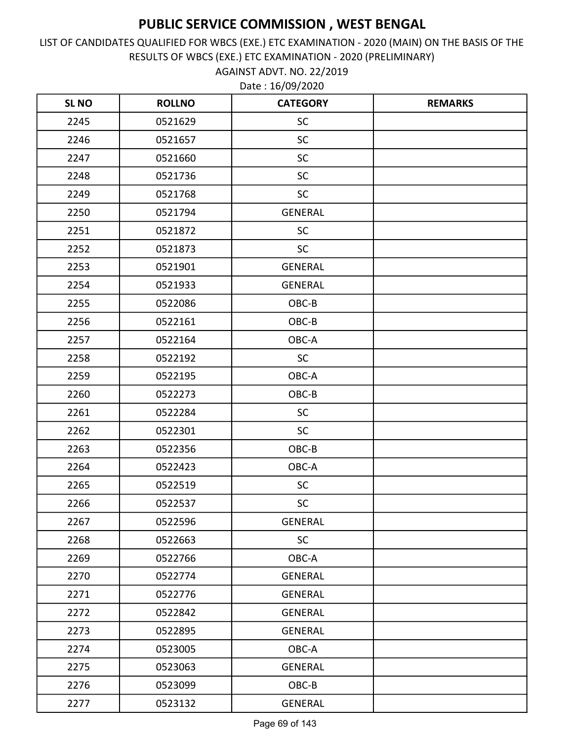LIST OF CANDIDATES QUALIFIED FOR WBCS (EXE.) ETC EXAMINATION - 2020 (MAIN) ON THE BASIS OF THE RESULTS OF WBCS (EXE.) ETC EXAMINATION - 2020 (PRELIMINARY)

Date : 16/09/2020 AGAINST ADVT. NO. 22/2019

| <b>SLNO</b> | <b>ROLLNO</b> | <b>CATEGORY</b> | <b>REMARKS</b> |
|-------------|---------------|-----------------|----------------|
| 2245        | 0521629       | <b>SC</b>       |                |
| 2246        | 0521657       | SC              |                |
| 2247        | 0521660       | <b>SC</b>       |                |
| 2248        | 0521736       | SC              |                |
| 2249        | 0521768       | <b>SC</b>       |                |
| 2250        | 0521794       | <b>GENERAL</b>  |                |
| 2251        | 0521872       | <b>SC</b>       |                |
| 2252        | 0521873       | <b>SC</b>       |                |
| 2253        | 0521901       | <b>GENERAL</b>  |                |
| 2254        | 0521933       | GENERAL         |                |
| 2255        | 0522086       | OBC-B           |                |
| 2256        | 0522161       | OBC-B           |                |
| 2257        | 0522164       | OBC-A           |                |
| 2258        | 0522192       | <b>SC</b>       |                |
| 2259        | 0522195       | OBC-A           |                |
| 2260        | 0522273       | OBC-B           |                |
| 2261        | 0522284       | <b>SC</b>       |                |
| 2262        | 0522301       | SC              |                |
| 2263        | 0522356       | OBC-B           |                |
| 2264        | 0522423       | OBC-A           |                |
| 2265        | 0522519       | <b>SC</b>       |                |
| 2266        | 0522537       | SC              |                |
| 2267        | 0522596       | <b>GENERAL</b>  |                |
| 2268        | 0522663       | SC              |                |
| 2269        | 0522766       | OBC-A           |                |
| 2270        | 0522774       | <b>GENERAL</b>  |                |
| 2271        | 0522776       | GENERAL         |                |
| 2272        | 0522842       | <b>GENERAL</b>  |                |
| 2273        | 0522895       | <b>GENERAL</b>  |                |
| 2274        | 0523005       | OBC-A           |                |
| 2275        | 0523063       | <b>GENERAL</b>  |                |
| 2276        | 0523099       | OBC-B           |                |
| 2277        | 0523132       | <b>GENERAL</b>  |                |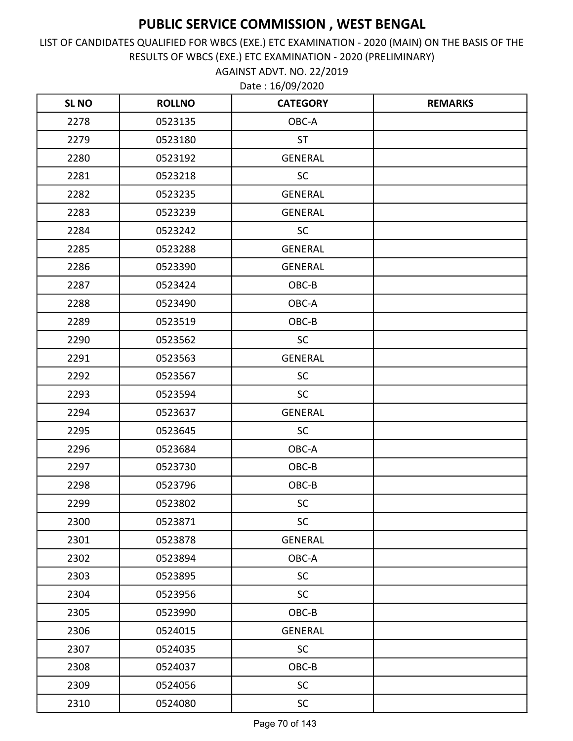AGAINST ADVT. NO. 22/2019 LIST OF CANDIDATES QUALIFIED FOR WBCS (EXE.) ETC EXAMINATION - 2020 (MAIN) ON THE BASIS OF THE RESULTS OF WBCS (EXE.) ETC EXAMINATION - 2020 (PRELIMINARY)

| <b>SLNO</b> | <b>ROLLNO</b> | <b>CATEGORY</b> | <b>REMARKS</b> |
|-------------|---------------|-----------------|----------------|
| 2278        | 0523135       | OBC-A           |                |
| 2279        | 0523180       | <b>ST</b>       |                |
| 2280        | 0523192       | <b>GENERAL</b>  |                |
| 2281        | 0523218       | <b>SC</b>       |                |
| 2282        | 0523235       | <b>GENERAL</b>  |                |
| 2283        | 0523239       | GENERAL         |                |
| 2284        | 0523242       | <b>SC</b>       |                |
| 2285        | 0523288       | <b>GENERAL</b>  |                |
| 2286        | 0523390       | <b>GENERAL</b>  |                |
| 2287        | 0523424       | OBC-B           |                |
| 2288        | 0523490       | OBC-A           |                |
| 2289        | 0523519       | OBC-B           |                |
| 2290        | 0523562       | <b>SC</b>       |                |
| 2291        | 0523563       | <b>GENERAL</b>  |                |
| 2292        | 0523567       | SC              |                |
| 2293        | 0523594       | <b>SC</b>       |                |
| 2294        | 0523637       | <b>GENERAL</b>  |                |
| 2295        | 0523645       | <b>SC</b>       |                |
| 2296        | 0523684       | OBC-A           |                |
| 2297        | 0523730       | OBC-B           |                |
| 2298        | 0523796       | OBC-B           |                |
| 2299        | 0523802       | SC              |                |
| 2300        | 0523871       | SC              |                |
| 2301        | 0523878       | <b>GENERAL</b>  |                |
| 2302        | 0523894       | OBC-A           |                |
| 2303        | 0523895       | <b>SC</b>       |                |
| 2304        | 0523956       | SC              |                |
| 2305        | 0523990       | OBC-B           |                |
| 2306        | 0524015       | <b>GENERAL</b>  |                |
| 2307        | 0524035       | <b>SC</b>       |                |
| 2308        | 0524037       | $OBC-B$         |                |
| 2309        | 0524056       | SC              |                |
| 2310        | 0524080       | SC              |                |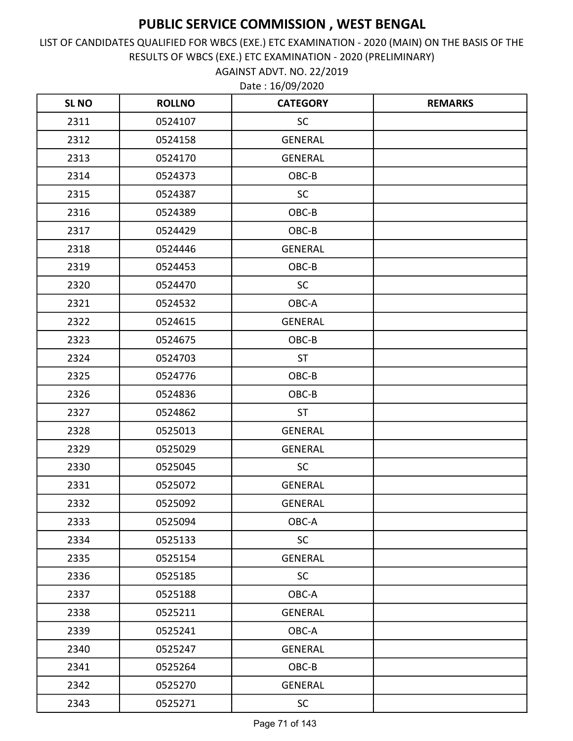AGAINST ADVT. NO. 22/2019 LIST OF CANDIDATES QUALIFIED FOR WBCS (EXE.) ETC EXAMINATION - 2020 (MAIN) ON THE BASIS OF THE RESULTS OF WBCS (EXE.) ETC EXAMINATION - 2020 (PRELIMINARY)

| SL <sub>NO</sub> | <b>ROLLNO</b> | <b>CATEGORY</b> | <b>REMARKS</b> |
|------------------|---------------|-----------------|----------------|
| 2311             | 0524107       | <b>SC</b>       |                |
| 2312             | 0524158       | <b>GENERAL</b>  |                |
| 2313             | 0524170       | <b>GENERAL</b>  |                |
| 2314             | 0524373       | OBC-B           |                |
| 2315             | 0524387       | <b>SC</b>       |                |
| 2316             | 0524389       | OBC-B           |                |
| 2317             | 0524429       | OBC-B           |                |
| 2318             | 0524446       | <b>GENERAL</b>  |                |
| 2319             | 0524453       | OBC-B           |                |
| 2320             | 0524470       | <b>SC</b>       |                |
| 2321             | 0524532       | OBC-A           |                |
| 2322             | 0524615       | <b>GENERAL</b>  |                |
| 2323             | 0524675       | OBC-B           |                |
| 2324             | 0524703       | <b>ST</b>       |                |
| 2325             | 0524776       | OBC-B           |                |
| 2326             | 0524836       | OBC-B           |                |
| 2327             | 0524862       | <b>ST</b>       |                |
| 2328             | 0525013       | <b>GENERAL</b>  |                |
| 2329             | 0525029       | <b>GENERAL</b>  |                |
| 2330             | 0525045       | SC              |                |
| 2331             | 0525072       | <b>GENERAL</b>  |                |
| 2332             | 0525092       | <b>GENERAL</b>  |                |
| 2333             | 0525094       | OBC-A           |                |
| 2334             | 0525133       | SC              |                |
| 2335             | 0525154       | <b>GENERAL</b>  |                |
| 2336             | 0525185       | <b>SC</b>       |                |
| 2337             | 0525188       | OBC-A           |                |
| 2338             | 0525211       | <b>GENERAL</b>  |                |
| 2339             | 0525241       | OBC-A           |                |
| 2340             | 0525247       | <b>GENERAL</b>  |                |
| 2341             | 0525264       | OBC-B           |                |
| 2342             | 0525270       | GENERAL         |                |
| 2343             | 0525271       | <b>SC</b>       |                |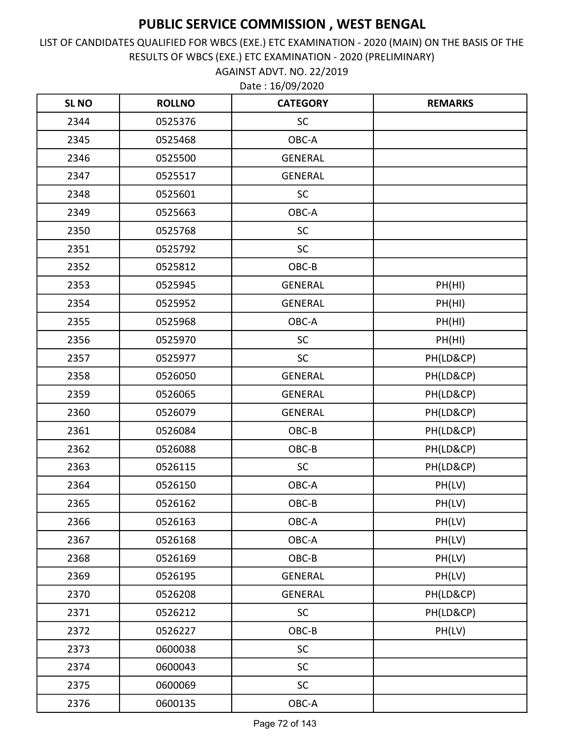AGAINST ADVT. NO. 22/2019 LIST OF CANDIDATES QUALIFIED FOR WBCS (EXE.) ETC EXAMINATION - 2020 (MAIN) ON THE BASIS OF THE RESULTS OF WBCS (EXE.) ETC EXAMINATION - 2020 (PRELIMINARY)

| <b>SLNO</b> | <b>ROLLNO</b> | <b>CATEGORY</b> | <b>REMARKS</b> |
|-------------|---------------|-----------------|----------------|
| 2344        | 0525376       | <b>SC</b>       |                |
| 2345        | 0525468       | OBC-A           |                |
| 2346        | 0525500       | <b>GENERAL</b>  |                |
| 2347        | 0525517       | <b>GENERAL</b>  |                |
| 2348        | 0525601       | <b>SC</b>       |                |
| 2349        | 0525663       | OBC-A           |                |
| 2350        | 0525768       | SC              |                |
| 2351        | 0525792       | SC              |                |
| 2352        | 0525812       | OBC-B           |                |
| 2353        | 0525945       | <b>GENERAL</b>  | PH(HI)         |
| 2354        | 0525952       | <b>GENERAL</b>  | PH(HI)         |
| 2355        | 0525968       | OBC-A           | PH(HI)         |
| 2356        | 0525970       | SC              | PH(HI)         |
| 2357        | 0525977       | <b>SC</b>       | PH(LD&CP)      |
| 2358        | 0526050       | <b>GENERAL</b>  | PH(LD&CP)      |
| 2359        | 0526065       | <b>GENERAL</b>  | PH(LD&CP)      |
| 2360        | 0526079       | <b>GENERAL</b>  | PH(LD&CP)      |
| 2361        | 0526084       | OBC-B           | PH(LD&CP)      |
| 2362        | 0526088       | OBC-B           | PH(LD&CP)      |
| 2363        | 0526115       | SC              | PH(LD&CP)      |
| 2364        | 0526150       | OBC-A           | PH(LV)         |
| 2365        | 0526162       | OBC-B           | PH(LV)         |
| 2366        | 0526163       | OBC-A           | PH(LV)         |
| 2367        | 0526168       | OBC-A           | PH(LV)         |
| 2368        | 0526169       | OBC-B           | PH(LV)         |
| 2369        | 0526195       | <b>GENERAL</b>  | PH(LV)         |
| 2370        | 0526208       | <b>GENERAL</b>  | PH(LD&CP)      |
| 2371        | 0526212       | SC              | PH(LD&CP)      |
| 2372        | 0526227       | OBC-B           | PH(LV)         |
| 2373        | 0600038       | <b>SC</b>       |                |
| 2374        | 0600043       | <b>SC</b>       |                |
| 2375        | 0600069       | <b>SC</b>       |                |
| 2376        | 0600135       | OBC-A           |                |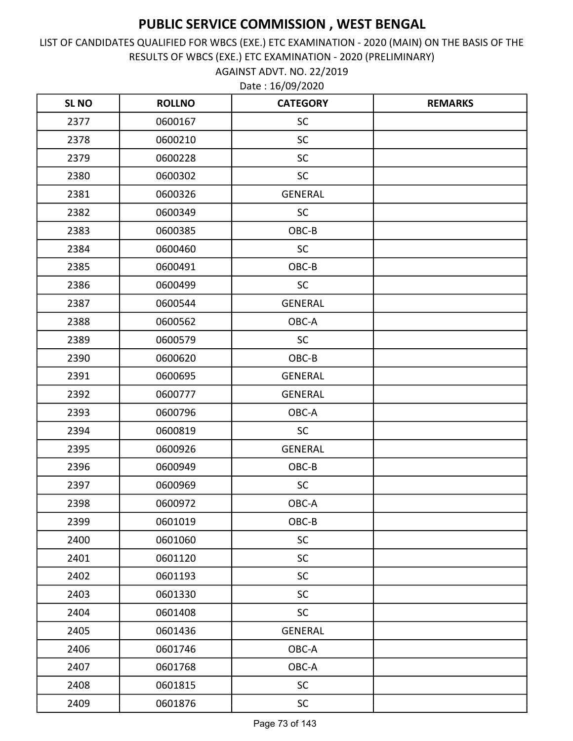LIST OF CANDIDATES QUALIFIED FOR WBCS (EXE.) ETC EXAMINATION - 2020 (MAIN) ON THE BASIS OF THE RESULTS OF WBCS (EXE.) ETC EXAMINATION - 2020 (PRELIMINARY)

Date : 16/09/2020 AGAINST ADVT. NO. 22/2019

| <b>SLNO</b> | <b>ROLLNO</b> | <b>CATEGORY</b> | <b>REMARKS</b> |
|-------------|---------------|-----------------|----------------|
| 2377        | 0600167       | <b>SC</b>       |                |
| 2378        | 0600210       | SC              |                |
| 2379        | 0600228       | SC              |                |
| 2380        | 0600302       | <b>SC</b>       |                |
| 2381        | 0600326       | <b>GENERAL</b>  |                |
| 2382        | 0600349       | <b>SC</b>       |                |
| 2383        | 0600385       | OBC-B           |                |
| 2384        | 0600460       | <b>SC</b>       |                |
| 2385        | 0600491       | OBC-B           |                |
| 2386        | 0600499       | SC              |                |
| 2387        | 0600544       | <b>GENERAL</b>  |                |
| 2388        | 0600562       | OBC-A           |                |
| 2389        | 0600579       | <b>SC</b>       |                |
| 2390        | 0600620       | OBC-B           |                |
| 2391        | 0600695       | <b>GENERAL</b>  |                |
| 2392        | 0600777       | <b>GENERAL</b>  |                |
| 2393        | 0600796       | OBC-A           |                |
| 2394        | 0600819       | <b>SC</b>       |                |
| 2395        | 0600926       | <b>GENERAL</b>  |                |
| 2396        | 0600949       | OBC-B           |                |
| 2397        | 0600969       | <b>SC</b>       |                |
| 2398        | 0600972       | OBC-A           |                |
| 2399        | 0601019       | OBC-B           |                |
| 2400        | 0601060       | SC              |                |
| 2401        | 0601120       | <b>SC</b>       |                |
| 2402        | 0601193       | <b>SC</b>       |                |
| 2403        | 0601330       | <b>SC</b>       |                |
| 2404        | 0601408       | <b>SC</b>       |                |
| 2405        | 0601436       | <b>GENERAL</b>  |                |
| 2406        | 0601746       | OBC-A           |                |
| 2407        | 0601768       | OBC-A           |                |
| 2408        | 0601815       | SC              |                |
| 2409        | 0601876       | $\sf SC$        |                |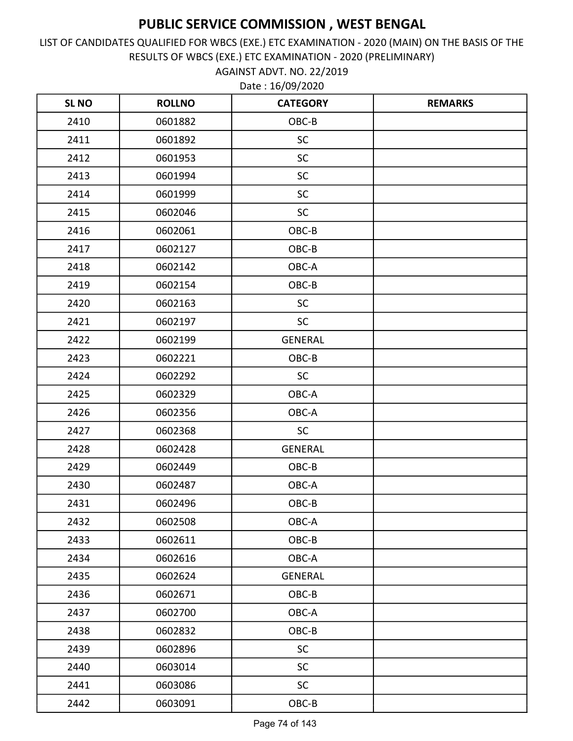AGAINST ADVT. NO. 22/2019 LIST OF CANDIDATES QUALIFIED FOR WBCS (EXE.) ETC EXAMINATION - 2020 (MAIN) ON THE BASIS OF THE RESULTS OF WBCS (EXE.) ETC EXAMINATION - 2020 (PRELIMINARY)

| <b>SL NO</b> | <b>ROLLNO</b> | <b>CATEGORY</b> | <b>REMARKS</b> |
|--------------|---------------|-----------------|----------------|
| 2410         | 0601882       | OBC-B           |                |
| 2411         | 0601892       | SC              |                |
| 2412         | 0601953       | SC              |                |
| 2413         | 0601994       | SC              |                |
| 2414         | 0601999       | SC              |                |
| 2415         | 0602046       | <b>SC</b>       |                |
| 2416         | 0602061       | OBC-B           |                |
| 2417         | 0602127       | OBC-B           |                |
| 2418         | 0602142       | OBC-A           |                |
| 2419         | 0602154       | OBC-B           |                |
| 2420         | 0602163       | SC              |                |
| 2421         | 0602197       | <b>SC</b>       |                |
| 2422         | 0602199       | <b>GENERAL</b>  |                |
| 2423         | 0602221       | OBC-B           |                |
| 2424         | 0602292       | SC              |                |
| 2425         | 0602329       | OBC-A           |                |
| 2426         | 0602356       | OBC-A           |                |
| 2427         | 0602368       | <b>SC</b>       |                |
| 2428         | 0602428       | <b>GENERAL</b>  |                |
| 2429         | 0602449       | OBC-B           |                |
| 2430         | 0602487       | OBC-A           |                |
| 2431         | 0602496       | OBC-B           |                |
| 2432         | 0602508       | OBC-A           |                |
| 2433         | 0602611       | OBC-B           |                |
| 2434         | 0602616       | OBC-A           |                |
| 2435         | 0602624       | <b>GENERAL</b>  |                |
| 2436         | 0602671       | OBC-B           |                |
| 2437         | 0602700       | OBC-A           |                |
| 2438         | 0602832       | OBC-B           |                |
| 2439         | 0602896       | <b>SC</b>       |                |
| 2440         | 0603014       | <b>SC</b>       |                |
| 2441         | 0603086       | <b>SC</b>       |                |
| 2442         | 0603091       | $OBC-B$         |                |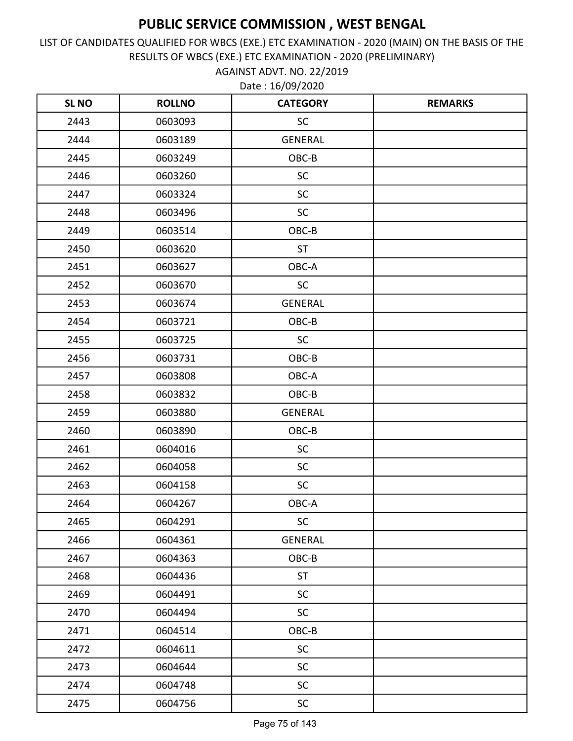AGAINST ADVT. NO. 22/2019 LIST OF CANDIDATES QUALIFIED FOR WBCS (EXE.) ETC EXAMINATION - 2020 (MAIN) ON THE BASIS OF THE RESULTS OF WBCS (EXE.) ETC EXAMINATION - 2020 (PRELIMINARY)

| <b>SLNO</b> | <b>ROLLNO</b> | <b>CATEGORY</b> | <b>REMARKS</b> |
|-------------|---------------|-----------------|----------------|
| 2443        | 0603093       | <b>SC</b>       |                |
| 2444        | 0603189       | <b>GENERAL</b>  |                |
| 2445        | 0603249       | OBC-B           |                |
| 2446        | 0603260       | SC              |                |
| 2447        | 0603324       | SC              |                |
| 2448        | 0603496       | <b>SC</b>       |                |
| 2449        | 0603514       | OBC-B           |                |
| 2450        | 0603620       | <b>ST</b>       |                |
| 2451        | 0603627       | OBC-A           |                |
| 2452        | 0603670       | <b>SC</b>       |                |
| 2453        | 0603674       | <b>GENERAL</b>  |                |
| 2454        | 0603721       | OBC-B           |                |
| 2455        | 0603725       | <b>SC</b>       |                |
| 2456        | 0603731       | OBC-B           |                |
| 2457        | 0603808       | OBC-A           |                |
| 2458        | 0603832       | OBC-B           |                |
| 2459        | 0603880       | <b>GENERAL</b>  |                |
| 2460        | 0603890       | OBC-B           |                |
| 2461        | 0604016       | <b>SC</b>       |                |
| 2462        | 0604058       | SC              |                |
| 2463        | 0604158       | SC              |                |
| 2464        | 0604267       | OBC-A           |                |
| 2465        | 0604291       | SC              |                |
| 2466        | 0604361       | <b>GENERAL</b>  |                |
| 2467        | 0604363       | OBC-B           |                |
| 2468        | 0604436       | <b>ST</b>       |                |
| 2469        | 0604491       | <b>SC</b>       |                |
| 2470        | 0604494       | $\mathsf{SC}$   |                |
| 2471        | 0604514       | OBC-B           |                |
| 2472        | 0604611       | SC              |                |
| 2473        | 0604644       | SC              |                |
| 2474        | 0604748       | SC              |                |
| 2475        | 0604756       | ${\sf SC}$      |                |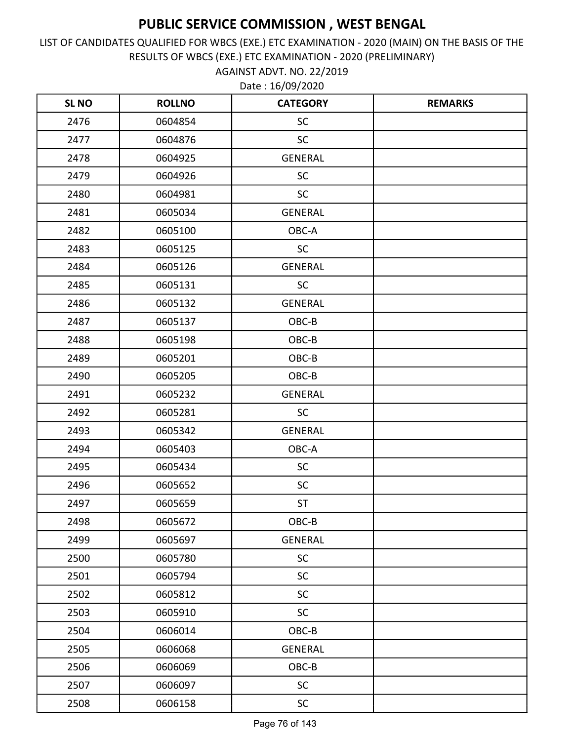AGAINST ADVT. NO. 22/2019 LIST OF CANDIDATES QUALIFIED FOR WBCS (EXE.) ETC EXAMINATION - 2020 (MAIN) ON THE BASIS OF THE RESULTS OF WBCS (EXE.) ETC EXAMINATION - 2020 (PRELIMINARY)

| <b>SL NO</b> | <b>ROLLNO</b> | <b>CATEGORY</b> | <b>REMARKS</b> |
|--------------|---------------|-----------------|----------------|
| 2476         | 0604854       | <b>SC</b>       |                |
| 2477         | 0604876       | <b>SC</b>       |                |
| 2478         | 0604925       | <b>GENERAL</b>  |                |
| 2479         | 0604926       | SC              |                |
| 2480         | 0604981       | <b>SC</b>       |                |
| 2481         | 0605034       | <b>GENERAL</b>  |                |
| 2482         | 0605100       | OBC-A           |                |
| 2483         | 0605125       | <b>SC</b>       |                |
| 2484         | 0605126       | <b>GENERAL</b>  |                |
| 2485         | 0605131       | <b>SC</b>       |                |
| 2486         | 0605132       | <b>GENERAL</b>  |                |
| 2487         | 0605137       | OBC-B           |                |
| 2488         | 0605198       | OBC-B           |                |
| 2489         | 0605201       | OBC-B           |                |
| 2490         | 0605205       | OBC-B           |                |
| 2491         | 0605232       | <b>GENERAL</b>  |                |
| 2492         | 0605281       | <b>SC</b>       |                |
| 2493         | 0605342       | <b>GENERAL</b>  |                |
| 2494         | 0605403       | OBC-A           |                |
| 2495         | 0605434       | SC              |                |
| 2496         | 0605652       | SC              |                |
| 2497         | 0605659       | <b>ST</b>       |                |
| 2498         | 0605672       | $OBC-B$         |                |
| 2499         | 0605697       | GENERAL         |                |
| 2500         | 0605780       | SC              |                |
| 2501         | 0605794       | <b>SC</b>       |                |
| 2502         | 0605812       | SC              |                |
| 2503         | 0605910       | SC              |                |
| 2504         | 0606014       | OBC-B           |                |
| 2505         | 0606068       | GENERAL         |                |
| 2506         | 0606069       | OBC-B           |                |
| 2507         | 0606097       | SC              |                |
| 2508         | 0606158       | $\sf SC$        |                |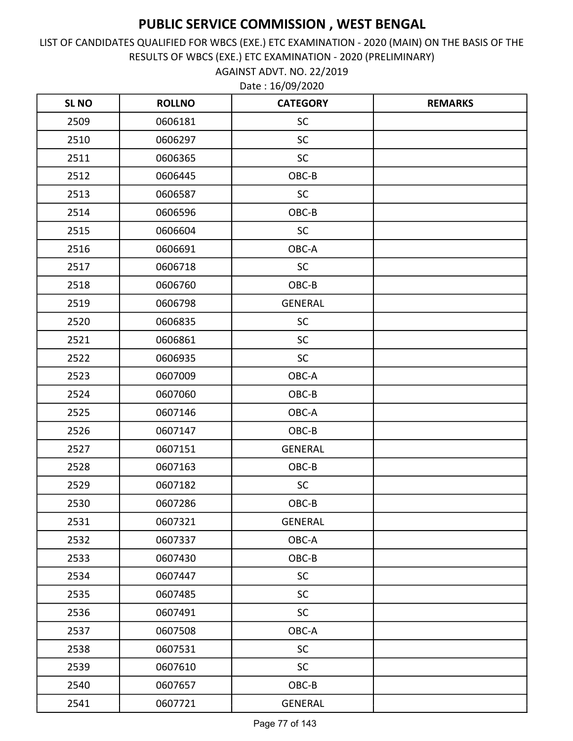LIST OF CANDIDATES QUALIFIED FOR WBCS (EXE.) ETC EXAMINATION - 2020 (MAIN) ON THE BASIS OF THE RESULTS OF WBCS (EXE.) ETC EXAMINATION - 2020 (PRELIMINARY)

Date : 16/09/2020 AGAINST ADVT. NO. 22/2019

| <b>SLNO</b> | <b>ROLLNO</b> | <b>CATEGORY</b> | <b>REMARKS</b> |
|-------------|---------------|-----------------|----------------|
| 2509        | 0606181       | SC              |                |
| 2510        | 0606297       | SC              |                |
| 2511        | 0606365       | <b>SC</b>       |                |
| 2512        | 0606445       | OBC-B           |                |
| 2513        | 0606587       | <b>SC</b>       |                |
| 2514        | 0606596       | OBC-B           |                |
| 2515        | 0606604       | <b>SC</b>       |                |
| 2516        | 0606691       | OBC-A           |                |
| 2517        | 0606718       | <b>SC</b>       |                |
| 2518        | 0606760       | OBC-B           |                |
| 2519        | 0606798       | <b>GENERAL</b>  |                |
| 2520        | 0606835       | SC              |                |
| 2521        | 0606861       | <b>SC</b>       |                |
| 2522        | 0606935       | SC              |                |
| 2523        | 0607009       | OBC-A           |                |
| 2524        | 0607060       | OBC-B           |                |
| 2525        | 0607146       | OBC-A           |                |
| 2526        | 0607147       | OBC-B           |                |
| 2527        | 0607151       | <b>GENERAL</b>  |                |
| 2528        | 0607163       | OBC-B           |                |
| 2529        | 0607182       | <b>SC</b>       |                |
| 2530        | 0607286       | OBC-B           |                |
| 2531        | 0607321       | <b>GENERAL</b>  |                |
| 2532        | 0607337       | OBC-A           |                |
| 2533        | 0607430       | OBC-B           |                |
| 2534        | 0607447       | <b>SC</b>       |                |
| 2535        | 0607485       | <b>SC</b>       |                |
| 2536        | 0607491       | SC              |                |
| 2537        | 0607508       | OBC-A           |                |
| 2538        | 0607531       | <b>SC</b>       |                |
| 2539        | 0607610       | <b>SC</b>       |                |
| 2540        | 0607657       | OBC-B           |                |
| 2541        | 0607721       | <b>GENERAL</b>  |                |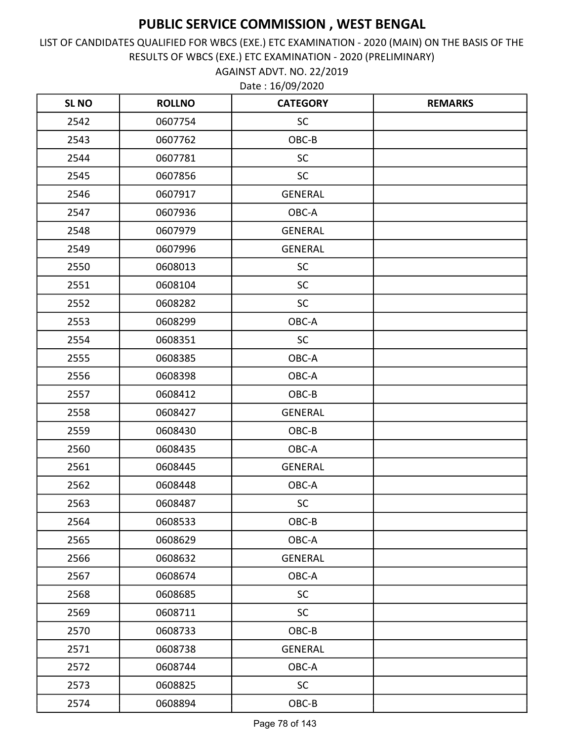AGAINST ADVT. NO. 22/2019 LIST OF CANDIDATES QUALIFIED FOR WBCS (EXE.) ETC EXAMINATION - 2020 (MAIN) ON THE BASIS OF THE RESULTS OF WBCS (EXE.) ETC EXAMINATION - 2020 (PRELIMINARY)

| <b>SLNO</b> | <b>ROLLNO</b> | <b>CATEGORY</b> | <b>REMARKS</b> |
|-------------|---------------|-----------------|----------------|
| 2542        | 0607754       | <b>SC</b>       |                |
| 2543        | 0607762       | OBC-B           |                |
| 2544        | 0607781       | <b>SC</b>       |                |
| 2545        | 0607856       | SC              |                |
| 2546        | 0607917       | <b>GENERAL</b>  |                |
| 2547        | 0607936       | OBC-A           |                |
| 2548        | 0607979       | <b>GENERAL</b>  |                |
| 2549        | 0607996       | <b>GENERAL</b>  |                |
| 2550        | 0608013       | SC              |                |
| 2551        | 0608104       | <b>SC</b>       |                |
| 2552        | 0608282       | SC              |                |
| 2553        | 0608299       | OBC-A           |                |
| 2554        | 0608351       | <b>SC</b>       |                |
| 2555        | 0608385       | OBC-A           |                |
| 2556        | 0608398       | OBC-A           |                |
| 2557        | 0608412       | OBC-B           |                |
| 2558        | 0608427       | <b>GENERAL</b>  |                |
| 2559        | 0608430       | OBC-B           |                |
| 2560        | 0608435       | OBC-A           |                |
| 2561        | 0608445       | <b>GENERAL</b>  |                |
| 2562        | 0608448       | OBC-A           |                |
| 2563        | 0608487       | SC              |                |
| 2564        | 0608533       | OBC-B           |                |
| 2565        | 0608629       | OBC-A           |                |
| 2566        | 0608632       | <b>GENERAL</b>  |                |
| 2567        | 0608674       | OBC-A           |                |
| 2568        | 0608685       | <b>SC</b>       |                |
| 2569        | 0608711       | SC              |                |
| 2570        | 0608733       | OBC-B           |                |
| 2571        | 0608738       | <b>GENERAL</b>  |                |
| 2572        | 0608744       | OBC-A           |                |
| 2573        | 0608825       | SC              |                |
| 2574        | 0608894       | $OBC-B$         |                |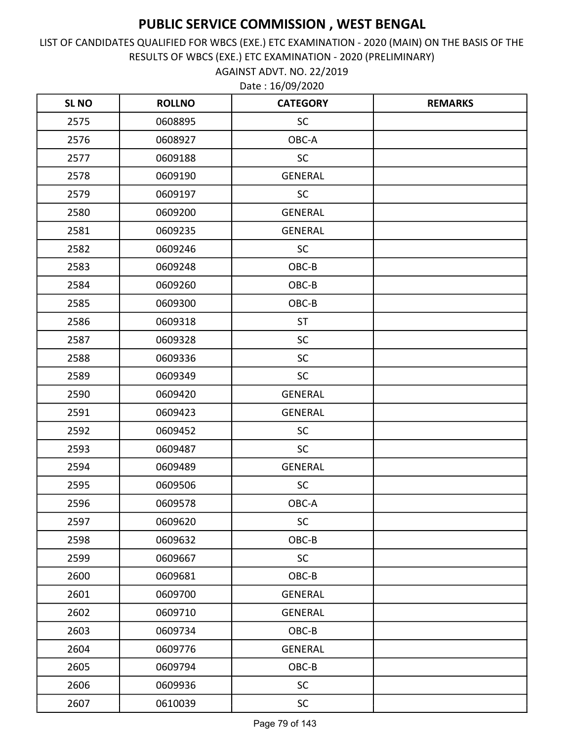AGAINST ADVT. NO. 22/2019 LIST OF CANDIDATES QUALIFIED FOR WBCS (EXE.) ETC EXAMINATION - 2020 (MAIN) ON THE BASIS OF THE RESULTS OF WBCS (EXE.) ETC EXAMINATION - 2020 (PRELIMINARY)

| <b>SL NO</b> | <b>ROLLNO</b> | <b>CATEGORY</b> | <b>REMARKS</b> |
|--------------|---------------|-----------------|----------------|
| 2575         | 0608895       | <b>SC</b>       |                |
| 2576         | 0608927       | OBC-A           |                |
| 2577         | 0609188       | <b>SC</b>       |                |
| 2578         | 0609190       | <b>GENERAL</b>  |                |
| 2579         | 0609197       | <b>SC</b>       |                |
| 2580         | 0609200       | <b>GENERAL</b>  |                |
| 2581         | 0609235       | <b>GENERAL</b>  |                |
| 2582         | 0609246       | <b>SC</b>       |                |
| 2583         | 0609248       | OBC-B           |                |
| 2584         | 0609260       | OBC-B           |                |
| 2585         | 0609300       | OBC-B           |                |
| 2586         | 0609318       | <b>ST</b>       |                |
| 2587         | 0609328       | SC              |                |
| 2588         | 0609336       | <b>SC</b>       |                |
| 2589         | 0609349       | <b>SC</b>       |                |
| 2590         | 0609420       | <b>GENERAL</b>  |                |
| 2591         | 0609423       | <b>GENERAL</b>  |                |
| 2592         | 0609452       | <b>SC</b>       |                |
| 2593         | 0609487       | <b>SC</b>       |                |
| 2594         | 0609489       | <b>GENERAL</b>  |                |
| 2595         | 0609506       | <b>SC</b>       |                |
| 2596         | 0609578       | OBC-A           |                |
| 2597         | 0609620       | SC              |                |
| 2598         | 0609632       | OBC-B           |                |
| 2599         | 0609667       | <b>SC</b>       |                |
| 2600         | 0609681       | OBC-B           |                |
| 2601         | 0609700       | <b>GENERAL</b>  |                |
| 2602         | 0609710       | <b>GENERAL</b>  |                |
| 2603         | 0609734       | OBC-B           |                |
| 2604         | 0609776       | <b>GENERAL</b>  |                |
| 2605         | 0609794       | OBC-B           |                |
| 2606         | 0609936       | <b>SC</b>       |                |
| 2607         | 0610039       | <b>SC</b>       |                |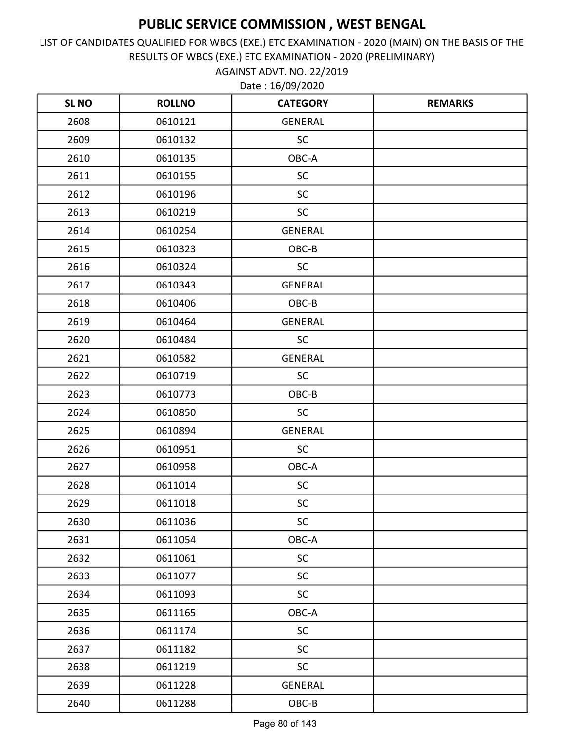AGAINST ADVT. NO. 22/2019 LIST OF CANDIDATES QUALIFIED FOR WBCS (EXE.) ETC EXAMINATION - 2020 (MAIN) ON THE BASIS OF THE RESULTS OF WBCS (EXE.) ETC EXAMINATION - 2020 (PRELIMINARY)

| <b>SLNO</b> | <b>ROLLNO</b> | <b>CATEGORY</b> | <b>REMARKS</b> |
|-------------|---------------|-----------------|----------------|
| 2608        | 0610121       | <b>GENERAL</b>  |                |
| 2609        | 0610132       | <b>SC</b>       |                |
| 2610        | 0610135       | OBC-A           |                |
| 2611        | 0610155       | SC              |                |
| 2612        | 0610196       | SC              |                |
| 2613        | 0610219       | <b>SC</b>       |                |
| 2614        | 0610254       | <b>GENERAL</b>  |                |
| 2615        | 0610323       | OBC-B           |                |
| 2616        | 0610324       | <b>SC</b>       |                |
| 2617        | 0610343       | <b>GENERAL</b>  |                |
| 2618        | 0610406       | OBC-B           |                |
| 2619        | 0610464       | <b>GENERAL</b>  |                |
| 2620        | 0610484       | <b>SC</b>       |                |
| 2621        | 0610582       | GENERAL         |                |
| 2622        | 0610719       | SC              |                |
| 2623        | 0610773       | OBC-B           |                |
| 2624        | 0610850       | SC              |                |
| 2625        | 0610894       | <b>GENERAL</b>  |                |
| 2626        | 0610951       | SC              |                |
| 2627        | 0610958       | OBC-A           |                |
| 2628        | 0611014       | SC              |                |
| 2629        | 0611018       | SC              |                |
| 2630        | 0611036       | SC              |                |
| 2631        | 0611054       | OBC-A           |                |
| 2632        | 0611061       | SC              |                |
| 2633        | 0611077       | <b>SC</b>       |                |
| 2634        | 0611093       | <b>SC</b>       |                |
| 2635        | 0611165       | OBC-A           |                |
| 2636        | 0611174       | SC              |                |
| 2637        | 0611182       | <b>SC</b>       |                |
| 2638        | 0611219       | <b>SC</b>       |                |
| 2639        | 0611228       | <b>GENERAL</b>  |                |
| 2640        | 0611288       | $OBC-B$         |                |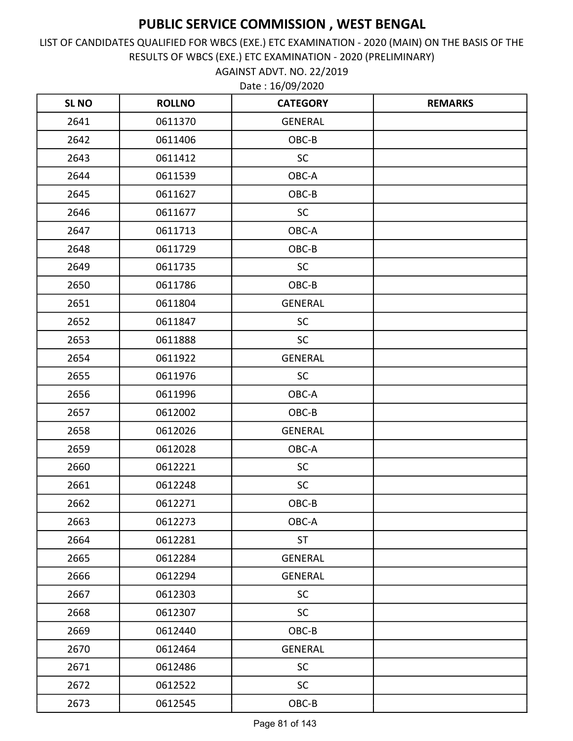AGAINST ADVT. NO. 22/2019 LIST OF CANDIDATES QUALIFIED FOR WBCS (EXE.) ETC EXAMINATION - 2020 (MAIN) ON THE BASIS OF THE RESULTS OF WBCS (EXE.) ETC EXAMINATION - 2020 (PRELIMINARY)

| <b>SLNO</b> | <b>ROLLNO</b> | <b>CATEGORY</b> | <b>REMARKS</b> |
|-------------|---------------|-----------------|----------------|
| 2641        | 0611370       | <b>GENERAL</b>  |                |
| 2642        | 0611406       | OBC-B           |                |
| 2643        | 0611412       | <b>SC</b>       |                |
| 2644        | 0611539       | OBC-A           |                |
| 2645        | 0611627       | OBC-B           |                |
| 2646        | 0611677       | <b>SC</b>       |                |
| 2647        | 0611713       | OBC-A           |                |
| 2648        | 0611729       | OBC-B           |                |
| 2649        | 0611735       | SC              |                |
| 2650        | 0611786       | OBC-B           |                |
| 2651        | 0611804       | <b>GENERAL</b>  |                |
| 2652        | 0611847       | SC              |                |
| 2653        | 0611888       | <b>SC</b>       |                |
| 2654        | 0611922       | <b>GENERAL</b>  |                |
| 2655        | 0611976       | <b>SC</b>       |                |
| 2656        | 0611996       | OBC-A           |                |
| 2657        | 0612002       | OBC-B           |                |
| 2658        | 0612026       | <b>GENERAL</b>  |                |
| 2659        | 0612028       | OBC-A           |                |
| 2660        | 0612221       | SC              |                |
| 2661        | 0612248       | <b>SC</b>       |                |
| 2662        | 0612271       | OBC-B           |                |
| 2663        | 0612273       | OBC-A           |                |
| 2664        | 0612281       | <b>ST</b>       |                |
| 2665        | 0612284       | <b>GENERAL</b>  |                |
| 2666        | 0612294       | <b>GENERAL</b>  |                |
| 2667        | 0612303       | <b>SC</b>       |                |
| 2668        | 0612307       | <b>SC</b>       |                |
| 2669        | 0612440       | OBC-B           |                |
| 2670        | 0612464       | <b>GENERAL</b>  |                |
| 2671        | 0612486       | SC              |                |
| 2672        | 0612522       | <b>SC</b>       |                |
| 2673        | 0612545       | $OBC-B$         |                |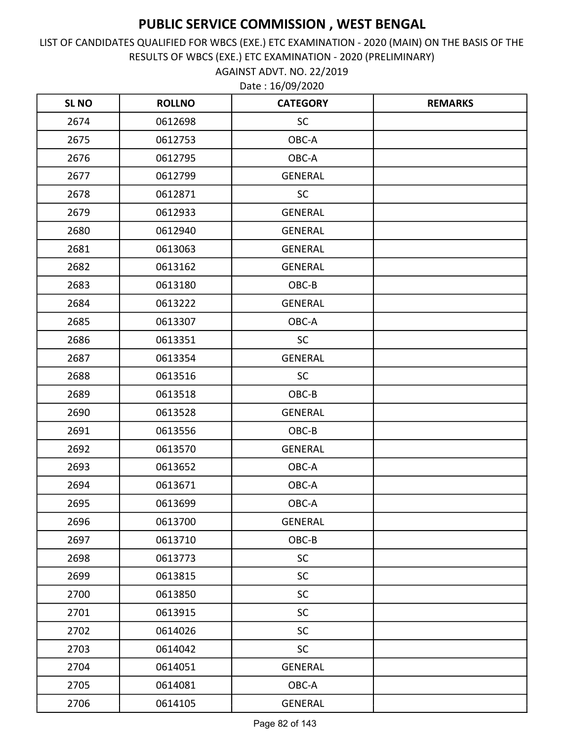AGAINST ADVT. NO. 22/2019 LIST OF CANDIDATES QUALIFIED FOR WBCS (EXE.) ETC EXAMINATION - 2020 (MAIN) ON THE BASIS OF THE RESULTS OF WBCS (EXE.) ETC EXAMINATION - 2020 (PRELIMINARY)

| <b>SLNO</b> | <b>ROLLNO</b> | <b>CATEGORY</b> | <b>REMARKS</b> |
|-------------|---------------|-----------------|----------------|
| 2674        | 0612698       | <b>SC</b>       |                |
| 2675        | 0612753       | OBC-A           |                |
| 2676        | 0612795       | OBC-A           |                |
| 2677        | 0612799       | GENERAL         |                |
| 2678        | 0612871       | <b>SC</b>       |                |
| 2679        | 0612933       | <b>GENERAL</b>  |                |
| 2680        | 0612940       | <b>GENERAL</b>  |                |
| 2681        | 0613063       | <b>GENERAL</b>  |                |
| 2682        | 0613162       | <b>GENERAL</b>  |                |
| 2683        | 0613180       | OBC-B           |                |
| 2684        | 0613222       | <b>GENERAL</b>  |                |
| 2685        | 0613307       | OBC-A           |                |
| 2686        | 0613351       | <b>SC</b>       |                |
| 2687        | 0613354       | GENERAL         |                |
| 2688        | 0613516       | <b>SC</b>       |                |
| 2689        | 0613518       | OBC-B           |                |
| 2690        | 0613528       | <b>GENERAL</b>  |                |
| 2691        | 0613556       | OBC-B           |                |
| 2692        | 0613570       | <b>GENERAL</b>  |                |
| 2693        | 0613652       | OBC-A           |                |
| 2694        | 0613671       | OBC-A           |                |
| 2695        | 0613699       | OBC-A           |                |
| 2696        | 0613700       | <b>GENERAL</b>  |                |
| 2697        | 0613710       | OBC-B           |                |
| 2698        | 0613773       | SC              |                |
| 2699        | 0613815       | SC              |                |
| 2700        | 0613850       | <b>SC</b>       |                |
| 2701        | 0613915       | SC              |                |
| 2702        | 0614026       | <b>SC</b>       |                |
| 2703        | 0614042       | <b>SC</b>       |                |
| 2704        | 0614051       | GENERAL         |                |
| 2705        | 0614081       | OBC-A           |                |
| 2706        | 0614105       | <b>GENERAL</b>  |                |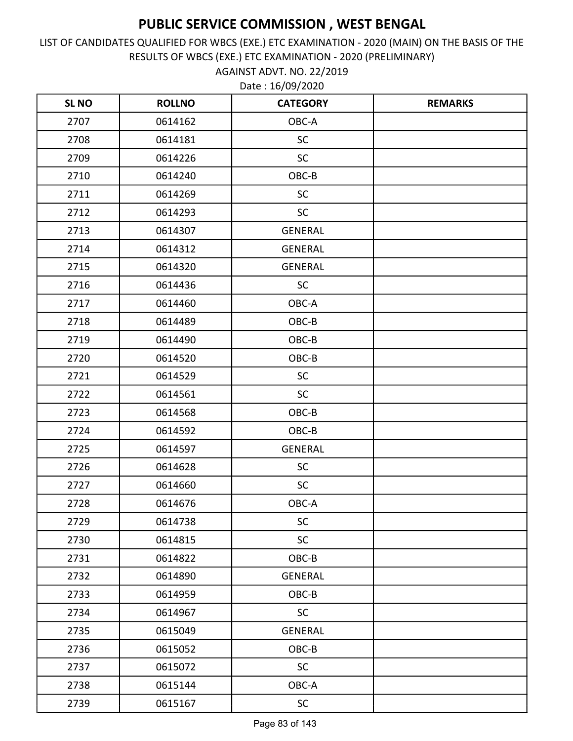AGAINST ADVT. NO. 22/2019 LIST OF CANDIDATES QUALIFIED FOR WBCS (EXE.) ETC EXAMINATION - 2020 (MAIN) ON THE BASIS OF THE RESULTS OF WBCS (EXE.) ETC EXAMINATION - 2020 (PRELIMINARY)

| <b>SLNO</b> | <b>ROLLNO</b> | <b>CATEGORY</b> | <b>REMARKS</b> |
|-------------|---------------|-----------------|----------------|
| 2707        | 0614162       | OBC-A           |                |
| 2708        | 0614181       | SC              |                |
| 2709        | 0614226       | <b>SC</b>       |                |
| 2710        | 0614240       | OBC-B           |                |
| 2711        | 0614269       | <b>SC</b>       |                |
| 2712        | 0614293       | <b>SC</b>       |                |
| 2713        | 0614307       | <b>GENERAL</b>  |                |
| 2714        | 0614312       | <b>GENERAL</b>  |                |
| 2715        | 0614320       | GENERAL         |                |
| 2716        | 0614436       | <b>SC</b>       |                |
| 2717        | 0614460       | OBC-A           |                |
| 2718        | 0614489       | OBC-B           |                |
| 2719        | 0614490       | OBC-B           |                |
| 2720        | 0614520       | OBC-B           |                |
| 2721        | 0614529       | SC              |                |
| 2722        | 0614561       | SC              |                |
| 2723        | 0614568       | OBC-B           |                |
| 2724        | 0614592       | OBC-B           |                |
| 2725        | 0614597       | <b>GENERAL</b>  |                |
| 2726        | 0614628       | SC              |                |
| 2727        | 0614660       | <b>SC</b>       |                |
| 2728        | 0614676       | OBC-A           |                |
| 2729        | 0614738       | SC              |                |
| 2730        | 0614815       | <b>SC</b>       |                |
| 2731        | 0614822       | OBC-B           |                |
| 2732        | 0614890       | GENERAL         |                |
| 2733        | 0614959       | OBC-B           |                |
| 2734        | 0614967       | <b>SC</b>       |                |
| 2735        | 0615049       | <b>GENERAL</b>  |                |
| 2736        | 0615052       | OBC-B           |                |
| 2737        | 0615072       | <b>SC</b>       |                |
| 2738        | 0615144       | OBC-A           |                |
| 2739        | 0615167       | ${\sf SC}$      |                |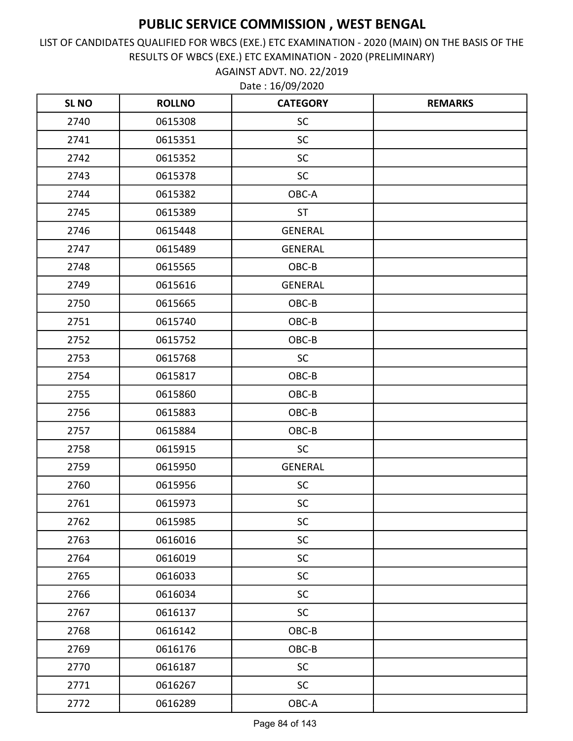LIST OF CANDIDATES QUALIFIED FOR WBCS (EXE.) ETC EXAMINATION - 2020 (MAIN) ON THE BASIS OF THE RESULTS OF WBCS (EXE.) ETC EXAMINATION - 2020 (PRELIMINARY)

Date : 16/09/2020 AGAINST ADVT. NO. 22/2019

| <b>SLNO</b> | <b>ROLLNO</b> | <b>CATEGORY</b> | <b>REMARKS</b> |
|-------------|---------------|-----------------|----------------|
| 2740        | 0615308       | <b>SC</b>       |                |
| 2741        | 0615351       | <b>SC</b>       |                |
| 2742        | 0615352       | <b>SC</b>       |                |
| 2743        | 0615378       | <b>SC</b>       |                |
| 2744        | 0615382       | OBC-A           |                |
| 2745        | 0615389       | <b>ST</b>       |                |
| 2746        | 0615448       | <b>GENERAL</b>  |                |
| 2747        | 0615489       | <b>GENERAL</b>  |                |
| 2748        | 0615565       | OBC-B           |                |
| 2749        | 0615616       | GENERAL         |                |
| 2750        | 0615665       | OBC-B           |                |
| 2751        | 0615740       | OBC-B           |                |
| 2752        | 0615752       | OBC-B           |                |
| 2753        | 0615768       | <b>SC</b>       |                |
| 2754        | 0615817       | OBC-B           |                |
| 2755        | 0615860       | OBC-B           |                |
| 2756        | 0615883       | OBC-B           |                |
| 2757        | 0615884       | OBC-B           |                |
| 2758        | 0615915       | <b>SC</b>       |                |
| 2759        | 0615950       | <b>GENERAL</b>  |                |
| 2760        | 0615956       | <b>SC</b>       |                |
| 2761        | 0615973       | <b>SC</b>       |                |
| 2762        | 0615985       | SC              |                |
| 2763        | 0616016       | SC              |                |
| 2764        | 0616019       | <b>SC</b>       |                |
| 2765        | 0616033       | <b>SC</b>       |                |
| 2766        | 0616034       | <b>SC</b>       |                |
| 2767        | 0616137       | <b>SC</b>       |                |
| 2768        | 0616142       | OBC-B           |                |
| 2769        | 0616176       | OBC-B           |                |
| 2770        | 0616187       | <b>SC</b>       |                |
| 2771        | 0616267       | <b>SC</b>       |                |
| 2772        | 0616289       | OBC-A           |                |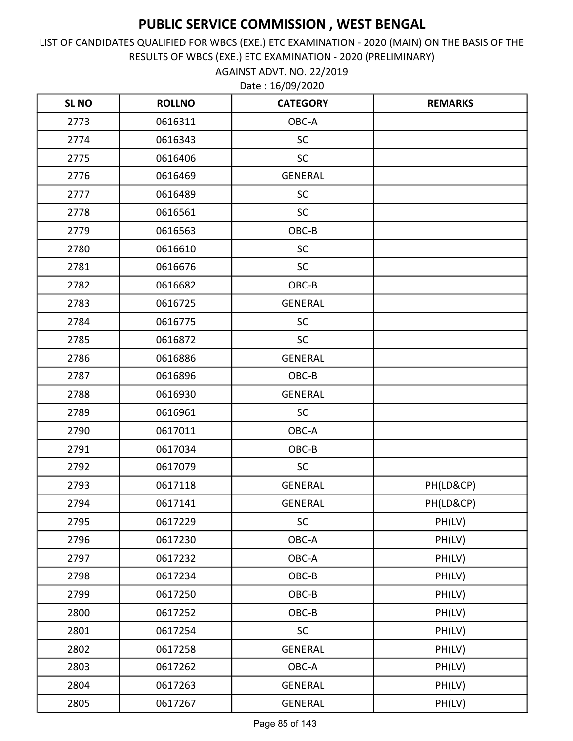AGAINST ADVT. NO. 22/2019 LIST OF CANDIDATES QUALIFIED FOR WBCS (EXE.) ETC EXAMINATION - 2020 (MAIN) ON THE BASIS OF THE RESULTS OF WBCS (EXE.) ETC EXAMINATION - 2020 (PRELIMINARY)

| <b>SLNO</b> | <b>ROLLNO</b> | <b>CATEGORY</b> | <b>REMARKS</b> |
|-------------|---------------|-----------------|----------------|
| 2773        | 0616311       | OBC-A           |                |
| 2774        | 0616343       | <b>SC</b>       |                |
| 2775        | 0616406       | SC              |                |
| 2776        | 0616469       | <b>GENERAL</b>  |                |
| 2777        | 0616489       | <b>SC</b>       |                |
| 2778        | 0616561       | <b>SC</b>       |                |
| 2779        | 0616563       | OBC-B           |                |
| 2780        | 0616610       | <b>SC</b>       |                |
| 2781        | 0616676       | <b>SC</b>       |                |
| 2782        | 0616682       | OBC-B           |                |
| 2783        | 0616725       | <b>GENERAL</b>  |                |
| 2784        | 0616775       | SC              |                |
| 2785        | 0616872       | SC              |                |
| 2786        | 0616886       | <b>GENERAL</b>  |                |
| 2787        | 0616896       | OBC-B           |                |
| 2788        | 0616930       | <b>GENERAL</b>  |                |
| 2789        | 0616961       | <b>SC</b>       |                |
| 2790        | 0617011       | OBC-A           |                |
| 2791        | 0617034       | OBC-B           |                |
| 2792        | 0617079       | <b>SC</b>       |                |
| 2793        | 0617118       | <b>GENERAL</b>  | PH(LD&CP)      |
| 2794        | 0617141       | <b>GENERAL</b>  | PH(LD&CP)      |
| 2795        | 0617229       | SC              | PH(LV)         |
| 2796        | 0617230       | OBC-A           | PH(LV)         |
| 2797        | 0617232       | OBC-A           | PH(LV)         |
| 2798        | 0617234       | OBC-B           | PH(LV)         |
| 2799        | 0617250       | OBC-B           | PH(LV)         |
| 2800        | 0617252       | OBC-B           | PH(LV)         |
| 2801        | 0617254       | SC              | PH(LV)         |
| 2802        | 0617258       | <b>GENERAL</b>  | PH(LV)         |
| 2803        | 0617262       | OBC-A           | PH(LV)         |
| 2804        | 0617263       | GENERAL         | PH(LV)         |
| 2805        | 0617267       | GENERAL         | PH(LV)         |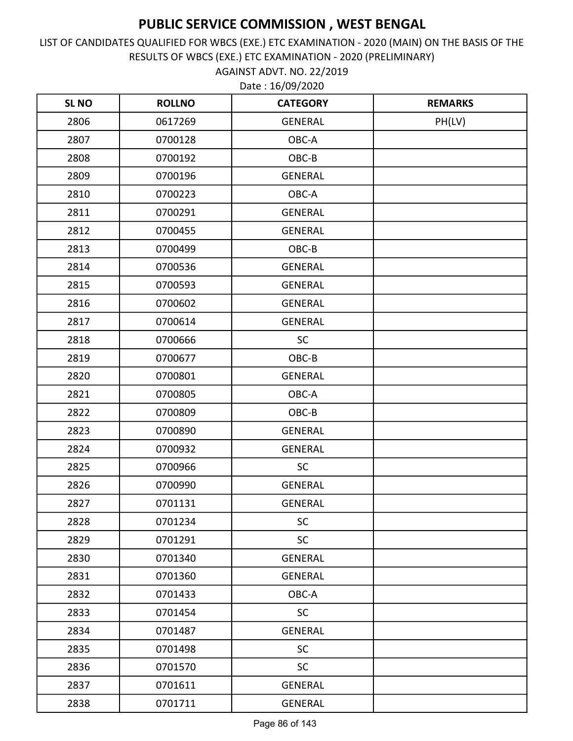AGAINST ADVT. NO. 22/2019 LIST OF CANDIDATES QUALIFIED FOR WBCS (EXE.) ETC EXAMINATION - 2020 (MAIN) ON THE BASIS OF THE RESULTS OF WBCS (EXE.) ETC EXAMINATION - 2020 (PRELIMINARY)

| <b>SLNO</b> | <b>ROLLNO</b> | <b>CATEGORY</b> | <b>REMARKS</b> |
|-------------|---------------|-----------------|----------------|
| 2806        | 0617269       | <b>GENERAL</b>  | PH(LV)         |
| 2807        | 0700128       | OBC-A           |                |
| 2808        | 0700192       | OBC-B           |                |
| 2809        | 0700196       | <b>GENERAL</b>  |                |
| 2810        | 0700223       | OBC-A           |                |
| 2811        | 0700291       | <b>GENERAL</b>  |                |
| 2812        | 0700455       | <b>GENERAL</b>  |                |
| 2813        | 0700499       | OBC-B           |                |
| 2814        | 0700536       | <b>GENERAL</b>  |                |
| 2815        | 0700593       | <b>GENERAL</b>  |                |
| 2816        | 0700602       | <b>GENERAL</b>  |                |
| 2817        | 0700614       | <b>GENERAL</b>  |                |
| 2818        | 0700666       | SC              |                |
| 2819        | 0700677       | OBC-B           |                |
| 2820        | 0700801       | <b>GENERAL</b>  |                |
| 2821        | 0700805       | OBC-A           |                |
| 2822        | 0700809       | OBC-B           |                |
| 2823        | 0700890       | <b>GENERAL</b>  |                |
| 2824        | 0700932       | <b>GENERAL</b>  |                |
| 2825        | 0700966       | SC              |                |
| 2826        | 0700990       | <b>GENERAL</b>  |                |
| 2827        | 0701131       | <b>GENERAL</b>  |                |
| 2828        | 0701234       | SC              |                |
| 2829        | 0701291       | <b>SC</b>       |                |
| 2830        | 0701340       | <b>GENERAL</b>  |                |
| 2831        | 0701360       | <b>GENERAL</b>  |                |
| 2832        | 0701433       | OBC-A           |                |
| 2833        | 0701454       | <b>SC</b>       |                |
| 2834        | 0701487       | <b>GENERAL</b>  |                |
| 2835        | 0701498       | <b>SC</b>       |                |
| 2836        | 0701570       | <b>SC</b>       |                |
| 2837        | 0701611       | <b>GENERAL</b>  |                |
| 2838        | 0701711       | <b>GENERAL</b>  |                |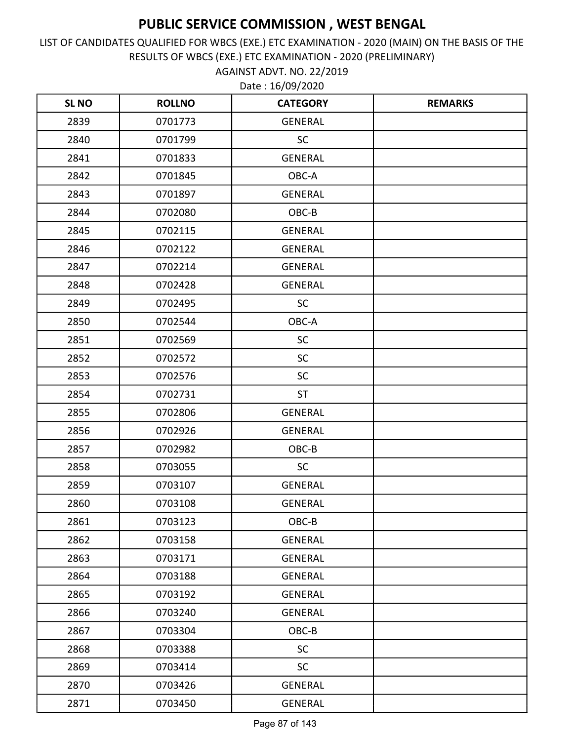AGAINST ADVT. NO. 22/2019 LIST OF CANDIDATES QUALIFIED FOR WBCS (EXE.) ETC EXAMINATION - 2020 (MAIN) ON THE BASIS OF THE RESULTS OF WBCS (EXE.) ETC EXAMINATION - 2020 (PRELIMINARY)

| <b>SL NO</b> | <b>ROLLNO</b> | <b>CATEGORY</b> | <b>REMARKS</b> |
|--------------|---------------|-----------------|----------------|
| 2839         | 0701773       | <b>GENERAL</b>  |                |
| 2840         | 0701799       | <b>SC</b>       |                |
| 2841         | 0701833       | <b>GENERAL</b>  |                |
| 2842         | 0701845       | OBC-A           |                |
| 2843         | 0701897       | <b>GENERAL</b>  |                |
| 2844         | 0702080       | OBC-B           |                |
| 2845         | 0702115       | <b>GENERAL</b>  |                |
| 2846         | 0702122       | <b>GENERAL</b>  |                |
| 2847         | 0702214       | <b>GENERAL</b>  |                |
| 2848         | 0702428       | <b>GENERAL</b>  |                |
| 2849         | 0702495       | <b>SC</b>       |                |
| 2850         | 0702544       | OBC-A           |                |
| 2851         | 0702569       | SC              |                |
| 2852         | 0702572       | SC              |                |
| 2853         | 0702576       | <b>SC</b>       |                |
| 2854         | 0702731       | <b>ST</b>       |                |
| 2855         | 0702806       | <b>GENERAL</b>  |                |
| 2856         | 0702926       | <b>GENERAL</b>  |                |
| 2857         | 0702982       | OBC-B           |                |
| 2858         | 0703055       | SC              |                |
| 2859         | 0703107       | <b>GENERAL</b>  |                |
| 2860         | 0703108       | <b>GENERAL</b>  |                |
| 2861         | 0703123       | OBC-B           |                |
| 2862         | 0703158       | GENERAL         |                |
| 2863         | 0703171       | <b>GENERAL</b>  |                |
| 2864         | 0703188       | <b>GENERAL</b>  |                |
| 2865         | 0703192       | GENERAL         |                |
| 2866         | 0703240       | <b>GENERAL</b>  |                |
| 2867         | 0703304       | OBC-B           |                |
| 2868         | 0703388       | SC              |                |
| 2869         | 0703414       | <b>SC</b>       |                |
| 2870         | 0703426       | <b>GENERAL</b>  |                |
| 2871         | 0703450       | GENERAL         |                |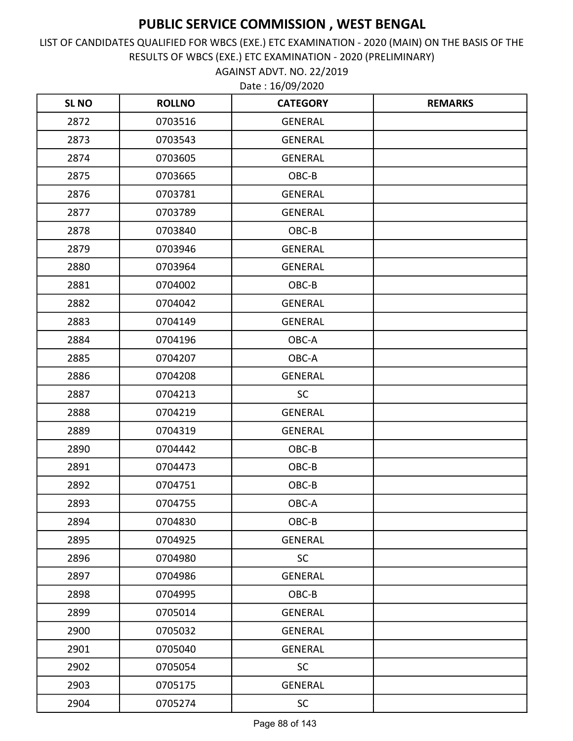AGAINST ADVT. NO. 22/2019 LIST OF CANDIDATES QUALIFIED FOR WBCS (EXE.) ETC EXAMINATION - 2020 (MAIN) ON THE BASIS OF THE RESULTS OF WBCS (EXE.) ETC EXAMINATION - 2020 (PRELIMINARY)

| <b>SL NO</b> | <b>ROLLNO</b> | <b>CATEGORY</b> | <b>REMARKS</b> |
|--------------|---------------|-----------------|----------------|
| 2872         | 0703516       | <b>GENERAL</b>  |                |
| 2873         | 0703543       | <b>GENERAL</b>  |                |
| 2874         | 0703605       | <b>GENERAL</b>  |                |
| 2875         | 0703665       | OBC-B           |                |
| 2876         | 0703781       | <b>GENERAL</b>  |                |
| 2877         | 0703789       | <b>GENERAL</b>  |                |
| 2878         | 0703840       | OBC-B           |                |
| 2879         | 0703946       | <b>GENERAL</b>  |                |
| 2880         | 0703964       | <b>GENERAL</b>  |                |
| 2881         | 0704002       | OBC-B           |                |
| 2882         | 0704042       | <b>GENERAL</b>  |                |
| 2883         | 0704149       | <b>GENERAL</b>  |                |
| 2884         | 0704196       | OBC-A           |                |
| 2885         | 0704207       | OBC-A           |                |
| 2886         | 0704208       | <b>GENERAL</b>  |                |
| 2887         | 0704213       | <b>SC</b>       |                |
| 2888         | 0704219       | <b>GENERAL</b>  |                |
| 2889         | 0704319       | <b>GENERAL</b>  |                |
| 2890         | 0704442       | OBC-B           |                |
| 2891         | 0704473       | OBC-B           |                |
| 2892         | 0704751       | OBC-B           |                |
| 2893         | 0704755       | OBC-A           |                |
| 2894         | 0704830       | OBC-B           |                |
| 2895         | 0704925       | <b>GENERAL</b>  |                |
| 2896         | 0704980       | SC              |                |
| 2897         | 0704986       | <b>GENERAL</b>  |                |
| 2898         | 0704995       | OBC-B           |                |
| 2899         | 0705014       | <b>GENERAL</b>  |                |
| 2900         | 0705032       | <b>GENERAL</b>  |                |
| 2901         | 0705040       | <b>GENERAL</b>  |                |
| 2902         | 0705054       | <b>SC</b>       |                |
| 2903         | 0705175       | <b>GENERAL</b>  |                |
| 2904         | 0705274       | SC              |                |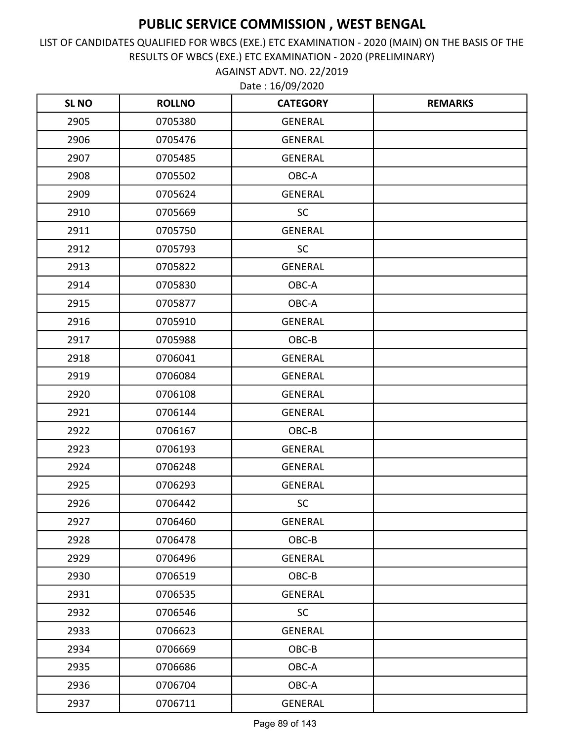AGAINST ADVT. NO. 22/2019 LIST OF CANDIDATES QUALIFIED FOR WBCS (EXE.) ETC EXAMINATION - 2020 (MAIN) ON THE BASIS OF THE RESULTS OF WBCS (EXE.) ETC EXAMINATION - 2020 (PRELIMINARY)

| <b>SLNO</b> | <b>ROLLNO</b> | <b>CATEGORY</b> | <b>REMARKS</b> |
|-------------|---------------|-----------------|----------------|
| 2905        | 0705380       | <b>GENERAL</b>  |                |
| 2906        | 0705476       | <b>GENERAL</b>  |                |
| 2907        | 0705485       | <b>GENERAL</b>  |                |
| 2908        | 0705502       | OBC-A           |                |
| 2909        | 0705624       | <b>GENERAL</b>  |                |
| 2910        | 0705669       | SC              |                |
| 2911        | 0705750       | <b>GENERAL</b>  |                |
| 2912        | 0705793       | SC              |                |
| 2913        | 0705822       | <b>GENERAL</b>  |                |
| 2914        | 0705830       | OBC-A           |                |
| 2915        | 0705877       | OBC-A           |                |
| 2916        | 0705910       | <b>GENERAL</b>  |                |
| 2917        | 0705988       | OBC-B           |                |
| 2918        | 0706041       | <b>GENERAL</b>  |                |
| 2919        | 0706084       | <b>GENERAL</b>  |                |
| 2920        | 0706108       | <b>GENERAL</b>  |                |
| 2921        | 0706144       | <b>GENERAL</b>  |                |
| 2922        | 0706167       | OBC-B           |                |
| 2923        | 0706193       | <b>GENERAL</b>  |                |
| 2924        | 0706248       | <b>GENERAL</b>  |                |
| 2925        | 0706293       | <b>GENERAL</b>  |                |
| 2926        | 0706442       | SC              |                |
| 2927        | 0706460       | <b>GENERAL</b>  |                |
| 2928        | 0706478       | OBC-B           |                |
| 2929        | 0706496       | <b>GENERAL</b>  |                |
| 2930        | 0706519       | OBC-B           |                |
| 2931        | 0706535       | <b>GENERAL</b>  |                |
| 2932        | 0706546       | <b>SC</b>       |                |
| 2933        | 0706623       | <b>GENERAL</b>  |                |
| 2934        | 0706669       | OBC-B           |                |
| 2935        | 0706686       | OBC-A           |                |
| 2936        | 0706704       | OBC-A           |                |
| 2937        | 0706711       | GENERAL         |                |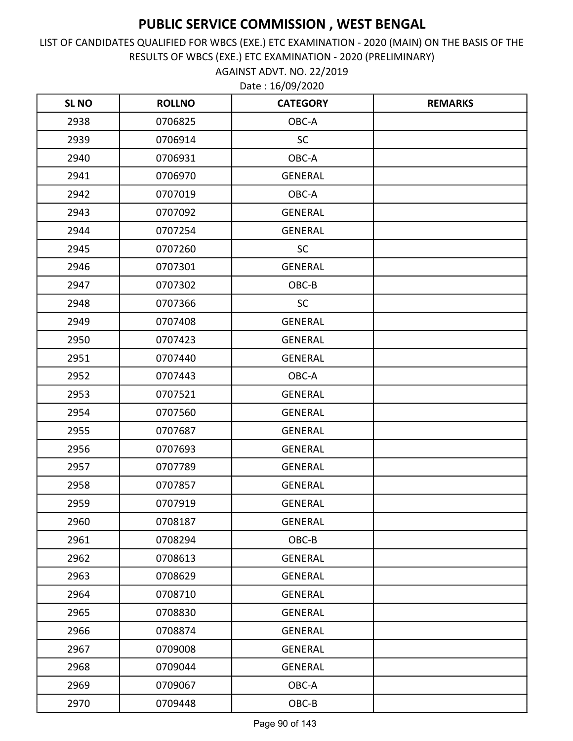AGAINST ADVT. NO. 22/2019 LIST OF CANDIDATES QUALIFIED FOR WBCS (EXE.) ETC EXAMINATION - 2020 (MAIN) ON THE BASIS OF THE RESULTS OF WBCS (EXE.) ETC EXAMINATION - 2020 (PRELIMINARY)

| <b>SLNO</b> | <b>ROLLNO</b> | <b>CATEGORY</b> | <b>REMARKS</b> |
|-------------|---------------|-----------------|----------------|
| 2938        | 0706825       | OBC-A           |                |
| 2939        | 0706914       | <b>SC</b>       |                |
| 2940        | 0706931       | OBC-A           |                |
| 2941        | 0706970       | <b>GENERAL</b>  |                |
| 2942        | 0707019       | OBC-A           |                |
| 2943        | 0707092       | <b>GENERAL</b>  |                |
| 2944        | 0707254       | <b>GENERAL</b>  |                |
| 2945        | 0707260       | <b>SC</b>       |                |
| 2946        | 0707301       | <b>GENERAL</b>  |                |
| 2947        | 0707302       | OBC-B           |                |
| 2948        | 0707366       | <b>SC</b>       |                |
| 2949        | 0707408       | <b>GENERAL</b>  |                |
| 2950        | 0707423       | <b>GENERAL</b>  |                |
| 2951        | 0707440       | <b>GENERAL</b>  |                |
| 2952        | 0707443       | OBC-A           |                |
| 2953        | 0707521       | <b>GENERAL</b>  |                |
| 2954        | 0707560       | <b>GENERAL</b>  |                |
| 2955        | 0707687       | <b>GENERAL</b>  |                |
| 2956        | 0707693       | <b>GENERAL</b>  |                |
| 2957        | 0707789       | <b>GENERAL</b>  |                |
| 2958        | 0707857       | <b>GENERAL</b>  |                |
| 2959        | 0707919       | <b>GENERAL</b>  |                |
| 2960        | 0708187       | <b>GENERAL</b>  |                |
| 2961        | 0708294       | OBC-B           |                |
| 2962        | 0708613       | <b>GENERAL</b>  |                |
| 2963        | 0708629       | <b>GENERAL</b>  |                |
| 2964        | 0708710       | <b>GENERAL</b>  |                |
| 2965        | 0708830       | <b>GENERAL</b>  |                |
| 2966        | 0708874       | <b>GENERAL</b>  |                |
| 2967        | 0709008       | <b>GENERAL</b>  |                |
| 2968        | 0709044       | <b>GENERAL</b>  |                |
| 2969        | 0709067       | OBC-A           |                |
| 2970        | 0709448       | OBC-B           |                |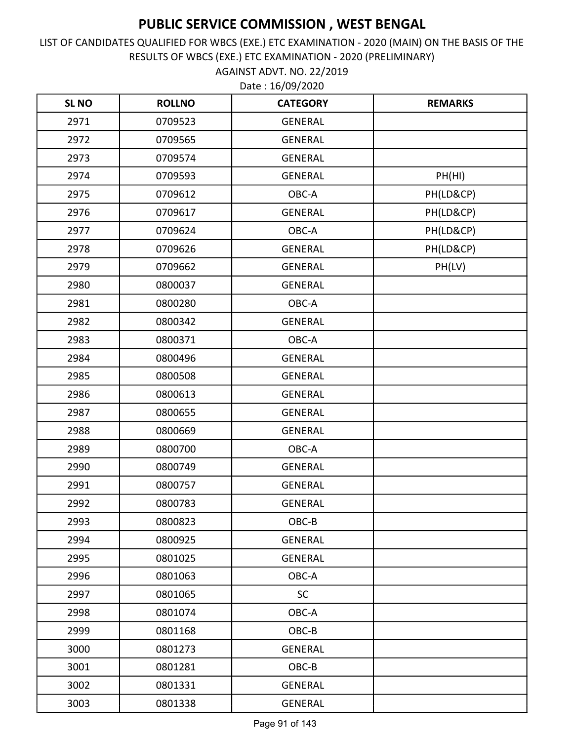AGAINST ADVT. NO. 22/2019 LIST OF CANDIDATES QUALIFIED FOR WBCS (EXE.) ETC EXAMINATION - 2020 (MAIN) ON THE BASIS OF THE RESULTS OF WBCS (EXE.) ETC EXAMINATION - 2020 (PRELIMINARY)

| <b>SL NO</b> | <b>ROLLNO</b> | <b>CATEGORY</b> | <b>REMARKS</b> |
|--------------|---------------|-----------------|----------------|
| 2971         | 0709523       | <b>GENERAL</b>  |                |
| 2972         | 0709565       | <b>GENERAL</b>  |                |
| 2973         | 0709574       | <b>GENERAL</b>  |                |
| 2974         | 0709593       | <b>GENERAL</b>  | PH(HI)         |
| 2975         | 0709612       | OBC-A           | PH(LD&CP)      |
| 2976         | 0709617       | <b>GENERAL</b>  | PH(LD&CP)      |
| 2977         | 0709624       | OBC-A           | PH(LD&CP)      |
| 2978         | 0709626       | <b>GENERAL</b>  | PH(LD&CP)      |
| 2979         | 0709662       | <b>GENERAL</b>  | PH(LV)         |
| 2980         | 0800037       | <b>GENERAL</b>  |                |
| 2981         | 0800280       | OBC-A           |                |
| 2982         | 0800342       | <b>GENERAL</b>  |                |
| 2983         | 0800371       | OBC-A           |                |
| 2984         | 0800496       | <b>GENERAL</b>  |                |
| 2985         | 0800508       | <b>GENERAL</b>  |                |
| 2986         | 0800613       | <b>GENERAL</b>  |                |
| 2987         | 0800655       | <b>GENERAL</b>  |                |
| 2988         | 0800669       | <b>GENERAL</b>  |                |
| 2989         | 0800700       | OBC-A           |                |
| 2990         | 0800749       | <b>GENERAL</b>  |                |
| 2991         | 0800757       | <b>GENERAL</b>  |                |
| 2992         | 0800783       | <b>GENERAL</b>  |                |
| 2993         | 0800823       | OBC-B           |                |
| 2994         | 0800925       | <b>GENERAL</b>  |                |
| 2995         | 0801025       | <b>GENERAL</b>  |                |
| 2996         | 0801063       | OBC-A           |                |
| 2997         | 0801065       | <b>SC</b>       |                |
| 2998         | 0801074       | OBC-A           |                |
| 2999         | 0801168       | OBC-B           |                |
| 3000         | 0801273       | <b>GENERAL</b>  |                |
| 3001         | 0801281       | OBC-B           |                |
| 3002         | 0801331       | GENERAL         |                |
| 3003         | 0801338       | GENERAL         |                |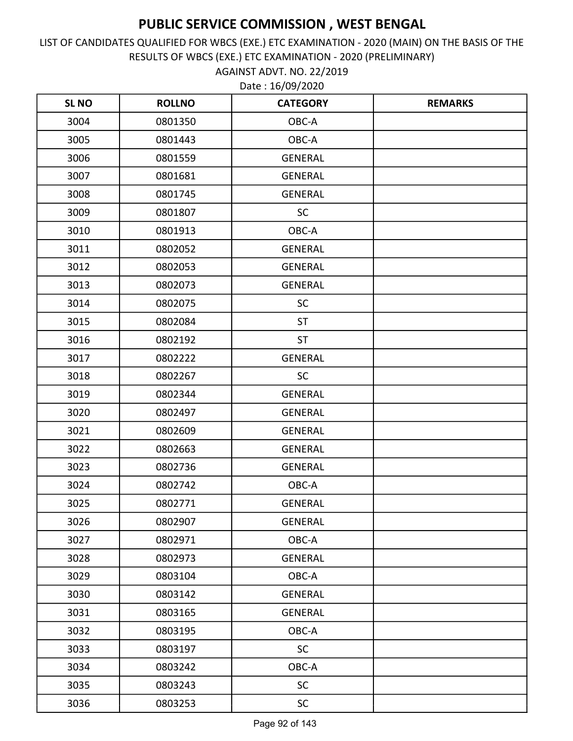AGAINST ADVT. NO. 22/2019 LIST OF CANDIDATES QUALIFIED FOR WBCS (EXE.) ETC EXAMINATION - 2020 (MAIN) ON THE BASIS OF THE RESULTS OF WBCS (EXE.) ETC EXAMINATION - 2020 (PRELIMINARY)

| <b>SLNO</b> | <b>ROLLNO</b> | <b>CATEGORY</b> | <b>REMARKS</b> |
|-------------|---------------|-----------------|----------------|
| 3004        | 0801350       | OBC-A           |                |
| 3005        | 0801443       | OBC-A           |                |
| 3006        | 0801559       | <b>GENERAL</b>  |                |
| 3007        | 0801681       | <b>GENERAL</b>  |                |
| 3008        | 0801745       | <b>GENERAL</b>  |                |
| 3009        | 0801807       | <b>SC</b>       |                |
| 3010        | 0801913       | OBC-A           |                |
| 3011        | 0802052       | <b>GENERAL</b>  |                |
| 3012        | 0802053       | <b>GENERAL</b>  |                |
| 3013        | 0802073       | <b>GENERAL</b>  |                |
| 3014        | 0802075       | <b>SC</b>       |                |
| 3015        | 0802084       | <b>ST</b>       |                |
| 3016        | 0802192       | <b>ST</b>       |                |
| 3017        | 0802222       | <b>GENERAL</b>  |                |
| 3018        | 0802267       | <b>SC</b>       |                |
| 3019        | 0802344       | <b>GENERAL</b>  |                |
| 3020        | 0802497       | <b>GENERAL</b>  |                |
| 3021        | 0802609       | <b>GENERAL</b>  |                |
| 3022        | 0802663       | <b>GENERAL</b>  |                |
| 3023        | 0802736       | <b>GENERAL</b>  |                |
| 3024        | 0802742       | OBC-A           |                |
| 3025        | 0802771       | <b>GENERAL</b>  |                |
| 3026        | 0802907       | <b>GENERAL</b>  |                |
| 3027        | 0802971       | OBC-A           |                |
| 3028        | 0802973       | <b>GENERAL</b>  |                |
| 3029        | 0803104       | OBC-A           |                |
| 3030        | 0803142       | <b>GENERAL</b>  |                |
| 3031        | 0803165       | <b>GENERAL</b>  |                |
| 3032        | 0803195       | OBC-A           |                |
| 3033        | 0803197       | <b>SC</b>       |                |
| 3034        | 0803242       | OBC-A           |                |
| 3035        | 0803243       | <b>SC</b>       |                |
| 3036        | 0803253       | <b>SC</b>       |                |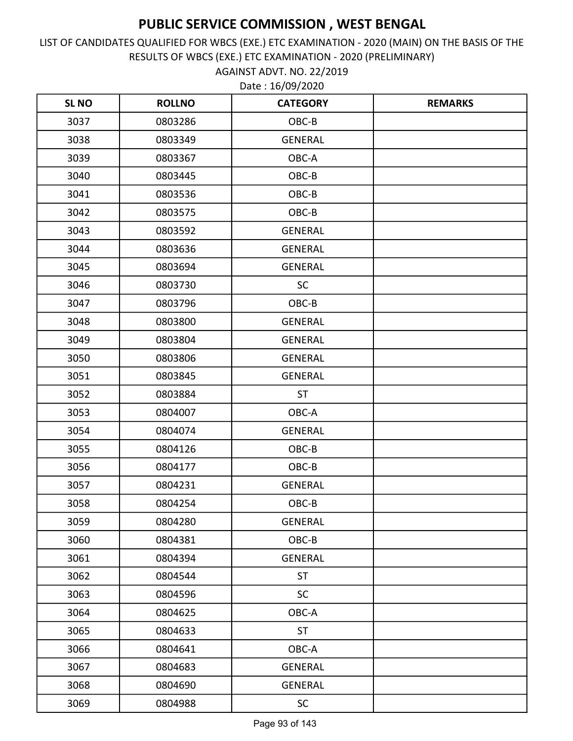AGAINST ADVT. NO. 22/2019 LIST OF CANDIDATES QUALIFIED FOR WBCS (EXE.) ETC EXAMINATION - 2020 (MAIN) ON THE BASIS OF THE RESULTS OF WBCS (EXE.) ETC EXAMINATION - 2020 (PRELIMINARY)

| <b>SLNO</b> | <b>ROLLNO</b> | <b>CATEGORY</b> | <b>REMARKS</b> |
|-------------|---------------|-----------------|----------------|
| 3037        | 0803286       | OBC-B           |                |
| 3038        | 0803349       | <b>GENERAL</b>  |                |
| 3039        | 0803367       | OBC-A           |                |
| 3040        | 0803445       | OBC-B           |                |
| 3041        | 0803536       | OBC-B           |                |
| 3042        | 0803575       | OBC-B           |                |
| 3043        | 0803592       | <b>GENERAL</b>  |                |
| 3044        | 0803636       | <b>GENERAL</b>  |                |
| 3045        | 0803694       | <b>GENERAL</b>  |                |
| 3046        | 0803730       | <b>SC</b>       |                |
| 3047        | 0803796       | OBC-B           |                |
| 3048        | 0803800       | <b>GENERAL</b>  |                |
| 3049        | 0803804       | <b>GENERAL</b>  |                |
| 3050        | 0803806       | <b>GENERAL</b>  |                |
| 3051        | 0803845       | <b>GENERAL</b>  |                |
| 3052        | 0803884       | <b>ST</b>       |                |
| 3053        | 0804007       | OBC-A           |                |
| 3054        | 0804074       | <b>GENERAL</b>  |                |
| 3055        | 0804126       | OBC-B           |                |
| 3056        | 0804177       | OBC-B           |                |
| 3057        | 0804231       | <b>GENERAL</b>  |                |
| 3058        | 0804254       | OBC-B           |                |
| 3059        | 0804280       | <b>GENERAL</b>  |                |
| 3060        | 0804381       | OBC-B           |                |
| 3061        | 0804394       | <b>GENERAL</b>  |                |
| 3062        | 0804544       | <b>ST</b>       |                |
| 3063        | 0804596       | <b>SC</b>       |                |
| 3064        | 0804625       | OBC-A           |                |
| 3065        | 0804633       | <b>ST</b>       |                |
| 3066        | 0804641       | OBC-A           |                |
| 3067        | 0804683       | <b>GENERAL</b>  |                |
| 3068        | 0804690       | GENERAL         |                |
| 3069        | 0804988       | <b>SC</b>       |                |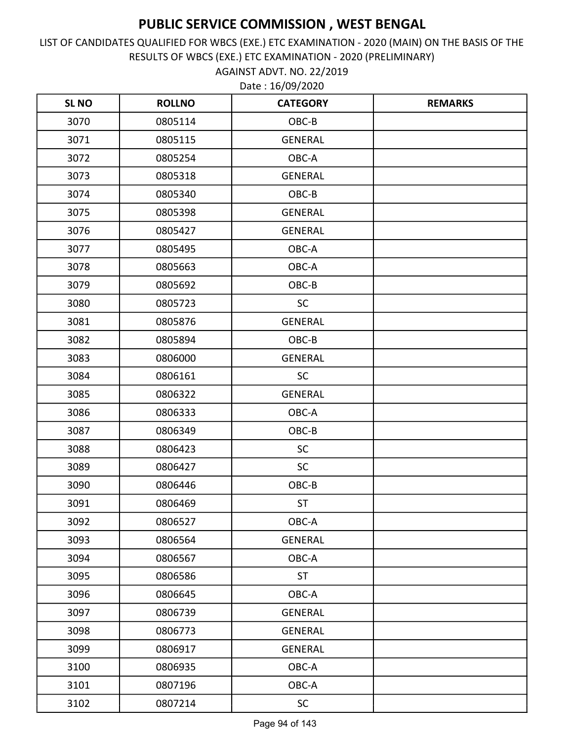AGAINST ADVT. NO. 22/2019 LIST OF CANDIDATES QUALIFIED FOR WBCS (EXE.) ETC EXAMINATION - 2020 (MAIN) ON THE BASIS OF THE RESULTS OF WBCS (EXE.) ETC EXAMINATION - 2020 (PRELIMINARY)

| <b>SL NO</b> | <b>ROLLNO</b> | <b>CATEGORY</b> | <b>REMARKS</b> |
|--------------|---------------|-----------------|----------------|
| 3070         | 0805114       | OBC-B           |                |
| 3071         | 0805115       | <b>GENERAL</b>  |                |
| 3072         | 0805254       | OBC-A           |                |
| 3073         | 0805318       | <b>GENERAL</b>  |                |
| 3074         | 0805340       | OBC-B           |                |
| 3075         | 0805398       | <b>GENERAL</b>  |                |
| 3076         | 0805427       | <b>GENERAL</b>  |                |
| 3077         | 0805495       | OBC-A           |                |
| 3078         | 0805663       | OBC-A           |                |
| 3079         | 0805692       | OBC-B           |                |
| 3080         | 0805723       | <b>SC</b>       |                |
| 3081         | 0805876       | <b>GENERAL</b>  |                |
| 3082         | 0805894       | OBC-B           |                |
| 3083         | 0806000       | <b>GENERAL</b>  |                |
| 3084         | 0806161       | <b>SC</b>       |                |
| 3085         | 0806322       | <b>GENERAL</b>  |                |
| 3086         | 0806333       | OBC-A           |                |
| 3087         | 0806349       | OBC-B           |                |
| 3088         | 0806423       | <b>SC</b>       |                |
| 3089         | 0806427       | <b>SC</b>       |                |
| 3090         | 0806446       | OBC-B           |                |
| 3091         | 0806469       | <b>ST</b>       |                |
| 3092         | 0806527       | OBC-A           |                |
| 3093         | 0806564       | <b>GENERAL</b>  |                |
| 3094         | 0806567       | OBC-A           |                |
| 3095         | 0806586       | <b>ST</b>       |                |
| 3096         | 0806645       | OBC-A           |                |
| 3097         | 0806739       | <b>GENERAL</b>  |                |
| 3098         | 0806773       | <b>GENERAL</b>  |                |
| 3099         | 0806917       | <b>GENERAL</b>  |                |
| 3100         | 0806935       | OBC-A           |                |
| 3101         | 0807196       | OBC-A           |                |
| 3102         | 0807214       | $\sf SC$        |                |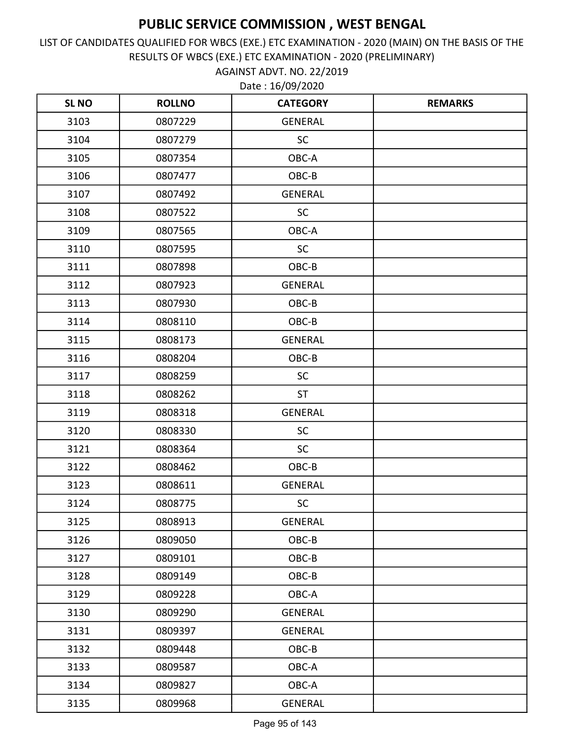AGAINST ADVT. NO. 22/2019 LIST OF CANDIDATES QUALIFIED FOR WBCS (EXE.) ETC EXAMINATION - 2020 (MAIN) ON THE BASIS OF THE RESULTS OF WBCS (EXE.) ETC EXAMINATION - 2020 (PRELIMINARY)

| <b>SLNO</b> | <b>ROLLNO</b> | <b>CATEGORY</b> | <b>REMARKS</b> |
|-------------|---------------|-----------------|----------------|
| 3103        | 0807229       | <b>GENERAL</b>  |                |
| 3104        | 0807279       | <b>SC</b>       |                |
| 3105        | 0807354       | OBC-A           |                |
| 3106        | 0807477       | OBC-B           |                |
| 3107        | 0807492       | <b>GENERAL</b>  |                |
| 3108        | 0807522       | <b>SC</b>       |                |
| 3109        | 0807565       | OBC-A           |                |
| 3110        | 0807595       | <b>SC</b>       |                |
| 3111        | 0807898       | OBC-B           |                |
| 3112        | 0807923       | <b>GENERAL</b>  |                |
| 3113        | 0807930       | OBC-B           |                |
| 3114        | 0808110       | OBC-B           |                |
| 3115        | 0808173       | <b>GENERAL</b>  |                |
| 3116        | 0808204       | OBC-B           |                |
| 3117        | 0808259       | <b>SC</b>       |                |
| 3118        | 0808262       | <b>ST</b>       |                |
| 3119        | 0808318       | <b>GENERAL</b>  |                |
| 3120        | 0808330       | <b>SC</b>       |                |
| 3121        | 0808364       | <b>SC</b>       |                |
| 3122        | 0808462       | OBC-B           |                |
| 3123        | 0808611       | <b>GENERAL</b>  |                |
| 3124        | 0808775       | SC              |                |
| 3125        | 0808913       | <b>GENERAL</b>  |                |
| 3126        | 0809050       | OBC-B           |                |
| 3127        | 0809101       | OBC-B           |                |
| 3128        | 0809149       | OBC-B           |                |
| 3129        | 0809228       | OBC-A           |                |
| 3130        | 0809290       | <b>GENERAL</b>  |                |
| 3131        | 0809397       | <b>GENERAL</b>  |                |
| 3132        | 0809448       | OBC-B           |                |
| 3133        | 0809587       | OBC-A           |                |
| 3134        | 0809827       | OBC-A           |                |
| 3135        | 0809968       | GENERAL         |                |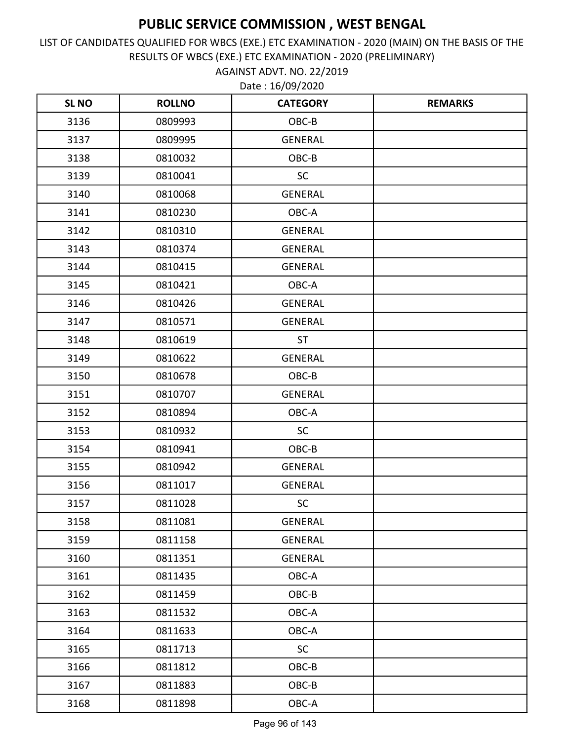AGAINST ADVT. NO. 22/2019 LIST OF CANDIDATES QUALIFIED FOR WBCS (EXE.) ETC EXAMINATION - 2020 (MAIN) ON THE BASIS OF THE RESULTS OF WBCS (EXE.) ETC EXAMINATION - 2020 (PRELIMINARY)

| <b>SLNO</b> | <b>ROLLNO</b> | <b>CATEGORY</b> | <b>REMARKS</b> |
|-------------|---------------|-----------------|----------------|
| 3136        | 0809993       | OBC-B           |                |
| 3137        | 0809995       | <b>GENERAL</b>  |                |
| 3138        | 0810032       | OBC-B           |                |
| 3139        | 0810041       | SC              |                |
| 3140        | 0810068       | <b>GENERAL</b>  |                |
| 3141        | 0810230       | OBC-A           |                |
| 3142        | 0810310       | <b>GENERAL</b>  |                |
| 3143        | 0810374       | <b>GENERAL</b>  |                |
| 3144        | 0810415       | <b>GENERAL</b>  |                |
| 3145        | 0810421       | OBC-A           |                |
| 3146        | 0810426       | <b>GENERAL</b>  |                |
| 3147        | 0810571       | <b>GENERAL</b>  |                |
| 3148        | 0810619       | <b>ST</b>       |                |
| 3149        | 0810622       | <b>GENERAL</b>  |                |
| 3150        | 0810678       | OBC-B           |                |
| 3151        | 0810707       | <b>GENERAL</b>  |                |
| 3152        | 0810894       | OBC-A           |                |
| 3153        | 0810932       | <b>SC</b>       |                |
| 3154        | 0810941       | OBC-B           |                |
| 3155        | 0810942       | <b>GENERAL</b>  |                |
| 3156        | 0811017       | <b>GENERAL</b>  |                |
| 3157        | 0811028       | SC              |                |
| 3158        | 0811081       | <b>GENERAL</b>  |                |
| 3159        | 0811158       | GENERAL         |                |
| 3160        | 0811351       | <b>GENERAL</b>  |                |
| 3161        | 0811435       | OBC-A           |                |
| 3162        | 0811459       | OBC-B           |                |
| 3163        | 0811532       | OBC-A           |                |
| 3164        | 0811633       | OBC-A           |                |
| 3165        | 0811713       | <b>SC</b>       |                |
| 3166        | 0811812       | OBC-B           |                |
| 3167        | 0811883       | OBC-B           |                |
| 3168        | 0811898       | OBC-A           |                |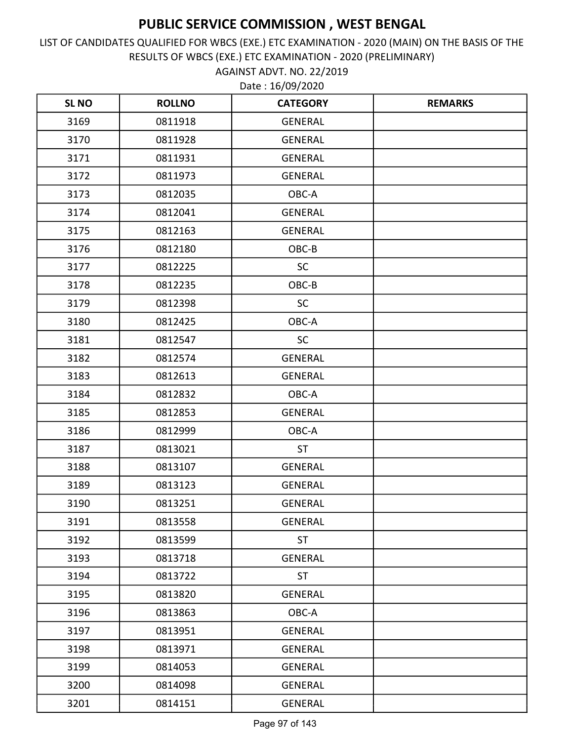AGAINST ADVT. NO. 22/2019 LIST OF CANDIDATES QUALIFIED FOR WBCS (EXE.) ETC EXAMINATION - 2020 (MAIN) ON THE BASIS OF THE RESULTS OF WBCS (EXE.) ETC EXAMINATION - 2020 (PRELIMINARY)

| <b>SLNO</b> | <b>ROLLNO</b> | <b>CATEGORY</b> | <b>REMARKS</b> |
|-------------|---------------|-----------------|----------------|
| 3169        | 0811918       | <b>GENERAL</b>  |                |
| 3170        | 0811928       | <b>GENERAL</b>  |                |
| 3171        | 0811931       | <b>GENERAL</b>  |                |
| 3172        | 0811973       | <b>GENERAL</b>  |                |
| 3173        | 0812035       | OBC-A           |                |
| 3174        | 0812041       | <b>GENERAL</b>  |                |
| 3175        | 0812163       | <b>GENERAL</b>  |                |
| 3176        | 0812180       | OBC-B           |                |
| 3177        | 0812225       | SC              |                |
| 3178        | 0812235       | OBC-B           |                |
| 3179        | 0812398       | SC              |                |
| 3180        | 0812425       | OBC-A           |                |
| 3181        | 0812547       | <b>SC</b>       |                |
| 3182        | 0812574       | <b>GENERAL</b>  |                |
| 3183        | 0812613       | <b>GENERAL</b>  |                |
| 3184        | 0812832       | OBC-A           |                |
| 3185        | 0812853       | <b>GENERAL</b>  |                |
| 3186        | 0812999       | OBC-A           |                |
| 3187        | 0813021       | <b>ST</b>       |                |
| 3188        | 0813107       | <b>GENERAL</b>  |                |
| 3189        | 0813123       | <b>GENERAL</b>  |                |
| 3190        | 0813251       | <b>GENERAL</b>  |                |
| 3191        | 0813558       | <b>GENERAL</b>  |                |
| 3192        | 0813599       | <b>ST</b>       |                |
| 3193        | 0813718       | <b>GENERAL</b>  |                |
| 3194        | 0813722       | <b>ST</b>       |                |
| 3195        | 0813820       | <b>GENERAL</b>  |                |
| 3196        | 0813863       | OBC-A           |                |
| 3197        | 0813951       | <b>GENERAL</b>  |                |
| 3198        | 0813971       | <b>GENERAL</b>  |                |
| 3199        | 0814053       | <b>GENERAL</b>  |                |
| 3200        | 0814098       | <b>GENERAL</b>  |                |
| 3201        | 0814151       | GENERAL         |                |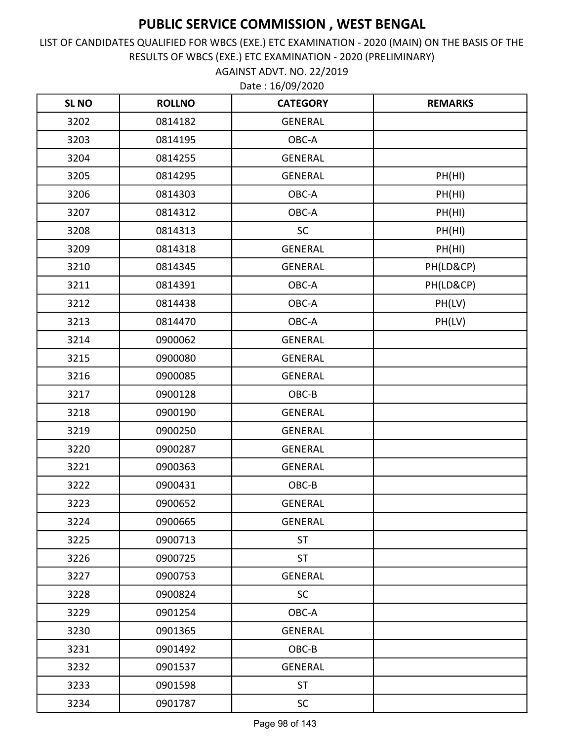AGAINST ADVT. NO. 22/2019 LIST OF CANDIDATES QUALIFIED FOR WBCS (EXE.) ETC EXAMINATION - 2020 (MAIN) ON THE BASIS OF THE RESULTS OF WBCS (EXE.) ETC EXAMINATION - 2020 (PRELIMINARY)

| <b>SLNO</b> | <b>ROLLNO</b> | <b>CATEGORY</b> | <b>REMARKS</b> |
|-------------|---------------|-----------------|----------------|
| 3202        | 0814182       | <b>GENERAL</b>  |                |
| 3203        | 0814195       | OBC-A           |                |
| 3204        | 0814255       | <b>GENERAL</b>  |                |
| 3205        | 0814295       | <b>GENERAL</b>  | PH(HI)         |
| 3206        | 0814303       | OBC-A           | PH(HI)         |
| 3207        | 0814312       | OBC-A           | PH(HI)         |
| 3208        | 0814313       | <b>SC</b>       | PH(HI)         |
| 3209        | 0814318       | <b>GENERAL</b>  | PH(HI)         |
| 3210        | 0814345       | <b>GENERAL</b>  | PH(LD&CP)      |
| 3211        | 0814391       | OBC-A           | PH(LD&CP)      |
| 3212        | 0814438       | OBC-A           | PH(LV)         |
| 3213        | 0814470       | OBC-A           | PH(LV)         |
| 3214        | 0900062       | <b>GENERAL</b>  |                |
| 3215        | 0900080       | <b>GENERAL</b>  |                |
| 3216        | 0900085       | <b>GENERAL</b>  |                |
| 3217        | 0900128       | OBC-B           |                |
| 3218        | 0900190       | <b>GENERAL</b>  |                |
| 3219        | 0900250       | <b>GENERAL</b>  |                |
| 3220        | 0900287       | <b>GENERAL</b>  |                |
| 3221        | 0900363       | <b>GENERAL</b>  |                |
| 3222        | 0900431       | OBC-B           |                |
| 3223        | 0900652       | <b>GENERAL</b>  |                |
| 3224        | 0900665       | <b>GENERAL</b>  |                |
| 3225        | 0900713       | <b>ST</b>       |                |
| 3226        | 0900725       | <b>ST</b>       |                |
| 3227        | 0900753       | <b>GENERAL</b>  |                |
| 3228        | 0900824       | <b>SC</b>       |                |
| 3229        | 0901254       | OBC-A           |                |
| 3230        | 0901365       | <b>GENERAL</b>  |                |
| 3231        | 0901492       | OBC-B           |                |
| 3232        | 0901537       | <b>GENERAL</b>  |                |
| 3233        | 0901598       | <b>ST</b>       |                |
| 3234        | 0901787       | <b>SC</b>       |                |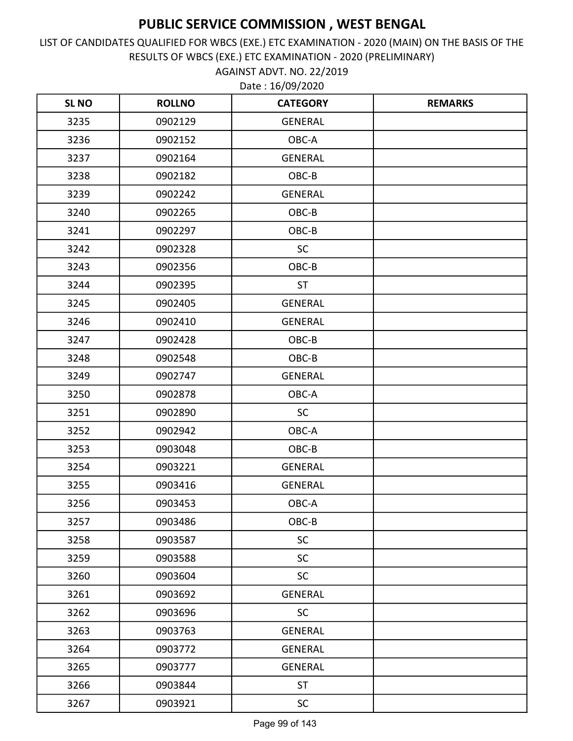AGAINST ADVT. NO. 22/2019 LIST OF CANDIDATES QUALIFIED FOR WBCS (EXE.) ETC EXAMINATION - 2020 (MAIN) ON THE BASIS OF THE RESULTS OF WBCS (EXE.) ETC EXAMINATION - 2020 (PRELIMINARY)

| <b>SL NO</b> | <b>ROLLNO</b> | <b>CATEGORY</b> | <b>REMARKS</b> |
|--------------|---------------|-----------------|----------------|
| 3235         | 0902129       | <b>GENERAL</b>  |                |
| 3236         | 0902152       | OBC-A           |                |
| 3237         | 0902164       | <b>GENERAL</b>  |                |
| 3238         | 0902182       | OBC-B           |                |
| 3239         | 0902242       | <b>GENERAL</b>  |                |
| 3240         | 0902265       | OBC-B           |                |
| 3241         | 0902297       | OBC-B           |                |
| 3242         | 0902328       | <b>SC</b>       |                |
| 3243         | 0902356       | OBC-B           |                |
| 3244         | 0902395       | <b>ST</b>       |                |
| 3245         | 0902405       | <b>GENERAL</b>  |                |
| 3246         | 0902410       | <b>GENERAL</b>  |                |
| 3247         | 0902428       | OBC-B           |                |
| 3248         | 0902548       | OBC-B           |                |
| 3249         | 0902747       | <b>GENERAL</b>  |                |
| 3250         | 0902878       | OBC-A           |                |
| 3251         | 0902890       | SC              |                |
| 3252         | 0902942       | OBC-A           |                |
| 3253         | 0903048       | OBC-B           |                |
| 3254         | 0903221       | <b>GENERAL</b>  |                |
| 3255         | 0903416       | <b>GENERAL</b>  |                |
| 3256         | 0903453       | OBC-A           |                |
| 3257         | 0903486       | OBC-B           |                |
| 3258         | 0903587       | SC              |                |
| 3259         | 0903588       | <b>SC</b>       |                |
| 3260         | 0903604       | <b>SC</b>       |                |
| 3261         | 0903692       | <b>GENERAL</b>  |                |
| 3262         | 0903696       | <b>SC</b>       |                |
| 3263         | 0903763       | <b>GENERAL</b>  |                |
| 3264         | 0903772       | <b>GENERAL</b>  |                |
| 3265         | 0903777       | <b>GENERAL</b>  |                |
| 3266         | 0903844       | <b>ST</b>       |                |
| 3267         | 0903921       | <b>SC</b>       |                |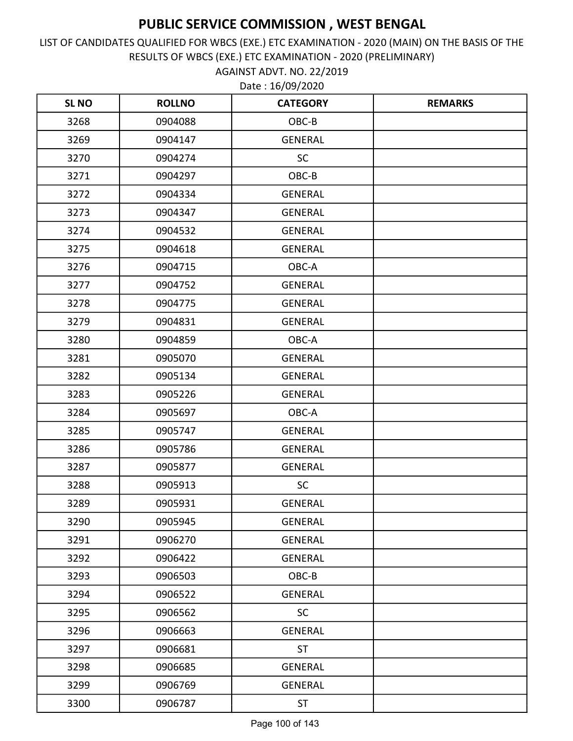AGAINST ADVT. NO. 22/2019 LIST OF CANDIDATES QUALIFIED FOR WBCS (EXE.) ETC EXAMINATION - 2020 (MAIN) ON THE BASIS OF THE RESULTS OF WBCS (EXE.) ETC EXAMINATION - 2020 (PRELIMINARY)

| <b>SLNO</b> | <b>ROLLNO</b> | <b>CATEGORY</b> | <b>REMARKS</b> |
|-------------|---------------|-----------------|----------------|
| 3268        | 0904088       | OBC-B           |                |
| 3269        | 0904147       | <b>GENERAL</b>  |                |
| 3270        | 0904274       | <b>SC</b>       |                |
| 3271        | 0904297       | OBC-B           |                |
| 3272        | 0904334       | <b>GENERAL</b>  |                |
| 3273        | 0904347       | <b>GENERAL</b>  |                |
| 3274        | 0904532       | <b>GENERAL</b>  |                |
| 3275        | 0904618       | <b>GENERAL</b>  |                |
| 3276        | 0904715       | OBC-A           |                |
| 3277        | 0904752       | <b>GENERAL</b>  |                |
| 3278        | 0904775       | <b>GENERAL</b>  |                |
| 3279        | 0904831       | <b>GENERAL</b>  |                |
| 3280        | 0904859       | OBC-A           |                |
| 3281        | 0905070       | <b>GENERAL</b>  |                |
| 3282        | 0905134       | <b>GENERAL</b>  |                |
| 3283        | 0905226       | <b>GENERAL</b>  |                |
| 3284        | 0905697       | OBC-A           |                |
| 3285        | 0905747       | <b>GENERAL</b>  |                |
| 3286        | 0905786       | <b>GENERAL</b>  |                |
| 3287        | 0905877       | <b>GENERAL</b>  |                |
| 3288        | 0905913       | <b>SC</b>       |                |
| 3289        | 0905931       | <b>GENERAL</b>  |                |
| 3290        | 0905945       | <b>GENERAL</b>  |                |
| 3291        | 0906270       | <b>GENERAL</b>  |                |
| 3292        | 0906422       | <b>GENERAL</b>  |                |
| 3293        | 0906503       | OBC-B           |                |
| 3294        | 0906522       | <b>GENERAL</b>  |                |
| 3295        | 0906562       | <b>SC</b>       |                |
| 3296        | 0906663       | <b>GENERAL</b>  |                |
| 3297        | 0906681       | <b>ST</b>       |                |
| 3298        | 0906685       | <b>GENERAL</b>  |                |
| 3299        | 0906769       | <b>GENERAL</b>  |                |
| 3300        | 0906787       | ST              |                |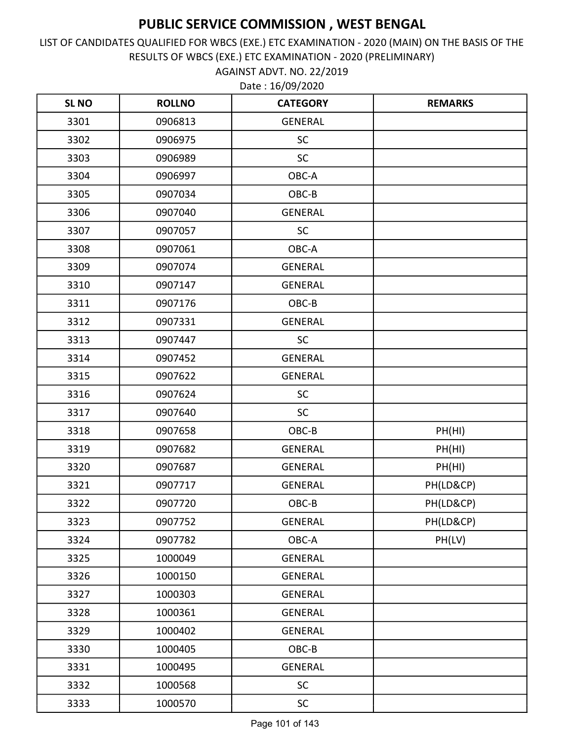AGAINST ADVT. NO. 22/2019 LIST OF CANDIDATES QUALIFIED FOR WBCS (EXE.) ETC EXAMINATION - 2020 (MAIN) ON THE BASIS OF THE RESULTS OF WBCS (EXE.) ETC EXAMINATION - 2020 (PRELIMINARY)

| <b>SLNO</b> | <b>ROLLNO</b> | <b>CATEGORY</b> | <b>REMARKS</b> |
|-------------|---------------|-----------------|----------------|
| 3301        | 0906813       | <b>GENERAL</b>  |                |
| 3302        | 0906975       | <b>SC</b>       |                |
| 3303        | 0906989       | <b>SC</b>       |                |
| 3304        | 0906997       | OBC-A           |                |
| 3305        | 0907034       | OBC-B           |                |
| 3306        | 0907040       | <b>GENERAL</b>  |                |
| 3307        | 0907057       | <b>SC</b>       |                |
| 3308        | 0907061       | OBC-A           |                |
| 3309        | 0907074       | <b>GENERAL</b>  |                |
| 3310        | 0907147       | <b>GENERAL</b>  |                |
| 3311        | 0907176       | OBC-B           |                |
| 3312        | 0907331       | <b>GENERAL</b>  |                |
| 3313        | 0907447       | SC              |                |
| 3314        | 0907452       | <b>GENERAL</b>  |                |
| 3315        | 0907622       | <b>GENERAL</b>  |                |
| 3316        | 0907624       | SC              |                |
| 3317        | 0907640       | SC              |                |
| 3318        | 0907658       | OBC-B           | PH(HI)         |
| 3319        | 0907682       | <b>GENERAL</b>  | PH(HI)         |
| 3320        | 0907687       | <b>GENERAL</b>  | PH(HI)         |
| 3321        | 0907717       | <b>GENERAL</b>  | PH(LD&CP)      |
| 3322        | 0907720       | OBC-B           | PH(LD&CP)      |
| 3323        | 0907752       | <b>GENERAL</b>  | PH(LD&CP)      |
| 3324        | 0907782       | OBC-A           | PH(LV)         |
| 3325        | 1000049       | <b>GENERAL</b>  |                |
| 3326        | 1000150       | <b>GENERAL</b>  |                |
| 3327        | 1000303       | <b>GENERAL</b>  |                |
| 3328        | 1000361       | <b>GENERAL</b>  |                |
| 3329        | 1000402       | <b>GENERAL</b>  |                |
| 3330        | 1000405       | OBC-B           |                |
| 3331        | 1000495       | <b>GENERAL</b>  |                |
| 3332        | 1000568       | <b>SC</b>       |                |
| 3333        | 1000570       | <b>SC</b>       |                |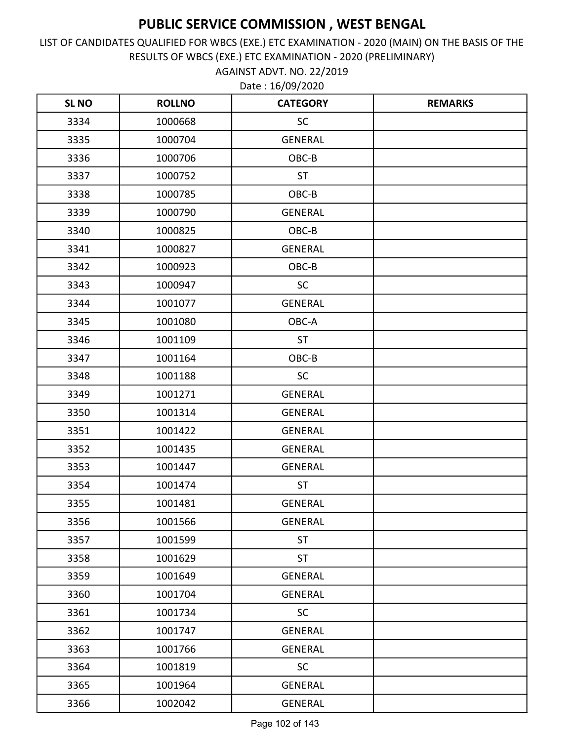AGAINST ADVT. NO. 22/2019 LIST OF CANDIDATES QUALIFIED FOR WBCS (EXE.) ETC EXAMINATION - 2020 (MAIN) ON THE BASIS OF THE RESULTS OF WBCS (EXE.) ETC EXAMINATION - 2020 (PRELIMINARY)

| <b>SLNO</b> | <b>ROLLNO</b> | <b>CATEGORY</b> | <b>REMARKS</b> |
|-------------|---------------|-----------------|----------------|
| 3334        | 1000668       | <b>SC</b>       |                |
| 3335        | 1000704       | <b>GENERAL</b>  |                |
| 3336        | 1000706       | OBC-B           |                |
| 3337        | 1000752       | <b>ST</b>       |                |
| 3338        | 1000785       | OBC-B           |                |
| 3339        | 1000790       | <b>GENERAL</b>  |                |
| 3340        | 1000825       | OBC-B           |                |
| 3341        | 1000827       | <b>GENERAL</b>  |                |
| 3342        | 1000923       | OBC-B           |                |
| 3343        | 1000947       | <b>SC</b>       |                |
| 3344        | 1001077       | <b>GENERAL</b>  |                |
| 3345        | 1001080       | OBC-A           |                |
| 3346        | 1001109       | <b>ST</b>       |                |
| 3347        | 1001164       | OBC-B           |                |
| 3348        | 1001188       | <b>SC</b>       |                |
| 3349        | 1001271       | <b>GENERAL</b>  |                |
| 3350        | 1001314       | <b>GENERAL</b>  |                |
| 3351        | 1001422       | <b>GENERAL</b>  |                |
| 3352        | 1001435       | <b>GENERAL</b>  |                |
| 3353        | 1001447       | <b>GENERAL</b>  |                |
| 3354        | 1001474       | <b>ST</b>       |                |
| 3355        | 1001481       | <b>GENERAL</b>  |                |
| 3356        | 1001566       | <b>GENERAL</b>  |                |
| 3357        | 1001599       | <b>ST</b>       |                |
| 3358        | 1001629       | <b>ST</b>       |                |
| 3359        | 1001649       | <b>GENERAL</b>  |                |
| 3360        | 1001704       | <b>GENERAL</b>  |                |
| 3361        | 1001734       | <b>SC</b>       |                |
| 3362        | 1001747       | <b>GENERAL</b>  |                |
| 3363        | 1001766       | <b>GENERAL</b>  |                |
| 3364        | 1001819       | <b>SC</b>       |                |
| 3365        | 1001964       | <b>GENERAL</b>  |                |
| 3366        | 1002042       | GENERAL         |                |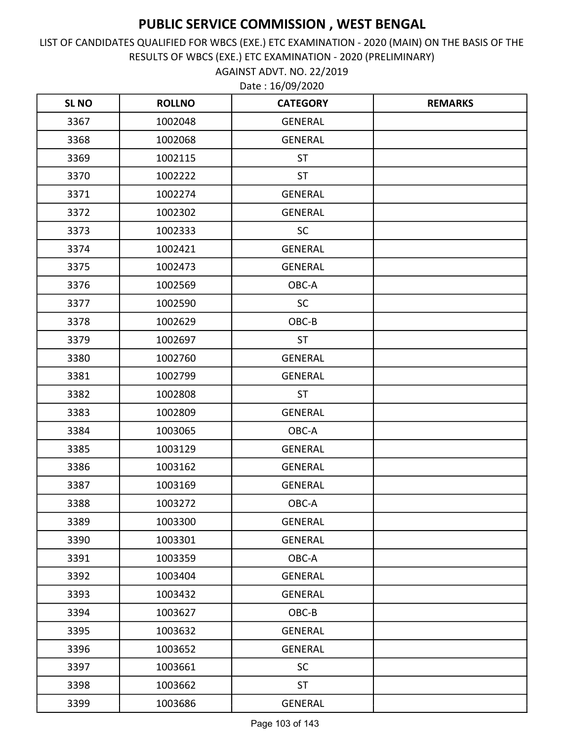AGAINST ADVT. NO. 22/2019 LIST OF CANDIDATES QUALIFIED FOR WBCS (EXE.) ETC EXAMINATION - 2020 (MAIN) ON THE BASIS OF THE RESULTS OF WBCS (EXE.) ETC EXAMINATION - 2020 (PRELIMINARY)

| <b>SLNO</b> | <b>ROLLNO</b> | <b>CATEGORY</b> | <b>REMARKS</b> |
|-------------|---------------|-----------------|----------------|
| 3367        | 1002048       | <b>GENERAL</b>  |                |
| 3368        | 1002068       | <b>GENERAL</b>  |                |
| 3369        | 1002115       | <b>ST</b>       |                |
| 3370        | 1002222       | <b>ST</b>       |                |
| 3371        | 1002274       | <b>GENERAL</b>  |                |
| 3372        | 1002302       | GENERAL         |                |
| 3373        | 1002333       | <b>SC</b>       |                |
| 3374        | 1002421       | <b>GENERAL</b>  |                |
| 3375        | 1002473       | <b>GENERAL</b>  |                |
| 3376        | 1002569       | OBC-A           |                |
| 3377        | 1002590       | <b>SC</b>       |                |
| 3378        | 1002629       | OBC-B           |                |
| 3379        | 1002697       | <b>ST</b>       |                |
| 3380        | 1002760       | GENERAL         |                |
| 3381        | 1002799       | <b>GENERAL</b>  |                |
| 3382        | 1002808       | <b>ST</b>       |                |
| 3383        | 1002809       | <b>GENERAL</b>  |                |
| 3384        | 1003065       | OBC-A           |                |
| 3385        | 1003129       | <b>GENERAL</b>  |                |
| 3386        | 1003162       | <b>GENERAL</b>  |                |
| 3387        | 1003169       | <b>GENERAL</b>  |                |
| 3388        | 1003272       | OBC-A           |                |
| 3389        | 1003300       | <b>GENERAL</b>  |                |
| 3390        | 1003301       | <b>GENERAL</b>  |                |
| 3391        | 1003359       | OBC-A           |                |
| 3392        | 1003404       | GENERAL         |                |
| 3393        | 1003432       | GENERAL         |                |
| 3394        | 1003627       | OBC-B           |                |
| 3395        | 1003632       | <b>GENERAL</b>  |                |
| 3396        | 1003652       | <b>GENERAL</b>  |                |
| 3397        | 1003661       | <b>SC</b>       |                |
| 3398        | 1003662       | <b>ST</b>       |                |
| 3399        | 1003686       | <b>GENERAL</b>  |                |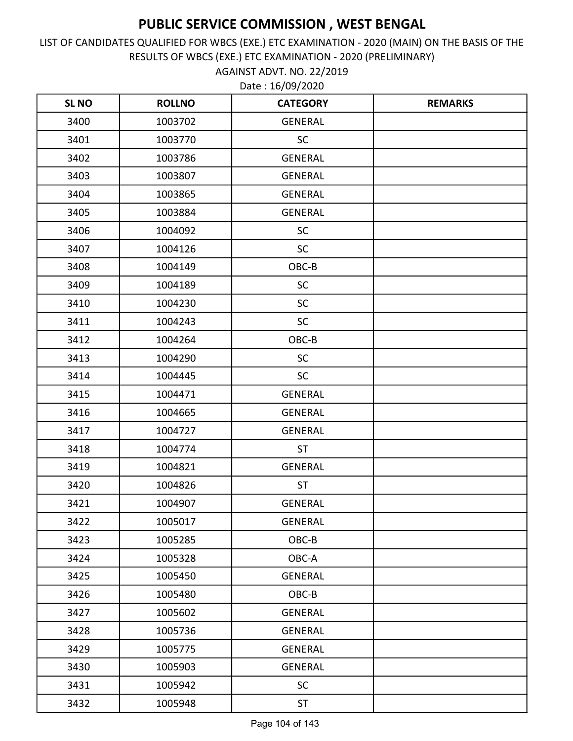AGAINST ADVT. NO. 22/2019 LIST OF CANDIDATES QUALIFIED FOR WBCS (EXE.) ETC EXAMINATION - 2020 (MAIN) ON THE BASIS OF THE RESULTS OF WBCS (EXE.) ETC EXAMINATION - 2020 (PRELIMINARY)

| <b>SLNO</b> | <b>ROLLNO</b> | <b>CATEGORY</b> | <b>REMARKS</b> |
|-------------|---------------|-----------------|----------------|
| 3400        | 1003702       | <b>GENERAL</b>  |                |
| 3401        | 1003770       | <b>SC</b>       |                |
| 3402        | 1003786       | <b>GENERAL</b>  |                |
| 3403        | 1003807       | <b>GENERAL</b>  |                |
| 3404        | 1003865       | <b>GENERAL</b>  |                |
| 3405        | 1003884       | <b>GENERAL</b>  |                |
| 3406        | 1004092       | <b>SC</b>       |                |
| 3407        | 1004126       | <b>SC</b>       |                |
| 3408        | 1004149       | OBC-B           |                |
| 3409        | 1004189       | <b>SC</b>       |                |
| 3410        | 1004230       | <b>SC</b>       |                |
| 3411        | 1004243       | SC              |                |
| 3412        | 1004264       | OBC-B           |                |
| 3413        | 1004290       | <b>SC</b>       |                |
| 3414        | 1004445       | <b>SC</b>       |                |
| 3415        | 1004471       | <b>GENERAL</b>  |                |
| 3416        | 1004665       | <b>GENERAL</b>  |                |
| 3417        | 1004727       | <b>GENERAL</b>  |                |
| 3418        | 1004774       | <b>ST</b>       |                |
| 3419        | 1004821       | <b>GENERAL</b>  |                |
| 3420        | 1004826       | <b>ST</b>       |                |
| 3421        | 1004907       | <b>GENERAL</b>  |                |
| 3422        | 1005017       | <b>GENERAL</b>  |                |
| 3423        | 1005285       | OBC-B           |                |
| 3424        | 1005328       | OBC-A           |                |
| 3425        | 1005450       | <b>GENERAL</b>  |                |
| 3426        | 1005480       | OBC-B           |                |
| 3427        | 1005602       | <b>GENERAL</b>  |                |
| 3428        | 1005736       | <b>GENERAL</b>  |                |
| 3429        | 1005775       | <b>GENERAL</b>  |                |
| 3430        | 1005903       | <b>GENERAL</b>  |                |
| 3431        | 1005942       | <b>SC</b>       |                |
| 3432        | 1005948       | <b>ST</b>       |                |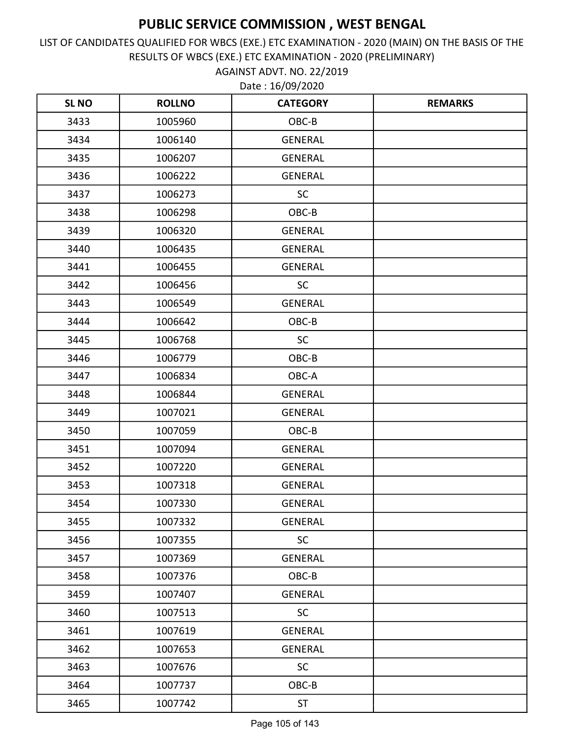AGAINST ADVT. NO. 22/2019 LIST OF CANDIDATES QUALIFIED FOR WBCS (EXE.) ETC EXAMINATION - 2020 (MAIN) ON THE BASIS OF THE RESULTS OF WBCS (EXE.) ETC EXAMINATION - 2020 (PRELIMINARY)

| <b>SLNO</b> | <b>ROLLNO</b> | <b>CATEGORY</b> | <b>REMARKS</b> |
|-------------|---------------|-----------------|----------------|
| 3433        | 1005960       | OBC-B           |                |
| 3434        | 1006140       | <b>GENERAL</b>  |                |
| 3435        | 1006207       | <b>GENERAL</b>  |                |
| 3436        | 1006222       | <b>GENERAL</b>  |                |
| 3437        | 1006273       | SC              |                |
| 3438        | 1006298       | OBC-B           |                |
| 3439        | 1006320       | <b>GENERAL</b>  |                |
| 3440        | 1006435       | <b>GENERAL</b>  |                |
| 3441        | 1006455       | <b>GENERAL</b>  |                |
| 3442        | 1006456       | <b>SC</b>       |                |
| 3443        | 1006549       | <b>GENERAL</b>  |                |
| 3444        | 1006642       | OBC-B           |                |
| 3445        | 1006768       | <b>SC</b>       |                |
| 3446        | 1006779       | OBC-B           |                |
| 3447        | 1006834       | OBC-A           |                |
| 3448        | 1006844       | <b>GENERAL</b>  |                |
| 3449        | 1007021       | <b>GENERAL</b>  |                |
| 3450        | 1007059       | OBC-B           |                |
| 3451        | 1007094       | <b>GENERAL</b>  |                |
| 3452        | 1007220       | <b>GENERAL</b>  |                |
| 3453        | 1007318       | <b>GENERAL</b>  |                |
| 3454        | 1007330       | <b>GENERAL</b>  |                |
| 3455        | 1007332       | GENERAL         |                |
| 3456        | 1007355       | <b>SC</b>       |                |
| 3457        | 1007369       | <b>GENERAL</b>  |                |
| 3458        | 1007376       | OBC-B           |                |
| 3459        | 1007407       | <b>GENERAL</b>  |                |
| 3460        | 1007513       | <b>SC</b>       |                |
| 3461        | 1007619       | <b>GENERAL</b>  |                |
| 3462        | 1007653       | <b>GENERAL</b>  |                |
| 3463        | 1007676       | <b>SC</b>       |                |
| 3464        | 1007737       | OBC-B           |                |
| 3465        | 1007742       | <b>ST</b>       |                |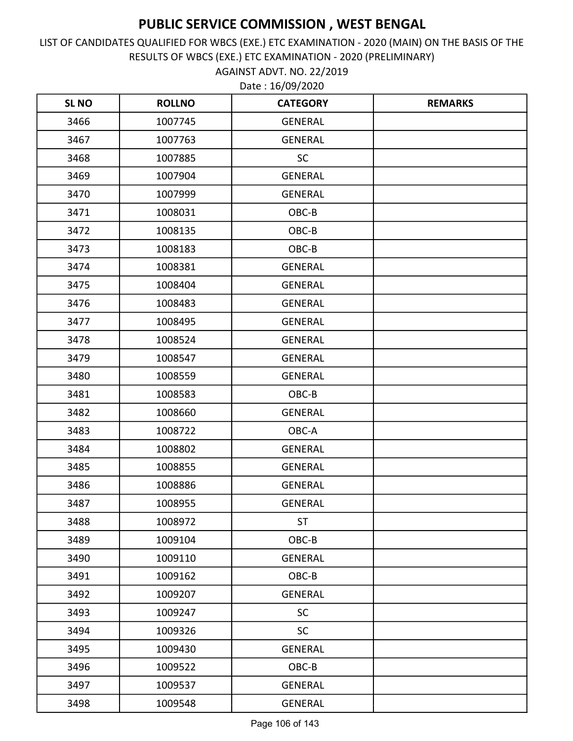AGAINST ADVT. NO. 22/2019 LIST OF CANDIDATES QUALIFIED FOR WBCS (EXE.) ETC EXAMINATION - 2020 (MAIN) ON THE BASIS OF THE RESULTS OF WBCS (EXE.) ETC EXAMINATION - 2020 (PRELIMINARY)

| <b>SLNO</b> | <b>ROLLNO</b> | <b>CATEGORY</b> | <b>REMARKS</b> |
|-------------|---------------|-----------------|----------------|
| 3466        | 1007745       | <b>GENERAL</b>  |                |
| 3467        | 1007763       | <b>GENERAL</b>  |                |
| 3468        | 1007885       | <b>SC</b>       |                |
| 3469        | 1007904       | <b>GENERAL</b>  |                |
| 3470        | 1007999       | <b>GENERAL</b>  |                |
| 3471        | 1008031       | OBC-B           |                |
| 3472        | 1008135       | OBC-B           |                |
| 3473        | 1008183       | OBC-B           |                |
| 3474        | 1008381       | <b>GENERAL</b>  |                |
| 3475        | 1008404       | <b>GENERAL</b>  |                |
| 3476        | 1008483       | <b>GENERAL</b>  |                |
| 3477        | 1008495       | <b>GENERAL</b>  |                |
| 3478        | 1008524       | <b>GENERAL</b>  |                |
| 3479        | 1008547       | <b>GENERAL</b>  |                |
| 3480        | 1008559       | <b>GENERAL</b>  |                |
| 3481        | 1008583       | OBC-B           |                |
| 3482        | 1008660       | <b>GENERAL</b>  |                |
| 3483        | 1008722       | OBC-A           |                |
| 3484        | 1008802       | <b>GENERAL</b>  |                |
| 3485        | 1008855       | <b>GENERAL</b>  |                |
| 3486        | 1008886       | <b>GENERAL</b>  |                |
| 3487        | 1008955       | <b>GENERAL</b>  |                |
| 3488        | 1008972       | <b>ST</b>       |                |
| 3489        | 1009104       | OBC-B           |                |
| 3490        | 1009110       | <b>GENERAL</b>  |                |
| 3491        | 1009162       | OBC-B           |                |
| 3492        | 1009207       | <b>GENERAL</b>  |                |
| 3493        | 1009247       | <b>SC</b>       |                |
| 3494        | 1009326       | <b>SC</b>       |                |
| 3495        | 1009430       | <b>GENERAL</b>  |                |
| 3496        | 1009522       | OBC-B           |                |
| 3497        | 1009537       | <b>GENERAL</b>  |                |
| 3498        | 1009548       | GENERAL         |                |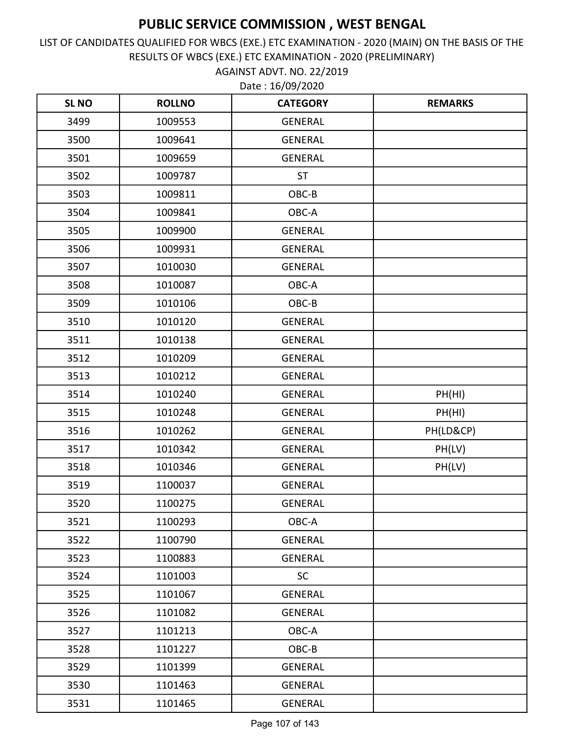AGAINST ADVT. NO. 22/2019 LIST OF CANDIDATES QUALIFIED FOR WBCS (EXE.) ETC EXAMINATION - 2020 (MAIN) ON THE BASIS OF THE RESULTS OF WBCS (EXE.) ETC EXAMINATION - 2020 (PRELIMINARY)

| <b>SLNO</b> | <b>ROLLNO</b> | <b>CATEGORY</b> | <b>REMARKS</b> |
|-------------|---------------|-----------------|----------------|
| 3499        | 1009553       | <b>GENERAL</b>  |                |
| 3500        | 1009641       | <b>GENERAL</b>  |                |
| 3501        | 1009659       | <b>GENERAL</b>  |                |
| 3502        | 1009787       | <b>ST</b>       |                |
| 3503        | 1009811       | OBC-B           |                |
| 3504        | 1009841       | OBC-A           |                |
| 3505        | 1009900       | <b>GENERAL</b>  |                |
| 3506        | 1009931       | <b>GENERAL</b>  |                |
| 3507        | 1010030       | <b>GENERAL</b>  |                |
| 3508        | 1010087       | OBC-A           |                |
| 3509        | 1010106       | OBC-B           |                |
| 3510        | 1010120       | <b>GENERAL</b>  |                |
| 3511        | 1010138       | <b>GENERAL</b>  |                |
| 3512        | 1010209       | <b>GENERAL</b>  |                |
| 3513        | 1010212       | <b>GENERAL</b>  |                |
| 3514        | 1010240       | <b>GENERAL</b>  | PH(HI)         |
| 3515        | 1010248       | <b>GENERAL</b>  | PH(HI)         |
| 3516        | 1010262       | <b>GENERAL</b>  | PH(LD&CP)      |
| 3517        | 1010342       | <b>GENERAL</b>  | PH(LV)         |
| 3518        | 1010346       | <b>GENERAL</b>  | PH(LV)         |
| 3519        | 1100037       | <b>GENERAL</b>  |                |
| 3520        | 1100275       | <b>GENERAL</b>  |                |
| 3521        | 1100293       | OBC-A           |                |
| 3522        | 1100790       | <b>GENERAL</b>  |                |
| 3523        | 1100883       | <b>GENERAL</b>  |                |
| 3524        | 1101003       | <b>SC</b>       |                |
| 3525        | 1101067       | <b>GENERAL</b>  |                |
| 3526        | 1101082       | <b>GENERAL</b>  |                |
| 3527        | 1101213       | OBC-A           |                |
| 3528        | 1101227       | OBC-B           |                |
| 3529        | 1101399       | <b>GENERAL</b>  |                |
| 3530        | 1101463       | <b>GENERAL</b>  |                |
| 3531        | 1101465       | <b>GENERAL</b>  |                |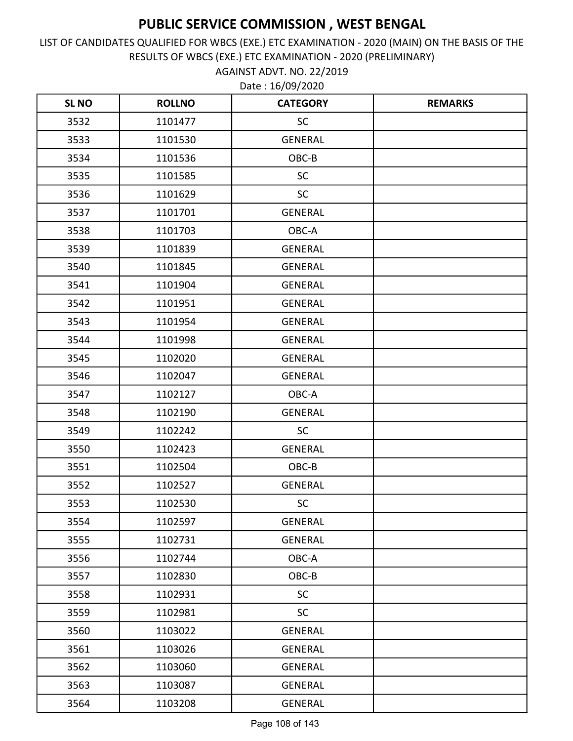AGAINST ADVT. NO. 22/2019 LIST OF CANDIDATES QUALIFIED FOR WBCS (EXE.) ETC EXAMINATION - 2020 (MAIN) ON THE BASIS OF THE RESULTS OF WBCS (EXE.) ETC EXAMINATION - 2020 (PRELIMINARY)

| <b>SLNO</b> | <b>ROLLNO</b> | <b>CATEGORY</b> | <b>REMARKS</b> |
|-------------|---------------|-----------------|----------------|
| 3532        | 1101477       | <b>SC</b>       |                |
| 3533        | 1101530       | <b>GENERAL</b>  |                |
| 3534        | 1101536       | OBC-B           |                |
| 3535        | 1101585       | SC              |                |
| 3536        | 1101629       | SC              |                |
| 3537        | 1101701       | <b>GENERAL</b>  |                |
| 3538        | 1101703       | OBC-A           |                |
| 3539        | 1101839       | <b>GENERAL</b>  |                |
| 3540        | 1101845       | <b>GENERAL</b>  |                |
| 3541        | 1101904       | <b>GENERAL</b>  |                |
| 3542        | 1101951       | <b>GENERAL</b>  |                |
| 3543        | 1101954       | <b>GENERAL</b>  |                |
| 3544        | 1101998       | <b>GENERAL</b>  |                |
| 3545        | 1102020       | <b>GENERAL</b>  |                |
| 3546        | 1102047       | <b>GENERAL</b>  |                |
| 3547        | 1102127       | OBC-A           |                |
| 3548        | 1102190       | <b>GENERAL</b>  |                |
| 3549        | 1102242       | <b>SC</b>       |                |
| 3550        | 1102423       | <b>GENERAL</b>  |                |
| 3551        | 1102504       | OBC-B           |                |
| 3552        | 1102527       | <b>GENERAL</b>  |                |
| 3553        | 1102530       | <b>SC</b>       |                |
| 3554        | 1102597       | <b>GENERAL</b>  |                |
| 3555        | 1102731       | <b>GENERAL</b>  |                |
| 3556        | 1102744       | OBC-A           |                |
| 3557        | 1102830       | OBC-B           |                |
| 3558        | 1102931       | <b>SC</b>       |                |
| 3559        | 1102981       | <b>SC</b>       |                |
| 3560        | 1103022       | <b>GENERAL</b>  |                |
| 3561        | 1103026       | <b>GENERAL</b>  |                |
| 3562        | 1103060       | <b>GENERAL</b>  |                |
| 3563        | 1103087       | <b>GENERAL</b>  |                |
| 3564        | 1103208       | <b>GENERAL</b>  |                |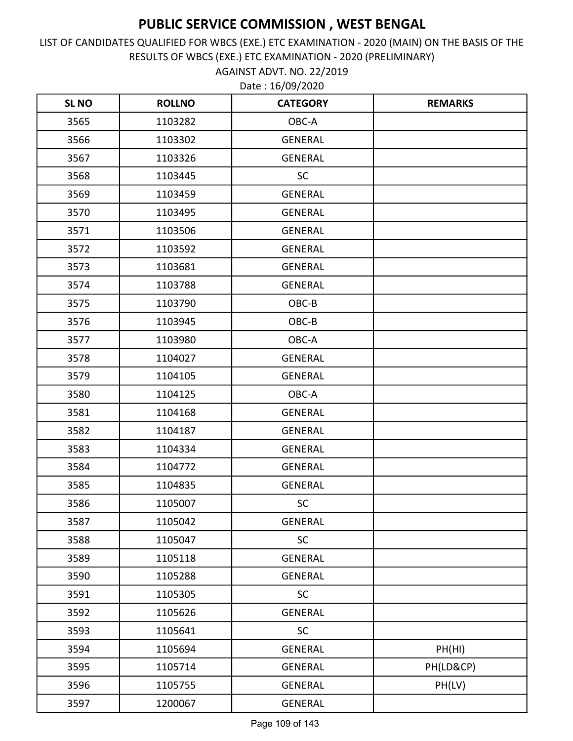AGAINST ADVT. NO. 22/2019 LIST OF CANDIDATES QUALIFIED FOR WBCS (EXE.) ETC EXAMINATION - 2020 (MAIN) ON THE BASIS OF THE RESULTS OF WBCS (EXE.) ETC EXAMINATION - 2020 (PRELIMINARY)

| <b>SLNO</b> | <b>ROLLNO</b> | <b>CATEGORY</b> | <b>REMARKS</b> |
|-------------|---------------|-----------------|----------------|
| 3565        | 1103282       | OBC-A           |                |
| 3566        | 1103302       | <b>GENERAL</b>  |                |
| 3567        | 1103326       | <b>GENERAL</b>  |                |
| 3568        | 1103445       | SC              |                |
| 3569        | 1103459       | <b>GENERAL</b>  |                |
| 3570        | 1103495       | <b>GENERAL</b>  |                |
| 3571        | 1103506       | <b>GENERAL</b>  |                |
| 3572        | 1103592       | <b>GENERAL</b>  |                |
| 3573        | 1103681       | <b>GENERAL</b>  |                |
| 3574        | 1103788       | <b>GENERAL</b>  |                |
| 3575        | 1103790       | OBC-B           |                |
| 3576        | 1103945       | OBC-B           |                |
| 3577        | 1103980       | OBC-A           |                |
| 3578        | 1104027       | <b>GENERAL</b>  |                |
| 3579        | 1104105       | <b>GENERAL</b>  |                |
| 3580        | 1104125       | OBC-A           |                |
| 3581        | 1104168       | <b>GENERAL</b>  |                |
| 3582        | 1104187       | <b>GENERAL</b>  |                |
| 3583        | 1104334       | <b>GENERAL</b>  |                |
| 3584        | 1104772       | <b>GENERAL</b>  |                |
| 3585        | 1104835       | <b>GENERAL</b>  |                |
| 3586        | 1105007       | <b>SC</b>       |                |
| 3587        | 1105042       | <b>GENERAL</b>  |                |
| 3588        | 1105047       | SC              |                |
| 3589        | 1105118       | <b>GENERAL</b>  |                |
| 3590        | 1105288       | GENERAL         |                |
| 3591        | 1105305       | <b>SC</b>       |                |
| 3592        | 1105626       | <b>GENERAL</b>  |                |
| 3593        | 1105641       | SC              |                |
| 3594        | 1105694       | <b>GENERAL</b>  | PH(HI)         |
| 3595        | 1105714       | <b>GENERAL</b>  | PH(LD&CP)      |
| 3596        | 1105755       | GENERAL         | PH(LV)         |
| 3597        | 1200067       | GENERAL         |                |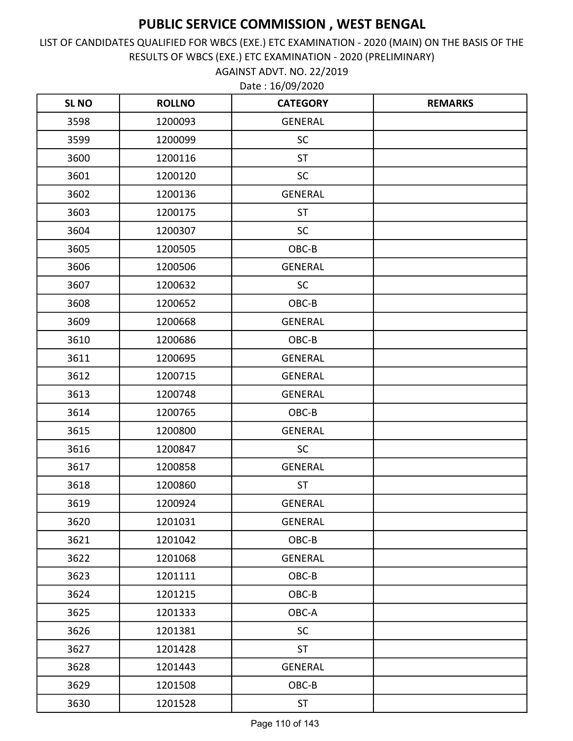AGAINST ADVT. NO. 22/2019 LIST OF CANDIDATES QUALIFIED FOR WBCS (EXE.) ETC EXAMINATION - 2020 (MAIN) ON THE BASIS OF THE RESULTS OF WBCS (EXE.) ETC EXAMINATION - 2020 (PRELIMINARY)

| <b>SLNO</b> | <b>ROLLNO</b> | <b>CATEGORY</b> | <b>REMARKS</b> |
|-------------|---------------|-----------------|----------------|
| 3598        | 1200093       | <b>GENERAL</b>  |                |
| 3599        | 1200099       | <b>SC</b>       |                |
| 3600        | 1200116       | <b>ST</b>       |                |
| 3601        | 1200120       | <b>SC</b>       |                |
| 3602        | 1200136       | <b>GENERAL</b>  |                |
| 3603        | 1200175       | <b>ST</b>       |                |
| 3604        | 1200307       | <b>SC</b>       |                |
| 3605        | 1200505       | OBC-B           |                |
| 3606        | 1200506       | <b>GENERAL</b>  |                |
| 3607        | 1200632       | <b>SC</b>       |                |
| 3608        | 1200652       | OBC-B           |                |
| 3609        | 1200668       | <b>GENERAL</b>  |                |
| 3610        | 1200686       | OBC-B           |                |
| 3611        | 1200695       | <b>GENERAL</b>  |                |
| 3612        | 1200715       | <b>GENERAL</b>  |                |
| 3613        | 1200748       | <b>GENERAL</b>  |                |
| 3614        | 1200765       | OBC-B           |                |
| 3615        | 1200800       | <b>GENERAL</b>  |                |
| 3616        | 1200847       | <b>SC</b>       |                |
| 3617        | 1200858       | <b>GENERAL</b>  |                |
| 3618        | 1200860       | <b>ST</b>       |                |
| 3619        | 1200924       | <b>GENERAL</b>  |                |
| 3620        | 1201031       | GENERAL         |                |
| 3621        | 1201042       | OBC-B           |                |
| 3622        | 1201068       | <b>GENERAL</b>  |                |
| 3623        | 1201111       | OBC-B           |                |
| 3624        | 1201215       | OBC-B           |                |
| 3625        | 1201333       | OBC-A           |                |
| 3626        | 1201381       | SC              |                |
| 3627        | 1201428       | <b>ST</b>       |                |
| 3628        | 1201443       | GENERAL         |                |
| 3629        | 1201508       | OBC-B           |                |
| 3630        | 1201528       | <b>ST</b>       |                |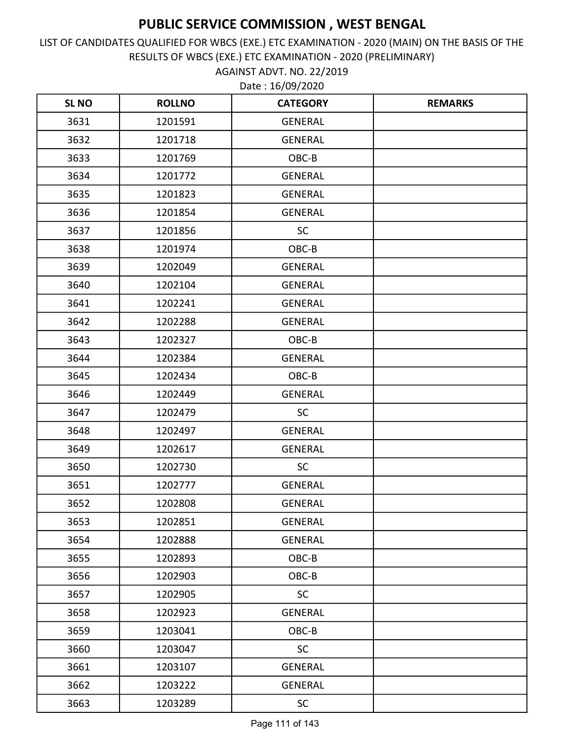AGAINST ADVT. NO. 22/2019 LIST OF CANDIDATES QUALIFIED FOR WBCS (EXE.) ETC EXAMINATION - 2020 (MAIN) ON THE BASIS OF THE RESULTS OF WBCS (EXE.) ETC EXAMINATION - 2020 (PRELIMINARY)

| <b>SLNO</b> | <b>ROLLNO</b> | <b>CATEGORY</b> | <b>REMARKS</b> |
|-------------|---------------|-----------------|----------------|
| 3631        | 1201591       | <b>GENERAL</b>  |                |
| 3632        | 1201718       | <b>GENERAL</b>  |                |
| 3633        | 1201769       | OBC-B           |                |
| 3634        | 1201772       | <b>GENERAL</b>  |                |
| 3635        | 1201823       | <b>GENERAL</b>  |                |
| 3636        | 1201854       | <b>GENERAL</b>  |                |
| 3637        | 1201856       | <b>SC</b>       |                |
| 3638        | 1201974       | OBC-B           |                |
| 3639        | 1202049       | <b>GENERAL</b>  |                |
| 3640        | 1202104       | <b>GENERAL</b>  |                |
| 3641        | 1202241       | <b>GENERAL</b>  |                |
| 3642        | 1202288       | <b>GENERAL</b>  |                |
| 3643        | 1202327       | OBC-B           |                |
| 3644        | 1202384       | <b>GENERAL</b>  |                |
| 3645        | 1202434       | OBC-B           |                |
| 3646        | 1202449       | <b>GENERAL</b>  |                |
| 3647        | 1202479       | <b>SC</b>       |                |
| 3648        | 1202497       | <b>GENERAL</b>  |                |
| 3649        | 1202617       | <b>GENERAL</b>  |                |
| 3650        | 1202730       | <b>SC</b>       |                |
| 3651        | 1202777       | <b>GENERAL</b>  |                |
| 3652        | 1202808       | <b>GENERAL</b>  |                |
| 3653        | 1202851       | <b>GENERAL</b>  |                |
| 3654        | 1202888       | <b>GENERAL</b>  |                |
| 3655        | 1202893       | OBC-B           |                |
| 3656        | 1202903       | OBC-B           |                |
| 3657        | 1202905       | <b>SC</b>       |                |
| 3658        | 1202923       | GENERAL         |                |
| 3659        | 1203041       | OBC-B           |                |
| 3660        | 1203047       | <b>SC</b>       |                |
| 3661        | 1203107       | <b>GENERAL</b>  |                |
| 3662        | 1203222       | GENERAL         |                |
| 3663        | 1203289       | <b>SC</b>       |                |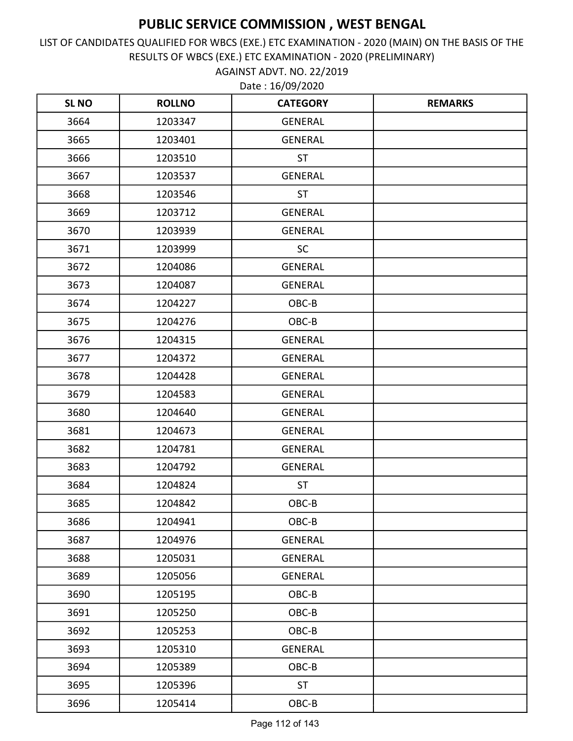AGAINST ADVT. NO. 22/2019 LIST OF CANDIDATES QUALIFIED FOR WBCS (EXE.) ETC EXAMINATION - 2020 (MAIN) ON THE BASIS OF THE RESULTS OF WBCS (EXE.) ETC EXAMINATION - 2020 (PRELIMINARY)

| <b>SL NO</b> | <b>ROLLNO</b> | <b>CATEGORY</b> | <b>REMARKS</b> |
|--------------|---------------|-----------------|----------------|
| 3664         | 1203347       | <b>GENERAL</b>  |                |
| 3665         | 1203401       | <b>GENERAL</b>  |                |
| 3666         | 1203510       | <b>ST</b>       |                |
| 3667         | 1203537       | <b>GENERAL</b>  |                |
| 3668         | 1203546       | <b>ST</b>       |                |
| 3669         | 1203712       | <b>GENERAL</b>  |                |
| 3670         | 1203939       | <b>GENERAL</b>  |                |
| 3671         | 1203999       | <b>SC</b>       |                |
| 3672         | 1204086       | <b>GENERAL</b>  |                |
| 3673         | 1204087       | <b>GENERAL</b>  |                |
| 3674         | 1204227       | OBC-B           |                |
| 3675         | 1204276       | OBC-B           |                |
| 3676         | 1204315       | <b>GENERAL</b>  |                |
| 3677         | 1204372       | <b>GENERAL</b>  |                |
| 3678         | 1204428       | <b>GENERAL</b>  |                |
| 3679         | 1204583       | <b>GENERAL</b>  |                |
| 3680         | 1204640       | <b>GENERAL</b>  |                |
| 3681         | 1204673       | <b>GENERAL</b>  |                |
| 3682         | 1204781       | <b>GENERAL</b>  |                |
| 3683         | 1204792       | <b>GENERAL</b>  |                |
| 3684         | 1204824       | <b>ST</b>       |                |
| 3685         | 1204842       | OBC-B           |                |
| 3686         | 1204941       | OBC-B           |                |
| 3687         | 1204976       | <b>GENERAL</b>  |                |
| 3688         | 1205031       | <b>GENERAL</b>  |                |
| 3689         | 1205056       | GENERAL         |                |
| 3690         | 1205195       | OBC-B           |                |
| 3691         | 1205250       | OBC-B           |                |
| 3692         | 1205253       | OBC-B           |                |
| 3693         | 1205310       | <b>GENERAL</b>  |                |
| 3694         | 1205389       | OBC-B           |                |
| 3695         | 1205396       | <b>ST</b>       |                |
| 3696         | 1205414       | OBC-B           |                |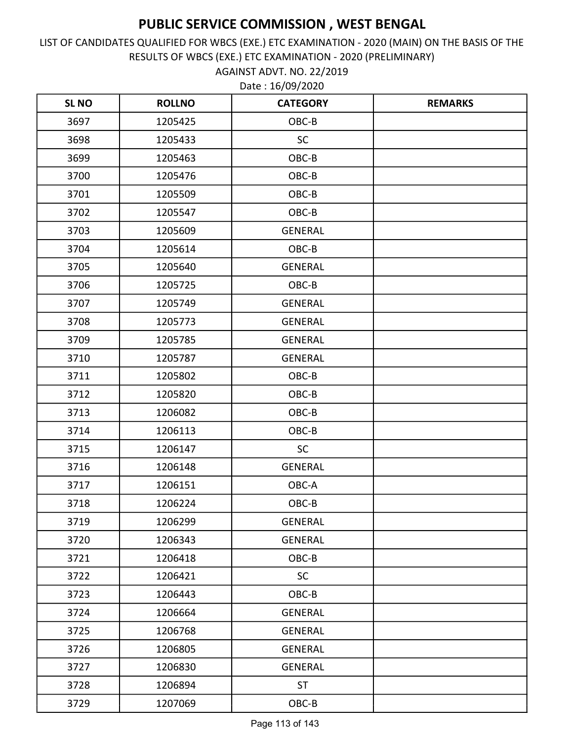AGAINST ADVT. NO. 22/2019 LIST OF CANDIDATES QUALIFIED FOR WBCS (EXE.) ETC EXAMINATION - 2020 (MAIN) ON THE BASIS OF THE RESULTS OF WBCS (EXE.) ETC EXAMINATION - 2020 (PRELIMINARY)

| <b>SLNO</b> | <b>ROLLNO</b> | <b>CATEGORY</b> | <b>REMARKS</b> |
|-------------|---------------|-----------------|----------------|
| 3697        | 1205425       | OBC-B           |                |
| 3698        | 1205433       | <b>SC</b>       |                |
| 3699        | 1205463       | OBC-B           |                |
| 3700        | 1205476       | OBC-B           |                |
| 3701        | 1205509       | OBC-B           |                |
| 3702        | 1205547       | OBC-B           |                |
| 3703        | 1205609       | <b>GENERAL</b>  |                |
| 3704        | 1205614       | OBC-B           |                |
| 3705        | 1205640       | <b>GENERAL</b>  |                |
| 3706        | 1205725       | OBC-B           |                |
| 3707        | 1205749       | <b>GENERAL</b>  |                |
| 3708        | 1205773       | <b>GENERAL</b>  |                |
| 3709        | 1205785       | <b>GENERAL</b>  |                |
| 3710        | 1205787       | GENERAL         |                |
| 3711        | 1205802       | OBC-B           |                |
| 3712        | 1205820       | OBC-B           |                |
| 3713        | 1206082       | OBC-B           |                |
| 3714        | 1206113       | OBC-B           |                |
| 3715        | 1206147       | <b>SC</b>       |                |
| 3716        | 1206148       | <b>GENERAL</b>  |                |
| 3717        | 1206151       | OBC-A           |                |
| 3718        | 1206224       | OBC-B           |                |
| 3719        | 1206299       | GENERAL         |                |
| 3720        | 1206343       | GENERAL         |                |
| 3721        | 1206418       | OBC-B           |                |
| 3722        | 1206421       | <b>SC</b>       |                |
| 3723        | 1206443       | OBC-B           |                |
| 3724        | 1206664       | GENERAL         |                |
| 3725        | 1206768       | <b>GENERAL</b>  |                |
| 3726        | 1206805       | GENERAL         |                |
| 3727        | 1206830       | GENERAL         |                |
| 3728        | 1206894       | <b>ST</b>       |                |
| 3729        | 1207069       | $OBC-B$         |                |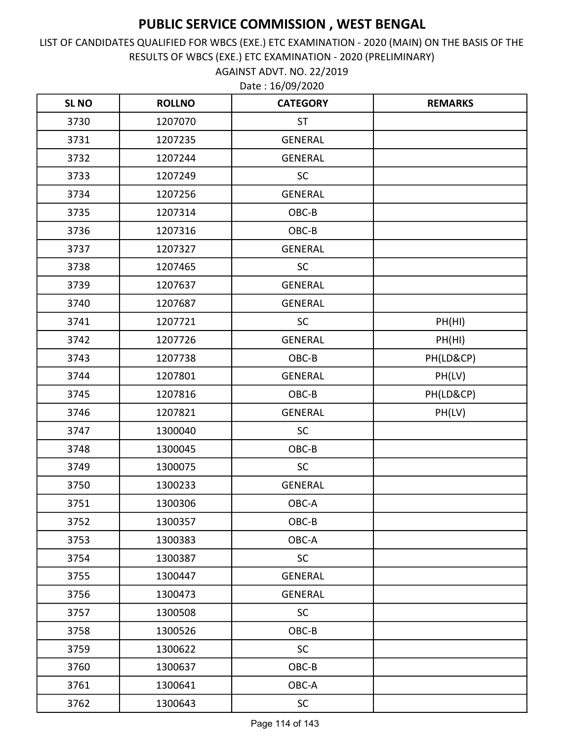AGAINST ADVT. NO. 22/2019 LIST OF CANDIDATES QUALIFIED FOR WBCS (EXE.) ETC EXAMINATION - 2020 (MAIN) ON THE BASIS OF THE RESULTS OF WBCS (EXE.) ETC EXAMINATION - 2020 (PRELIMINARY)

| <b>SL NO</b> | <b>ROLLNO</b> | <b>CATEGORY</b> | <b>REMARKS</b> |
|--------------|---------------|-----------------|----------------|
| 3730         | 1207070       | <b>ST</b>       |                |
| 3731         | 1207235       | <b>GENERAL</b>  |                |
| 3732         | 1207244       | <b>GENERAL</b>  |                |
| 3733         | 1207249       | SC              |                |
| 3734         | 1207256       | <b>GENERAL</b>  |                |
| 3735         | 1207314       | OBC-B           |                |
| 3736         | 1207316       | OBC-B           |                |
| 3737         | 1207327       | <b>GENERAL</b>  |                |
| 3738         | 1207465       | SC              |                |
| 3739         | 1207637       | <b>GENERAL</b>  |                |
| 3740         | 1207687       | <b>GENERAL</b>  |                |
| 3741         | 1207721       | <b>SC</b>       | PH(HI)         |
| 3742         | 1207726       | <b>GENERAL</b>  | PH(HI)         |
| 3743         | 1207738       | OBC-B           | PH(LD&CP)      |
| 3744         | 1207801       | <b>GENERAL</b>  | PH(LV)         |
| 3745         | 1207816       | OBC-B           | PH(LD&CP)      |
| 3746         | 1207821       | <b>GENERAL</b>  | PH(LV)         |
| 3747         | 1300040       | <b>SC</b>       |                |
| 3748         | 1300045       | OBC-B           |                |
| 3749         | 1300075       | SC              |                |
| 3750         | 1300233       | <b>GENERAL</b>  |                |
| 3751         | 1300306       | OBC-A           |                |
| 3752         | 1300357       | OBC-B           |                |
| 3753         | 1300383       | OBC-A           |                |
| 3754         | 1300387       | SC              |                |
| 3755         | 1300447       | <b>GENERAL</b>  |                |
| 3756         | 1300473       | GENERAL         |                |
| 3757         | 1300508       | <b>SC</b>       |                |
| 3758         | 1300526       | OBC-B           |                |
| 3759         | 1300622       | SC              |                |
| 3760         | 1300637       | OBC-B           |                |
| 3761         | 1300641       | OBC-A           |                |
| 3762         | 1300643       | <b>SC</b>       |                |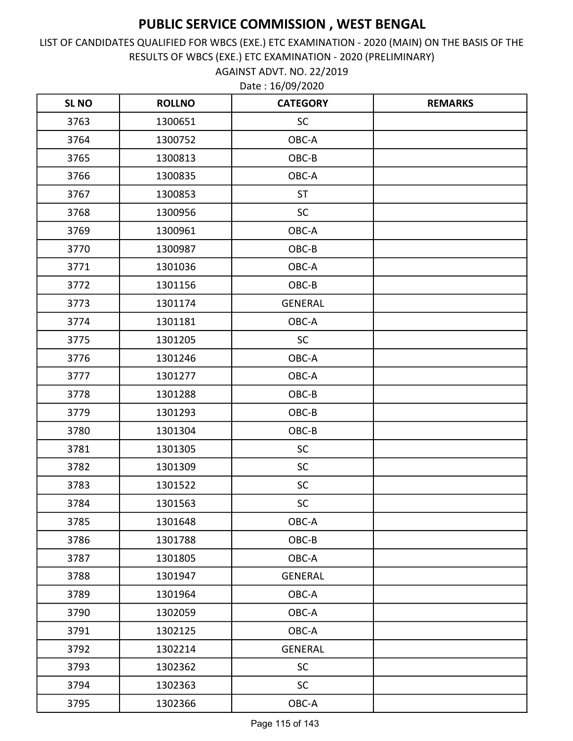AGAINST ADVT. NO. 22/2019 LIST OF CANDIDATES QUALIFIED FOR WBCS (EXE.) ETC EXAMINATION - 2020 (MAIN) ON THE BASIS OF THE RESULTS OF WBCS (EXE.) ETC EXAMINATION - 2020 (PRELIMINARY)

| <b>SL NO</b> | <b>ROLLNO</b> | <b>CATEGORY</b> | <b>REMARKS</b> |
|--------------|---------------|-----------------|----------------|
| 3763         | 1300651       | <b>SC</b>       |                |
| 3764         | 1300752       | OBC-A           |                |
| 3765         | 1300813       | OBC-B           |                |
| 3766         | 1300835       | OBC-A           |                |
| 3767         | 1300853       | <b>ST</b>       |                |
| 3768         | 1300956       | <b>SC</b>       |                |
| 3769         | 1300961       | OBC-A           |                |
| 3770         | 1300987       | OBC-B           |                |
| 3771         | 1301036       | OBC-A           |                |
| 3772         | 1301156       | OBC-B           |                |
| 3773         | 1301174       | <b>GENERAL</b>  |                |
| 3774         | 1301181       | OBC-A           |                |
| 3775         | 1301205       | SC              |                |
| 3776         | 1301246       | OBC-A           |                |
| 3777         | 1301277       | OBC-A           |                |
| 3778         | 1301288       | OBC-B           |                |
| 3779         | 1301293       | OBC-B           |                |
| 3780         | 1301304       | OBC-B           |                |
| 3781         | 1301305       | <b>SC</b>       |                |
| 3782         | 1301309       | SC              |                |
| 3783         | 1301522       | SC              |                |
| 3784         | 1301563       | SC              |                |
| 3785         | 1301648       | OBC-A           |                |
| 3786         | 1301788       | OBC-B           |                |
| 3787         | 1301805       | OBC-A           |                |
| 3788         | 1301947       | <b>GENERAL</b>  |                |
| 3789         | 1301964       | OBC-A           |                |
| 3790         | 1302059       | OBC-A           |                |
| 3791         | 1302125       | OBC-A           |                |
| 3792         | 1302214       | <b>GENERAL</b>  |                |
| 3793         | 1302362       | <b>SC</b>       |                |
| 3794         | 1302363       | <b>SC</b>       |                |
| 3795         | 1302366       | OBC-A           |                |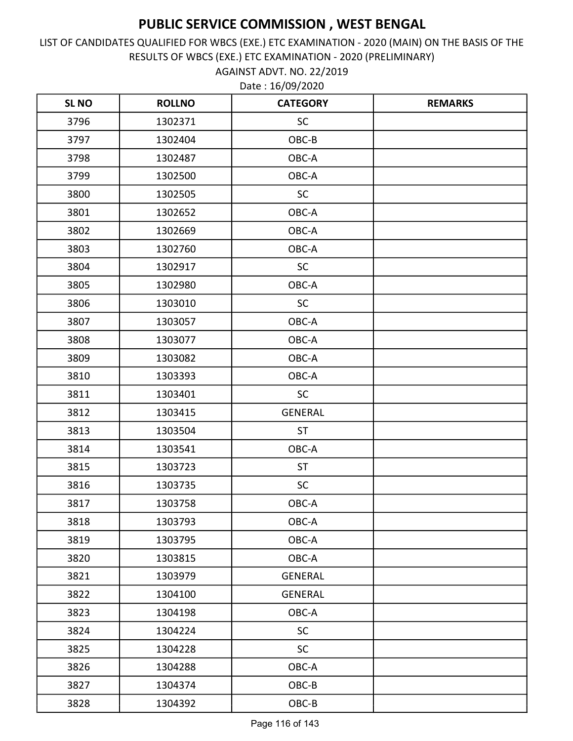AGAINST ADVT. NO. 22/2019 LIST OF CANDIDATES QUALIFIED FOR WBCS (EXE.) ETC EXAMINATION - 2020 (MAIN) ON THE BASIS OF THE RESULTS OF WBCS (EXE.) ETC EXAMINATION - 2020 (PRELIMINARY)

| <b>SL NO</b> | <b>ROLLNO</b> | <b>CATEGORY</b> | <b>REMARKS</b> |
|--------------|---------------|-----------------|----------------|
| 3796         | 1302371       | <b>SC</b>       |                |
| 3797         | 1302404       | OBC-B           |                |
| 3798         | 1302487       | OBC-A           |                |
| 3799         | 1302500       | OBC-A           |                |
| 3800         | 1302505       | <b>SC</b>       |                |
| 3801         | 1302652       | OBC-A           |                |
| 3802         | 1302669       | OBC-A           |                |
| 3803         | 1302760       | OBC-A           |                |
| 3804         | 1302917       | SC              |                |
| 3805         | 1302980       | OBC-A           |                |
| 3806         | 1303010       | <b>SC</b>       |                |
| 3807         | 1303057       | OBC-A           |                |
| 3808         | 1303077       | OBC-A           |                |
| 3809         | 1303082       | OBC-A           |                |
| 3810         | 1303393       | OBC-A           |                |
| 3811         | 1303401       | SC              |                |
| 3812         | 1303415       | <b>GENERAL</b>  |                |
| 3813         | 1303504       | <b>ST</b>       |                |
| 3814         | 1303541       | OBC-A           |                |
| 3815         | 1303723       | <b>ST</b>       |                |
| 3816         | 1303735       | SC              |                |
| 3817         | 1303758       | OBC-A           |                |
| 3818         | 1303793       | OBC-A           |                |
| 3819         | 1303795       | OBC-A           |                |
| 3820         | 1303815       | OBC-A           |                |
| 3821         | 1303979       | <b>GENERAL</b>  |                |
| 3822         | 1304100       | <b>GENERAL</b>  |                |
| 3823         | 1304198       | OBC-A           |                |
| 3824         | 1304224       | SC              |                |
| 3825         | 1304228       | <b>SC</b>       |                |
| 3826         | 1304288       | OBC-A           |                |
| 3827         | 1304374       | OBC-B           |                |
| 3828         | 1304392       | $OBC-B$         |                |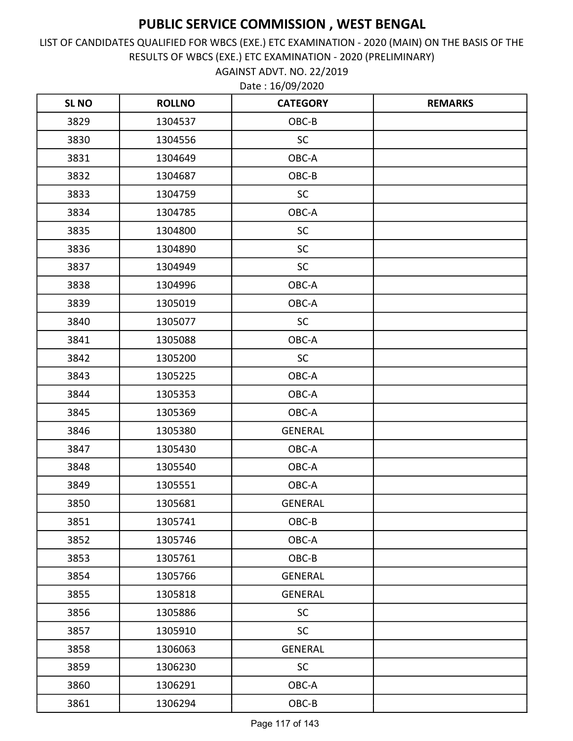AGAINST ADVT. NO. 22/2019 LIST OF CANDIDATES QUALIFIED FOR WBCS (EXE.) ETC EXAMINATION - 2020 (MAIN) ON THE BASIS OF THE RESULTS OF WBCS (EXE.) ETC EXAMINATION - 2020 (PRELIMINARY)

| <b>SL NO</b> | <b>ROLLNO</b> | <b>CATEGORY</b> | <b>REMARKS</b> |
|--------------|---------------|-----------------|----------------|
| 3829         | 1304537       | OBC-B           |                |
| 3830         | 1304556       | <b>SC</b>       |                |
| 3831         | 1304649       | OBC-A           |                |
| 3832         | 1304687       | OBC-B           |                |
| 3833         | 1304759       | SC              |                |
| 3834         | 1304785       | OBC-A           |                |
| 3835         | 1304800       | SC              |                |
| 3836         | 1304890       | SC              |                |
| 3837         | 1304949       | SC              |                |
| 3838         | 1304996       | OBC-A           |                |
| 3839         | 1305019       | OBC-A           |                |
| 3840         | 1305077       | SC              |                |
| 3841         | 1305088       | OBC-A           |                |
| 3842         | 1305200       | <b>SC</b>       |                |
| 3843         | 1305225       | OBC-A           |                |
| 3844         | 1305353       | OBC-A           |                |
| 3845         | 1305369       | OBC-A           |                |
| 3846         | 1305380       | <b>GENERAL</b>  |                |
| 3847         | 1305430       | OBC-A           |                |
| 3848         | 1305540       | OBC-A           |                |
| 3849         | 1305551       | OBC-A           |                |
| 3850         | 1305681       | <b>GENERAL</b>  |                |
| 3851         | 1305741       | OBC-B           |                |
| 3852         | 1305746       | OBC-A           |                |
| 3853         | 1305761       | OBC-B           |                |
| 3854         | 1305766       | <b>GENERAL</b>  |                |
| 3855         | 1305818       | <b>GENERAL</b>  |                |
| 3856         | 1305886       | <b>SC</b>       |                |
| 3857         | 1305910       | <b>SC</b>       |                |
| 3858         | 1306063       | <b>GENERAL</b>  |                |
| 3859         | 1306230       | <b>SC</b>       |                |
| 3860         | 1306291       | OBC-A           |                |
| 3861         | 1306294       | $OBC-B$         |                |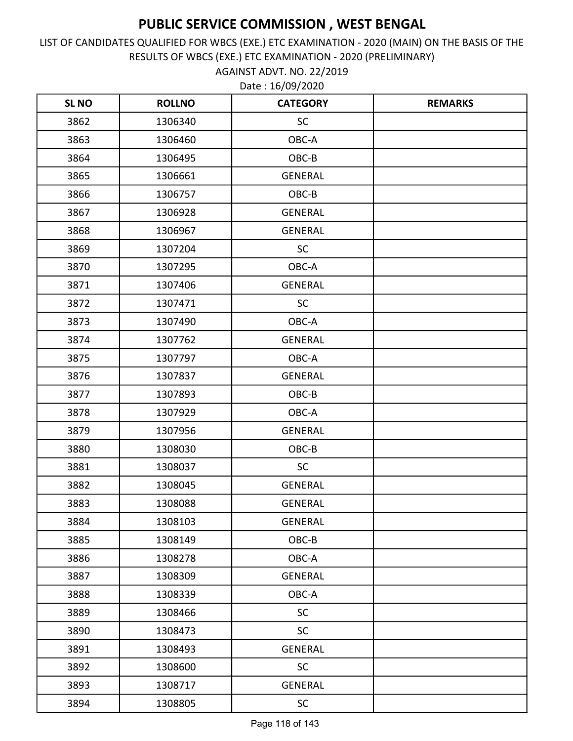AGAINST ADVT. NO. 22/2019 LIST OF CANDIDATES QUALIFIED FOR WBCS (EXE.) ETC EXAMINATION - 2020 (MAIN) ON THE BASIS OF THE RESULTS OF WBCS (EXE.) ETC EXAMINATION - 2020 (PRELIMINARY)

| <b>SLNO</b> | <b>ROLLNO</b> | <b>CATEGORY</b> | <b>REMARKS</b> |
|-------------|---------------|-----------------|----------------|
| 3862        | 1306340       | SC              |                |
| 3863        | 1306460       | OBC-A           |                |
| 3864        | 1306495       | OBC-B           |                |
| 3865        | 1306661       | <b>GENERAL</b>  |                |
| 3866        | 1306757       | OBC-B           |                |
| 3867        | 1306928       | <b>GENERAL</b>  |                |
| 3868        | 1306967       | <b>GENERAL</b>  |                |
| 3869        | 1307204       | SC              |                |
| 3870        | 1307295       | OBC-A           |                |
| 3871        | 1307406       | <b>GENERAL</b>  |                |
| 3872        | 1307471       | <b>SC</b>       |                |
| 3873        | 1307490       | OBC-A           |                |
| 3874        | 1307762       | <b>GENERAL</b>  |                |
| 3875        | 1307797       | OBC-A           |                |
| 3876        | 1307837       | <b>GENERAL</b>  |                |
| 3877        | 1307893       | OBC-B           |                |
| 3878        | 1307929       | OBC-A           |                |
| 3879        | 1307956       | <b>GENERAL</b>  |                |
| 3880        | 1308030       | OBC-B           |                |
| 3881        | 1308037       | SC              |                |
| 3882        | 1308045       | <b>GENERAL</b>  |                |
| 3883        | 1308088       | <b>GENERAL</b>  |                |
| 3884        | 1308103       | <b>GENERAL</b>  |                |
| 3885        | 1308149       | OBC-B           |                |
| 3886        | 1308278       | OBC-A           |                |
| 3887        | 1308309       | GENERAL         |                |
| 3888        | 1308339       | OBC-A           |                |
| 3889        | 1308466       | <b>SC</b>       |                |
| 3890        | 1308473       | <b>SC</b>       |                |
| 3891        | 1308493       | <b>GENERAL</b>  |                |
| 3892        | 1308600       | <b>SC</b>       |                |
| 3893        | 1308717       | <b>GENERAL</b>  |                |
| 3894        | 1308805       | SC              |                |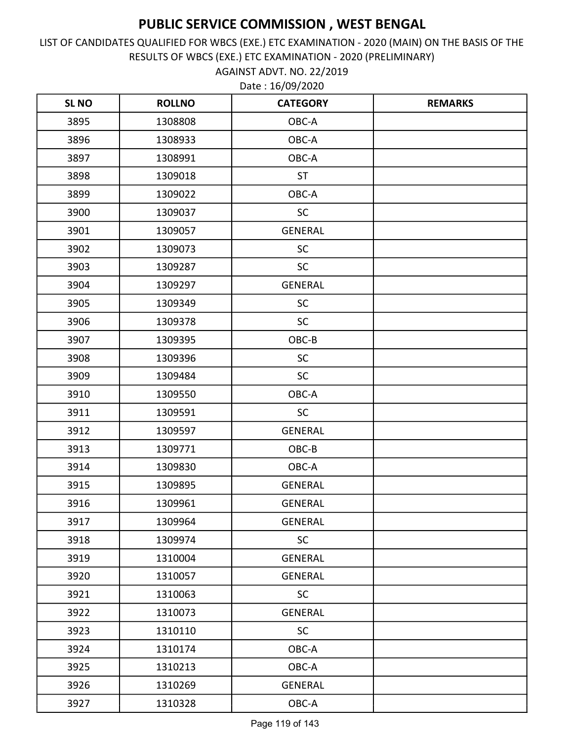AGAINST ADVT. NO. 22/2019 LIST OF CANDIDATES QUALIFIED FOR WBCS (EXE.) ETC EXAMINATION - 2020 (MAIN) ON THE BASIS OF THE RESULTS OF WBCS (EXE.) ETC EXAMINATION - 2020 (PRELIMINARY)

| <b>SLNO</b> | <b>ROLLNO</b> | <b>CATEGORY</b> | <b>REMARKS</b> |
|-------------|---------------|-----------------|----------------|
| 3895        | 1308808       | OBC-A           |                |
| 3896        | 1308933       | OBC-A           |                |
| 3897        | 1308991       | OBC-A           |                |
| 3898        | 1309018       | <b>ST</b>       |                |
| 3899        | 1309022       | OBC-A           |                |
| 3900        | 1309037       | <b>SC</b>       |                |
| 3901        | 1309057       | <b>GENERAL</b>  |                |
| 3902        | 1309073       | <b>SC</b>       |                |
| 3903        | 1309287       | SC              |                |
| 3904        | 1309297       | <b>GENERAL</b>  |                |
| 3905        | 1309349       | SC              |                |
| 3906        | 1309378       | SC              |                |
| 3907        | 1309395       | OBC-B           |                |
| 3908        | 1309396       | <b>SC</b>       |                |
| 3909        | 1309484       | <b>SC</b>       |                |
| 3910        | 1309550       | OBC-A           |                |
| 3911        | 1309591       | <b>SC</b>       |                |
| 3912        | 1309597       | <b>GENERAL</b>  |                |
| 3913        | 1309771       | OBC-B           |                |
| 3914        | 1309830       | OBC-A           |                |
| 3915        | 1309895       | <b>GENERAL</b>  |                |
| 3916        | 1309961       | <b>GENERAL</b>  |                |
| 3917        | 1309964       | <b>GENERAL</b>  |                |
| 3918        | 1309974       | <b>SC</b>       |                |
| 3919        | 1310004       | <b>GENERAL</b>  |                |
| 3920        | 1310057       | GENERAL         |                |
| 3921        | 1310063       | <b>SC</b>       |                |
| 3922        | 1310073       | <b>GENERAL</b>  |                |
| 3923        | 1310110       | SC              |                |
| 3924        | 1310174       | OBC-A           |                |
| 3925        | 1310213       | OBC-A           |                |
| 3926        | 1310269       | GENERAL         |                |
| 3927        | 1310328       | OBC-A           |                |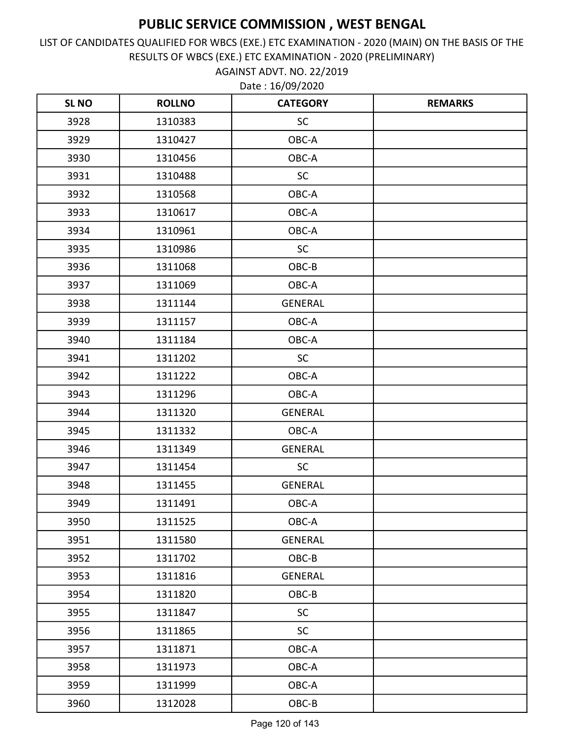AGAINST ADVT. NO. 22/2019 LIST OF CANDIDATES QUALIFIED FOR WBCS (EXE.) ETC EXAMINATION - 2020 (MAIN) ON THE BASIS OF THE RESULTS OF WBCS (EXE.) ETC EXAMINATION - 2020 (PRELIMINARY)

| <b>SLNO</b> | <b>ROLLNO</b> | <b>CATEGORY</b> | <b>REMARKS</b> |
|-------------|---------------|-----------------|----------------|
| 3928        | 1310383       | <b>SC</b>       |                |
| 3929        | 1310427       | OBC-A           |                |
| 3930        | 1310456       | OBC-A           |                |
| 3931        | 1310488       | SC              |                |
| 3932        | 1310568       | OBC-A           |                |
| 3933        | 1310617       | OBC-A           |                |
| 3934        | 1310961       | OBC-A           |                |
| 3935        | 1310986       | SC              |                |
| 3936        | 1311068       | OBC-B           |                |
| 3937        | 1311069       | OBC-A           |                |
| 3938        | 1311144       | <b>GENERAL</b>  |                |
| 3939        | 1311157       | OBC-A           |                |
| 3940        | 1311184       | OBC-A           |                |
| 3941        | 1311202       | <b>SC</b>       |                |
| 3942        | 1311222       | OBC-A           |                |
| 3943        | 1311296       | OBC-A           |                |
| 3944        | 1311320       | <b>GENERAL</b>  |                |
| 3945        | 1311332       | OBC-A           |                |
| 3946        | 1311349       | <b>GENERAL</b>  |                |
| 3947        | 1311454       | <b>SC</b>       |                |
| 3948        | 1311455       | <b>GENERAL</b>  |                |
| 3949        | 1311491       | OBC-A           |                |
| 3950        | 1311525       | OBC-A           |                |
| 3951        | 1311580       | GENERAL         |                |
| 3952        | 1311702       | OBC-B           |                |
| 3953        | 1311816       | GENERAL         |                |
| 3954        | 1311820       | OBC-B           |                |
| 3955        | 1311847       | SC              |                |
| 3956        | 1311865       | SC              |                |
| 3957        | 1311871       | OBC-A           |                |
| 3958        | 1311973       | OBC-A           |                |
| 3959        | 1311999       | OBC-A           |                |
| 3960        | 1312028       | $OBC-B$         |                |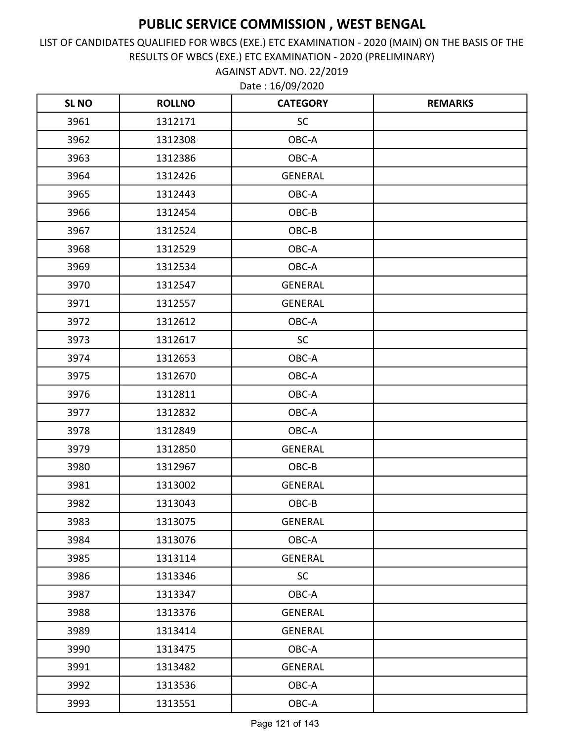AGAINST ADVT. NO. 22/2019 LIST OF CANDIDATES QUALIFIED FOR WBCS (EXE.) ETC EXAMINATION - 2020 (MAIN) ON THE BASIS OF THE RESULTS OF WBCS (EXE.) ETC EXAMINATION - 2020 (PRELIMINARY)

| <b>SL NO</b> | <b>ROLLNO</b> | <b>CATEGORY</b> | <b>REMARKS</b> |
|--------------|---------------|-----------------|----------------|
| 3961         | 1312171       | <b>SC</b>       |                |
| 3962         | 1312308       | OBC-A           |                |
| 3963         | 1312386       | OBC-A           |                |
| 3964         | 1312426       | <b>GENERAL</b>  |                |
| 3965         | 1312443       | OBC-A           |                |
| 3966         | 1312454       | OBC-B           |                |
| 3967         | 1312524       | OBC-B           |                |
| 3968         | 1312529       | OBC-A           |                |
| 3969         | 1312534       | OBC-A           |                |
| 3970         | 1312547       | <b>GENERAL</b>  |                |
| 3971         | 1312557       | <b>GENERAL</b>  |                |
| 3972         | 1312612       | OBC-A           |                |
| 3973         | 1312617       | SC              |                |
| 3974         | 1312653       | OBC-A           |                |
| 3975         | 1312670       | OBC-A           |                |
| 3976         | 1312811       | OBC-A           |                |
| 3977         | 1312832       | OBC-A           |                |
| 3978         | 1312849       | OBC-A           |                |
| 3979         | 1312850       | <b>GENERAL</b>  |                |
| 3980         | 1312967       | OBC-B           |                |
| 3981         | 1313002       | <b>GENERAL</b>  |                |
| 3982         | 1313043       | OBC-B           |                |
| 3983         | 1313075       | <b>GENERAL</b>  |                |
| 3984         | 1313076       | OBC-A           |                |
| 3985         | 1313114       | <b>GENERAL</b>  |                |
| 3986         | 1313346       | SC              |                |
| 3987         | 1313347       | OBC-A           |                |
| 3988         | 1313376       | <b>GENERAL</b>  |                |
| 3989         | 1313414       | <b>GENERAL</b>  |                |
| 3990         | 1313475       | OBC-A           |                |
| 3991         | 1313482       | <b>GENERAL</b>  |                |
| 3992         | 1313536       | OBC-A           |                |
| 3993         | 1313551       | OBC-A           |                |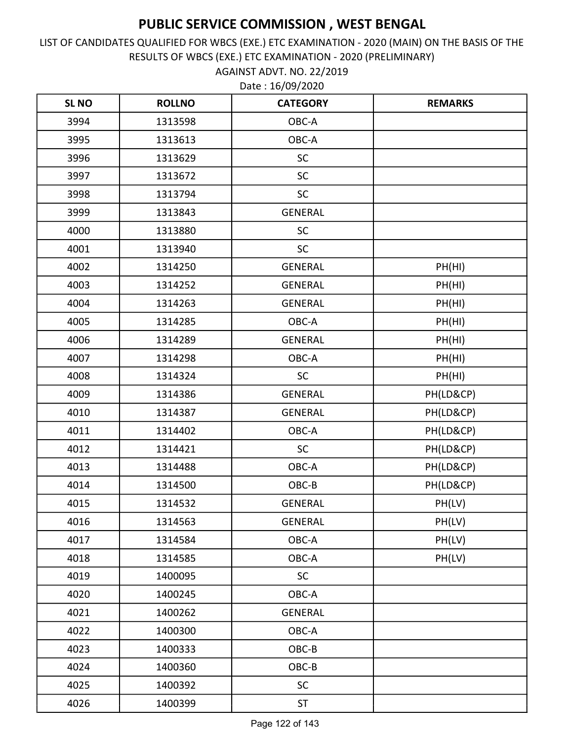LIST OF CANDIDATES QUALIFIED FOR WBCS (EXE.) ETC EXAMINATION - 2020 (MAIN) ON THE BASIS OF THE RESULTS OF WBCS (EXE.) ETC EXAMINATION - 2020 (PRELIMINARY)

Date : 16/09/2020 AGAINST ADVT. NO. 22/2019

| <b>SLNO</b> | <b>ROLLNO</b> | <b>CATEGORY</b> | <b>REMARKS</b> |
|-------------|---------------|-----------------|----------------|
| 3994        | 1313598       | OBC-A           |                |
| 3995        | 1313613       | OBC-A           |                |
| 3996        | 1313629       | SC              |                |
| 3997        | 1313672       | SC              |                |
| 3998        | 1313794       | <b>SC</b>       |                |
| 3999        | 1313843       | <b>GENERAL</b>  |                |
| 4000        | 1313880       | SC              |                |
| 4001        | 1313940       | SC              |                |
| 4002        | 1314250       | <b>GENERAL</b>  | PH(HI)         |
| 4003        | 1314252       | <b>GENERAL</b>  | PH(HI)         |
| 4004        | 1314263       | <b>GENERAL</b>  | PH(HI)         |
| 4005        | 1314285       | OBC-A           | PH(HI)         |
| 4006        | 1314289       | <b>GENERAL</b>  | PH(HI)         |
| 4007        | 1314298       | OBC-A           | PH(HI)         |
| 4008        | 1314324       | <b>SC</b>       | PH(HI)         |
| 4009        | 1314386       | <b>GENERAL</b>  | PH(LD&CP)      |
| 4010        | 1314387       | <b>GENERAL</b>  | PH(LD&CP)      |
| 4011        | 1314402       | OBC-A           | PH(LD&CP)      |
| 4012        | 1314421       | <b>SC</b>       | PH(LD&CP)      |
| 4013        | 1314488       | OBC-A           | PH(LD&CP)      |
| 4014        | 1314500       | OBC-B           | PH(LD&CP)      |
| 4015        | 1314532       | <b>GENERAL</b>  | PH(LV)         |
| 4016        | 1314563       | <b>GENERAL</b>  | PH(LV)         |
| 4017        | 1314584       | OBC-A           | PH(LV)         |
| 4018        | 1314585       | OBC-A           | PH(LV)         |
| 4019        | 1400095       | <b>SC</b>       |                |
| 4020        | 1400245       | OBC-A           |                |
| 4021        | 1400262       | <b>GENERAL</b>  |                |
| 4022        | 1400300       | OBC-A           |                |
| 4023        | 1400333       | OBC-B           |                |
| 4024        | 1400360       | OBC-B           |                |
| 4025        | 1400392       | <b>SC</b>       |                |
| 4026        | 1400399       | <b>ST</b>       |                |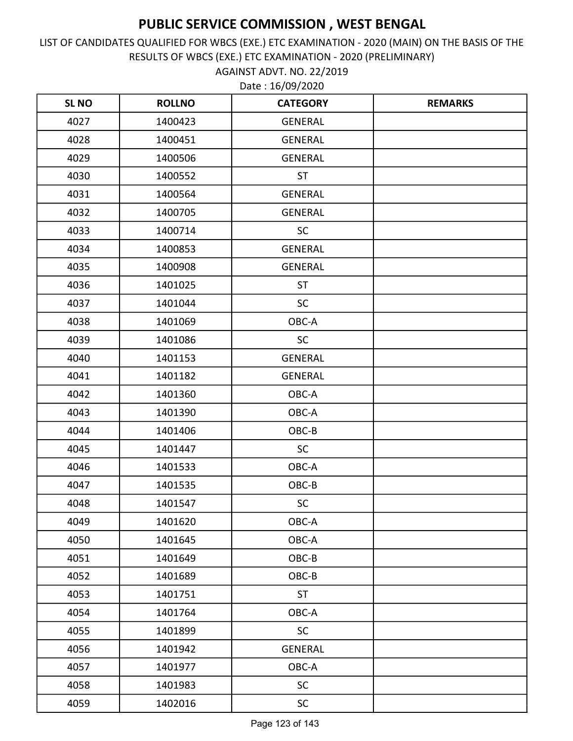AGAINST ADVT. NO. 22/2019 LIST OF CANDIDATES QUALIFIED FOR WBCS (EXE.) ETC EXAMINATION - 2020 (MAIN) ON THE BASIS OF THE RESULTS OF WBCS (EXE.) ETC EXAMINATION - 2020 (PRELIMINARY)

| <b>SLNO</b> | <b>ROLLNO</b> | <b>CATEGORY</b> | <b>REMARKS</b> |
|-------------|---------------|-----------------|----------------|
| 4027        | 1400423       | <b>GENERAL</b>  |                |
| 4028        | 1400451       | <b>GENERAL</b>  |                |
| 4029        | 1400506       | <b>GENERAL</b>  |                |
| 4030        | 1400552       | <b>ST</b>       |                |
| 4031        | 1400564       | <b>GENERAL</b>  |                |
| 4032        | 1400705       | <b>GENERAL</b>  |                |
| 4033        | 1400714       | <b>SC</b>       |                |
| 4034        | 1400853       | <b>GENERAL</b>  |                |
| 4035        | 1400908       | <b>GENERAL</b>  |                |
| 4036        | 1401025       | <b>ST</b>       |                |
| 4037        | 1401044       | <b>SC</b>       |                |
| 4038        | 1401069       | OBC-A           |                |
| 4039        | 1401086       | SC              |                |
| 4040        | 1401153       | <b>GENERAL</b>  |                |
| 4041        | 1401182       | <b>GENERAL</b>  |                |
| 4042        | 1401360       | OBC-A           |                |
| 4043        | 1401390       | OBC-A           |                |
| 4044        | 1401406       | OBC-B           |                |
| 4045        | 1401447       | <b>SC</b>       |                |
| 4046        | 1401533       | OBC-A           |                |
| 4047        | 1401535       | OBC-B           |                |
| 4048        | 1401547       | SC              |                |
| 4049        | 1401620       | OBC-A           |                |
| 4050        | 1401645       | OBC-A           |                |
| 4051        | 1401649       | OBC-B           |                |
| 4052        | 1401689       | OBC-B           |                |
| 4053        | 1401751       | <b>ST</b>       |                |
| 4054        | 1401764       | OBC-A           |                |
| 4055        | 1401899       | <b>SC</b>       |                |
| 4056        | 1401942       | <b>GENERAL</b>  |                |
| 4057        | 1401977       | OBC-A           |                |
| 4058        | 1401983       | SC              |                |
| 4059        | 1402016       | <b>SC</b>       |                |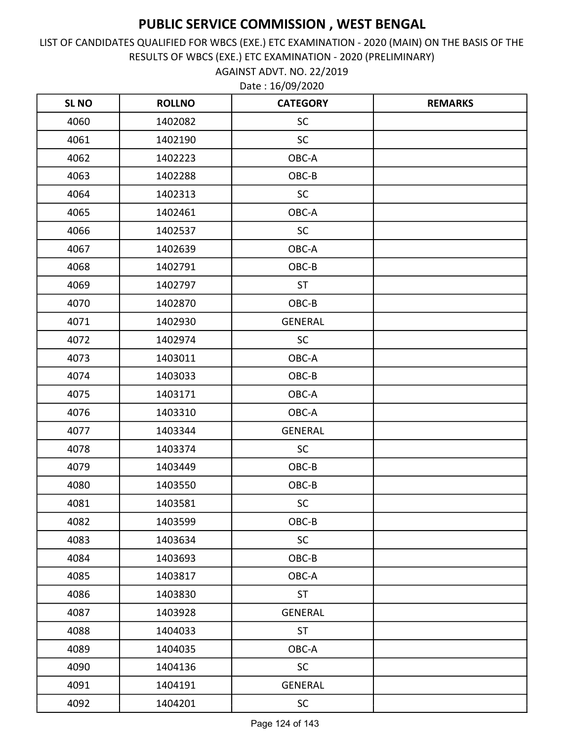AGAINST ADVT. NO. 22/2019 LIST OF CANDIDATES QUALIFIED FOR WBCS (EXE.) ETC EXAMINATION - 2020 (MAIN) ON THE BASIS OF THE RESULTS OF WBCS (EXE.) ETC EXAMINATION - 2020 (PRELIMINARY)

| <b>SLNO</b> | <b>ROLLNO</b> | <b>CATEGORY</b> | <b>REMARKS</b> |
|-------------|---------------|-----------------|----------------|
| 4060        | 1402082       | <b>SC</b>       |                |
| 4061        | 1402190       | <b>SC</b>       |                |
| 4062        | 1402223       | OBC-A           |                |
| 4063        | 1402288       | OBC-B           |                |
| 4064        | 1402313       | <b>SC</b>       |                |
| 4065        | 1402461       | OBC-A           |                |
| 4066        | 1402537       | SC              |                |
| 4067        | 1402639       | OBC-A           |                |
| 4068        | 1402791       | OBC-B           |                |
| 4069        | 1402797       | <b>ST</b>       |                |
| 4070        | 1402870       | OBC-B           |                |
| 4071        | 1402930       | <b>GENERAL</b>  |                |
| 4072        | 1402974       | <b>SC</b>       |                |
| 4073        | 1403011       | OBC-A           |                |
| 4074        | 1403033       | OBC-B           |                |
| 4075        | 1403171       | OBC-A           |                |
| 4076        | 1403310       | OBC-A           |                |
| 4077        | 1403344       | <b>GENERAL</b>  |                |
| 4078        | 1403374       | SC              |                |
| 4079        | 1403449       | OBC-B           |                |
| 4080        | 1403550       | OBC-B           |                |
| 4081        | 1403581       | SC              |                |
| 4082        | 1403599       | OBC-B           |                |
| 4083        | 1403634       | <b>SC</b>       |                |
| 4084        | 1403693       | OBC-B           |                |
| 4085        | 1403817       | OBC-A           |                |
| 4086        | 1403830       | <b>ST</b>       |                |
| 4087        | 1403928       | <b>GENERAL</b>  |                |
| 4088        | 1404033       | <b>ST</b>       |                |
| 4089        | 1404035       | OBC-A           |                |
| 4090        | 1404136       | <b>SC</b>       |                |
| 4091        | 1404191       | GENERAL         |                |
| 4092        | 1404201       | $\sf SC$        |                |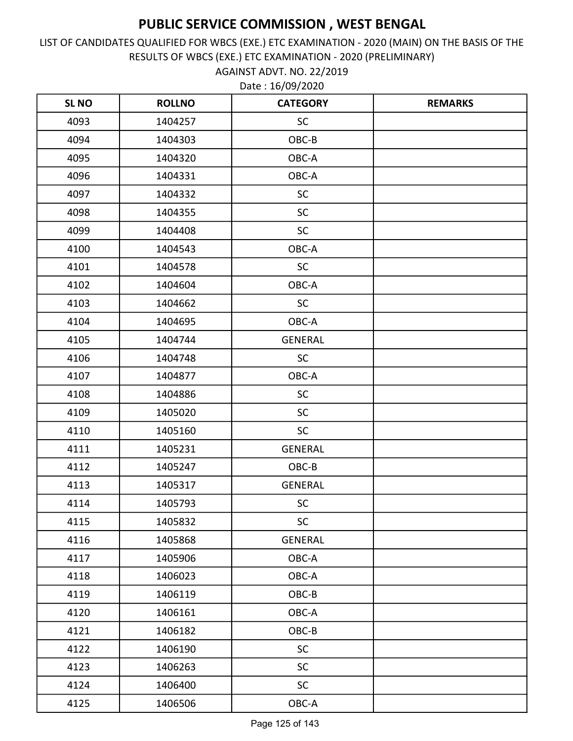AGAINST ADVT. NO. 22/2019 LIST OF CANDIDATES QUALIFIED FOR WBCS (EXE.) ETC EXAMINATION - 2020 (MAIN) ON THE BASIS OF THE RESULTS OF WBCS (EXE.) ETC EXAMINATION - 2020 (PRELIMINARY)

| <b>SL NO</b> | <b>ROLLNO</b> | <b>CATEGORY</b> | <b>REMARKS</b> |
|--------------|---------------|-----------------|----------------|
| 4093         | 1404257       | <b>SC</b>       |                |
| 4094         | 1404303       | OBC-B           |                |
| 4095         | 1404320       | OBC-A           |                |
| 4096         | 1404331       | OBC-A           |                |
| 4097         | 1404332       | SC              |                |
| 4098         | 1404355       | <b>SC</b>       |                |
| 4099         | 1404408       | <b>SC</b>       |                |
| 4100         | 1404543       | OBC-A           |                |
| 4101         | 1404578       | SC              |                |
| 4102         | 1404604       | OBC-A           |                |
| 4103         | 1404662       | <b>SC</b>       |                |
| 4104         | 1404695       | OBC-A           |                |
| 4105         | 1404744       | <b>GENERAL</b>  |                |
| 4106         | 1404748       | <b>SC</b>       |                |
| 4107         | 1404877       | OBC-A           |                |
| 4108         | 1404886       | SC              |                |
| 4109         | 1405020       | SC              |                |
| 4110         | 1405160       | <b>SC</b>       |                |
| 4111         | 1405231       | <b>GENERAL</b>  |                |
| 4112         | 1405247       | OBC-B           |                |
| 4113         | 1405317       | <b>GENERAL</b>  |                |
| 4114         | 1405793       | SC              |                |
| 4115         | 1405832       | SC              |                |
| 4116         | 1405868       | <b>GENERAL</b>  |                |
| 4117         | 1405906       | OBC-A           |                |
| 4118         | 1406023       | OBC-A           |                |
| 4119         | 1406119       | OBC-B           |                |
| 4120         | 1406161       | OBC-A           |                |
| 4121         | 1406182       | OBC-B           |                |
| 4122         | 1406190       | SC              |                |
| 4123         | 1406263       | <b>SC</b>       |                |
| 4124         | 1406400       | <b>SC</b>       |                |
| 4125         | 1406506       | $OBC-A$         |                |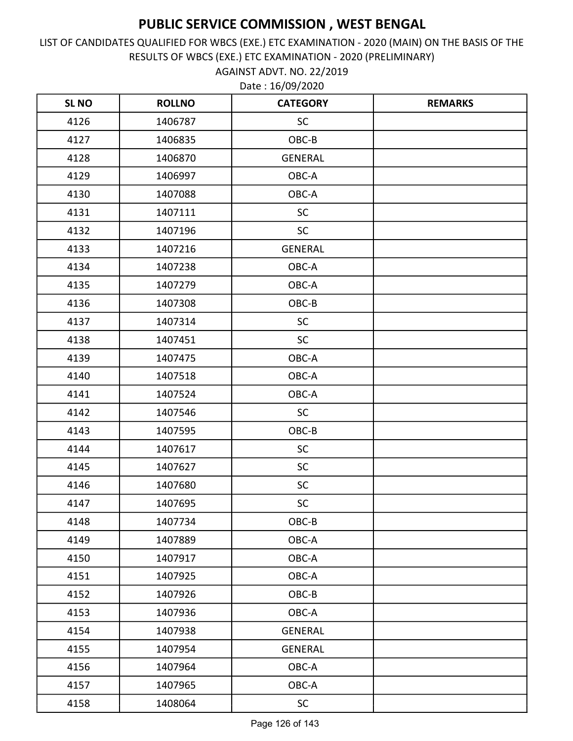AGAINST ADVT. NO. 22/2019 LIST OF CANDIDATES QUALIFIED FOR WBCS (EXE.) ETC EXAMINATION - 2020 (MAIN) ON THE BASIS OF THE RESULTS OF WBCS (EXE.) ETC EXAMINATION - 2020 (PRELIMINARY)

| <b>SLNO</b> | <b>ROLLNO</b> | <b>CATEGORY</b> | <b>REMARKS</b> |
|-------------|---------------|-----------------|----------------|
| 4126        | 1406787       | <b>SC</b>       |                |
| 4127        | 1406835       | OBC-B           |                |
| 4128        | 1406870       | <b>GENERAL</b>  |                |
| 4129        | 1406997       | OBC-A           |                |
| 4130        | 1407088       | OBC-A           |                |
| 4131        | 1407111       | <b>SC</b>       |                |
| 4132        | 1407196       | <b>SC</b>       |                |
| 4133        | 1407216       | <b>GENERAL</b>  |                |
| 4134        | 1407238       | OBC-A           |                |
| 4135        | 1407279       | OBC-A           |                |
| 4136        | 1407308       | OBC-B           |                |
| 4137        | 1407314       | SC              |                |
| 4138        | 1407451       | <b>SC</b>       |                |
| 4139        | 1407475       | OBC-A           |                |
| 4140        | 1407518       | OBC-A           |                |
| 4141        | 1407524       | OBC-A           |                |
| 4142        | 1407546       | <b>SC</b>       |                |
| 4143        | 1407595       | OBC-B           |                |
| 4144        | 1407617       | SC              |                |
| 4145        | 1407627       | <b>SC</b>       |                |
| 4146        | 1407680       | SC              |                |
| 4147        | 1407695       | <b>SC</b>       |                |
| 4148        | 1407734       | OBC-B           |                |
| 4149        | 1407889       | OBC-A           |                |
| 4150        | 1407917       | OBC-A           |                |
| 4151        | 1407925       | OBC-A           |                |
| 4152        | 1407926       | OBC-B           |                |
| 4153        | 1407936       | OBC-A           |                |
| 4154        | 1407938       | <b>GENERAL</b>  |                |
| 4155        | 1407954       | GENERAL         |                |
| 4156        | 1407964       | OBC-A           |                |
| 4157        | 1407965       | OBC-A           |                |
| 4158        | 1408064       | $\sf SC$        |                |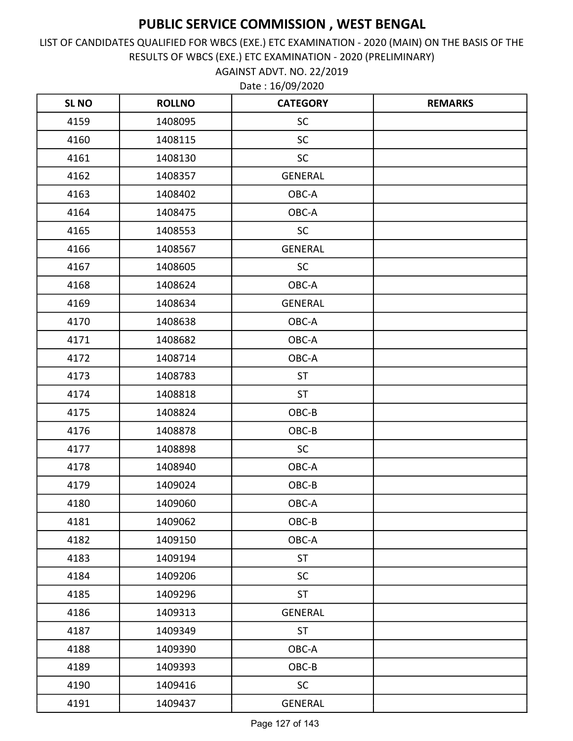LIST OF CANDIDATES QUALIFIED FOR WBCS (EXE.) ETC EXAMINATION - 2020 (MAIN) ON THE BASIS OF THE RESULTS OF WBCS (EXE.) ETC EXAMINATION - 2020 (PRELIMINARY)

Date : 16/09/2020 AGAINST ADVT. NO. 22/2019

| <b>SL NO</b> | <b>ROLLNO</b> | <b>CATEGORY</b> | <b>REMARKS</b> |
|--------------|---------------|-----------------|----------------|
| 4159         | 1408095       | <b>SC</b>       |                |
| 4160         | 1408115       | SC              |                |
| 4161         | 1408130       | <b>SC</b>       |                |
| 4162         | 1408357       | <b>GENERAL</b>  |                |
| 4163         | 1408402       | OBC-A           |                |
| 4164         | 1408475       | OBC-A           |                |
| 4165         | 1408553       | SC              |                |
| 4166         | 1408567       | <b>GENERAL</b>  |                |
| 4167         | 1408605       | <b>SC</b>       |                |
| 4168         | 1408624       | OBC-A           |                |
| 4169         | 1408634       | <b>GENERAL</b>  |                |
| 4170         | 1408638       | OBC-A           |                |
| 4171         | 1408682       | OBC-A           |                |
| 4172         | 1408714       | OBC-A           |                |
| 4173         | 1408783       | <b>ST</b>       |                |
| 4174         | 1408818       | <b>ST</b>       |                |
| 4175         | 1408824       | OBC-B           |                |
| 4176         | 1408878       | OBC-B           |                |
| 4177         | 1408898       | SC              |                |
| 4178         | 1408940       | OBC-A           |                |
| 4179         | 1409024       | OBC-B           |                |
| 4180         | 1409060       | OBC-A           |                |
| 4181         | 1409062       | OBC-B           |                |
| 4182         | 1409150       | OBC-A           |                |
| 4183         | 1409194       | <b>ST</b>       |                |
| 4184         | 1409206       | <b>SC</b>       |                |
| 4185         | 1409296       | <b>ST</b>       |                |
| 4186         | 1409313       | <b>GENERAL</b>  |                |
| 4187         | 1409349       | <b>ST</b>       |                |
| 4188         | 1409390       | OBC-A           |                |
| 4189         | 1409393       | OBC-B           |                |
| 4190         | 1409416       | SC              |                |
| 4191         | 1409437       | <b>GENERAL</b>  |                |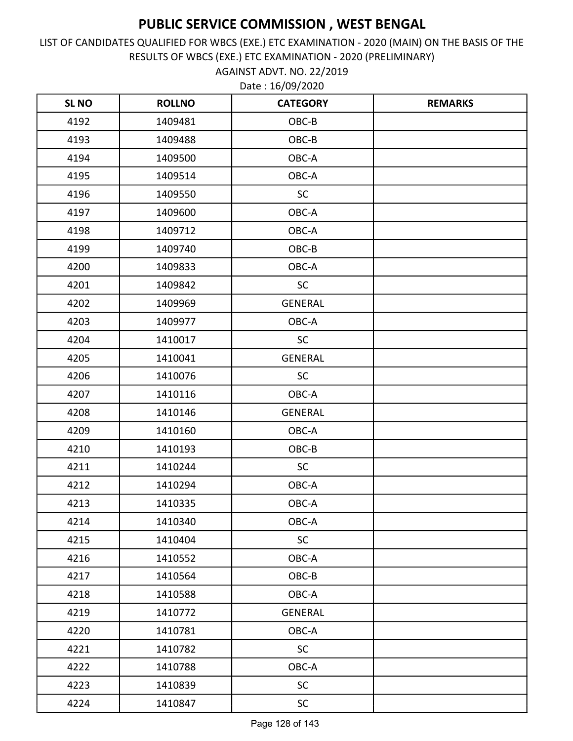AGAINST ADVT. NO. 22/2019 LIST OF CANDIDATES QUALIFIED FOR WBCS (EXE.) ETC EXAMINATION - 2020 (MAIN) ON THE BASIS OF THE RESULTS OF WBCS (EXE.) ETC EXAMINATION - 2020 (PRELIMINARY)

| <b>SLNO</b> | <b>ROLLNO</b> | <b>CATEGORY</b> | <b>REMARKS</b> |
|-------------|---------------|-----------------|----------------|
| 4192        | 1409481       | OBC-B           |                |
| 4193        | 1409488       | OBC-B           |                |
| 4194        | 1409500       | OBC-A           |                |
| 4195        | 1409514       | OBC-A           |                |
| 4196        | 1409550       | <b>SC</b>       |                |
| 4197        | 1409600       | OBC-A           |                |
| 4198        | 1409712       | OBC-A           |                |
| 4199        | 1409740       | OBC-B           |                |
| 4200        | 1409833       | OBC-A           |                |
| 4201        | 1409842       | <b>SC</b>       |                |
| 4202        | 1409969       | <b>GENERAL</b>  |                |
| 4203        | 1409977       | OBC-A           |                |
| 4204        | 1410017       | <b>SC</b>       |                |
| 4205        | 1410041       | GENERAL         |                |
| 4206        | 1410076       | <b>SC</b>       |                |
| 4207        | 1410116       | OBC-A           |                |
| 4208        | 1410146       | <b>GENERAL</b>  |                |
| 4209        | 1410160       | OBC-A           |                |
| 4210        | 1410193       | OBC-B           |                |
| 4211        | 1410244       | <b>SC</b>       |                |
| 4212        | 1410294       | OBC-A           |                |
| 4213        | 1410335       | OBC-A           |                |
| 4214        | 1410340       | OBC-A           |                |
| 4215        | 1410404       | SC              |                |
| 4216        | 1410552       | OBC-A           |                |
| 4217        | 1410564       | OBC-B           |                |
| 4218        | 1410588       | OBC-A           |                |
| 4219        | 1410772       | <b>GENERAL</b>  |                |
| 4220        | 1410781       | OBC-A           |                |
| 4221        | 1410782       | <b>SC</b>       |                |
| 4222        | 1410788       | OBC-A           |                |
| 4223        | 1410839       | <b>SC</b>       |                |
| 4224        | 1410847       | <b>SC</b>       |                |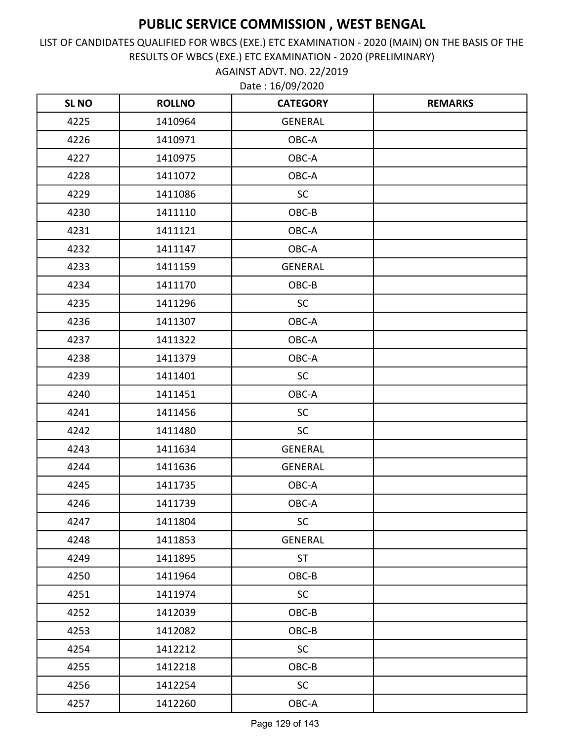AGAINST ADVT. NO. 22/2019 LIST OF CANDIDATES QUALIFIED FOR WBCS (EXE.) ETC EXAMINATION - 2020 (MAIN) ON THE BASIS OF THE RESULTS OF WBCS (EXE.) ETC EXAMINATION - 2020 (PRELIMINARY)

| <b>SLNO</b> | <b>ROLLNO</b> | <b>CATEGORY</b> | <b>REMARKS</b> |
|-------------|---------------|-----------------|----------------|
| 4225        | 1410964       | <b>GENERAL</b>  |                |
| 4226        | 1410971       | OBC-A           |                |
| 4227        | 1410975       | OBC-A           |                |
| 4228        | 1411072       | OBC-A           |                |
| 4229        | 1411086       | <b>SC</b>       |                |
| 4230        | 1411110       | OBC-B           |                |
| 4231        | 1411121       | OBC-A           |                |
| 4232        | 1411147       | OBC-A           |                |
| 4233        | 1411159       | <b>GENERAL</b>  |                |
| 4234        | 1411170       | OBC-B           |                |
| 4235        | 1411296       | <b>SC</b>       |                |
| 4236        | 1411307       | OBC-A           |                |
| 4237        | 1411322       | OBC-A           |                |
| 4238        | 1411379       | OBC-A           |                |
| 4239        | 1411401       | SC              |                |
| 4240        | 1411451       | OBC-A           |                |
| 4241        | 1411456       | SC              |                |
| 4242        | 1411480       | <b>SC</b>       |                |
| 4243        | 1411634       | <b>GENERAL</b>  |                |
| 4244        | 1411636       | <b>GENERAL</b>  |                |
| 4245        | 1411735       | OBC-A           |                |
| 4246        | 1411739       | OBC-A           |                |
| 4247        | 1411804       | SC              |                |
| 4248        | 1411853       | <b>GENERAL</b>  |                |
| 4249        | 1411895       | <b>ST</b>       |                |
| 4250        | 1411964       | OBC-B           |                |
| 4251        | 1411974       | <b>SC</b>       |                |
| 4252        | 1412039       | OBC-B           |                |
| 4253        | 1412082       | OBC-B           |                |
| 4254        | 1412212       | <b>SC</b>       |                |
| 4255        | 1412218       | OBC-B           |                |
| 4256        | 1412254       | $\mathsf{SC}$   |                |
| 4257        | 1412260       | OBC-A           |                |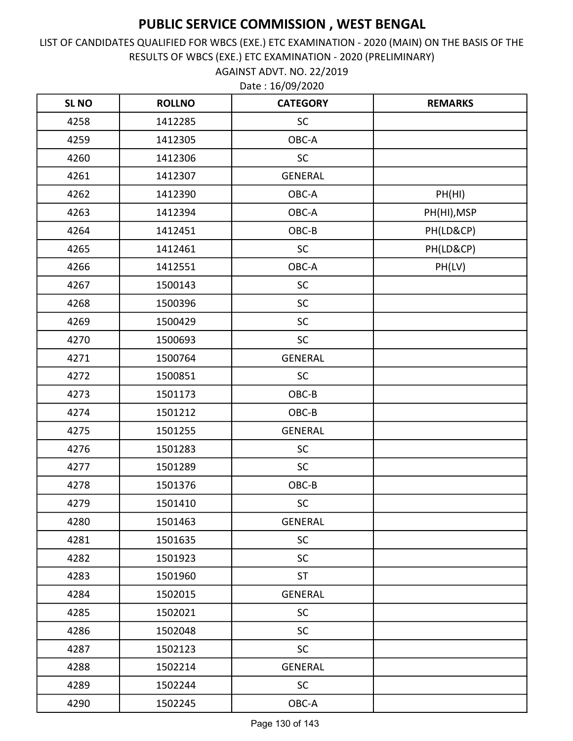AGAINST ADVT. NO. 22/2019 LIST OF CANDIDATES QUALIFIED FOR WBCS (EXE.) ETC EXAMINATION - 2020 (MAIN) ON THE BASIS OF THE RESULTS OF WBCS (EXE.) ETC EXAMINATION - 2020 (PRELIMINARY)

| <b>SL NO</b> | <b>ROLLNO</b> | <b>CATEGORY</b> | <b>REMARKS</b> |
|--------------|---------------|-----------------|----------------|
| 4258         | 1412285       | <b>SC</b>       |                |
| 4259         | 1412305       | OBC-A           |                |
| 4260         | 1412306       | SC              |                |
| 4261         | 1412307       | <b>GENERAL</b>  |                |
| 4262         | 1412390       | OBC-A           | PH(HI)         |
| 4263         | 1412394       | OBC-A           | PH(HI), MSP    |
| 4264         | 1412451       | OBC-B           | PH(LD&CP)      |
| 4265         | 1412461       | SC              | PH(LD&CP)      |
| 4266         | 1412551       | OBC-A           | PH(LV)         |
| 4267         | 1500143       | <b>SC</b>       |                |
| 4268         | 1500396       | SC              |                |
| 4269         | 1500429       | SC              |                |
| 4270         | 1500693       | SC              |                |
| 4271         | 1500764       | <b>GENERAL</b>  |                |
| 4272         | 1500851       | SC              |                |
| 4273         | 1501173       | OBC-B           |                |
| 4274         | 1501212       | OBC-B           |                |
| 4275         | 1501255       | GENERAL         |                |
| 4276         | 1501283       | <b>SC</b>       |                |
| 4277         | 1501289       | SC              |                |
| 4278         | 1501376       | $OBC-B$         |                |
| 4279         | 1501410       | SC              |                |
| 4280         | 1501463       | GENERAL         |                |
| 4281         | 1501635       | SC              |                |
| 4282         | 1501923       | SC              |                |
| 4283         | 1501960       | <b>ST</b>       |                |
| 4284         | 1502015       | <b>GENERAL</b>  |                |
| 4285         | 1502021       | SC              |                |
| 4286         | 1502048       | <b>SC</b>       |                |
| 4287         | 1502123       | <b>SC</b>       |                |
| 4288         | 1502214       | GENERAL         |                |
| 4289         | 1502244       | SC              |                |
| 4290         | 1502245       | OBC-A           |                |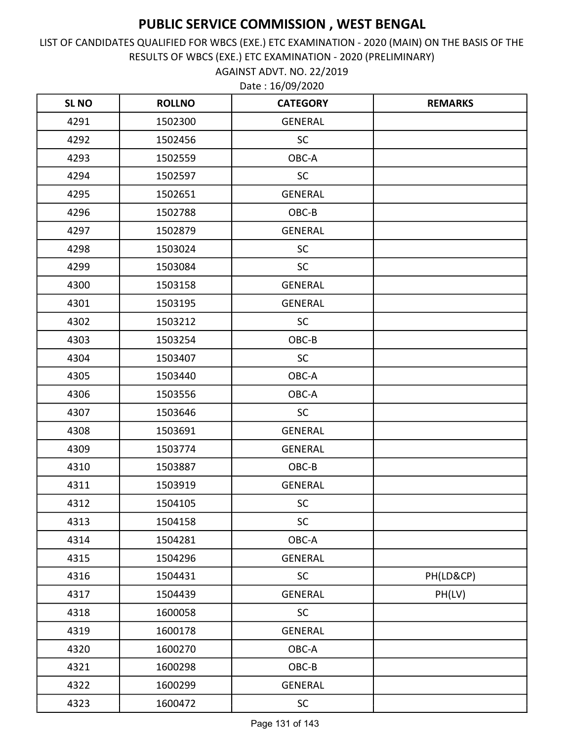AGAINST ADVT. NO. 22/2019 LIST OF CANDIDATES QUALIFIED FOR WBCS (EXE.) ETC EXAMINATION - 2020 (MAIN) ON THE BASIS OF THE RESULTS OF WBCS (EXE.) ETC EXAMINATION - 2020 (PRELIMINARY)

| <b>SLNO</b> | <b>ROLLNO</b> | <b>CATEGORY</b> | <b>REMARKS</b> |
|-------------|---------------|-----------------|----------------|
| 4291        | 1502300       | <b>GENERAL</b>  |                |
| 4292        | 1502456       | <b>SC</b>       |                |
| 4293        | 1502559       | OBC-A           |                |
| 4294        | 1502597       | SC              |                |
| 4295        | 1502651       | <b>GENERAL</b>  |                |
| 4296        | 1502788       | OBC-B           |                |
| 4297        | 1502879       | <b>GENERAL</b>  |                |
| 4298        | 1503024       | <b>SC</b>       |                |
| 4299        | 1503084       | SC              |                |
| 4300        | 1503158       | <b>GENERAL</b>  |                |
| 4301        | 1503195       | <b>GENERAL</b>  |                |
| 4302        | 1503212       | SC              |                |
| 4303        | 1503254       | OBC-B           |                |
| 4304        | 1503407       | <b>SC</b>       |                |
| 4305        | 1503440       | OBC-A           |                |
| 4306        | 1503556       | OBC-A           |                |
| 4307        | 1503646       | SC              |                |
| 4308        | 1503691       | <b>GENERAL</b>  |                |
| 4309        | 1503774       | <b>GENERAL</b>  |                |
| 4310        | 1503887       | OBC-B           |                |
| 4311        | 1503919       | <b>GENERAL</b>  |                |
| 4312        | 1504105       | SC              |                |
| 4313        | 1504158       | SC              |                |
| 4314        | 1504281       | OBC-A           |                |
| 4315        | 1504296       | <b>GENERAL</b>  |                |
| 4316        | 1504431       | SC              | PH(LD&CP)      |
| 4317        | 1504439       | <b>GENERAL</b>  | PH(LV)         |
| 4318        | 1600058       | <b>SC</b>       |                |
| 4319        | 1600178       | <b>GENERAL</b>  |                |
| 4320        | 1600270       | OBC-A           |                |
| 4321        | 1600298       | OBC-B           |                |
| 4322        | 1600299       | GENERAL         |                |
| 4323        | 1600472       | <b>SC</b>       |                |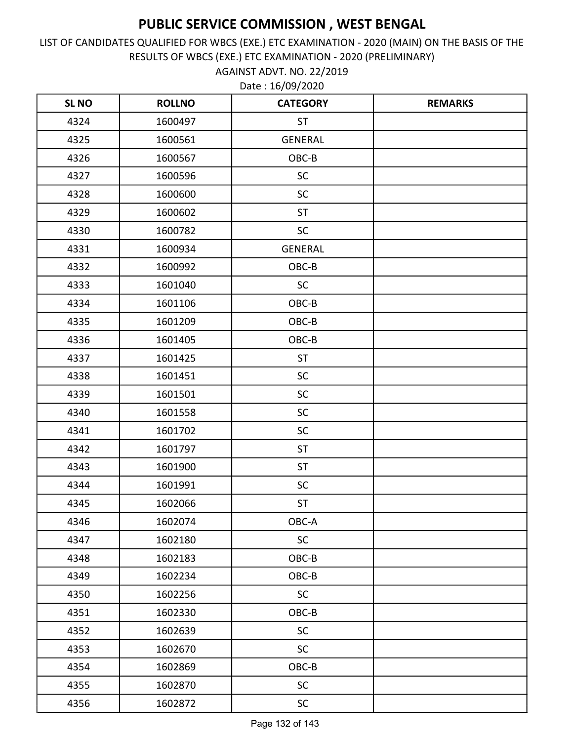AGAINST ADVT. NO. 22/2019 LIST OF CANDIDATES QUALIFIED FOR WBCS (EXE.) ETC EXAMINATION - 2020 (MAIN) ON THE BASIS OF THE RESULTS OF WBCS (EXE.) ETC EXAMINATION - 2020 (PRELIMINARY)

| <b>SLNO</b> | <b>ROLLNO</b> | <b>CATEGORY</b> | <b>REMARKS</b> |
|-------------|---------------|-----------------|----------------|
| 4324        | 1600497       | <b>ST</b>       |                |
| 4325        | 1600561       | <b>GENERAL</b>  |                |
| 4326        | 1600567       | OBC-B           |                |
| 4327        | 1600596       | SC              |                |
| 4328        | 1600600       | SC              |                |
| 4329        | 1600602       | <b>ST</b>       |                |
| 4330        | 1600782       | SC              |                |
| 4331        | 1600934       | <b>GENERAL</b>  |                |
| 4332        | 1600992       | OBC-B           |                |
| 4333        | 1601040       | <b>SC</b>       |                |
| 4334        | 1601106       | OBC-B           |                |
| 4335        | 1601209       | OBC-B           |                |
| 4336        | 1601405       | OBC-B           |                |
| 4337        | 1601425       | <b>ST</b>       |                |
| 4338        | 1601451       | SC              |                |
| 4339        | 1601501       | SC              |                |
| 4340        | 1601558       | SC              |                |
| 4341        | 1601702       | <b>SC</b>       |                |
| 4342        | 1601797       | <b>ST</b>       |                |
| 4343        | 1601900       | <b>ST</b>       |                |
| 4344        | 1601991       | SC              |                |
| 4345        | 1602066       | ST              |                |
| 4346        | 1602074       | OBC-A           |                |
| 4347        | 1602180       | SC              |                |
| 4348        | 1602183       | $OBC-B$         |                |
| 4349        | 1602234       | OBC-B           |                |
| 4350        | 1602256       | <b>SC</b>       |                |
| 4351        | 1602330       | OBC-B           |                |
| 4352        | 1602639       | SC              |                |
| 4353        | 1602670       | <b>SC</b>       |                |
| 4354        | 1602869       | OBC-B           |                |
| 4355        | 1602870       | SC              |                |
| 4356        | 1602872       | $\sf SC$        |                |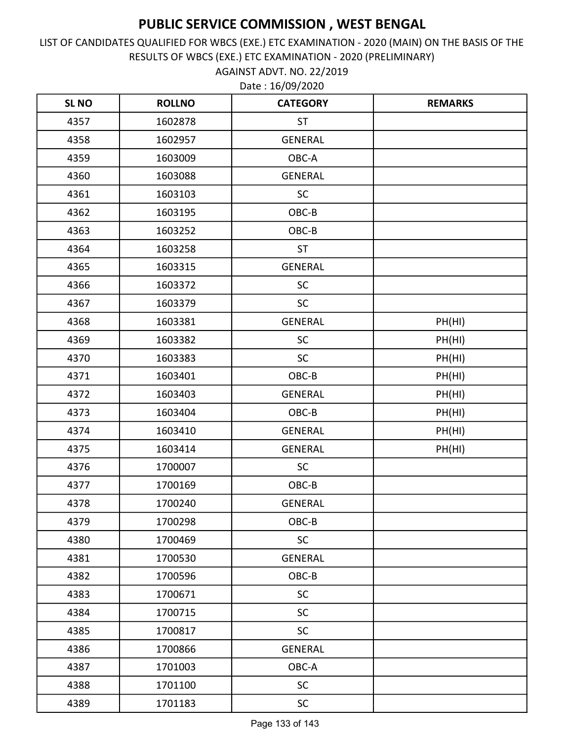AGAINST ADVT. NO. 22/2019 LIST OF CANDIDATES QUALIFIED FOR WBCS (EXE.) ETC EXAMINATION - 2020 (MAIN) ON THE BASIS OF THE RESULTS OF WBCS (EXE.) ETC EXAMINATION - 2020 (PRELIMINARY)

| <b>SL NO</b> | <b>ROLLNO</b> | <b>CATEGORY</b> | <b>REMARKS</b> |
|--------------|---------------|-----------------|----------------|
| 4357         | 1602878       | <b>ST</b>       |                |
| 4358         | 1602957       | <b>GENERAL</b>  |                |
| 4359         | 1603009       | OBC-A           |                |
| 4360         | 1603088       | <b>GENERAL</b>  |                |
| 4361         | 1603103       | SC              |                |
| 4362         | 1603195       | OBC-B           |                |
| 4363         | 1603252       | OBC-B           |                |
| 4364         | 1603258       | <b>ST</b>       |                |
| 4365         | 1603315       | <b>GENERAL</b>  |                |
| 4366         | 1603372       | SC              |                |
| 4367         | 1603379       | <b>SC</b>       |                |
| 4368         | 1603381       | <b>GENERAL</b>  | PH(HI)         |
| 4369         | 1603382       | SC              | PH(HI)         |
| 4370         | 1603383       | SC              | PH(HI)         |
| 4371         | 1603401       | OBC-B           | PH(HI)         |
| 4372         | 1603403       | <b>GENERAL</b>  | PH(HI)         |
| 4373         | 1603404       | OBC-B           | PH(HI)         |
| 4374         | 1603410       | <b>GENERAL</b>  | PH(HI)         |
| 4375         | 1603414       | <b>GENERAL</b>  | PH(HI)         |
| 4376         | 1700007       | SC              |                |
| 4377         | 1700169       | OBC-B           |                |
| 4378         | 1700240       | <b>GENERAL</b>  |                |
| 4379         | 1700298       | OBC-B           |                |
| 4380         | 1700469       | <b>SC</b>       |                |
| 4381         | 1700530       | <b>GENERAL</b>  |                |
| 4382         | 1700596       | OBC-B           |                |
| 4383         | 1700671       | <b>SC</b>       |                |
| 4384         | 1700715       | <b>SC</b>       |                |
| 4385         | 1700817       | <b>SC</b>       |                |
| 4386         | 1700866       | <b>GENERAL</b>  |                |
| 4387         | 1701003       | OBC-A           |                |
| 4388         | 1701100       | <b>SC</b>       |                |
| 4389         | 1701183       | <b>SC</b>       |                |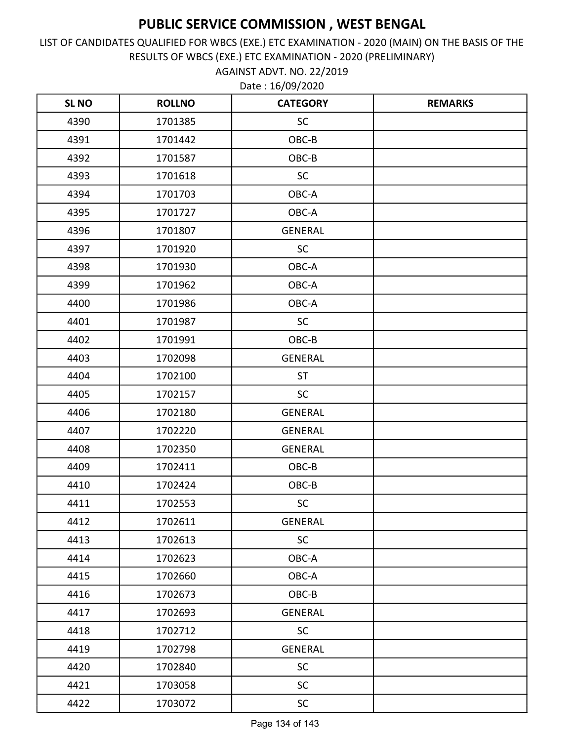AGAINST ADVT. NO. 22/2019 LIST OF CANDIDATES QUALIFIED FOR WBCS (EXE.) ETC EXAMINATION - 2020 (MAIN) ON THE BASIS OF THE RESULTS OF WBCS (EXE.) ETC EXAMINATION - 2020 (PRELIMINARY)

| <b>SLNO</b> | <b>ROLLNO</b> | <b>CATEGORY</b> | <b>REMARKS</b> |
|-------------|---------------|-----------------|----------------|
| 4390        | 1701385       | <b>SC</b>       |                |
| 4391        | 1701442       | OBC-B           |                |
| 4392        | 1701587       | OBC-B           |                |
| 4393        | 1701618       | SC              |                |
| 4394        | 1701703       | OBC-A           |                |
| 4395        | 1701727       | OBC-A           |                |
| 4396        | 1701807       | <b>GENERAL</b>  |                |
| 4397        | 1701920       | <b>SC</b>       |                |
| 4398        | 1701930       | OBC-A           |                |
| 4399        | 1701962       | OBC-A           |                |
| 4400        | 1701986       | OBC-A           |                |
| 4401        | 1701987       | SC              |                |
| 4402        | 1701991       | OBC-B           |                |
| 4403        | 1702098       | <b>GENERAL</b>  |                |
| 4404        | 1702100       | <b>ST</b>       |                |
| 4405        | 1702157       | <b>SC</b>       |                |
| 4406        | 1702180       | <b>GENERAL</b>  |                |
| 4407        | 1702220       | <b>GENERAL</b>  |                |
| 4408        | 1702350       | <b>GENERAL</b>  |                |
| 4409        | 1702411       | OBC-B           |                |
| 4410        | 1702424       | OBC-B           |                |
| 4411        | 1702553       | SC              |                |
| 4412        | 1702611       | GENERAL         |                |
| 4413        | 1702613       | SC              |                |
| 4414        | 1702623       | OBC-A           |                |
| 4415        | 1702660       | OBC-A           |                |
| 4416        | 1702673       | OBC-B           |                |
| 4417        | 1702693       | <b>GENERAL</b>  |                |
| 4418        | 1702712       | <b>SC</b>       |                |
| 4419        | 1702798       | <b>GENERAL</b>  |                |
| 4420        | 1702840       | <b>SC</b>       |                |
| 4421        | 1703058       | SC              |                |
| 4422        | 1703072       | SC              |                |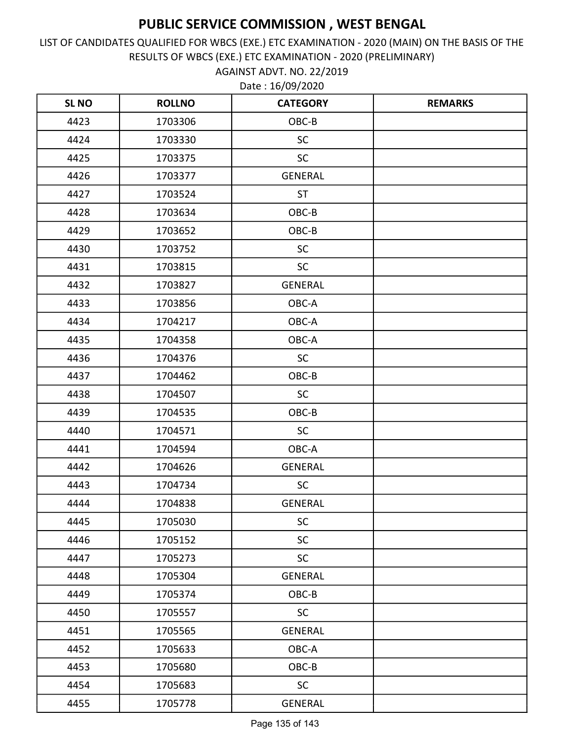AGAINST ADVT. NO. 22/2019 LIST OF CANDIDATES QUALIFIED FOR WBCS (EXE.) ETC EXAMINATION - 2020 (MAIN) ON THE BASIS OF THE RESULTS OF WBCS (EXE.) ETC EXAMINATION - 2020 (PRELIMINARY)

| <b>SLNO</b> | <b>ROLLNO</b> | <b>CATEGORY</b> | <b>REMARKS</b> |
|-------------|---------------|-----------------|----------------|
| 4423        | 1703306       | OBC-B           |                |
| 4424        | 1703330       | SC              |                |
| 4425        | 1703375       | <b>SC</b>       |                |
| 4426        | 1703377       | <b>GENERAL</b>  |                |
| 4427        | 1703524       | <b>ST</b>       |                |
| 4428        | 1703634       | OBC-B           |                |
| 4429        | 1703652       | OBC-B           |                |
| 4430        | 1703752       | SC              |                |
| 4431        | 1703815       | <b>SC</b>       |                |
| 4432        | 1703827       | <b>GENERAL</b>  |                |
| 4433        | 1703856       | OBC-A           |                |
| 4434        | 1704217       | OBC-A           |                |
| 4435        | 1704358       | OBC-A           |                |
| 4436        | 1704376       | <b>SC</b>       |                |
| 4437        | 1704462       | OBC-B           |                |
| 4438        | 1704507       | <b>SC</b>       |                |
| 4439        | 1704535       | OBC-B           |                |
| 4440        | 1704571       | <b>SC</b>       |                |
| 4441        | 1704594       | OBC-A           |                |
| 4442        | 1704626       | <b>GENERAL</b>  |                |
| 4443        | 1704734       | <b>SC</b>       |                |
| 4444        | 1704838       | <b>GENERAL</b>  |                |
| 4445        | 1705030       | SC              |                |
| 4446        | 1705152       | SC              |                |
| 4447        | 1705273       | <b>SC</b>       |                |
| 4448        | 1705304       | GENERAL         |                |
| 4449        | 1705374       | OBC-B           |                |
| 4450        | 1705557       | <b>SC</b>       |                |
| 4451        | 1705565       | <b>GENERAL</b>  |                |
| 4452        | 1705633       | OBC-A           |                |
| 4453        | 1705680       | OBC-B           |                |
| 4454        | 1705683       | SC              |                |
| 4455        | 1705778       | <b>GENERAL</b>  |                |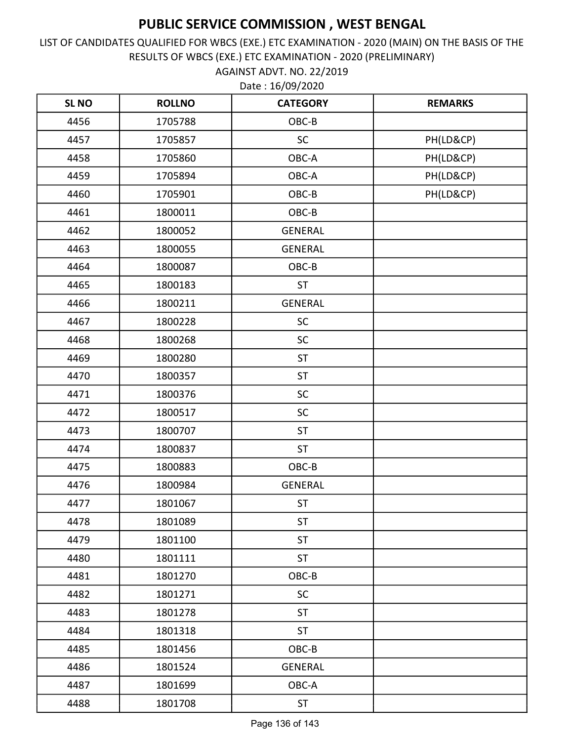AGAINST ADVT. NO. 22/2019 LIST OF CANDIDATES QUALIFIED FOR WBCS (EXE.) ETC EXAMINATION - 2020 (MAIN) ON THE BASIS OF THE RESULTS OF WBCS (EXE.) ETC EXAMINATION - 2020 (PRELIMINARY)

| <b>SLNO</b> | <b>ROLLNO</b> | <b>CATEGORY</b> | <b>REMARKS</b> |
|-------------|---------------|-----------------|----------------|
| 4456        | 1705788       | OBC-B           |                |
| 4457        | 1705857       | <b>SC</b>       | PH(LD&CP)      |
| 4458        | 1705860       | OBC-A           | PH(LD&CP)      |
| 4459        | 1705894       | OBC-A           | PH(LD&CP)      |
| 4460        | 1705901       | OBC-B           | PH(LD&CP)      |
| 4461        | 1800011       | OBC-B           |                |
| 4462        | 1800052       | <b>GENERAL</b>  |                |
| 4463        | 1800055       | <b>GENERAL</b>  |                |
| 4464        | 1800087       | OBC-B           |                |
| 4465        | 1800183       | <b>ST</b>       |                |
| 4466        | 1800211       | <b>GENERAL</b>  |                |
| 4467        | 1800228       | SC              |                |
| 4468        | 1800268       | SC              |                |
| 4469        | 1800280       | <b>ST</b>       |                |
| 4470        | 1800357       | <b>ST</b>       |                |
| 4471        | 1800376       | SC              |                |
| 4472        | 1800517       | SC              |                |
| 4473        | 1800707       | <b>ST</b>       |                |
| 4474        | 1800837       | <b>ST</b>       |                |
| 4475        | 1800883       | OBC-B           |                |
| 4476        | 1800984       | <b>GENERAL</b>  |                |
| 4477        | 1801067       | <b>ST</b>       |                |
| 4478        | 1801089       | <b>ST</b>       |                |
| 4479        | 1801100       | <b>ST</b>       |                |
| 4480        | 1801111       | <b>ST</b>       |                |
| 4481        | 1801270       | OBC-B           |                |
| 4482        | 1801271       | <b>SC</b>       |                |
| 4483        | 1801278       | <b>ST</b>       |                |
| 4484        | 1801318       | <b>ST</b>       |                |
| 4485        | 1801456       | OBC-B           |                |
| 4486        | 1801524       | GENERAL         |                |
| 4487        | 1801699       | OBC-A           |                |
| 4488        | 1801708       | <b>ST</b>       |                |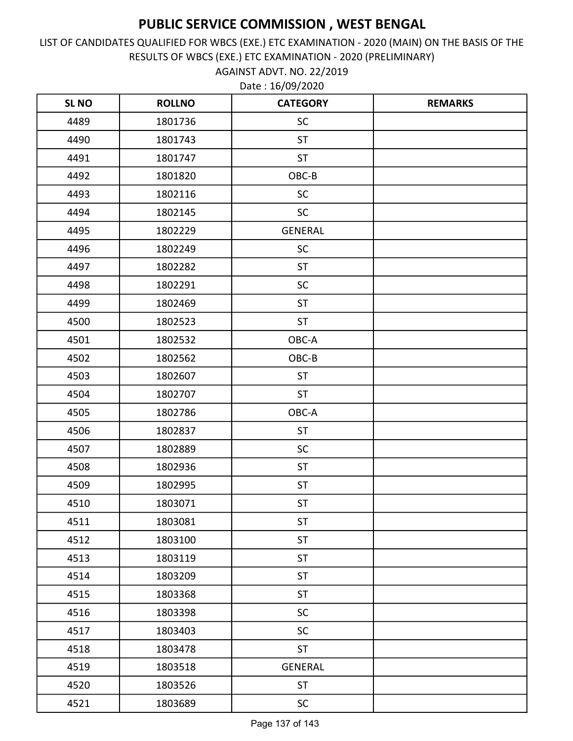LIST OF CANDIDATES QUALIFIED FOR WBCS (EXE.) ETC EXAMINATION - 2020 (MAIN) ON THE BASIS OF THE RESULTS OF WBCS (EXE.) ETC EXAMINATION - 2020 (PRELIMINARY)

Date : 16/09/2020 AGAINST ADVT. NO. 22/2019

| <b>SL NO</b> | <b>ROLLNO</b> | <b>CATEGORY</b> | <b>REMARKS</b> |
|--------------|---------------|-----------------|----------------|
| 4489         | 1801736       | SC              |                |
| 4490         | 1801743       | <b>ST</b>       |                |
| 4491         | 1801747       | <b>ST</b>       |                |
| 4492         | 1801820       | OBC-B           |                |
| 4493         | 1802116       | SC              |                |
| 4494         | 1802145       | SC              |                |
| 4495         | 1802229       | <b>GENERAL</b>  |                |
| 4496         | 1802249       | <b>SC</b>       |                |
| 4497         | 1802282       | <b>ST</b>       |                |
| 4498         | 1802291       | SC              |                |
| 4499         | 1802469       | <b>ST</b>       |                |
| 4500         | 1802523       | <b>ST</b>       |                |
| 4501         | 1802532       | OBC-A           |                |
| 4502         | 1802562       | OBC-B           |                |
| 4503         | 1802607       | <b>ST</b>       |                |
| 4504         | 1802707       | <b>ST</b>       |                |
| 4505         | 1802786       | OBC-A           |                |
| 4506         | 1802837       | <b>ST</b>       |                |
| 4507         | 1802889       | SC              |                |
| 4508         | 1802936       | <b>ST</b>       |                |
| 4509         | 1802995       | <b>ST</b>       |                |
| 4510         | 1803071       | <b>ST</b>       |                |
| 4511         | 1803081       | ST              |                |
| 4512         | 1803100       | <b>ST</b>       |                |
| 4513         | 1803119       | <b>ST</b>       |                |
| 4514         | 1803209       | <b>ST</b>       |                |
| 4515         | 1803368       | <b>ST</b>       |                |
| 4516         | 1803398       | SC              |                |
| 4517         | 1803403       | <b>SC</b>       |                |
| 4518         | 1803478       | <b>ST</b>       |                |
| 4519         | 1803518       | <b>GENERAL</b>  |                |
| 4520         | 1803526       | ST              |                |
| 4521         | 1803689       | <b>SC</b>       |                |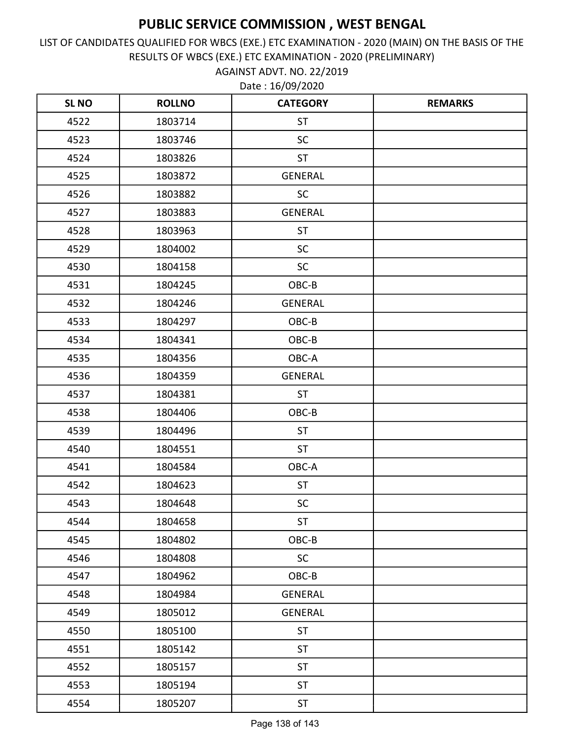LIST OF CANDIDATES QUALIFIED FOR WBCS (EXE.) ETC EXAMINATION - 2020 (MAIN) ON THE BASIS OF THE RESULTS OF WBCS (EXE.) ETC EXAMINATION - 2020 (PRELIMINARY)

Date : 16/09/2020 AGAINST ADVT. NO. 22/2019

| <b>SL NO</b> | <b>ROLLNO</b> | <b>CATEGORY</b> | <b>REMARKS</b> |
|--------------|---------------|-----------------|----------------|
| 4522         | 1803714       | <b>ST</b>       |                |
| 4523         | 1803746       | SC              |                |
| 4524         | 1803826       | <b>ST</b>       |                |
| 4525         | 1803872       | <b>GENERAL</b>  |                |
| 4526         | 1803882       | <b>SC</b>       |                |
| 4527         | 1803883       | <b>GENERAL</b>  |                |
| 4528         | 1803963       | <b>ST</b>       |                |
| 4529         | 1804002       | SC              |                |
| 4530         | 1804158       | <b>SC</b>       |                |
| 4531         | 1804245       | OBC-B           |                |
| 4532         | 1804246       | <b>GENERAL</b>  |                |
| 4533         | 1804297       | OBC-B           |                |
| 4534         | 1804341       | OBC-B           |                |
| 4535         | 1804356       | OBC-A           |                |
| 4536         | 1804359       | <b>GENERAL</b>  |                |
| 4537         | 1804381       | <b>ST</b>       |                |
| 4538         | 1804406       | OBC-B           |                |
| 4539         | 1804496       | <b>ST</b>       |                |
| 4540         | 1804551       | <b>ST</b>       |                |
| 4541         | 1804584       | OBC-A           |                |
| 4542         | 1804623       | <b>ST</b>       |                |
| 4543         | 1804648       | SC              |                |
| 4544         | 1804658       | <b>ST</b>       |                |
| 4545         | 1804802       | OBC-B           |                |
| 4546         | 1804808       | SC              |                |
| 4547         | 1804962       | OBC-B           |                |
| 4548         | 1804984       | <b>GENERAL</b>  |                |
| 4549         | 1805012       | GENERAL         |                |
| 4550         | 1805100       | <b>ST</b>       |                |
| 4551         | 1805142       | <b>ST</b>       |                |
| 4552         | 1805157       | <b>ST</b>       |                |
| 4553         | 1805194       | <b>ST</b>       |                |
| 4554         | 1805207       | <b>ST</b>       |                |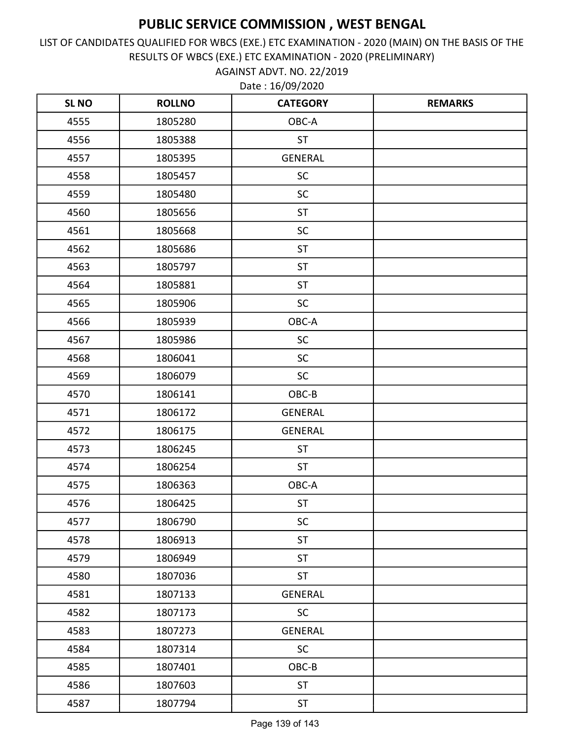AGAINST ADVT. NO. 22/2019 LIST OF CANDIDATES QUALIFIED FOR WBCS (EXE.) ETC EXAMINATION - 2020 (MAIN) ON THE BASIS OF THE RESULTS OF WBCS (EXE.) ETC EXAMINATION - 2020 (PRELIMINARY)

| <b>SLNO</b> | <b>ROLLNO</b> | <b>CATEGORY</b> | <b>REMARKS</b> |
|-------------|---------------|-----------------|----------------|
| 4555        | 1805280       | OBC-A           |                |
| 4556        | 1805388       | <b>ST</b>       |                |
| 4557        | 1805395       | <b>GENERAL</b>  |                |
| 4558        | 1805457       | SC              |                |
| 4559        | 1805480       | SC              |                |
| 4560        | 1805656       | <b>ST</b>       |                |
| 4561        | 1805668       | SC              |                |
| 4562        | 1805686       | <b>ST</b>       |                |
| 4563        | 1805797       | <b>ST</b>       |                |
| 4564        | 1805881       | <b>ST</b>       |                |
| 4565        | 1805906       | SC              |                |
| 4566        | 1805939       | OBC-A           |                |
| 4567        | 1805986       | SC              |                |
| 4568        | 1806041       | <b>SC</b>       |                |
| 4569        | 1806079       | SC              |                |
| 4570        | 1806141       | OBC-B           |                |
| 4571        | 1806172       | <b>GENERAL</b>  |                |
| 4572        | 1806175       | <b>GENERAL</b>  |                |
| 4573        | 1806245       | <b>ST</b>       |                |
| 4574        | 1806254       | <b>ST</b>       |                |
| 4575        | 1806363       | OBC-A           |                |
| 4576        | 1806425       | ST              |                |
| 4577        | 1806790       | SC              |                |
| 4578        | 1806913       | <b>ST</b>       |                |
| 4579        | 1806949       | <b>ST</b>       |                |
| 4580        | 1807036       | <b>ST</b>       |                |
| 4581        | 1807133       | GENERAL         |                |
| 4582        | 1807173       | SC              |                |
| 4583        | 1807273       | <b>GENERAL</b>  |                |
| 4584        | 1807314       | SC              |                |
| 4585        | 1807401       | OBC-B           |                |
| 4586        | 1807603       | <b>ST</b>       |                |
| 4587        | 1807794       | ST              |                |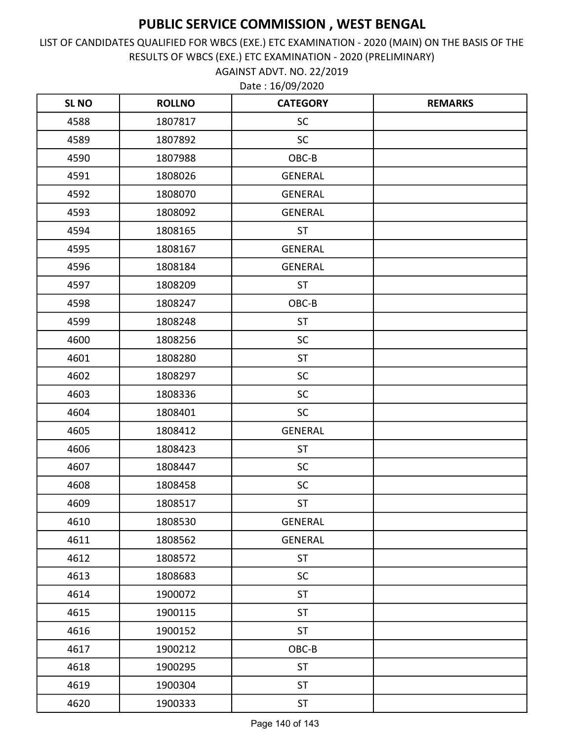AGAINST ADVT. NO. 22/2019 LIST OF CANDIDATES QUALIFIED FOR WBCS (EXE.) ETC EXAMINATION - 2020 (MAIN) ON THE BASIS OF THE RESULTS OF WBCS (EXE.) ETC EXAMINATION - 2020 (PRELIMINARY)

| <b>SLNO</b> | <b>ROLLNO</b> | <b>CATEGORY</b> | <b>REMARKS</b> |
|-------------|---------------|-----------------|----------------|
| 4588        | 1807817       | <b>SC</b>       |                |
| 4589        | 1807892       | <b>SC</b>       |                |
| 4590        | 1807988       | OBC-B           |                |
| 4591        | 1808026       | <b>GENERAL</b>  |                |
| 4592        | 1808070       | <b>GENERAL</b>  |                |
| 4593        | 1808092       | <b>GENERAL</b>  |                |
| 4594        | 1808165       | <b>ST</b>       |                |
| 4595        | 1808167       | <b>GENERAL</b>  |                |
| 4596        | 1808184       | <b>GENERAL</b>  |                |
| 4597        | 1808209       | <b>ST</b>       |                |
| 4598        | 1808247       | OBC-B           |                |
| 4599        | 1808248       | <b>ST</b>       |                |
| 4600        | 1808256       | SC              |                |
| 4601        | 1808280       | <b>ST</b>       |                |
| 4602        | 1808297       | SC              |                |
| 4603        | 1808336       | SC              |                |
| 4604        | 1808401       | SC              |                |
| 4605        | 1808412       | <b>GENERAL</b>  |                |
| 4606        | 1808423       | <b>ST</b>       |                |
| 4607        | 1808447       | SC              |                |
| 4608        | 1808458       | SC              |                |
| 4609        | 1808517       | ST              |                |
| 4610        | 1808530       | <b>GENERAL</b>  |                |
| 4611        | 1808562       | GENERAL         |                |
| 4612        | 1808572       | <b>ST</b>       |                |
| 4613        | 1808683       | SC              |                |
| 4614        | 1900072       | <b>ST</b>       |                |
| 4615        | 1900115       | <b>ST</b>       |                |
| 4616        | 1900152       | <b>ST</b>       |                |
| 4617        | 1900212       | OBC-B           |                |
| 4618        | 1900295       | <b>ST</b>       |                |
| 4619        | 1900304       | <b>ST</b>       |                |
| 4620        | 1900333       | ST              |                |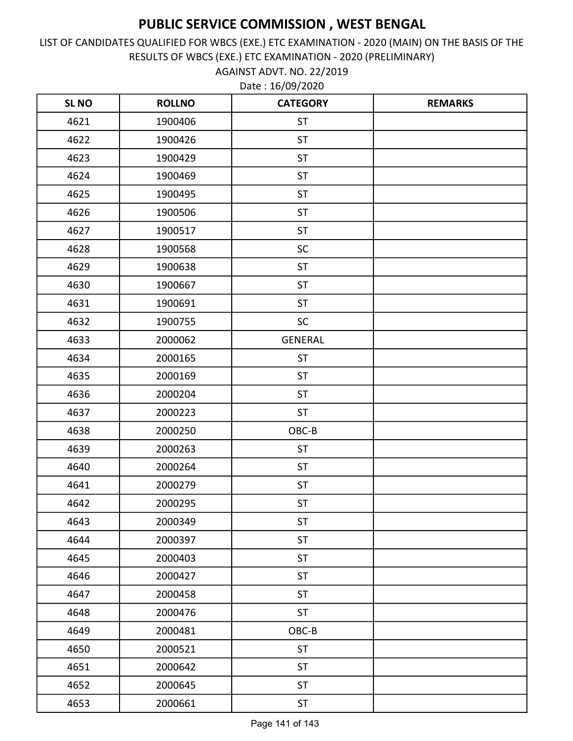LIST OF CANDIDATES QUALIFIED FOR WBCS (EXE.) ETC EXAMINATION - 2020 (MAIN) ON THE BASIS OF THE RESULTS OF WBCS (EXE.) ETC EXAMINATION - 2020 (PRELIMINARY)

Date : 16/09/2020 AGAINST ADVT. NO. 22/2019

| <b>SL NO</b> | <b>ROLLNO</b> | <b>CATEGORY</b> | <b>REMARKS</b> |
|--------------|---------------|-----------------|----------------|
| 4621         | 1900406       | <b>ST</b>       |                |
| 4622         | 1900426       | <b>ST</b>       |                |
| 4623         | 1900429       | <b>ST</b>       |                |
| 4624         | 1900469       | <b>ST</b>       |                |
| 4625         | 1900495       | <b>ST</b>       |                |
| 4626         | 1900506       | <b>ST</b>       |                |
| 4627         | 1900517       | <b>ST</b>       |                |
| 4628         | 1900568       | SC              |                |
| 4629         | 1900638       | <b>ST</b>       |                |
| 4630         | 1900667       | <b>ST</b>       |                |
| 4631         | 1900691       | <b>ST</b>       |                |
| 4632         | 1900755       | SC              |                |
| 4633         | 2000062       | <b>GENERAL</b>  |                |
| 4634         | 2000165       | <b>ST</b>       |                |
| 4635         | 2000169       | <b>ST</b>       |                |
| 4636         | 2000204       | <b>ST</b>       |                |
| 4637         | 2000223       | <b>ST</b>       |                |
| 4638         | 2000250       | OBC-B           |                |
| 4639         | 2000263       | <b>ST</b>       |                |
| 4640         | 2000264       | <b>ST</b>       |                |
| 4641         | 2000279       | <b>ST</b>       |                |
| 4642         | 2000295       | ST              |                |
| 4643         | 2000349       | <b>ST</b>       |                |
| 4644         | 2000397       | <b>ST</b>       |                |
| 4645         | 2000403       | <b>ST</b>       |                |
| 4646         | 2000427       | <b>ST</b>       |                |
| 4647         | 2000458       | <b>ST</b>       |                |
| 4648         | 2000476       | <b>ST</b>       |                |
| 4649         | 2000481       | OBC-B           |                |
| 4650         | 2000521       | <b>ST</b>       |                |
| 4651         | 2000642       | <b>ST</b>       |                |
| 4652         | 2000645       | <b>ST</b>       |                |
| 4653         | 2000661       | <b>ST</b>       |                |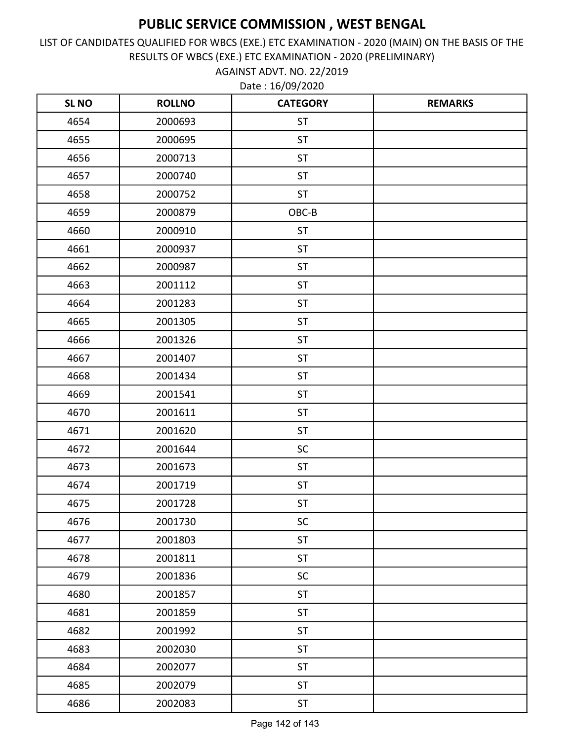LIST OF CANDIDATES QUALIFIED FOR WBCS (EXE.) ETC EXAMINATION - 2020 (MAIN) ON THE BASIS OF THE RESULTS OF WBCS (EXE.) ETC EXAMINATION - 2020 (PRELIMINARY)

Date : 16/09/2020 AGAINST ADVT. NO. 22/2019

| <b>SL NO</b> | <b>ROLLNO</b> | <b>CATEGORY</b> | <b>REMARKS</b> |
|--------------|---------------|-----------------|----------------|
| 4654         | 2000693       | <b>ST</b>       |                |
| 4655         | 2000695       | <b>ST</b>       |                |
| 4656         | 2000713       | <b>ST</b>       |                |
| 4657         | 2000740       | <b>ST</b>       |                |
| 4658         | 2000752       | <b>ST</b>       |                |
| 4659         | 2000879       | OBC-B           |                |
| 4660         | 2000910       | <b>ST</b>       |                |
| 4661         | 2000937       | ST              |                |
| 4662         | 2000987       | <b>ST</b>       |                |
| 4663         | 2001112       | <b>ST</b>       |                |
| 4664         | 2001283       | ST              |                |
| 4665         | 2001305       | <b>ST</b>       |                |
| 4666         | 2001326       | <b>ST</b>       |                |
| 4667         | 2001407       | <b>ST</b>       |                |
| 4668         | 2001434       | <b>ST</b>       |                |
| 4669         | 2001541       | <b>ST</b>       |                |
| 4670         | 2001611       | <b>ST</b>       |                |
| 4671         | 2001620       | <b>ST</b>       |                |
| 4672         | 2001644       | SC              |                |
| 4673         | 2001673       | <b>ST</b>       |                |
| 4674         | 2001719       | <b>ST</b>       |                |
| 4675         | 2001728       | <b>ST</b>       |                |
| 4676         | 2001730       | SC              |                |
| 4677         | 2001803       | <b>ST</b>       |                |
| 4678         | 2001811       | <b>ST</b>       |                |
| 4679         | 2001836       | SC              |                |
| 4680         | 2001857       | <b>ST</b>       |                |
| 4681         | 2001859       | <b>ST</b>       |                |
| 4682         | 2001992       | <b>ST</b>       |                |
| 4683         | 2002030       | <b>ST</b>       |                |
| 4684         | 2002077       | <b>ST</b>       |                |
| 4685         | 2002079       | <b>ST</b>       |                |
| 4686         | 2002083       | ST              |                |